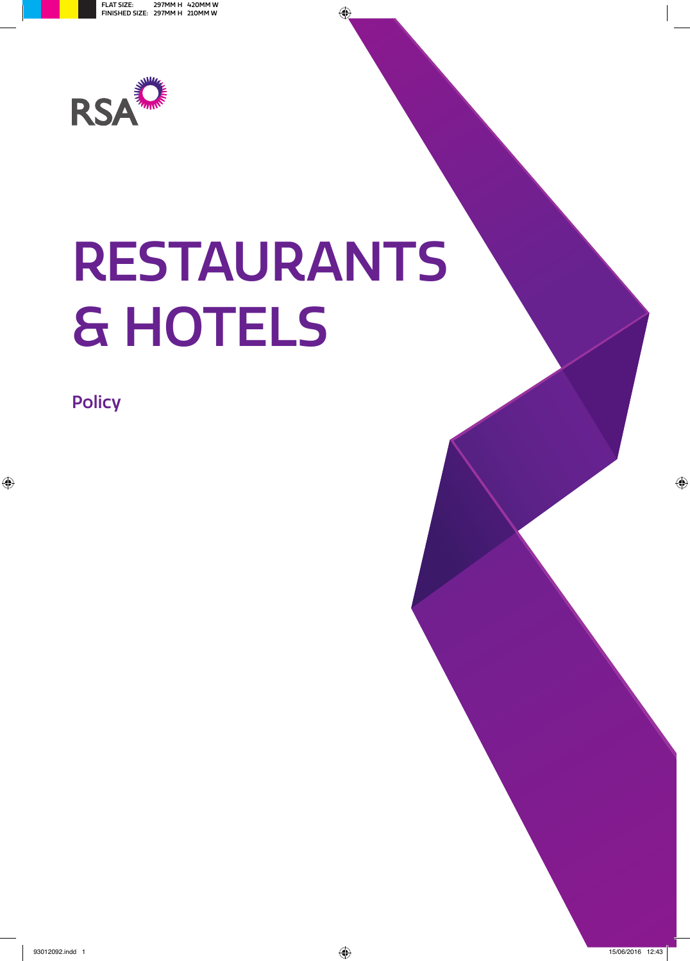

# RESTAURANTS & HOTELS

**Policy**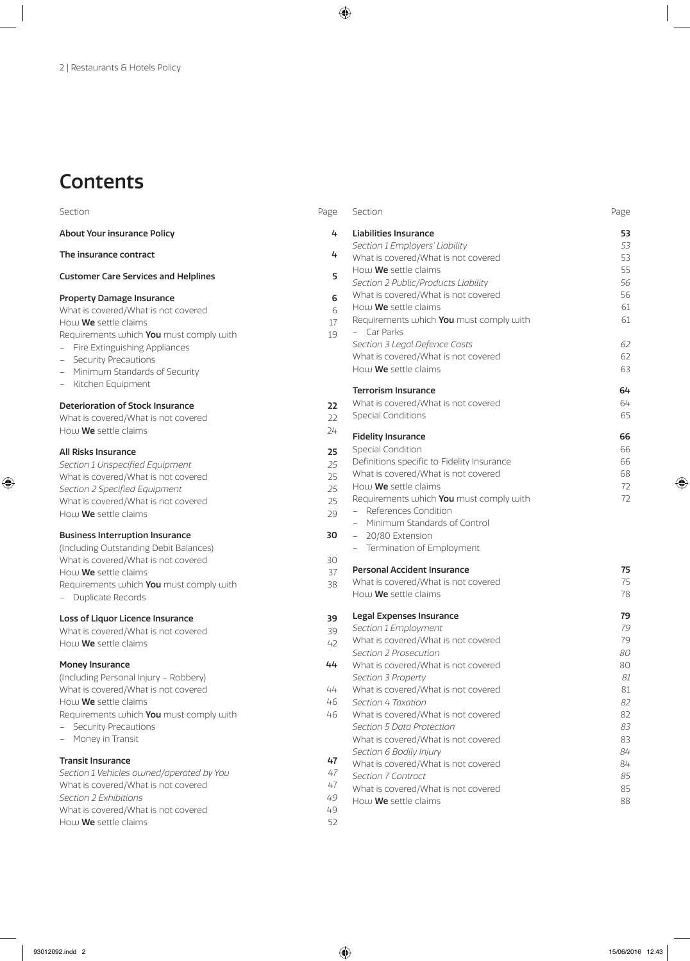# **Contents**

| Section                                                   | Page     | Section                                    | Page |
|-----------------------------------------------------------|----------|--------------------------------------------|------|
| About Your insurance Policy                               | 4        | Liabilities Insurance                      | 53   |
|                                                           |          | Section 1 Employers' Liability             | 53   |
| The insurance contract                                    | 4        | What is covered/What is not covered        | 53   |
| <b>Customer Care Services and Helplines</b>               | 5        | How We settle claims                       | 55   |
|                                                           |          | Section 2 Public/Products Liability        | 56   |
| <b>Property Damage Insurance</b>                          | 6        | What is covered/What is not covered        | 56   |
| What is covered/What is not covered                       | 6        | How We settle claims                       | 61   |
| How We settle claims                                      | 17       | Requirements which You must comply with    | 61   |
| Requirements which You must comply with                   | 19       | - Car Parks                                |      |
| - Fire Extinguishing Appliances                           |          | Section 3 Legal Defence Costs              | 62   |
| <b>Security Precautions</b><br>$\overline{\phantom{0}}$   |          | What is covered/What is not covered        | 62   |
| Minimum Standards of Security<br>$\overline{\phantom{0}}$ |          | How We settle claims                       | 63   |
| - Kitchen Equipment                                       |          |                                            |      |
|                                                           |          | <b>Terrorism Insurance</b>                 | 64   |
| <b>Deterioration of Stock Insurance</b>                   | 22       | What is covered/What is not covered        | 64   |
| What is covered/What is not covered                       | 22       | Special Conditions                         | 65   |
| How We settle claims                                      | 24       | <b>Fidelity Insurance</b>                  | 66   |
|                                                           | 25       | Special Condition                          | 66   |
| All Risks Insurance                                       | 25       | Definitions specific to Fidelity Insurance | 66   |
| Section 1 Unspecified Equipment                           | 25       | What is covered/What is not covered        | 68   |
| What is covered/What is not covered                       | 25       | How We settle claims                       | 72   |
| Section 2 Specified Equipment                             | 25       | Requirements which You must comply with    | 72   |
| What is covered/What is not covered                       | 29       | - References Condition                     |      |
| How We settle claims                                      |          | - Minimum Standards of Control             |      |
| <b>Business Interruption Insurance</b>                    | 30       | - 20/80 Extension                          |      |
| (Including Outstanding Debit Balances)                    |          | - Termination of Employment                |      |
| What is covered/What is not covered                       | 30       |                                            |      |
| How We settle claims                                      | 37       | <b>Personal Accident Insurance</b>         | 75   |
| Requirements which You must comply with                   | 38       | What is covered/What is not covered        | 75   |
| - Duplicate Records                                       |          | How <b>We</b> settle claims                | 78   |
|                                                           |          | Legal Expenses Insurance                   | 79   |
| Loss of Liquor Licence Insurance                          | 39<br>39 | Section 1 Employment                       | 79   |
| What is covered/What is not covered                       | 42       | What is covered/What is not covered        | 79   |
| How We settle claims                                      |          | Section 2 Prosecution                      | 80   |
| Money Insurance                                           | 44       | What is covered/What is not covered        | 80   |
| (Including Personal Injury - Robbery)                     |          | Section 3 Property                         | 81   |
| What is covered/What is not covered                       | 44       | What is covered/What is not covered        | 81   |
| How We settle claims                                      | 46       | Section 4 Taxation                         | 82   |
| Requirements which You must comply with                   | 46       | What is covered/What is not covered        | 82   |
| <b>Security Precautions</b><br>$\overline{\phantom{0}}$   |          | Section 5 Data Protection                  | 83   |
| Money in Transit<br>$\overline{\phantom{0}}$              |          | What is covered/What is not covered        | 83   |
|                                                           |          | Section 6 Bodily Injury                    | 84   |
| <b>Transit Insurance</b>                                  | 47       | What is covered/What is not covered        | 84   |
| Section 1 Vehicles owned/operated by You                  | 47       | Section 7 Contract                         | 85   |
| What is covered/What is not covered                       | 47       | What is covered/What is not covered        | 85   |
| Section 2 Exhibitions                                     | 49       | How <b>We</b> settle claims                | 88   |
| What is covered/What is not covered                       | 49       |                                            |      |
| How We settle claims                                      | 52       |                                            |      |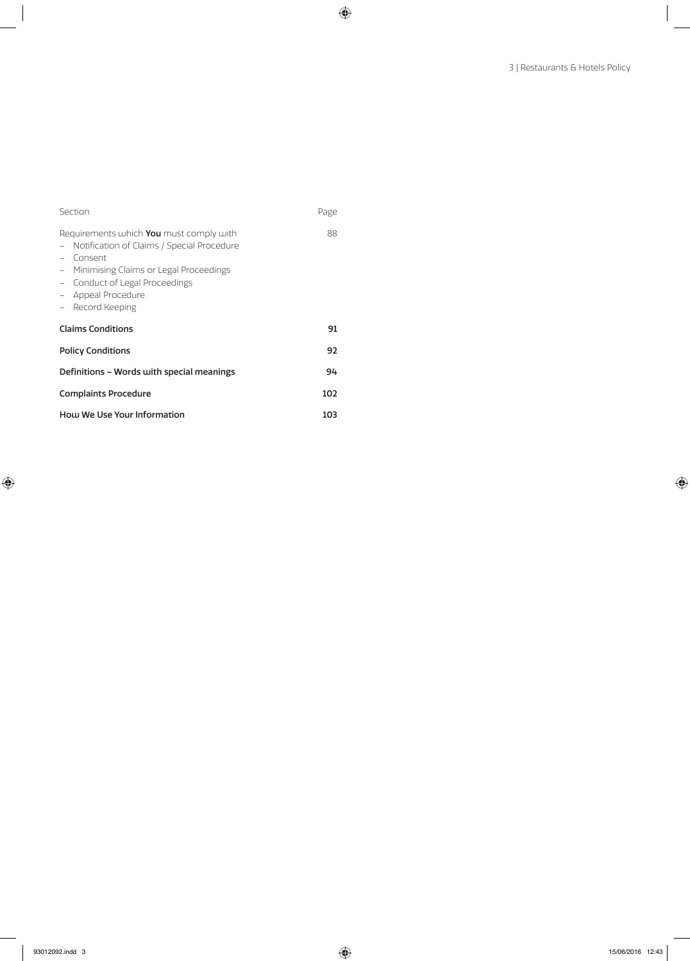| Section                                                                                                                                                                                                                                                                                                         | Page |  |
|-----------------------------------------------------------------------------------------------------------------------------------------------------------------------------------------------------------------------------------------------------------------------------------------------------------------|------|--|
| Requirements which <b>You</b> must comply with<br>Notification of Claims / Special Procedure<br>$\overline{\phantom{a}}$<br>Consent<br>Minimising Claims or Legal Proceedings<br>$\overline{\phantom{a}}$<br>- Conduct of Legal Proceedings<br>Appeal Procedure<br>$\overline{\phantom{0}}$<br>- Record Keeping | 88   |  |
| <b>Claims Conditions</b>                                                                                                                                                                                                                                                                                        | 91   |  |
| <b>Policy Conditions</b>                                                                                                                                                                                                                                                                                        | 92   |  |
| Definitions - Words with special meanings                                                                                                                                                                                                                                                                       | 94   |  |
| <b>Complaints Procedure</b>                                                                                                                                                                                                                                                                                     |      |  |
| How We Use Your Information                                                                                                                                                                                                                                                                                     | 103  |  |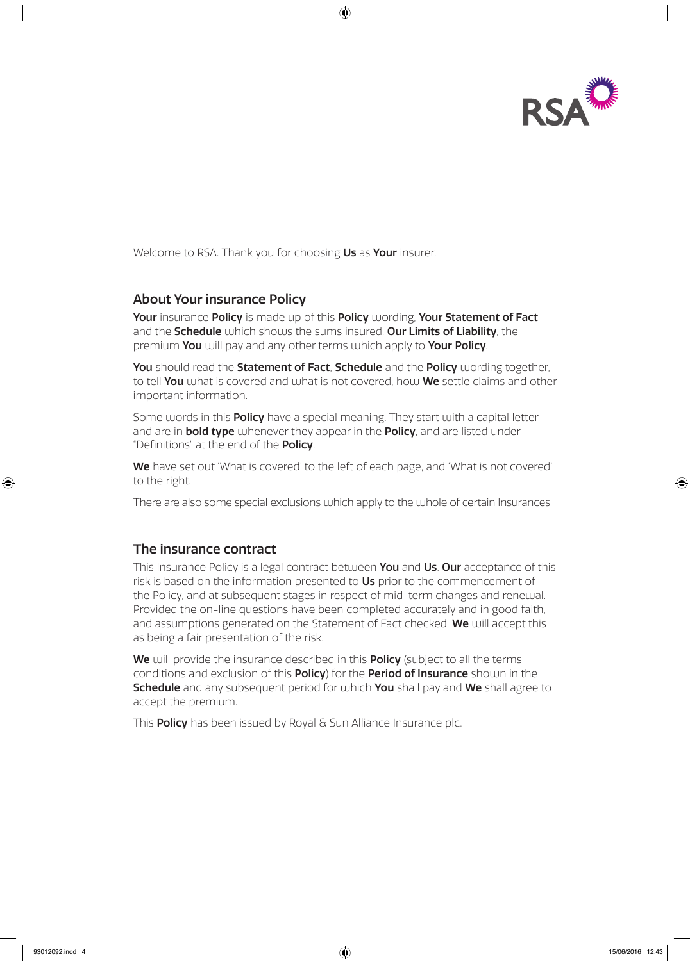

Welcome to RSA. Thank you for choosing Us as Your insurer.

#### About Your insurance Policy

Your insurance Policy is made up of this Policy wording, Your Statement of Fact and the **Schedule** which shows the sums insured, **Our Limits of Liability**, the premium You will pay and any other terms which apply to Your Policy.

You should read the Statement of Fact, Schedule and the Policy wording together, to tell You what is covered and what is not covered, how We settle claims and other important information.

Some words in this **Policy** have a special meaning. They start with a capital letter and are in **bold type** whenever they appear in the **Policy**, and are listed under "Definitions" at the end of the **Policy**.

We have set out 'What is covered' to the left of each page, and 'What is not covered' to the right.

There are also some special exclusions which apply to the whole of certain Insurances.

### The insurance contract

This Insurance Policy is a legal contract between You and Us. Our acceptance of this risk is based on the information presented to Us prior to the commencement of the Policy, and at subsequent stages in respect of mid-term changes and renewal. Provided the on-line questions have been completed accurately and in good faith, and assumptions generated on the Statement of Fact checked, We will accept this as being a fair presentation of the risk.

We will provide the insurance described in this Policy (subject to all the terms, conditions and exclusion of this **Policy**) for the **Period of Insurance** shown in the **Schedule** and any subsequent period for which **You** shall pay and **We** shall agree to accept the premium.

This **Policy** has been issued by Royal & Sun Alliance Insurance plc.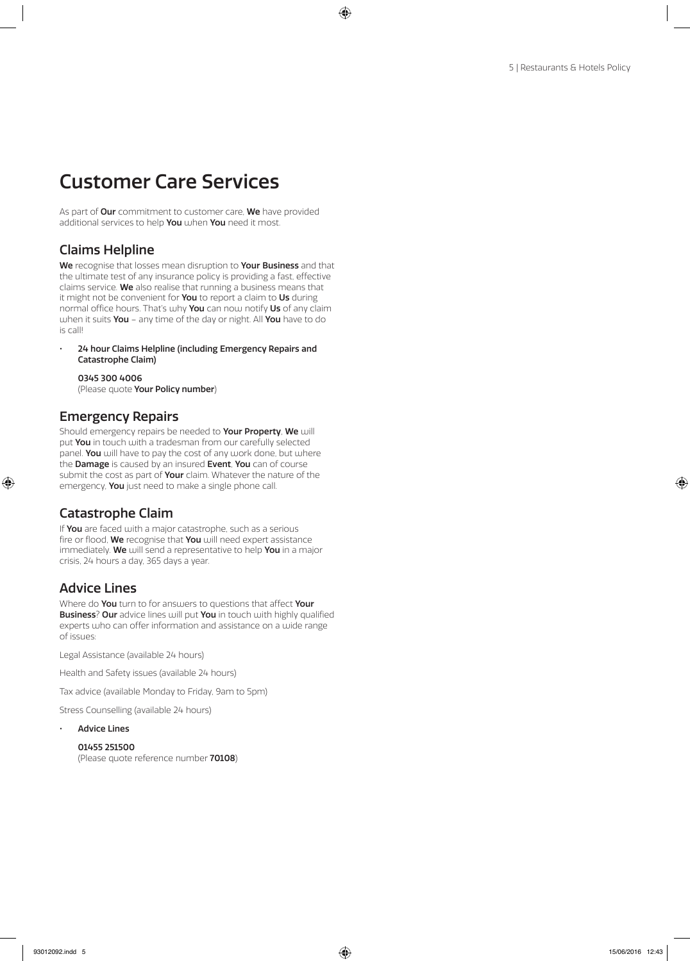# Customer Care Services

As part of Our commitment to customer care, We have provided additional services to help **You** when **You** need it most.

### Claims Helpline

We recognise that losses mean disruption to Your Business and that the ultimate test of any insurance policy is providing a fast, effective claims service. We also realise that running a business means that it might not be convenient for **You** to report a claim to **Us** during normal office hours. That's why You can now notify Us of any claim when it suits You - any time of the day or night. All You have to do is call!

#### • 24 hour Claims Helpline (including Emergency Repairs and Catastrophe Claim)

0345 300 4006 (Please quote Your Policy number)

#### Emergency Repairs

Should emergency repairs be needed to Your Property, We will put You in touch with a tradesman from our carefully selected panel. You will have to pay the cost of any work done, but where the **Damage** is caused by an insured Event, You can of course submit the cost as part of Your claim. Whatever the nature of the emergency, You just need to make a single phone call.

### Catastrophe Claim

If You are faced with a major catastrophe, such as a serious fire or flood, We recognise that You will need expert assistance immediately. We will send a representative to help You in a major crisis, 24 hours a day, 365 days a year.

### Advice Lines

Where do You turn to for answers to questions that affect Your Business? Our advice lines will put You in touch with highly qualified experts who can offer information and assistance on a wide range of issues:

Legal Assistance (available 24 hours)

Health and Safety issues (available 24 hours)

Tax advice (available Monday to Friday, 9am to 5pm)

Stress Counselling (available 24 hours)

**Advice Lines** 

01455 251500 (Please quote reference number 70108)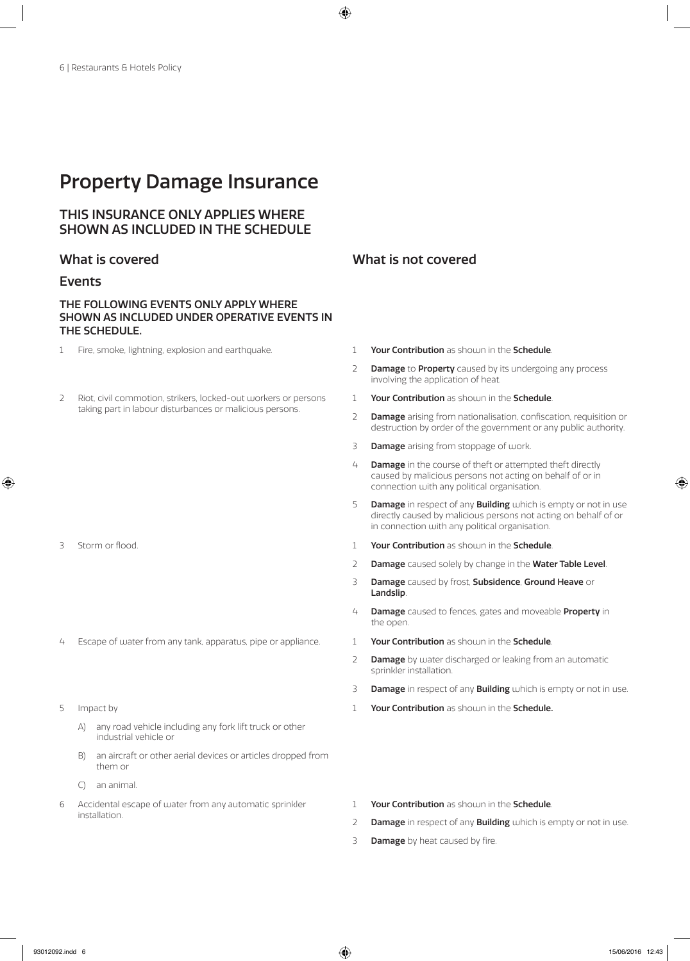# Property Damage Insurance

### THIS INSURANCE ONLY APPLIES WHERE SHOWN AS INCLUDED IN THE SCHEDULE

### Events

#### THE FOLLOWING EVENTS ONLY APPLY WHERE SHOWN AS INCLUDED UNDER OPERATIVE EVENTS IN THE SCHEDULE.

- 1 Fire, smoke, lightning, explosion and earthquake. 1 Your Contribution as shown in the Schedule
- 2 Riot, civil commotion, strikers, locked-out workers or persons taking part in labour disturbances or malicious persons.

- 
- 4 Escape of water from any tank, apparatus, pipe or appliance. 1 Your Contribution as shown in the Schedule.
- 5 Impact by
	- A) any road vehicle including any fork lift truck or other industrial vehicle or
	- B) an aircraft or other aerial devices or articles dropped from them or
	- C) an animal.
- 6 Accidental escape of water from any automatic sprinkler installation.

- 
- 2 Damage to Property caused by its undergoing any process involving the application of heat.
- 1 Your Contribution as shown in the Schedule.
- 2 Damage arising from nationalisation, confiscation, requisition or destruction by order of the government or any public authority.
- 3 **Damage** arising from stoppage of work.
- 4 Damage in the course of theft or attempted theft directly caused by malicious persons not acting on behalf of or in connection with any political organisation.
- 5 **Damage** in respect of any **Building** which is empty or not in use directly caused by malicious persons not acting on behalf of or in connection with any political organisation.
- 3 Storm or flood. 2 and 1 Your Contribution as shown in the Schedule.
	- 2 Damage caused solely by change in the Water Table Level.
	- 3 Damage caused by frost, Subsidence, Ground Heave or Landslip.
	- 4 Damage caused to fences, gates and moveable Property in the open.
	-
	- 2 Damage by water discharged or leaking from an automatic sprinkler installation.
	- 3 Damage in respect of any Building which is empty or not in use.
	- 1 Your Contribution as shown in the Schedule.
	- 1 Your Contribution as shown in the Schedule.
	- 2 Damage in respect of any Building which is empty or not in use.
	- 3 Damage by heat caused by fire.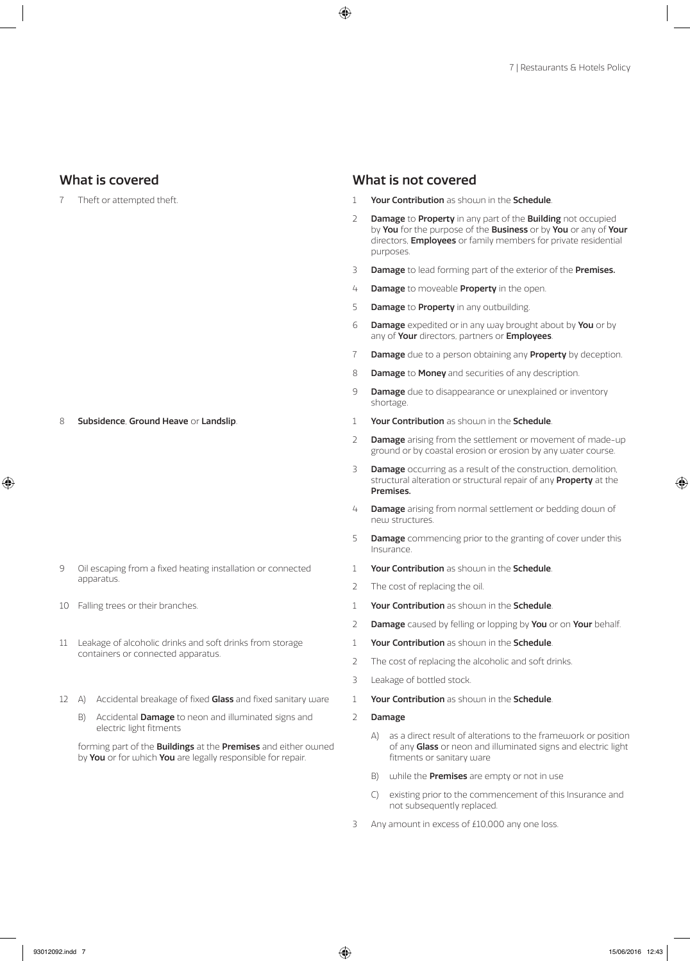8 Subsidence, Ground Heave or Landslip. 1 Your Contribution as shown in the Schedule.

- 9 Oil escaping from a fixed heating installation or connected apparatus.
- 
- 11 Leakage of alcoholic drinks and soft drinks from storage containers or connected apparatus.
- 12 A) Accidental breakage of fixed Glass and fixed sanitary ware
	- B) Accidental **Damage** to neon and illuminated signs and electric light fitments

forming part of the **Buildings** at the Premises and either owned by You or for which You are legally responsible for repair.

- Theft or attempted theft. 1 1 Your Contribution as shown in the Schedule.
	- 2 Damage to Property in any part of the Building not occupied by You for the purpose of the Business or by You or any of Your directors, Employees or family members for private residential purposes.
	- 3 Damage to lead forming part of the exterior of the Premises.
	- 4 Damage to moveable Property in the open.
	- 5 Damage to Property in any outbuilding.
	- 6 Damage expedited or in any way brought about by You or by any of **Your** directors, partners or **Employees**.
	- 7 Damage due to a person obtaining any Property by deception.
	- 8 Damage to Money and securities of any description.
	- 9 Damage due to disappearance or unexplained or inventory shortage.
	-
	- 2 **Damage** arising from the settlement or movement of made-up ground or by coastal erosion or erosion by any water course.
	- 3 Damage occurring as a result of the construction, demolition, structural alteration or structural repair of any **Property** at the Premises.
	- 4 Damage arising from normal settlement or bedding down of new structures.
	- 5 **Damage** commencing prior to the granting of cover under this Insurance.
	- 1 Your Contribution as shown in the Schedule.
	- 2 The cost of replacing the oil.
- 10 Falling trees or their branches. 1 Your Contribution as shown in the Schedule.
	- 2 Damage caused by felling or lopping by You or on Your behalf.
	- 1 Your Contribution as shown in the Schedule.
	- 2 The cost of replacing the alcoholic and soft drinks.
	- 3 Leakage of bottled stock.
	- 1 Your Contribution as shown in the Schedule.
	- 2 Damage
		- A) as a direct result of alterations to the framework or position of any Glass or neon and illuminated signs and electric light fitments or sanitary ware
		- B) while the **Premises** are empty or not in use
		- C) existing prior to the commencement of this Insurance and not subsequently replaced.
	- 3 Any amount in excess of £10,000 any one loss.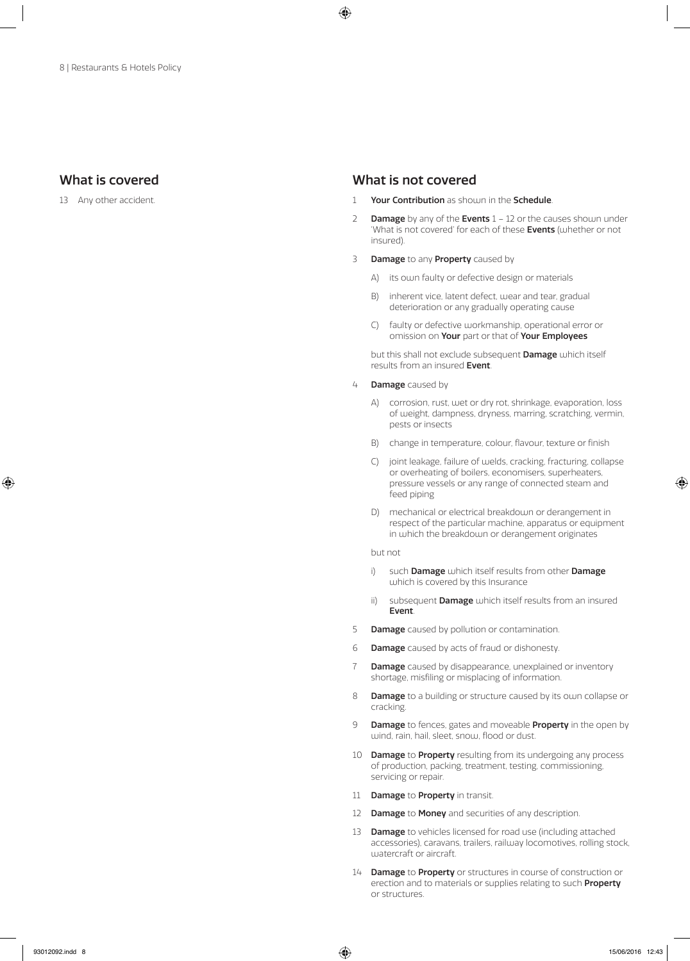- 13 Any other accident. 1 1 Your Contribution as shown in the Schedule.
	- 2 Damage by any of the Events  $1 12$  or the causes shown under 'What is not covered' for each of these Events (whether or not insured).
	- 3 Damage to any Property caused by
		- A) its own faulty or defective design or materials
		- B) inherent vice, latent defect, wear and tear, gradual deterioration or any gradually operating cause
		- C) faulty or defective workmanship, operational error or omission on Your part or that of Your Employees

but this shall not exclude subsequent **Damage** which itself results from an insured Event.

- 4 **Damage** caused by
	- A) corrosion, rust, wet or dry rot, shrinkage, evaporation, loss of weight, dampness, dryness, marring, scratching, vermin, pests or insects
	- B) change in temperature, colour, flavour, texture or finish
	- C) joint leakage, failure of welds, cracking, fracturing, collapse or overheating of boilers, economisers, superheaters, pressure vessels or any range of connected steam and feed piping
	- D) mechanical or electrical breakdown or derangement in respect of the particular machine, apparatus or equipment in which the breakdown or derangement originates

but not

- i) such Damage which itself results from other Damage which is covered by this Insurance
- ii) subsequent **Damage** which itself results from an insured Event.
- 5 Damage caused by pollution or contamination.
- 6 **Damage** caused by acts of fraud or dishonesty.
- 7 Damage caused by disappearance, unexplained or inventory shortage, misfiling or misplacing of information.
- 8 Damage to a building or structure caused by its own collapse or cracking.
- 9 Damage to fences, gates and moveable Property in the open by wind, rain, hail, sleet, snow, flood or dust.
- 10 **Damage** to **Property** resulting from its undergoing any process of production, packing, treatment, testing, commissioning, servicing or repair.
- 11 **Damage to Property** in transit.
- 12 **Damage to Money** and securities of any description.
- 13 **Damage** to vehicles licensed for road use (including attached accessories), caravans, trailers, railway locomotives, rolling stock, watercraft or aircraft.
- 14 **Damage to Property** or structures in course of construction or erection and to materials or supplies relating to such Property or structures.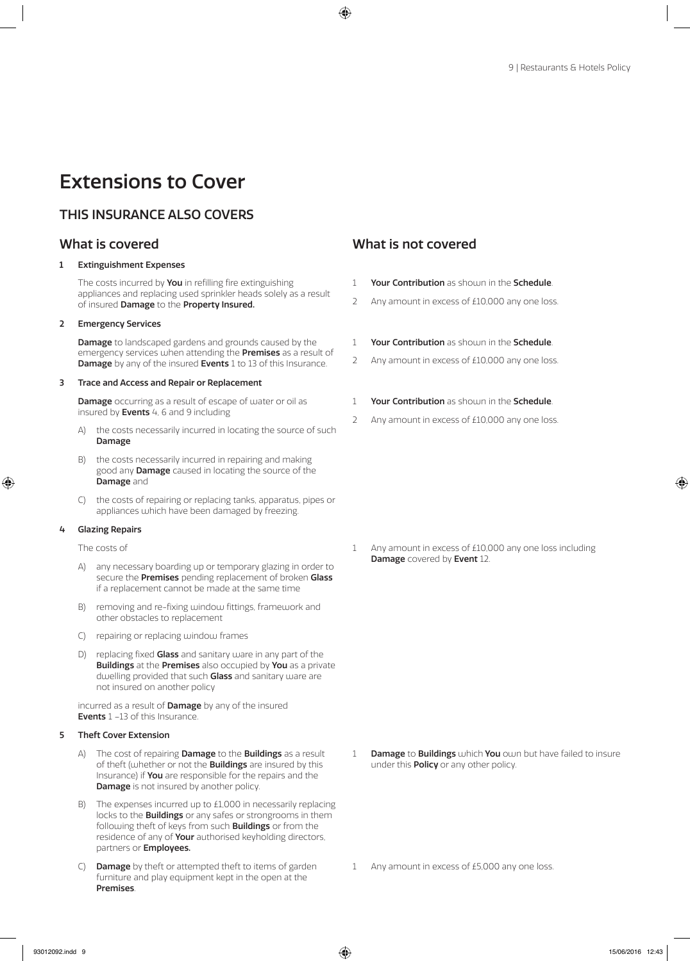# Extensions to Cover

### THIS INSURANCE ALSO COVERS

#### 1 Extinguishment Expenses

The costs incurred by You in refilling fire extinguishing appliances and replacing used sprinkler heads solely as a result of insured Damage to the Property Insured.

#### 2 Emergency Services

**Damage** to landscaped gardens and grounds caused by the emergency services when attending the Premises as a result of Damage by any of the insured Events 1 to 13 of this Insurance.

#### 3 Trace and Access and Repair or Replacement

**Damage** occurring as a result of escape of water or oil as insured by Events 4, 6 and 9 including

- A) the costs necessarily incurred in locating the source of such Damage
- B) the costs necessarily incurred in repairing and making good any Damage caused in locating the source of the Damage and
- C) the costs of repairing or replacing tanks, apparatus, pipes or appliances which have been damaged by freezing.

#### 4 Glazing Repairs

The costs of

- A) any necessary boarding up or temporary glazing in order to secure the **Premises** pending replacement of broken Glass if a replacement cannot be made at the same time
- B) removing and re-fixing window fittings, framework and other obstacles to replacement
- C) repairing or replacing window frames
- D) replacing fixed Glass and sanitary ware in any part of the **Buildings** at the **Premises** also occupied by **You** as a private dwelling provided that such Glass and sanitary ware are not insured on another policy

incurred as a result of **Damage** by any of the insured Events 1 –13 of this Insurance.

#### 5 Theft Cover Extension

- A) The cost of repairing **Damage** to the **Buildings** as a result of theft (whether or not the Buildings are insured by this Insurance) if You are responsible for the repairs and the **Damage** is not insured by another policy.
- B) The expenses incurred up to £1,000 in necessarily replacing locks to the **Buildings** or any safes or strongrooms in them following theft of keys from such **Buildings** or from the residence of any of Your authorised keyholding directors, partners or Employees.
- C) Damage by theft or attempted theft to items of garden furniture and play equipment kept in the open at the Premises.

### What is covered What is not covered

- 1 Your Contribution as shown in the Schedule.
- 2 Any amount in excess of £10,000 any one loss.

#### 1 Your Contribution as shown in the Schedule.

- 2 Any amount in excess of £10,000 any one loss.
- 1 Your Contribution as shown in the Schedule.
- 2 Any amount in excess of £10,000 any one loss.

1 Any amount in excess of £10,000 any one loss including **Damage** covered by **Event** 12.

- 1 Damage to Buildings which You own but have failed to insure under this **Policy** or any other policy.
- 1 Any amount in excess of £5,000 any one loss.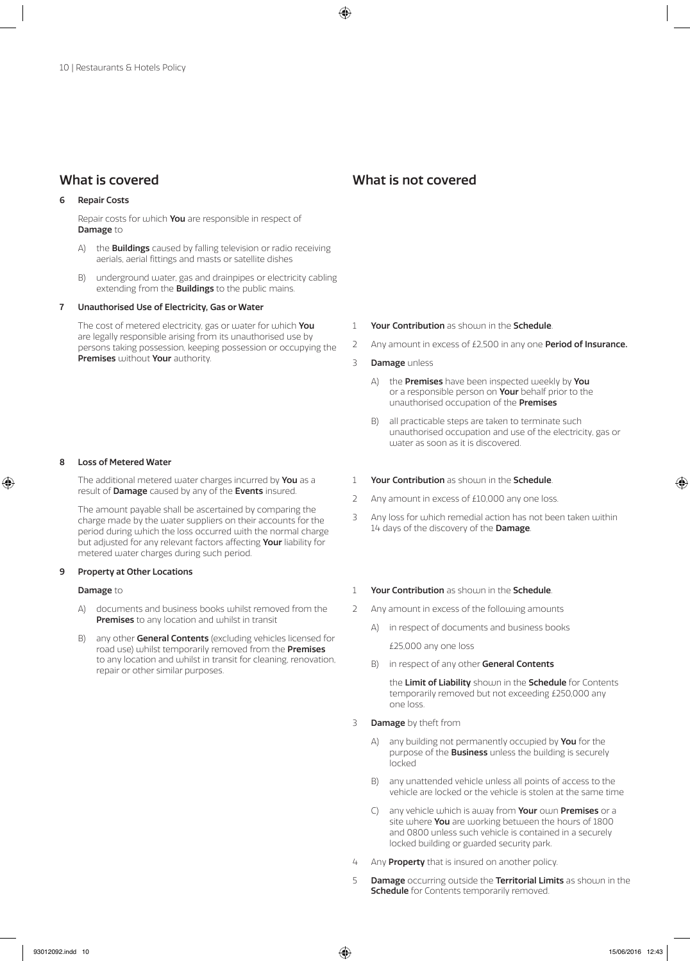#### 6 Repair Costs

Repair costs for which You are responsible in respect of Damage to

- A) the **Buildings** caused by falling television or radio receiving aerials, aerial fittings and masts or satellite dishes
- B) underground water, gas and drainpipes or electricity cabling extending from the **Buildings** to the public mains.

#### 7 Unauthorised Use of Electricity, Gas or Water

The cost of metered electricity, gas or water for which You are legally responsible arising from its unauthorised use by persons taking possession, keeping possession or occupying the Premises without Your authority.

#### 8 Loss of Metered Water

The additional metered water charges incurred by You as a result of Damage caused by any of the Events insured.

The amount payable shall be ascertained by comparing the charge made by the water suppliers on their accounts for the period during which the loss occurred with the normal charge but adjusted for any relevant factors affecting Your liability for metered water charges during such period.

#### 9 Property at Other Locations

#### Damage to

- A) documents and business books whilst removed from the **Premises** to any location and whilst in transit
- B) any other General Contents (excluding vehicles licensed for road use) whilst temporarily removed from the **Premises** to any location and whilst in transit for cleaning, renovation, repair or other similar purposes.

#### What is covered What is not covered

#### 1 Your Contribution as shoum in the Schedule

- 2 Any amount in excess of £2,500 in any one **Period of Insurance.**
- 3 **Damage** unless
	- A) the Premises have been inspected weekly by You or a responsible person on Your behalf prior to the unauthorised occupation of the Premises
	- B) all practicable steps are taken to terminate such unauthorised occupation and use of the electricity, gas or water as soon as it is discovered.

#### 1 Your Contribution as shown in the Schedule.

- 2 Any amount in excess of £10,000 any one loss.
- 3 Any loss for which remedial action has not been taken within 14 days of the discovery of the Damage.

#### 1 Your Contribution as shoum in the Schedule.

- 2 Any amount in excess of the following amounts
	- A) in respect of documents and business books £25,000 any one loss
	- B) in respect of any other General Contents

the Limit of Liability shown in the Schedule for Contents temporarily removed but not exceeding £250,000 any one loss.

- 3 **Damage** by theft from
	- A) any building not permanently occupied by **You** for the purpose of the **Business** unless the building is securely locked
	- B) any unattended vehicle unless all points of access to the vehicle are locked or the vehicle is stolen at the same time
	- C) any vehicle which is away from Your own Premises or a site where **You** are working between the hours of 1800 and 0800 unless such vehicle is contained in a securely locked building or guarded security park.
- 4 Any **Property** that is insured on another policy.
- 5 Damage occurring outside the Territorial Limits as shown in the **Schedule** for Contents temporarily removed.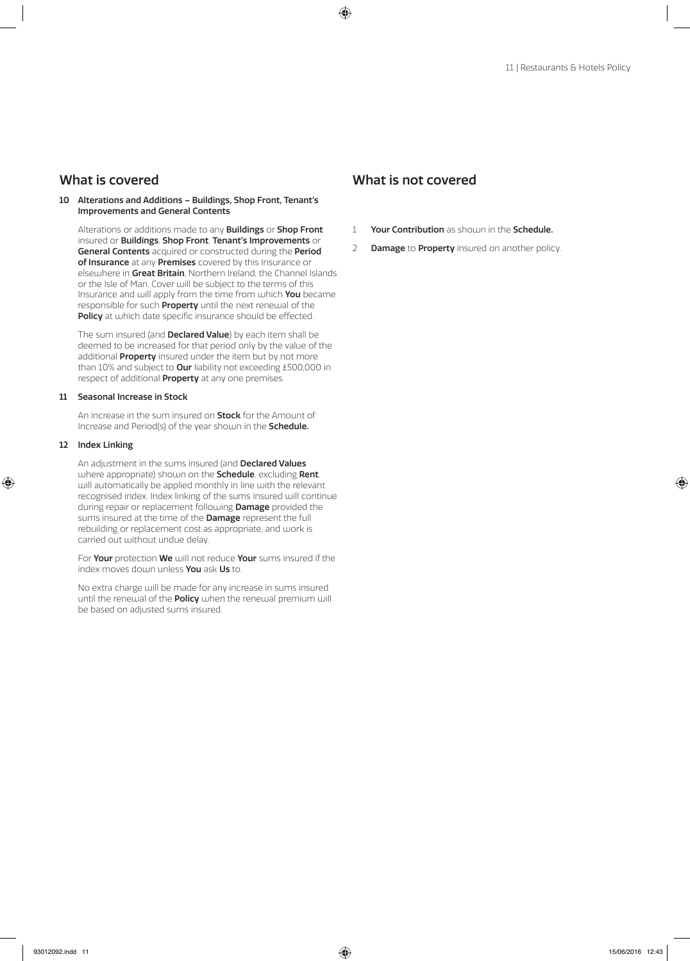10 Alterations and Additions – Buildings, Shop Front, Tenant's Improvements and General Contents

Alterations or additions made to any **Buildings** or **Shop Front** insured or Buildings, Shop Front, Tenant's Improvements or General Contents acquired or constructed during the Period of Insurance at any Premises covered by this Insurance or elsewhere in Great Britain, Northern Ireland, the Channel Islands or the Isle of Man. Cover will be subject to the terms of this Insurance and will apply from the time from which You became responsible for such **Property** until the next renewal of the Policy at which date specific insurance should be effected.

The sum insured (and Declared Value) by each item shall be deemed to be increased for that period only by the value of the additional **Property** insured under the item but by not more than 10% and subject to **Our** liability not exceeding £500,000 in respect of additional **Property** at any one premises.

#### 11 Seasonal Increase in Stock

An increase in the sum insured on **Stock** for the Amount of Increase and Period(s) of the year shown in the **Schedule.** 

#### 12 Index Linking

An adjustment in the sums insured (and Declared Values where appropriate) shown on the **Schedule**, excluding **Rent**, will automatically be applied monthly in line with the relevant recognised index. Index linking of the sums insured will continue during repair or replacement following **Damage** provided the sums insured at the time of the **Damage** represent the full rebuilding or replacement cost as appropriate, and work is carried out without undue delay.

For Your protection We will not reduce Your sums insured if the index moves down unless You ask Us to.

No extra charge will be made for any increase in sums insured until the renewal of the **Policy** when the renewal premium will be based on adjusted sums insured.

- 1 Your Contribution as should in the Schedule.
- 2 Damage to Property insured on another policy.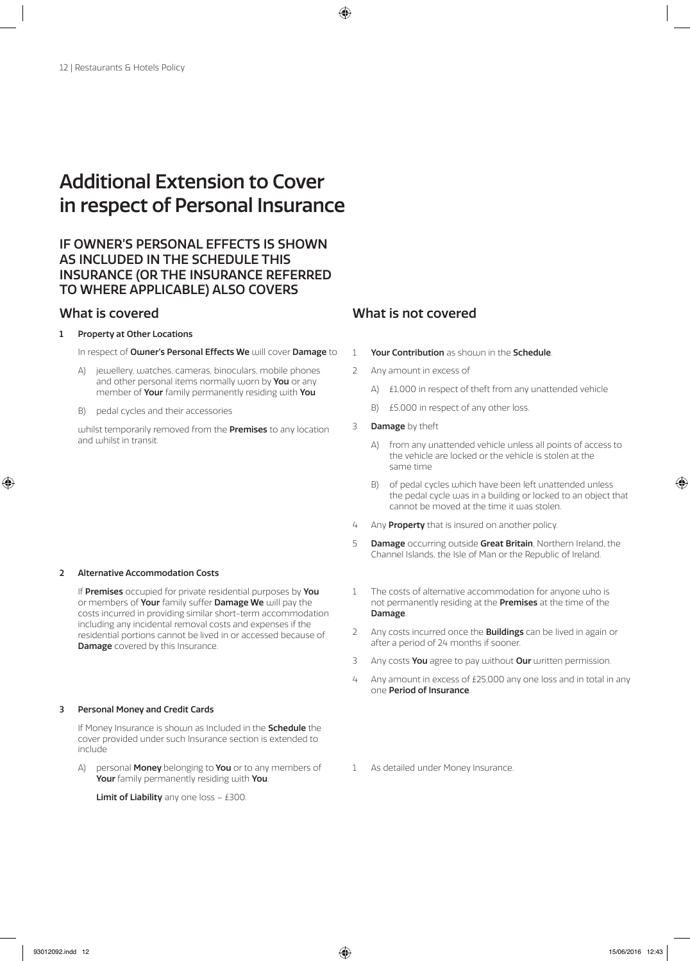# Additional Extension to Cover in respect of Personal Insurance

### IF OWNER'S PERSONAL EFFECTS IS SHOWN AS INCLUDED IN THE SCHEDULE THIS INSURANCE (OR THE INSURANCE REFERRED TO WHERE APPLICABLE) ALSO COVERS

#### 1 Property at Other Locations

In respect of **Owner's Personal Effects We** will cover **Damage** to

- A) jewellery, watches, cameras, binoculars, mobile phones and other personal items normally worn by You or any member of Your family permanently residing with You
- B) pedal cycles and their accessories

whilst temporarily removed from the **Premises** to any location and whilst in transit.

#### 2 Alternative Accommodation Costs

If Premises occupied for private residential purposes by You or members of Your family suffer Damage We will pay the costs incurred in providing similar short-term accommodation including any incidental removal costs and expenses if the residential portions cannot be lived in or accessed because of **Damage** covered by this Insurance.

#### 3 Personal Money and Credit Cards

If Money Insurance is shown as Included in the **Schedule** the cover provided under such Insurance section is extended to include

A) personal Money belonging to You or to any members of Your family permanently residing with You.

Limit of Liability any one loss - £300

- 1 Your Contribution as should in the Schedule
- 2 Any amount in excess of
	- A) £1,000 in respect of theft from any unattended vehicle
	- B) £5,000 in respect of any other loss.
- 3 **Damage** by theft
	- A) from any unattended vehicle unless all points of access to the vehicle are locked or the vehicle is stolen at the same time
	- B) of pedal cycles which have been left unattended unless the pedal cycle was in a building or locked to an object that cannot be moved at the time it was stolen.
- 4 Any **Property** that is insured on another policy.
- 5 Damage occurring outside Great Britain, Northern Ireland, the Channel Islands, the Isle of Man or the Republic of Ireland.
- 1 The costs of alternative accommodation for anyone who is not permanently residing at the Premises at the time of the Damage.
- 2 Any costs incurred once the **Buildings** can be lived in again or after a period of 24 months if sooner.
- 3 Any costs You agree to pay without Our written permission.
- 4 Any amount in excess of £25,000 any one loss and in total in any one Period of Insurance.
- 1 As detailed under Money Insurance.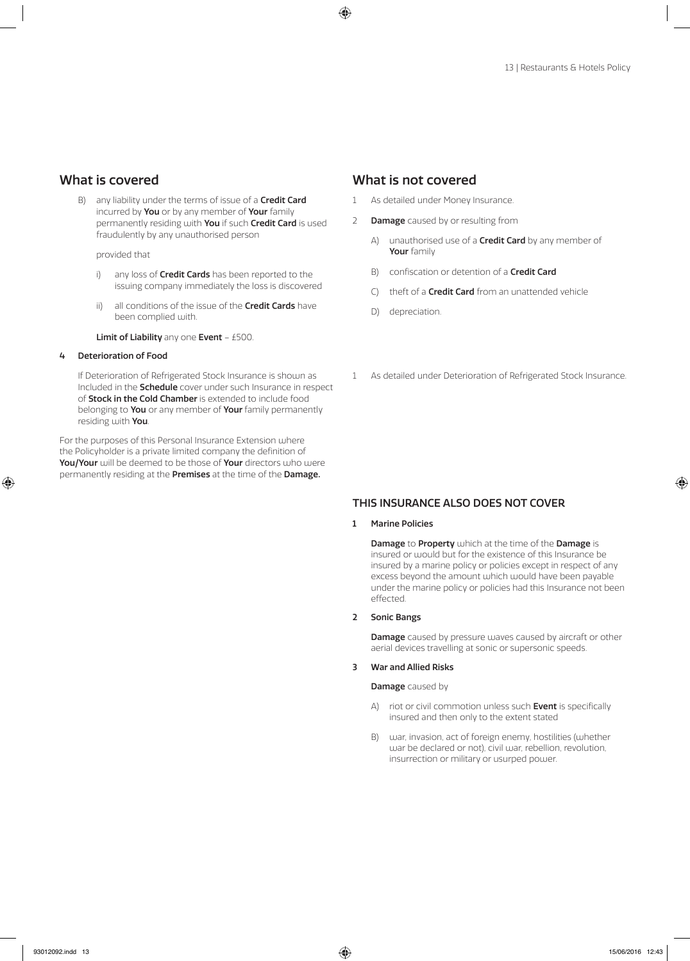B) any liability under the terms of issue of a **Credit Card** incurred by You or by any member of Your family permanently residing with You if such Credit Card is used fraudulently by any unauthorised person

provided that

- i) any loss of **Credit Cards** has been reported to the issuing company immediately the loss is discovered
- ii) all conditions of the issue of the **Credit Cards** have been complied with.

Limit of Liability any one Event - £500.

#### 4 Deterioration of Food

If Deterioration of Refrigerated Stock Insurance is shown as Included in the Schedule cover under such Insurance in respect of **Stock in the Cold Chamber** is extended to include food belonging to You or any member of Your family permanently residing with You.

For the purposes of this Personal Insurance Extension where the Policyholder is a private limited company the definition of You/Your will be deemed to be those of Your directors who were permanently residing at the **Premises** at the time of the **Damage.** 

#### What is covered What is not covered

- 1 As detailed under Money Insurance.
- 2 Damage caused by or resulting from
	- A) unauthorised use of a **Credit Card** by any member of Your family
	- B) confiscation or detention of a **Credit Card**
	- $\mathsf{C}$  theft of a **Credit Card** from an unattended vehicle
	- D) depreciation.
- 1 As detailed under Deterioration of Refrigerated Stock Insurance.

#### THIS INSURANCE ALSO DOES NOT COVER

#### 1 Marine Policies

Damage to Property which at the time of the Damage is insured or would but for the existence of this Insurance be insured by a marine policy or policies except in respect of any excess beyond the amount which would have been payable under the marine policy or policies had this Insurance not been effected.

2 Sonic Bangs

**Damage** caused by pressure waves caused by aircraft or other aerial devices travelling at sonic or supersonic speeds.

3 War and Allied Risks

#### **Damage** caused by

- A) riot or civil commotion unless such Event is specifically insured and then only to the extent stated
- B) war, invasion, act of foreign enemy, hostilities (whether war be declared or not), civil war, rebellion, revolution, insurrection or military or usurped power.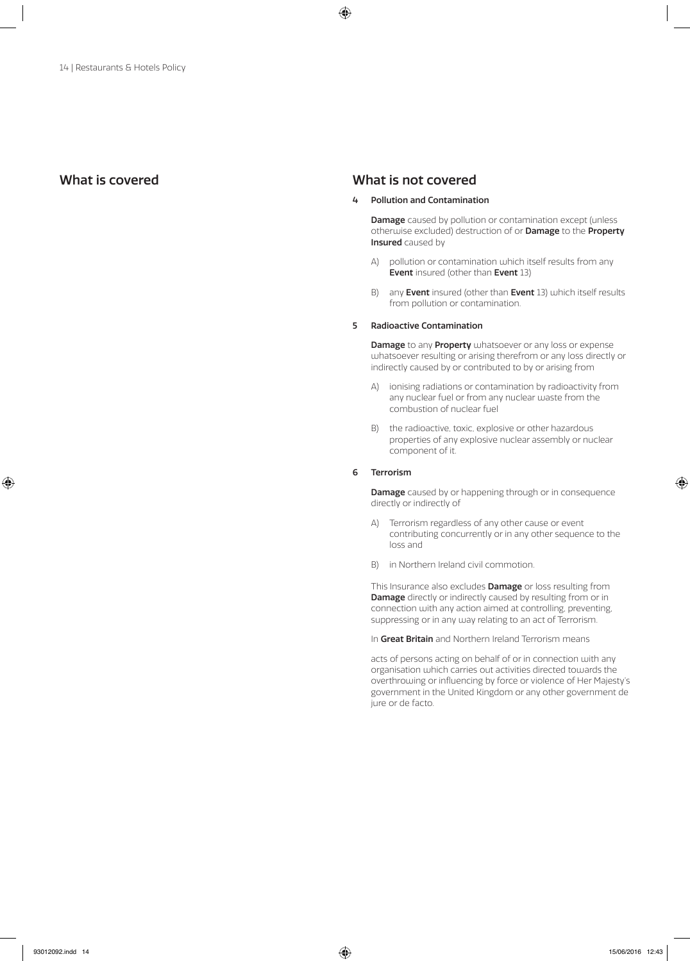#### 4 Pollution and Contamination

**Damage** caused by pollution or contamination except (unless otherwise excluded) destruction of or Damage to the Property Insured caused by

- A) pollution or contamination which itself results from any **Event** insured (other than **Event** 13)
- B) any Event insured (other than Event 13) which itself results from pollution or contamination.

#### 5 Radioactive Contamination

**Damage** to any **Property** whatsoever or any loss or expense whatsoever resulting or arising therefrom or any loss directly or indirectly caused by or contributed to by or arising from

- A) ionising radiations or contamination by radioactivity from any nuclear fuel or from any nuclear waste from the combustion of nuclear fuel
- B) the radioactive, toxic, explosive or other hazardous properties of any explosive nuclear assembly or nuclear component of it.

#### 6 Terrorism

**Damage** caused by or happening through or in consequence directly or indirectly of

- A) Terrorism regardless of any other cause or event contributing concurrently or in any other sequence to the loss and
- B) in Northern Ireland civil commotion.

This Insurance also excludes **Damage** or loss resulting from **Damage** directly or indirectly caused by resulting from or in connection with any action aimed at controlling, preventing, suppressing or in any way relating to an act of Terrorism.

In Great Britain and Northern Ireland Terrorism means

acts of persons acting on behalf of or in connection with any organisation which carries out activities directed towards the overthrowing or influencing by force or violence of Her Majesty's government in the United Kingdom or any other government de jure or de facto.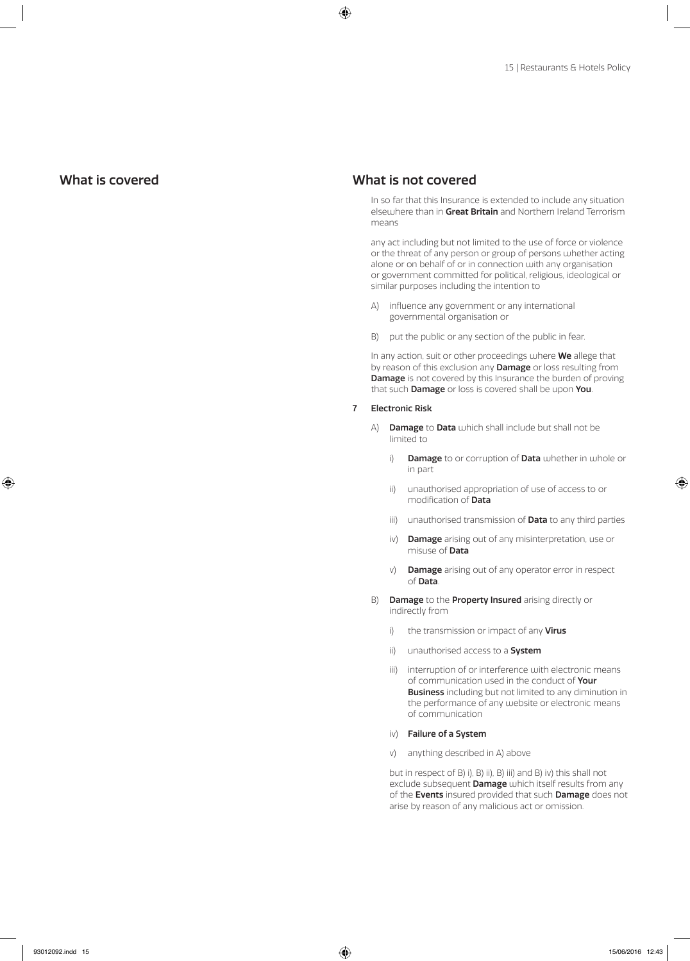In so far that this Insurance is extended to include any situation elsewhere than in Great Britain and Northern Ireland Terrorism means

any act including but not limited to the use of force or violence or the threat of any person or group of persons whether acting alone or on behalf of or in connection with any organisation or government committed for political, religious, ideological or similar purposes including the intention to

- A) influence any government or any international governmental organisation or
- B) put the public or any section of the public in fear.

In any action, suit or other proceedings where We allege that by reason of this exclusion any **Damage** or loss resulting from **Damage** is not covered by this Insurance the burden of proving that such Damage or loss is covered shall be upon You.

#### 7 Electronic Risk

- A) Damage to Data which shall include but shall not be limited to
	- i) Damage to or corruption of Data whether in whole or in part
	- ii) unauthorised appropriation of use of access to or modification of Data
	- iii) unauthorised transmission of **Data** to any third parties
	- iv) Damage arising out of any misinterpretation, use or misuse of Data
	- v) **Damage** arising out of any operator error in respect of Data.
- B) Damage to the Property Insured arising directly or indirectly from
	- i) the transmission or impact of any  $Virus$
	- ii) unauthorised access to a **System**
	- iii) interruption of or interference with electronic means of communication used in the conduct of Your **Business** including but not limited to any diminution in the performance of any website or electronic means of communication

#### iv) Failure of a System

v) anything described in A) above

but in respect of B) i), B) ii), B) iii) and B) iv) this shall not exclude subsequent **Damage** which itself results from any of the Events insured provided that such Damage does not arise by reason of any malicious act or omission.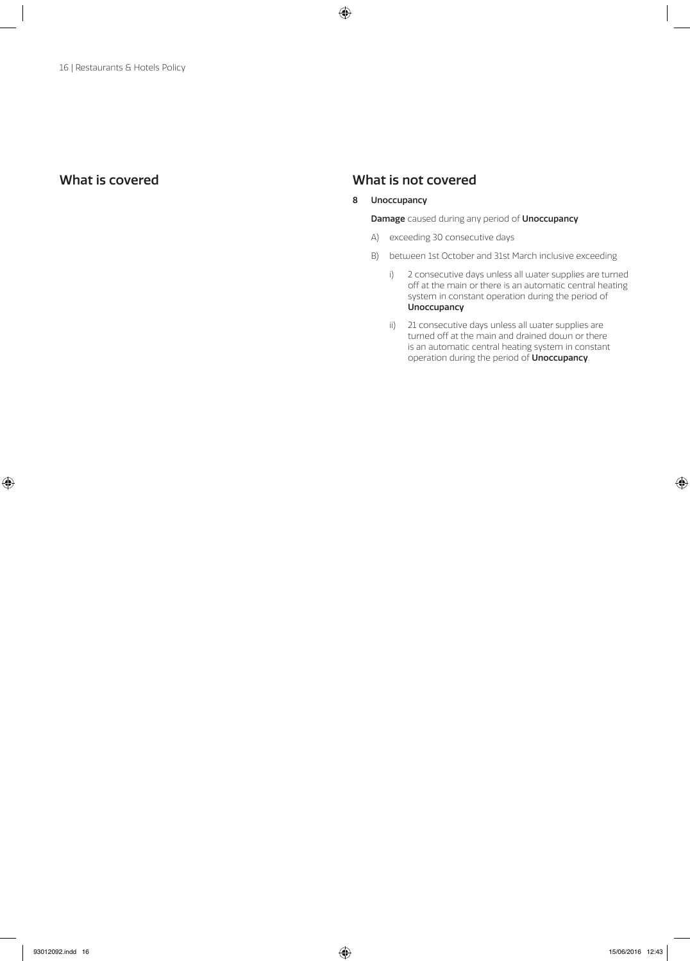#### 8 Unoccupancy

Damage caused during any period of Unoccupancy

- A) exceeding 30 consecutive days
- B) between 1st October and 31st March inclusive exceeding
	- i) 2 consecutive days unless all water supplies are turned off at the main or there is an automatic central heating system in constant operation during the period of Unoccupancy
	- ii) 21 consecutive days unless all water supplies are turned off at the main and drained down or there is an automatic central heating system in constant operation during the period of **Unoccupancy**.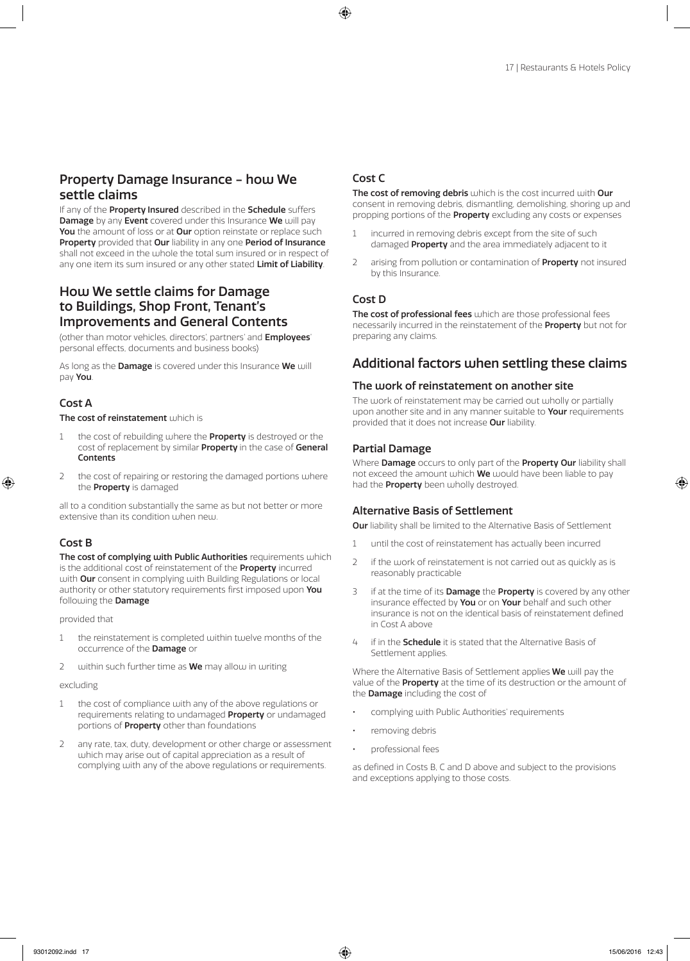#### Property Damage Insurance - how We settle claims

If any of the **Property Insured** described in the **Schedule** suffers Damage by any Event covered under this Insurance We will pay You the amount of loss or at Our option reinstate or replace such Property provided that Our liability in any one Period of Insurance shall not exceed in the whole the total sum insured or in respect of any one item its sum insured or any other stated Limit of Liability.

### How We settle claims for Damage to Buildings, Shop Front, Tenant's Improvements and General Contents

(other than motor vehicles, directors', partners' and **Employees'** personal effects, documents and business books)

As long as the **Damage** is covered under this Insurance We will pay You.

#### Cost A

#### The cost of reinstatement which is

- 1 the cost of rebuilding where the **Property** is destroyed or the cost of replacement by similar Property in the case of General **Contents**
- 2 the cost of repairing or restoring the damaged portions where the **Property** is damaged

all to a condition substantially the same as but not better or more extensive than its condition when new.

#### Cost B

The cost of complying with Public Authorities requirements which is the additional cost of reinstatement of the **Property** incurred with Our consent in complying with Building Regulations or local authority or other statutory requirements first imposed upon You following the Damage

provided that

- 1 the reinstatement is completed within twelve months of the occurrence of the Damage or
- 2 within such further time as **We** may allow in writing

#### excluding

- 1 the cost of compliance with any of the above regulations or requirements relating to undamaged **Property** or undamaged portions of **Property** other than foundations
- 2 any rate, tax, duty, development or other charge or assessment which may arise out of capital appreciation as a result of complying with any of the above regulations or requirements.

#### Cost C

The cost of removing debris which is the cost incurred with Our consent in removing debris, dismantling, demolishing, shoring up and propping portions of the **Property** excluding any costs or expenses

- incurred in removing debris except from the site of such damaged Property and the area immediately adjacent to it
- 2 arising from pollution or contamination of **Property** not insured by this Insurance.

#### Cost D

The cost of professional fees which are those professional fees necessarily incurred in the reinstatement of the Property but not for preparing any claims.

### Additional factors when settling these claims

#### The work of reinstatement on another site

The work of reinstatement may be carried out wholly or partially upon another site and in any manner suitable to **Your** requirements provided that it does not increase Our liability.

#### Partial Damage

Where **Damage** occurs to only part of the **Property Our** liability shall not exceed the amount which **We** would have been liable to pay had the **Property** been wholly destroyed.

#### Alternative Basis of Settlement

Our liability shall be limited to the Alternative Basis of Settlement

- 1 until the cost of reinstatement has actually been incurred
- 2 if the work of reinstatement is not carried out as quickly as is reasonably practicable
- 3 if at the time of its **Damage** the **Property** is covered by any other insurance effected by You or on Your behalf and such other insurance is not on the identical basis of reinstatement defined in Cost A above
- 4 if in the **Schedule** it is stated that the Alternative Basis of Settlement applies.

Where the Alternative Basis of Settlement applies We will pay the value of the **Property** at the time of its destruction or the amount of the Damage including the cost of

- complying with Public Authorities' requirements
- removing debris
- professional fees

as defined in Costs B, C and D above and subject to the provisions and exceptions applying to those costs.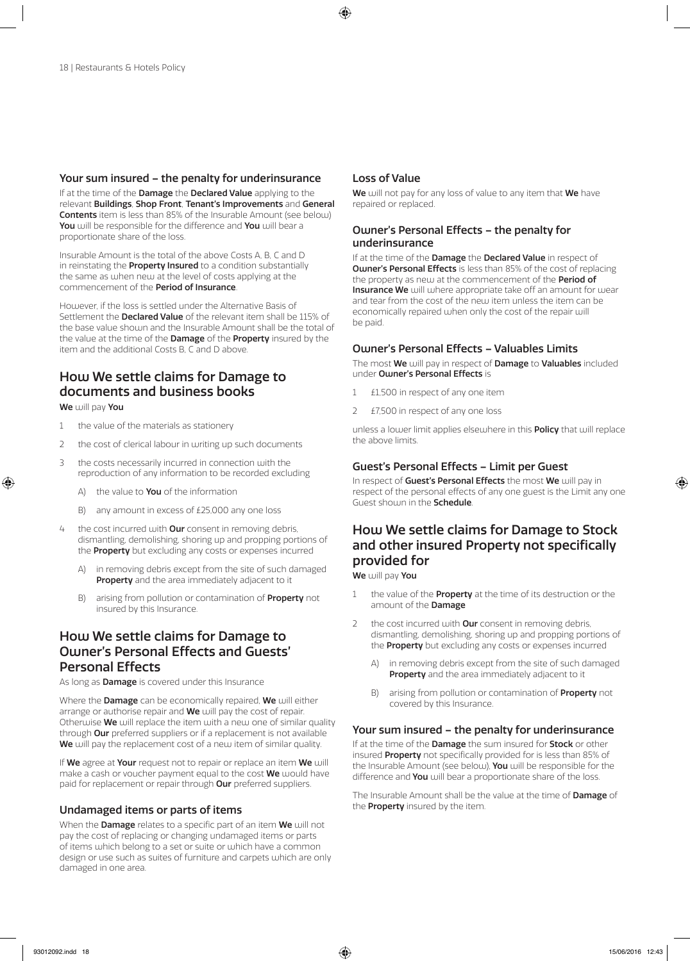#### Your sum insured – the penalty for underinsurance

If at the time of the **Damage** the **Declared Value** applying to the relevant Buildings, Shop Front, Tenant's Improvements and General Contents item is less than 85% of the Insurable Amount (see below) You will be responsible for the difference and You will bear a proportionate share of the loss.

Insurable Amount is the total of the above Costs A, B, C and D in reinstating the **Property Insured** to a condition substantially the same as when new at the level of costs applying at the commencement of the Period of Insurance.

However, if the loss is settled under the Alternative Basis of Settlement the **Declared Value** of the relevant item shall be 115% of the base value shown and the Insurable Amount shall be the total of the value at the time of the **Damage** of the **Property** insured by the item and the additional Costs B, C and D above.

### How We settle claims for Damage to documents and business books

We will pay You

- 1 the value of the materials as stationery
- the cost of clerical labour in writing up such documents
- 3 the costs necessarily incurred in connection with the reproduction of any information to be recorded excluding
	- A) the value to **You** of the information
	- B) any amount in excess of £25,000 any one loss
- the cost incurred with **Our** consent in removing debris, dismantling, demolishing, shoring up and propping portions of the Property but excluding any costs or expenses incurred
	- A) in removing debris except from the site of such damaged Property and the area immediately adjacent to it
	- B) arising from pollution or contamination of **Property** not insured by this Insurance.

#### How We settle claims for Damage to Owner's Personal Effects and Guests' Personal Effects

As long as **Damage** is covered under this Insurance

Where the **Damage** can be economically repaired. We will either arrange or authorise repair and **We** will pay the cost of repair. Otherwise We will replace the item with a new one of similar quality through **Our** preferred suppliers or if a replacement is not available We will pay the replacement cost of a new item of similar quality.

If We agree at Your request not to repair or replace an item We will make a cash or voucher payment equal to the cost **We** would have paid for replacement or repair through **Our** preferred suppliers.

#### Undamaged items or parts of items

When the **Damage** relates to a specific part of an item **We** will not pay the cost of replacing or changing undamaged items or parts of items which belong to a set or suite or which have a common design or use such as suites of furniture and carpets which are only damaged in one area.

#### Loss of Value

We will not pay for any loss of value to any item that We have repaired or replaced.

#### Owner's Personal Effects – the penalty for underinsurance

If at the time of the Damage the Declared Value in respect of **Owner's Personal Effects** is less than 85% of the cost of replacing the property as new at the commencement of the Period of Insurance We will where appropriate take off an amount for wear and tear from the cost of the new item unless the item can be economically repaired when only the cost of the repair will be paid.

#### Owner's Personal Effects – Valuables Limits

The most **We** will pay in respect of **Damage** to **Valuables** included under Owner's Personal Effects is

- 1 £1,500 in respect of any one item
- 2 £7,500 in respect of any one loss

unless a lower limit applies elsewhere in this **Policy** that will replace the above limits.

#### Guest's Personal Effects – Limit per Guest

In respect of Guest's Personal Effects the most We will pay in respect of the personal effects of any one guest is the Limit any one Guest shown in the Schedule.

### How We settle claims for Damage to Stock and other insured Property not specifically provided for

We will pay You

- the value of the Property at the time of its destruction or the amount of the **Damage**
- 2 the cost incurred with **Our** consent in removing debris, dismantling, demolishing, shoring up and propping portions of the **Property** but excluding any costs or expenses incurred
	- A) in removing debris except from the site of such damaged Property and the area immediately adjacent to it
	- B) arising from pollution or contamination of **Property** not covered by this Insurance.

#### Your sum insured – the penalty for underinsurance

If at the time of the **Damage** the sum insured for **Stock** or other insured Property not specifically provided for is less than 85% of the Insurable Amount (see below), You will be responsible for the difference and You will bear a proportionate share of the loss.

The Insurable Amount shall be the value at the time of Damage of the **Property** insured by the item.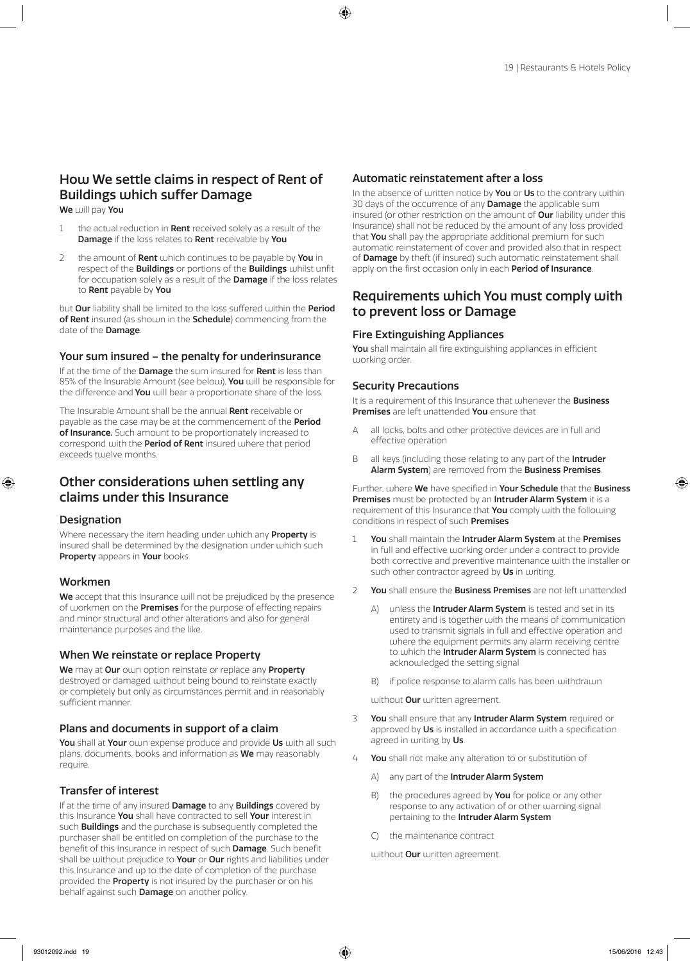#### How We settle claims in respect of Rent of Buildings which suffer Damage

We will pay You

- 1 the actual reduction in **Rent** received solely as a result of the Damage if the loss relates to Rent receivable by You
- the amount of Rent which continues to be payable by You in respect of the **Buildings** or portions of the **Buildings** whilst unfit for occupation solely as a result of the **Damage** if the loss relates to Rent payable by You

but Our liability shall be limited to the loss suffered within the Period of Rent insured (as shown in the Schedule) commencing from the date of the **Damage**.

#### Your sum insured – the penalty for underinsurance

If at the time of the **Damage** the sum insured for **Rent** is less than 85% of the Insurable Amount (see below), **You** will be responsible for the difference and You will bear a proportionate share of the loss.

The Insurable Amount shall be the annual Rent receivable or payable as the case may be at the commencement of the Period of Insurance. Such amount to be proportionately increased to correspond with the Period of Rent insured where that period exceeds twelve months.

### Other considerations when settling any claims under this Insurance

#### **Designation**

Where necessary the item heading under which any **Property** is insured shall be determined by the designation under which such Property appears in Your books.

#### Workmen

We accept that this Insurance will not be prejudiced by the presence of workmen on the **Premises** for the purpose of effecting repairs and minor structural and other alterations and also for general maintenance purposes and the like.

#### When We reinstate or replace Property

We may at Our own option reinstate or replace any Property destroyed or damaged without being bound to reinstate exactly or completely but only as circumstances permit and in reasonably sufficient manner.

#### Plans and documents in support of a claim

You shall at Your own expense produce and provide Us with all such plans, documents, books and information as We may reasonably require.

#### Transfer of interest

If at the time of any insured **Damage** to any **Buildings** covered by this Insurance You shall have contracted to sell Your interest in such **Buildings** and the purchase is subsequently completed the purchaser shall be entitled on completion of the purchase to the benefit of this Insurance in respect of such Damage. Such benefit shall be without prejudice to Your or Our rights and liabilities under this Insurance and up to the date of completion of the purchase provided the **Property** is not insured by the purchaser or on his behalf against such **Damage** on another policy.

#### Automatic reinstatement after a loss

In the absence of written notice by **You** or **Us** to the contrary within 30 days of the occurrence of any **Damage** the applicable sum insured (or other restriction on the amount of **Our** liability under this Insurance) shall not be reduced by the amount of any loss provided that You shall pay the appropriate additional premium for such automatic reinstatement of cover and provided also that in respect of Damage by theft (if insured) such automatic reinstatement shall apply on the first occasion only in each **Period of Insurance**.

#### Requirements which You must comply with to prevent loss or Damage

#### Fire Extinguishing Appliances

You shall maintain all fire extinguishing appliances in efficient working order.

#### Security Precautions

It is a requirement of this Insurance that whenever the **Business** Premises are left unattended You ensure that

- A all locks, bolts and other protective devices are in full and effective operation
- B all keys (including those relating to any part of the Intruder Alarm System) are removed from the Business Premises.

Further, where We have specified in Your Schedule that the Business Premises must be protected by an Intruder Alarm System it is a requirement of this Insurance that You comply with the following conditions in respect of such Premises

- 1 You shall maintain the Intruder Alarm System at the Premises in full and effective working order under a contract to provide both corrective and preventive maintenance with the installer or such other contractor agreed by Us in writing.
- 2 You shall ensure the Business Premises are not left unattended
	- A) unless the **Intruder Alarm System** is tested and set in its entirety and is together with the means of communication used to transmit signals in full and effective operation and where the equipment permits any alarm receiving centre to which the **Intruder Alarm System** is connected has acknowledged the setting signal
	- B) if police response to alarm calls has been withdrawn

without **Our** written agreement.

- 3 You shall ensure that any Intruder Alarm System required or approved by Us is installed in accordance with a specification agreed in writing by Us.
- 4 You shall not make any alteration to or substitution of
	- A) any part of the Intruder Alarm System
	- B) the procedures agreed by **You** for police or any other response to any activation of or other warning signal pertaining to the Intruder Alarm System
	- C) the maintenance contract

without **Our** written agreement.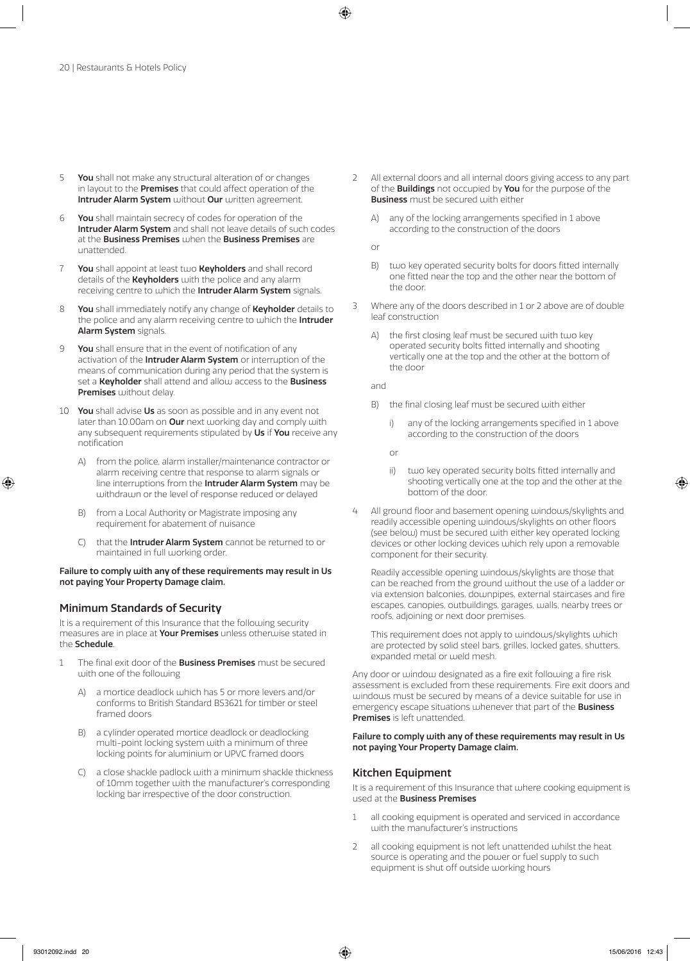- 5 You shall not make any structural alteration of or changes in layout to the **Premises** that could affect operation of the Intruder Alarm System without Our written agreement.
- 6 You shall maintain secrecy of codes for operation of the Intruder Alarm System and shall not leave details of such codes at the **Business Premises** when the **Business Premises** are unattended.
- 7 You shall appoint at least two **Keyholders** and shall record details of the **Keyholders** with the police and any alarm receiving centre to which the Intruder Alarm System signals.
- You shall immediately notify any change of **Keyholder** details to the police and any alarm receiving centre to which the Intruder Alarm System signals.
- 9 You shall ensure that in the event of notification of any activation of the **Intruder Alarm System** or interruption of the means of communication during any period that the system is set a **Keyholder** shall attend and allow access to the **Business** Premises without delay.
- 10 You shall advise Us as soon as possible and in any event not later than 10.00am on Our next working day and comply with any subsequent requirements stipulated by Us if You receive any notification
	- A) from the police, alarm installer/maintenance contractor or alarm receiving centre that response to alarm signals or line interruptions from the **Intruder Alarm System** may be withdrawn or the level of response reduced or delayed
	- B) from a Local Authority or Magistrate imposing any requirement for abatement of nuisance
	- C) that the **Intruder Alarm System** cannot be returned to or maintained in full working order.

#### Failure to comply with any of these requirements may result in Us not paying Your Property Damage claim.

#### Minimum Standards of Security

It is a requirement of this Insurance that the following security measures are in place at **Your Premises** unless otherwise stated in the Schedule.

- The final exit door of the **Business Premises** must be secured with one of the following
	- A) a mortice deadlock which has 5 or more levers and/or conforms to British Standard BS3621 for timber or steel framed doors
	- B) a cylinder operated mortice deadlock or deadlocking multi-point locking system with a minimum of three locking points for aluminium or UPVC framed doors
	- a close shackle padlock with a minimum shackle thickness of 10mm together with the manufacturer's corresponding locking bar irrespective of the door construction.
- 2 All external doors and all internal doors giving access to any part of the **Buildings** not occupied by You for the purpose of the **Business** must be secured with either
	- any of the locking arrangements specified in 1 above according to the construction of the doors

or

- B) two key operated security bolts for doors fitted internally one fitted near the top and the other near the bottom of the door.
- 3 Where any of the doors described in 1 or 2 above are of double leaf construction
	- A) the first closing leaf must be secured with two key operated security bolts fitted internally and shooting vertically one at the top and the other at the bottom of the door

and

- B) the final closing leaf must be secured with either
	- i) any of the locking arrangements specified in 1 above according to the construction of the doors
	- or
	- ii) two key operated security bolts fitted internally and shooting vertically one at the top and the other at the bottom of the door.
- All ground floor and basement opening windows/skylights and readily accessible opening windows/skylights on other floors (see below) must be secured with either key operated locking devices or other locking devices which rely upon a removable component for their security.

Readily accessible opening windows/skylights are those that can be reached from the ground without the use of a ladder or via extension balconies, downpipes, external staircases and fire escapes, canopies, outbuildings, garages, walls, nearby trees or roofs, adjoining or next door premises.

This requirement does not apply to windows/skylights which are protected by solid steel bars, grilles, locked gates, shutters, expanded metal or weld mesh.

Any door or window designated as a fire exit following a fire risk assessment is excluded from these requirements. Fire exit doors and windows must be secured by means of a device suitable for use in emergency escape situations whenever that part of the **Business** Premises is left unattended.

#### Failure to comply with any of these requirements may result in Us not paying Your Property Damage claim.

#### Kitchen Equipment

It is a requirement of this Insurance that where cooking equipment is used at the Business Premises

- 1 all cooking equipment is operated and serviced in accordance with the manufacturer's instructions
- 2 all cooking equipment is not left unattended whilst the heat source is operating and the power or fuel supply to such equipment is shut off outside working hours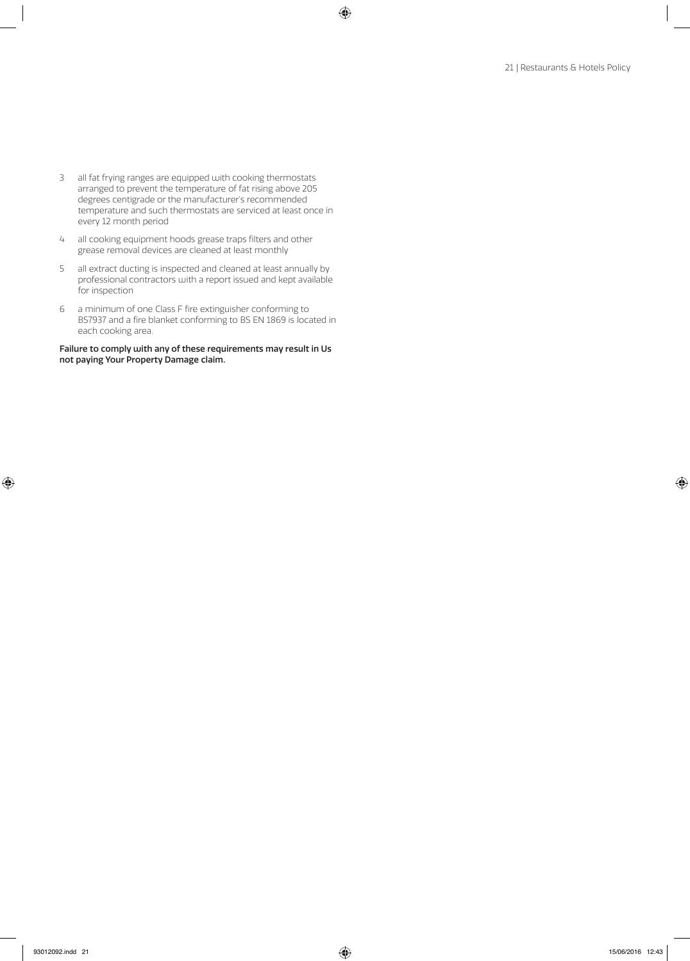- 3 all fat frying ranges are equipped with cooking thermostats arranged to prevent the temperature of fat rising above 205 degrees centigrade or the manufacturer's recommended temperature and such thermostats are serviced at least once in every 12 month period
- 4 all cooking equipment hoods grease traps filters and other grease removal devices are cleaned at least monthly
- 5 all extract ducting is inspected and cleaned at least annually by professional contractors with a report issued and kept available for inspection
- 6 a minimum of one Class F fire extinguisher conforming to BS7937 and a fire blanket conforming to BS EN 1869 is located in each cooking area.

Failure to comply with any of these requirements may result in Us not paying Your Property Damage claim.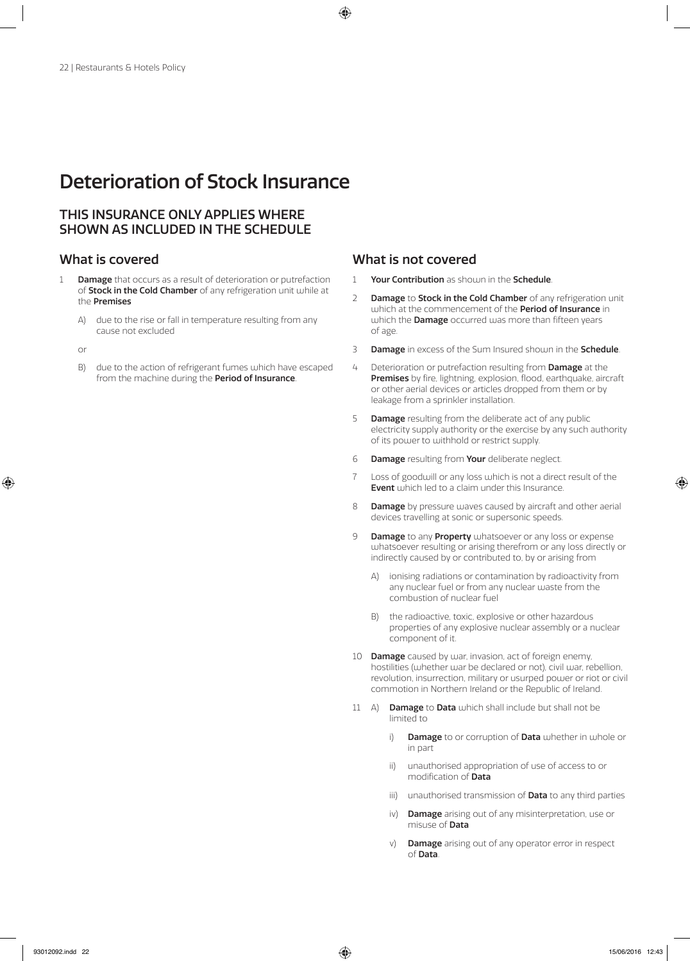# Deterioration of Stock Insurance

### THIS INSURANCE ONLY APPLIES WHERE SHOWN AS INCLUDED IN THE SCHEDULE

- **Damage** that occurs as a result of deterioration or putrefaction of Stock in the Cold Chamber of any refrigeration unit while at the Premises
	- A) due to the rise or fall in temperature resulting from any cause not excluded
	- or
	- B) due to the action of refrigerant fumes which have escaped from the machine during the **Period of Insurance**.

- 1 Your Contribution as shown in the Schedule
- 2 Damage to Stock in the Cold Chamber of any refrigeration unit which at the commencement of the **Period of Insurance** in which the **Damage** occurred was more than fifteen years of age.
- 3 Damage in excess of the Sum Insured shown in the Schedule.
- 4 Deterioration or putrefaction resulting from **Damage** at the **Premises** by fire, lightning, explosion, flood, earthquake, aircraft or other aerial devices or articles dropped from them or by leakage from a sprinkler installation.
- 5 Damage resulting from the deliberate act of any public electricity supply authority or the exercise by any such authority of its power to withhold or restrict supply.
- 6 Damage resulting from Your deliberate neglect.
- 7 Loss of goodwill or any loss which is not a direct result of the **Event** which led to a claim under this Insurance.
- 8 Damage by pressure waves caused by aircraft and other aerial devices travelling at sonic or supersonic speeds.
- 9 Damage to any Property whatsoever or any loss or expense whatsoever resulting or arising therefrom or any loss directly or indirectly caused by or contributed to, by or arising from
	- A) ionising radiations or contamination by radioactivity from any nuclear fuel or from any nuclear waste from the combustion of nuclear fuel
	- B) the radioactive, toxic, explosive or other hazardous properties of any explosive nuclear assembly or a nuclear component of it.
- 10 **Damage** caused by war, invasion, act of foreign enemy, hostilities (whether war be declared or not), civil war, rebellion, revolution, insurrection, military or usurped power or riot or civil commotion in Northern Ireland or the Republic of Ireland.
- 11 A) Damage to Data which shall include but shall not be limited to
	- i) Damage to or corruption of Data whether in whole or in part
	- ii) unauthorised appropriation of use of access to or modification of Data
	- iii) unauthorised transmission of **Data** to any third parties
	- iv) **Damage** arising out of any misinterpretation, use or misuse of **Data**
	- v) Damage arising out of any operator error in respect of Data.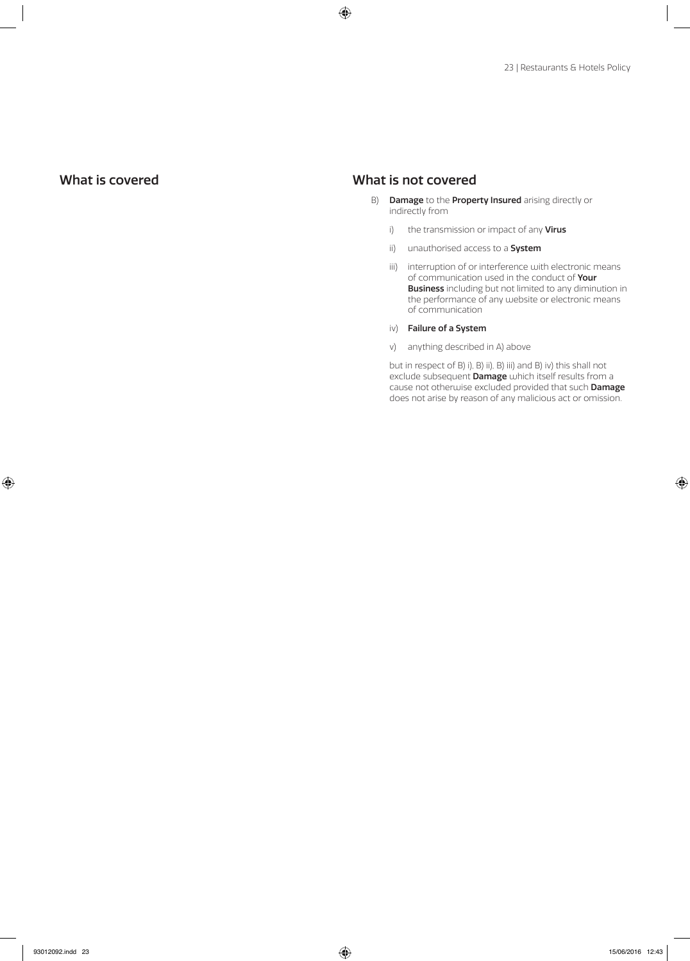- B) Damage to the Property Insured arising directly or indirectly from
	- i) the transmission or impact of any **Virus**
	- ii) unauthorised access to a **System**
	- iii) interruption of or interference with electronic means of communication used in the conduct of Your **Business** including but not limited to any diminution in the performance of any website or electronic means of communication

#### iv) Failure of a System

v) anything described in A) above

but in respect of B) i), B) ii), B) iii) and B) iv) this shall not exclude subsequent **Damage** which itself results from a cause not otherwise excluded provided that such **Damage** does not arise by reason of any malicious act or omission.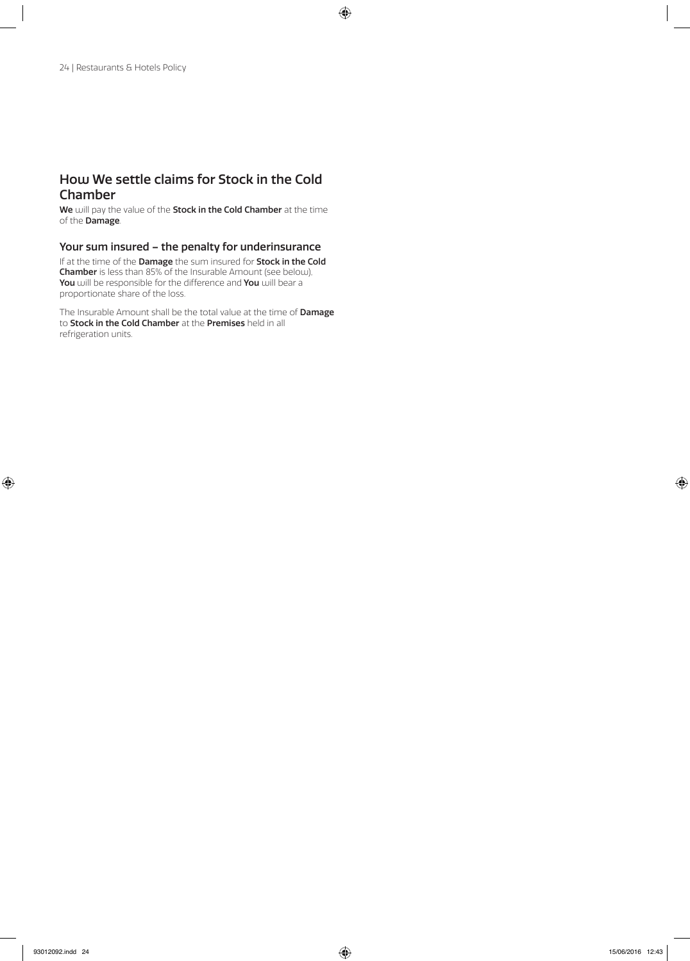#### How We settle claims for Stock in the Cold Chamber

We will pay the value of the Stock in the Cold Chamber at the time of the Damage.

#### Your sum insured – the penalty for underinsurance

If at the time of the Damage the sum insured for Stock in the Cold Chamber is less than 85% of the Insurable Amount (see below), You will be responsible for the difference and You will bear a proportionate share of the loss.

The Insurable Amount shall be the total value at the time of Damage to Stock in the Cold Chamber at the Premises held in all refrigeration units.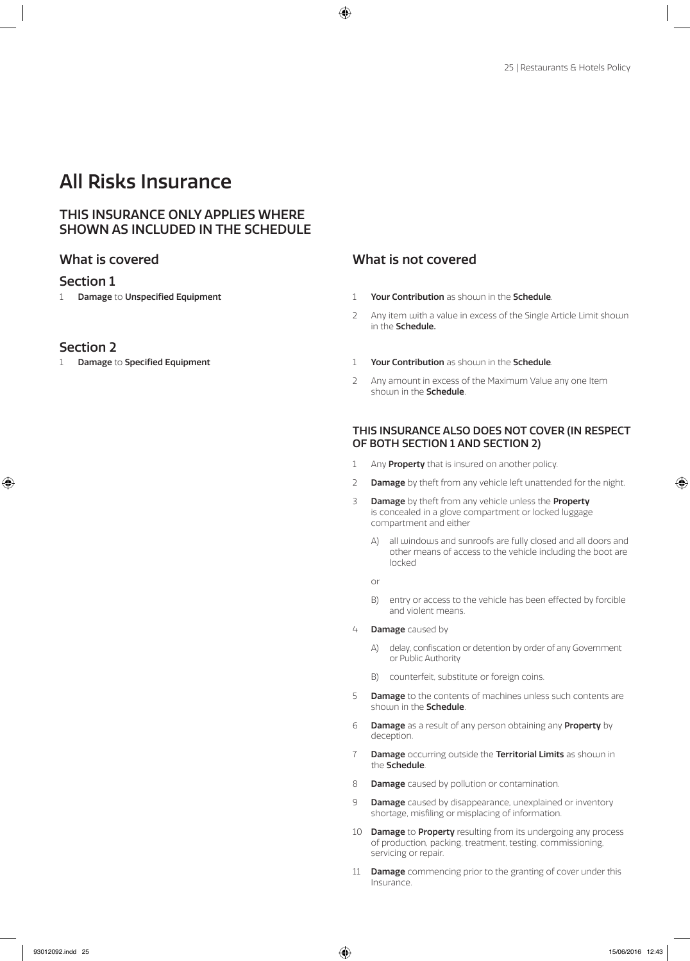# All Risks Insurance

### THIS INSURANCE ONLY APPLIES WHERE SHOWN AS INCLUDED IN THE SCHEDULE

#### Section 1

#### Section 2

#### What is covered What is not covered

- 1 Damage to Unspecified Equipment 1 1 Your Contribution as shown in the Schedule.
	- 2 Any item with a value in excess of the Single Article Limit shown in the Schedule.
- 1 Damage to Specified Equipment 1 Your Contribution as shown in the Schedule.
	- 2 Any amount in excess of the Maximum Value any one Item shoum in the **Schedule**.

#### THIS INSURANCE ALSO DOES NOT COVER (IN RESPECT OF BOTH SECTION 1 AND SECTION 2)

- 1 Any **Property** that is insured on another policy.
- 2 **Damage** by theft from any vehicle left unattended for the night.
- 3 Damage by theft from any vehicle unless the Property is concealed in a glove compartment or locked luggage compartment and either
	- A) all windows and sunroofs are fully closed and all doors and other means of access to the vehicle including the boot are locked

or

- B) entry or access to the vehicle has been effected by forcible and violent means.
- 4 **Damage** caused by
	- A) delay, confiscation or detention by order of any Government or Public Authority
	- B) counterfeit, substitute or foreign coins.
- 5 Damage to the contents of machines unless such contents are shown in the **Schedule**.
- 6 Damage as a result of any person obtaining any Property by deception.
- 7 **Damage** occurring outside the **Territorial Limits** as shown in the Schedule.
- 8 Damage caused by pollution or contamination.
- 9 **Damage** caused by disappearance, unexplained or inventory shortage, misfiling or misplacing of information.
- 10 **Damage** to **Property** resulting from its undergoing any process of production, packing, treatment, testing, commissioning, servicing or repair.
- 11 **Damage** commencing prior to the granting of cover under this Insurance.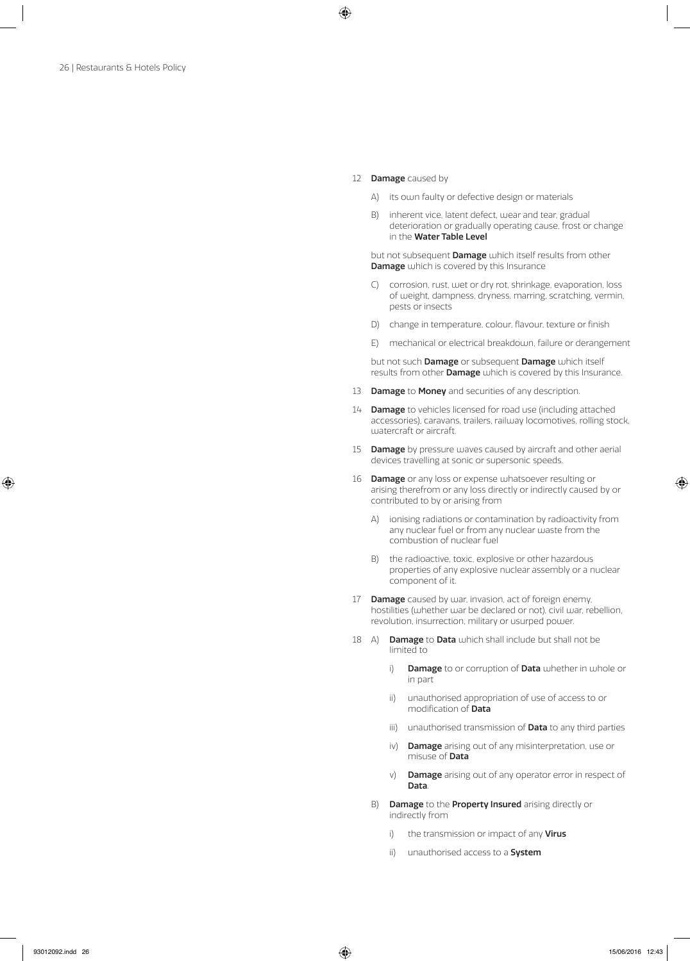#### 12 **Damage** caused by

- A) its own faulty or defective design or materials
- B) inherent vice, latent defect, wear and tear, gradual deterioration or gradually operating cause, frost or change in the Water Table Level

but not subsequent **Damage** which itself results from other **Damage** which is covered by this Insurance

- C) corrosion, rust, wet or dry rot, shrinkage, evaporation, loss of weight, dampness, dryness, marring, scratching, vermin, pests or insects
- D) change in temperature, colour, flavour, texture or finish
- E) mechanical or electrical breakdown, failure or derangement

but not such Damage or subsequent Damage which itself results from other **Damage** which is covered by this Insurance.

- 13 **Damage to Money** and securities of any description.
- 14 **Damage** to vehicles licensed for road use (including attached accessories), caravans, trailers, railway locomotives, rolling stock, watercraft or aircraft.
- 15 **Damage** by pressure waves caused by aircraft and other aerial devices travelling at sonic or supersonic speeds.
- 16 Damage or any loss or expense whatsoever resulting or arising therefrom or any loss directly or indirectly caused by or contributed to by or arising from
	- A) ionising radiations or contamination by radioactivity from any nuclear fuel or from any nuclear waste from the combustion of nuclear fuel
	- B) the radioactive, toxic, explosive or other hazardous properties of any explosive nuclear assembly or a nuclear component of it.
- 17 **Damage** caused by war, invasion, act of foreign enemy, hostilities (whether war be declared or not), civil war, rebellion, revolution, insurrection, military or usurped power.
- 18 A) Damage to Data which shall include but shall not be limited to
	- i) Damage to or corruption of Data whether in whole or in part
	- ii) unauthorised appropriation of use of access to or modification of Data
	- iii) unauthorised transmission of Data to any third parties
	- iv) Damage arising out of any misinterpretation, use or misuse of Data
	- v) Damage arising out of any operator error in respect of Data.
	- B) Damage to the Property Insured arising directly or indirectly from
		- i) the transmission or impact of any  $Virus$
		- ii) unauthorised access to a **System**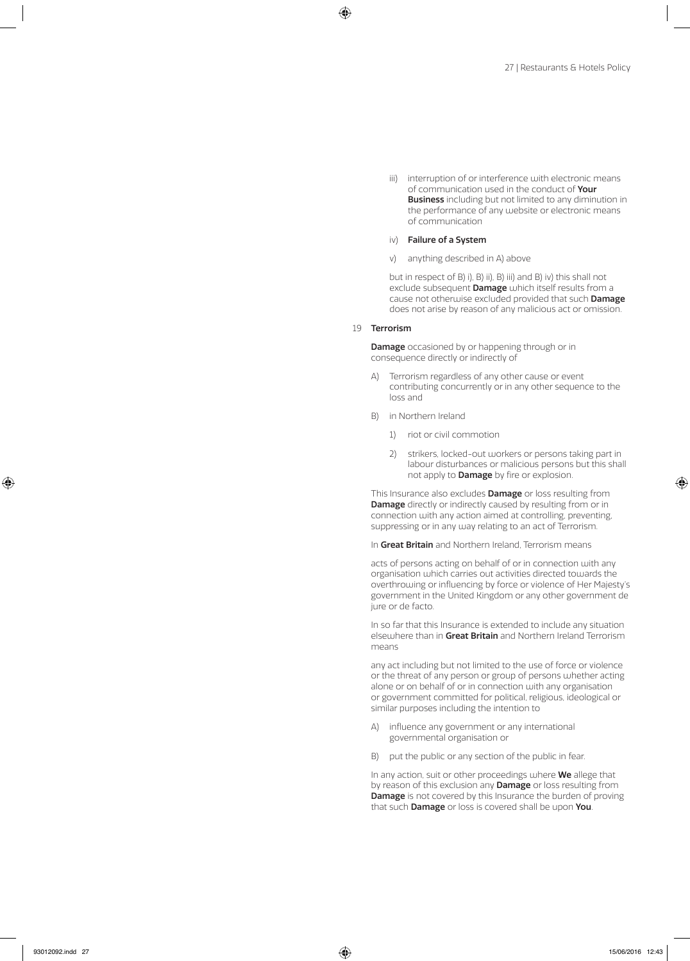iii) interruption of or interference with electronic means of communication used in the conduct of Your **Business** including but not limited to any diminution in the performance of any website or electronic means of communication

#### iv) Failure of a System

v) anything described in A) above

but in respect of B) i), B) ii), B) iii) and B) iv) this shall not exclude subsequent **Damage** which itself results from a cause not otherwise excluded provided that such Damage does not arise by reason of any malicious act or omission.

#### 19 Terrorism

**Damage** occasioned by or happening through or in consequence directly or indirectly of

- A) Terrorism regardless of any other cause or event contributing concurrently or in any other sequence to the loss and
- B) in Northern Ireland
	- 1) riot or civil commotion
	- 2) strikers, locked-out workers or persons taking part in labour disturbances or malicious persons but this shall not apply to **Damage** by fire or explosion.

This Insurance also excludes **Damage** or loss resulting from **Damage** directly or indirectly caused by resulting from or in connection with any action aimed at controlling, preventing, suppressing or in any way relating to an act of Terrorism.

In Great Britain and Northern Ireland, Terrorism means

acts of persons acting on behalf of or in connection with any organisation which carries out activities directed towards the overthrowing or influencing by force or violence of Her Majesty's government in the United Kingdom or any other government de jure or de facto.

In so far that this Insurance is extended to include any situation elsewhere than in Great Britain and Northern Ireland Terrorism means

any act including but not limited to the use of force or violence or the threat of any person or group of persons whether acting alone or on behalf of or in connection with any organisation or government committed for political, religious, ideological or similar purposes including the intention to

- A) influence any government or any international governmental organisation or
- B) put the public or any section of the public in fear.

In any action, suit or other proceedings where We allege that by reason of this exclusion any **Damage** or loss resulting from **Damage** is not covered by this Insurance the burden of proving that such Damage or loss is covered shall be upon You.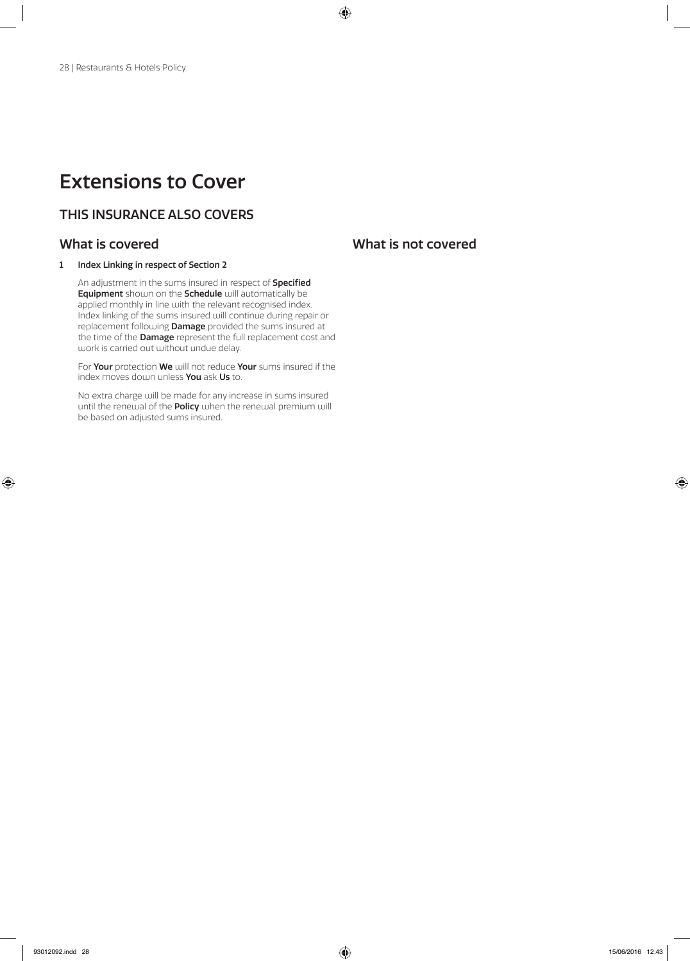# Extensions to Cover

### THIS INSURANCE ALSO COVERS

#### 1 Index Linking in respect of Section 2

An adjustment in the sums insured in respect of Specified Equipment shown on the Schedule will automatically be applied monthly in line with the relevant recognised index. Index linking of the sums insured will continue during repair or replacement following **Damage** provided the sums insured at the time of the **Damage** represent the full replacement cost and work is carried out without undue delay.

For Your protection We will not reduce Your sums insured if the index moves down unless You ask Us to.

No extra charge will be made for any increase in sums insured until the renewal of the **Policy** when the renewal premium will be based on adjusted sums insured.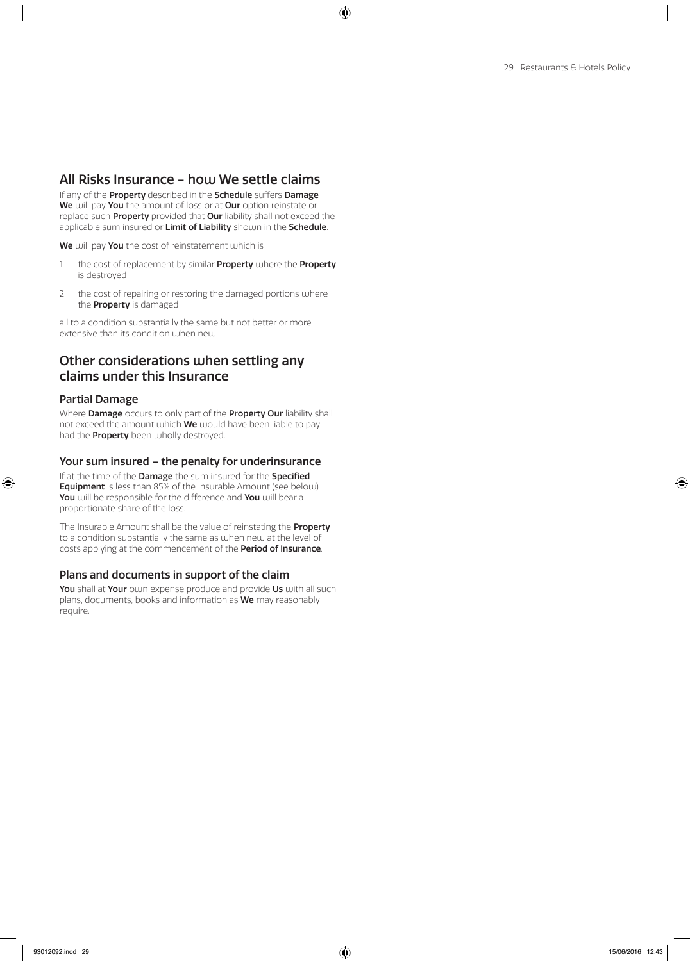### All Risks Insurance - how We settle claims

If any of the Property described in the Schedule suffers Damage We will pay You the amount of loss or at Our option reinstate or replace such Property provided that Our liability shall not exceed the applicable sum insured or Limit of Liability shown in the Schedule.

We will pay You the cost of reinstatement which is

- 1 the cost of replacement by similar **Property** where the **Property** is destroyed
- 2 the cost of repairing or restoring the damaged portions where the **Property** is damaged

all to a condition substantially the same but not better or more extensive than its condition when new.

### Other considerations when settling any claims under this Insurance

#### Partial Damage

Where **Damage** occurs to only part of the **Property Our** liability shall not exceed the amount which We would have been liable to pay had the **Property** been wholly destroyed.

#### Your sum insured – the penalty for underinsurance

If at the time of the **Damage** the sum insured for the **Specified Equipment** is less than 85% of the Insurable Amount (see below) You will be responsible for the difference and You will bear a proportionate share of the loss.

The Insurable Amount shall be the value of reinstating the Property to a condition substantially the same as when new at the level of costs applying at the commencement of the Period of Insurance.

#### Plans and documents in support of the claim

You shall at Your own expense produce and provide Us with all such plans, documents, books and information as **We** may reasonably require.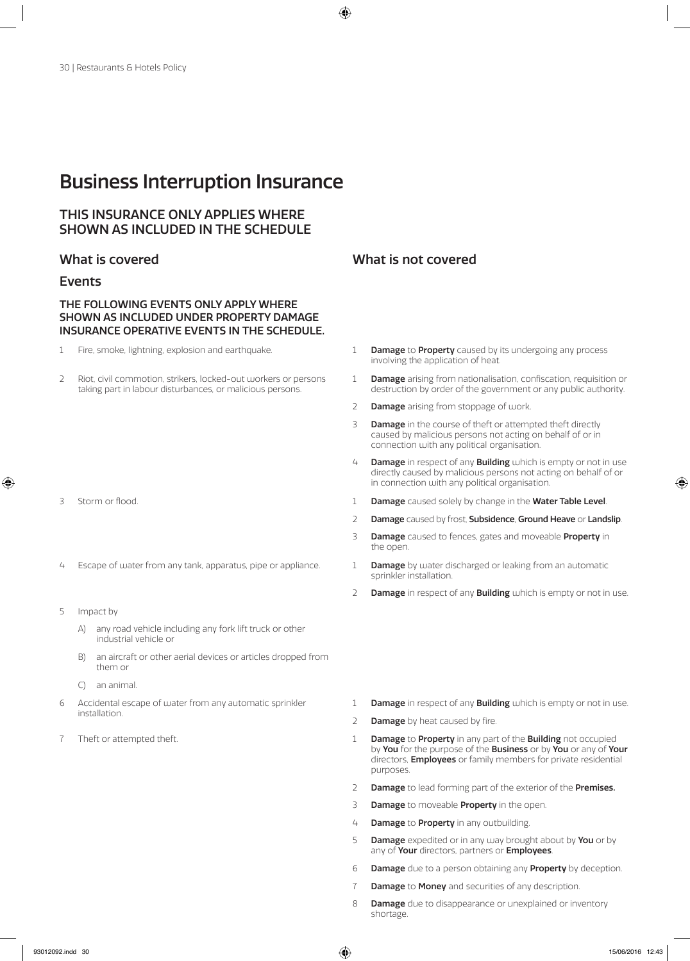# Business Interruption Insurance

### THIS INSURANCE ONLY APPLIES WHERE SHOWN AS INCLUDED IN THE SCHEDULE

#### Events

#### THE FOLLOWING EVENTS ONLY APPLY WHERE SHOWN AS INCLUDED UNDER PROPERTY DAMAGE INSURANCE OPERATIVE EVENTS IN THE SCHEDULE.

- 
- 2 Riot, civil commotion, strikers, locked-out workers or persons taking part in labour disturbances, or malicious persons.

- 
- 4 Escape of water from any tank, apparatus, pipe or appliance.  $1$  Damage by water discharged or leaking from an automatic
- 5 Impact by
	- A) any road vehicle including any fork lift truck or other industrial vehicle or
	- B) an aircraft or other aerial devices or articles dropped from them or
	- C) an animal.
- 6 Accidental escape of water from any automatic sprinkler installation.
- 

- 1 Fire, smoke, lightning, explosion and earthquake. 1 **1 Damage to Property** caused by its undergoing any process involving the application of heat.
	- 1 **Damage** arising from nationalisation, confiscation, requisition or destruction by order of the government or any public authority.
	- 2 **Damage** arising from stoppage of work.
	- 3 Damage in the course of theft or attempted theft directly caused by malicious persons not acting on behalf of or in connection with any political organisation.
	- 4 Damage in respect of any Building which is empty or not in use directly caused by malicious persons not acting on behalf of or in connection with any political organisation.
- 3 Storm or flood. 1 Damage caused solely by change in the Water Table Level.
	- 2 Damage caused by frost, Subsidence, Ground Heave or Landslip.
	- 3 Damage caused to fences, gates and moveable Property in the open.
	- sprinkler installation.
	- 2 Damage in respect of any Building which is empty or not in use.

- 1 Damage in respect of any Building which is empty or not in use.
- 2 Damage by heat caused by fire.
- 7 Theft or attempted theft. 1 **1 Damage to Property** in any part of the **Building** not occupied by You for the purpose of the Business or by You or any of Your directors, **Employees** or family members for private residential purposes.
	- 2 Damage to lead forming part of the exterior of the Premises.
	- 3 Damage to moveable Property in the open.
	- 4 Damage to Property in any outbuilding.
	- 5 Damage expedited or in any way brought about by You or by any of **Your** directors, partners or **Employees**.
	- 6 Damage due to a person obtaining any **Property** by deception.
	- 7 Damage to Money and securities of any description.
	- 8 Damage due to disappearance or unexplained or inventory shortage.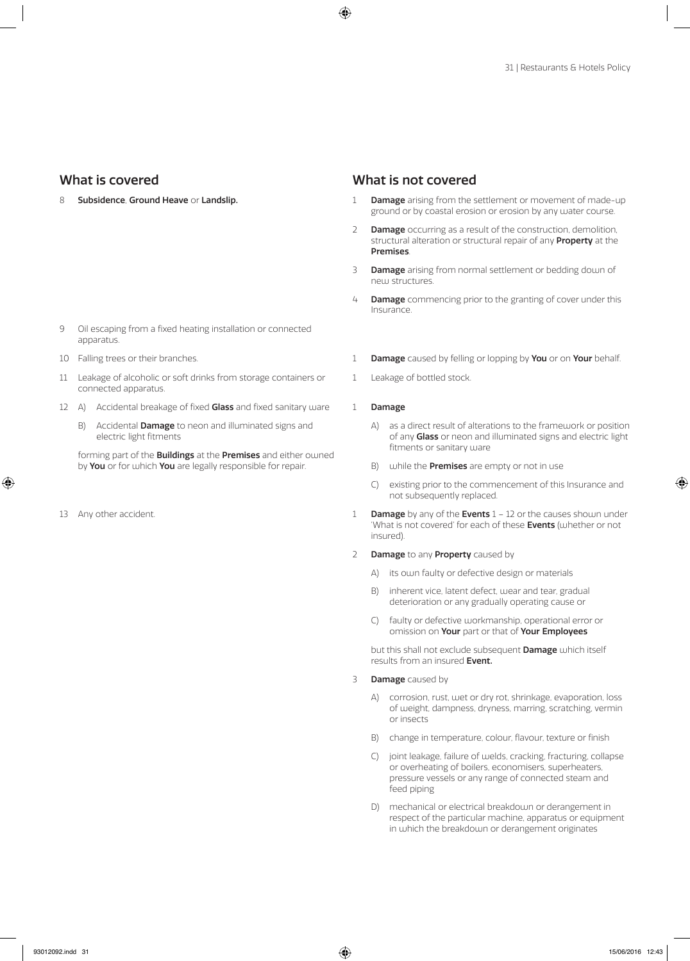- 9 Oil escaping from a fixed heating installation or connected apparatus.
- 
- 11 Leakage of alcoholic or soft drinks from storage containers or connected apparatus.
- 12 A) Accidental breakage of fixed Glass and fixed sanitary ware
	- B) Accidental **Damage** to neon and illuminated signs and electric light fitments

forming part of the **Buildings** at the Premises and either owned by You or for which You are legally responsible for repair.

#### What is covered What is not covered

- 8 **Subsidence, Ground Heave** or Landslip. 1 **1 Damage** arising from the settlement or movement of made-up ground or by coastal erosion or erosion by any water course.
	- 2 Damage occurring as a result of the construction, demolition, structural alteration or structural repair of any **Property** at the Premises.
	- 3 **Damage** arising from normal settlement or bedding down of new structures.
	- 4 Damage commencing prior to the granting of cover under this Insurance.
- 10 Falling trees or their branches. 1 Damage caused by felling or lopping by You or on Your behalf.
	- 1 Leakage of bottled stock.
	- 1 Damage
		- A) as a direct result of alterations to the framework or position of any Glass or neon and illuminated signs and electric light fitments or sanitary ware
		- B) while the **Premises** are empty or not in use
		- C) existing prior to the commencement of this Insurance and not subsequently replaced.
- 13 Any other accident. 1 1 **Damage** by any of the **Events** 1 12 or the causes should under 'What is not covered' for each of these Events (whether or not insured).
	- 2 Damage to any Property caused by
		- A) its own faulty or defective design or materials
		- B) inherent vice, latent defect, wear and tear, gradual deterioration or any gradually operating cause or
		- C) faulty or defective workmanship, operational error or omission on Your part or that of Your Employees

but this shall not exclude subsequent **Damage** which itself results from an insured Event.

- 3 **Damage** caused by
	- A) corrosion, rust, wet or dry rot, shrinkage, evaporation, loss of weight, dampness, dryness, marring, scratching, vermin or insects
	- B) change in temperature, colour, flavour, texture or finish
	- C) joint leakage, failure of welds, cracking, fracturing, collapse or overheating of boilers, economisers, superheaters, pressure vessels or any range of connected steam and feed piping
	- D) mechanical or electrical breakdown or derangement in respect of the particular machine, apparatus or equipment in which the breakdown or derangement originates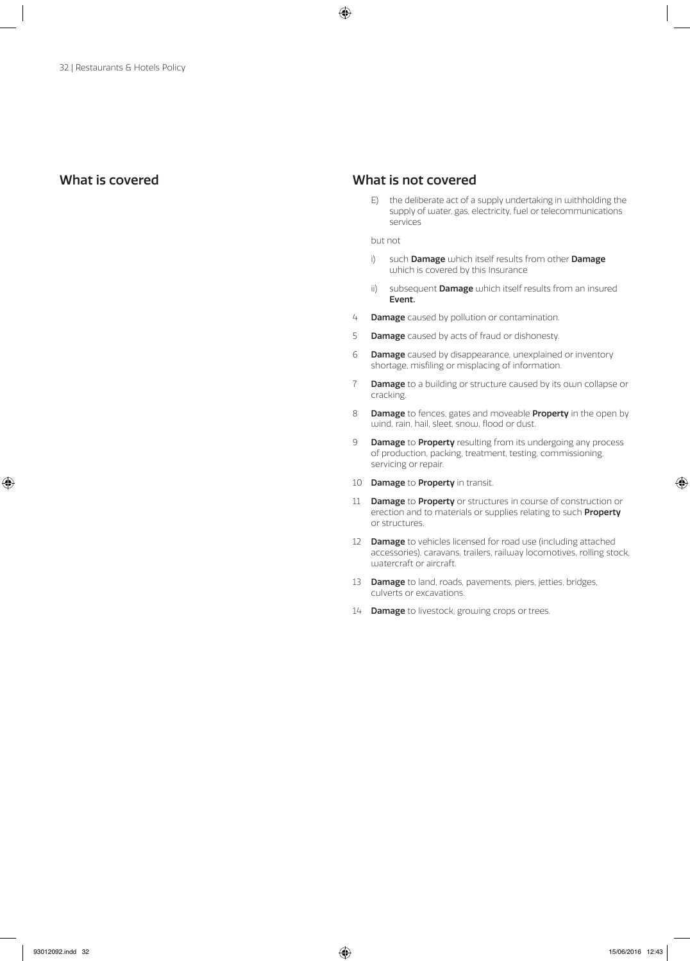E) the deliberate act of a supply undertaking in withholding the supply of water, gas, electricity, fuel or telecommunications services

but not

- i) such Damage which itself results from other Damage which is covered by this Insurance
- ii) subsequent **Damage** which itself results from an insured Event.
- 4 **Damage** caused by pollution or contamination.
- 5 **Damage** caused by acts of fraud or dishonesty.
- 6 Damage caused by disappearance, unexplained or inventory shortage, misfiling or misplacing of information.
- 7 Damage to a building or structure caused by its own collapse or cracking.
- 8 Damage to fences, gates and moveable Property in the open by wind, rain, hail, sleet, snow, flood or dust.
- 9 Damage to Property resulting from its undergoing any process of production, packing, treatment, testing, commissioning, servicing or repair.
- 10 Damage to Property in transit.
- 11 **Damage to Property** or structures in course of construction or erection and to materials or supplies relating to such Property or structures.
- 12 **Damage** to vehicles licensed for road use (including attached accessories), caravans, trailers, railway locomotives, rolling stock, watercraft or aircraft.
- 13 Damage to land, roads, pavements, piers, jetties, bridges, culverts or excavations.
- 14 Damage to livestock, growing crops or trees.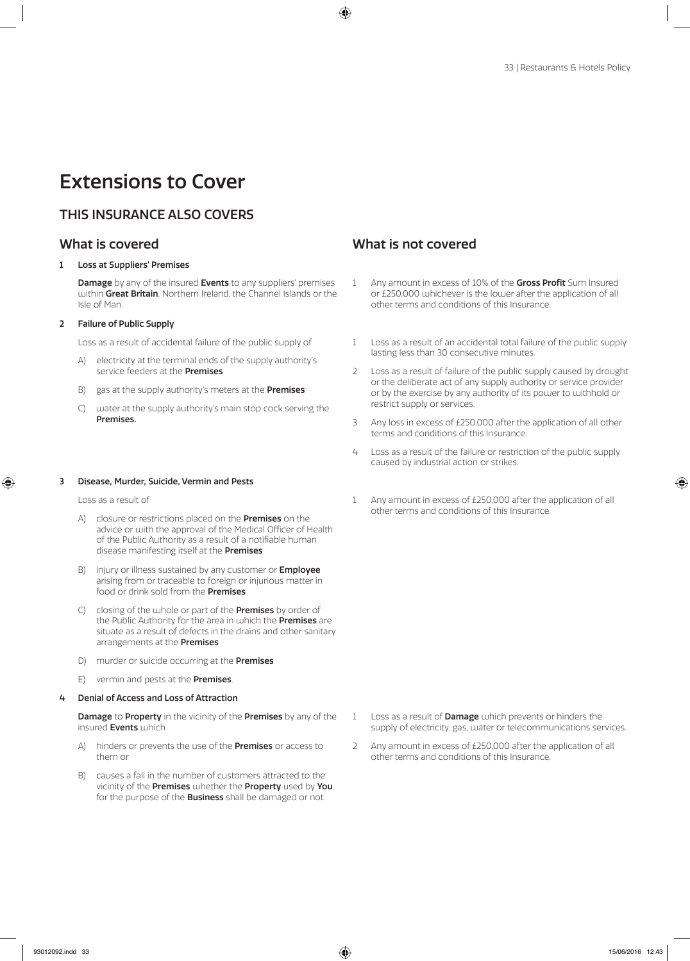# Extensions to Cover

### THIS INSURANCE ALSO COVERS

#### 1 Loss at Suppliers' Premises

Damage by any of the insured Events to any suppliers' premises within Great Britain, Northern Ireland, the Channel Islands or the Isle of Man.

#### 2 Failure of Public Supply

Loss as a result of accidental failure of the public supply of

- A) electricity at the terminal ends of the supply authority's service feeders at the **Premises**
- B) gas at the supply authority's meters at the **Premises**
- C) water at the supply authority's main stop cock serving the Premises.

#### 3 Disease, Murder, Suicide, Vermin and Pests

Loss as a result of

- A) closure or restrictions placed on the **Premises** on the advice or with the approval of the Medical Officer of Health of the Public Authority as a result of a notifiable human disease manifesting itself at the **Premises**
- B) injury or illness sustained by any customer or **Employee** arising from or traceable to foreign or injurious matter in food or drink sold from the **Premises**
- C) closing of the whole or part of the **Premises** by order of the Public Authority for the area in which the **Premises** are situate as a result of defects in the drains and other sanitary arrangements at the **Premises**
- D) murder or suicide occurring at the **Premises**
- E) vermin and pests at the **Premises**.

#### 4 Denial of Access and Loss of Attraction

Damage to Property in the vicinity of the Premises by any of the insured Events which

- A) hinders or prevents the use of the **Premises** or access to them or
- B) causes a fall in the number of customers attracted to the vicinity of the Premises whether the Property used by You for the purpose of the **Business** shall be damaged or not.

- 1 Any amount in excess of 10% of the Gross Profit Sum Insured or £250,000 whichever is the lower after the application of all other terms and conditions of this Insurance.
- 1 Loss as a result of an accidental total failure of the public supply lasting less than 30 consecutive minutes.
- 2 Loss as a result of failure of the public supply caused by drought or the deliberate act of any supply authority or service provider or by the exercise by any authority of its power to withhold or restrict supply or services.
- 3 Any loss in excess of £250,000 after the application of all other terms and conditions of this Insurance.
- 4 Loss as a result of the failure or restriction of the public supply caused by industrial action or strikes.
- 1 Any amount in excess of £250,000 after the application of all other terms and conditions of this Insurance.

- 1 Loss as a result of **Damage** which prevents or hinders the supply of electricity, gas, water or telecommunications services.
- 2 Any amount in excess of £250,000 after the application of all other terms and conditions of this Insurance.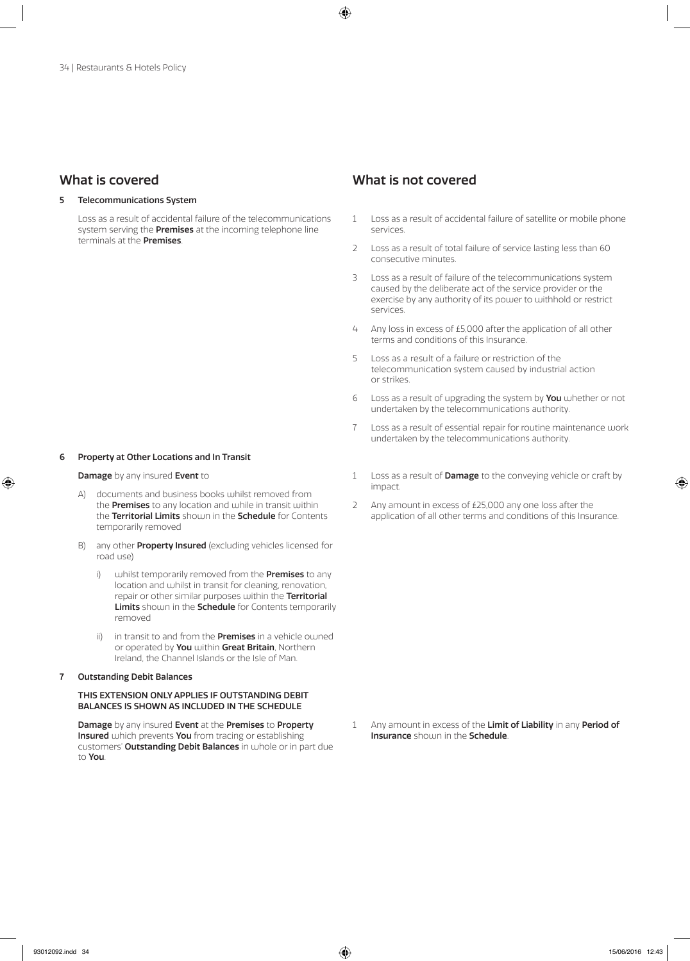#### 5 Telecommunications System

Loss as a result of accidental failure of the telecommunications system serving the Premises at the incoming telephone line terminals at the **Premises**.

#### 6 Property at Other Locations and In Transit

#### Damage by any insured Event to

- A) documents and business books whilst removed from the **Premises** to any location and while in transit within the **Territorial Limits** shown in the **Schedule** for Contents temporarily removed
- B) any other **Property Insured** (excluding vehicles licensed for road use)
	- i) whilst temporarily removed from the **Premises** to any location and whilst in transit for cleaning, renovation, repair or other similar purposes within the Territorial Limits shown in the Schedule for Contents temporarily removed
	- in transit to and from the Premises in a vehicle owned or operated by You within Great Britain, Northern Ireland, the Channel Islands or the Isle of Man.

#### 7 Outstanding Debit Balances

#### THIS EXTENSION ONLY APPLIES IF OUTSTANDING DEBIT BALANCES IS SHOWN AS INCLUDED IN THE SCHEDULE

Damage by any insured Event at the Premises to Property Insured which prevents You from tracing or establishing customers' **Outstanding Debit Balances** in whole or in part due to You.

#### What is covered What is not covered

- 1 Loss as a result of accidental failure of satellite or mobile phone services.
- 2 Loss as a result of total failure of service lasting less than 60 consecutive minutes.
- 3 Loss as a result of failure of the telecommunications system caused by the deliberate act of the service provider or the exercise by any authority of its power to withhold or restrict services.
- 4 Any loss in excess of £5,000 after the application of all other terms and conditions of this Insurance.
- 5 Loss as a result of a failure or restriction of the telecommunication system caused by industrial action or strikes.
- 6 Loss as a result of upgrading the system by You whether or not undertaken by the telecommunications authority.
- 7 Loss as a result of essential repair for routine maintenance work undertaken by the telecommunications authority.
- 1 Loss as a result of **Damage** to the conveying vehicle or craft by impact.
- 2 Any amount in excess of £25,000 any one loss after the application of all other terms and conditions of this Insurance.

1 Any amount in excess of the Limit of Liability in any Period of Insurance shown in the Schedule.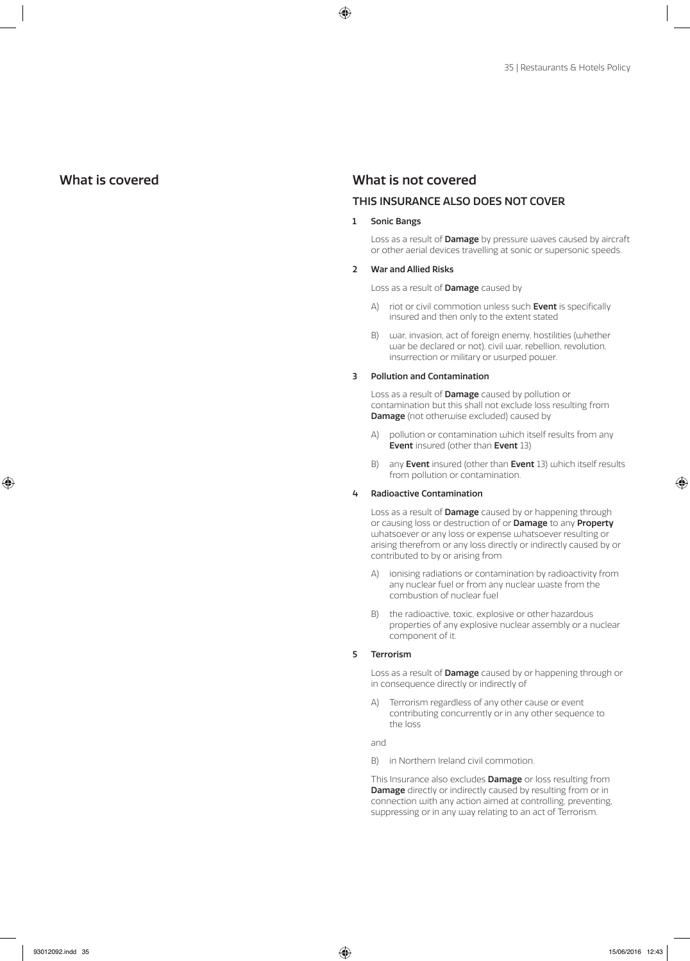#### THIS INSURANCE ALSO DOES NOT COVER

#### 1 Sonic Bangs

Loss as a result of **Damage** by pressure waves caused by aircraft or other aerial devices travelling at sonic or supersonic speeds.

#### 2 War and Allied Risks

Loss as a result of **Damage** caused by

- A) riot or civil commotion unless such **Event** is specifically insured and then only to the extent stated
- B) war, invasion, act of foreign enemy, hostilities (whether war be declared or not), civil war, rebellion, revolution, insurrection or military or usurped power.

#### 3 Pollution and Contamination

Loss as a result of **Damage** caused by pollution or contamination but this shall not exclude loss resulting from **Damage** (not otherwise excluded) caused by

- A) pollution or contamination which itself results from any Event insured (other than Event 13)
- B) any Event insured (other than Event 13) which itself results from pollution or contamination.

#### 4 Radioactive Contamination

Loss as a result of **Damage** caused by or happening through or causing loss or destruction of or Damage to any Property whatsoever or any loss or expense whatsoever resulting or arising therefrom or any loss directly or indirectly caused by or contributed to by or arising from

- A) ionising radiations or contamination by radioactivity from any nuclear fuel or from any nuclear waste from the combustion of nuclear fuel
- B) the radioactive, toxic, explosive or other hazardous properties of any explosive nuclear assembly or a nuclear component of it.

#### 5 Terrorism

Loss as a result of **Damage** caused by or happening through or in consequence directly or indirectly of

A) Terrorism regardless of any other cause or event contributing concurrently or in any other sequence to the loss

and

B) in Northern Ireland civil commotion.

This Insurance also excludes **Damage** or loss resulting from **Damage** directly or indirectly caused by resulting from or in connection with any action aimed at controlling, preventing, suppressing or in any way relating to an act of Terrorism.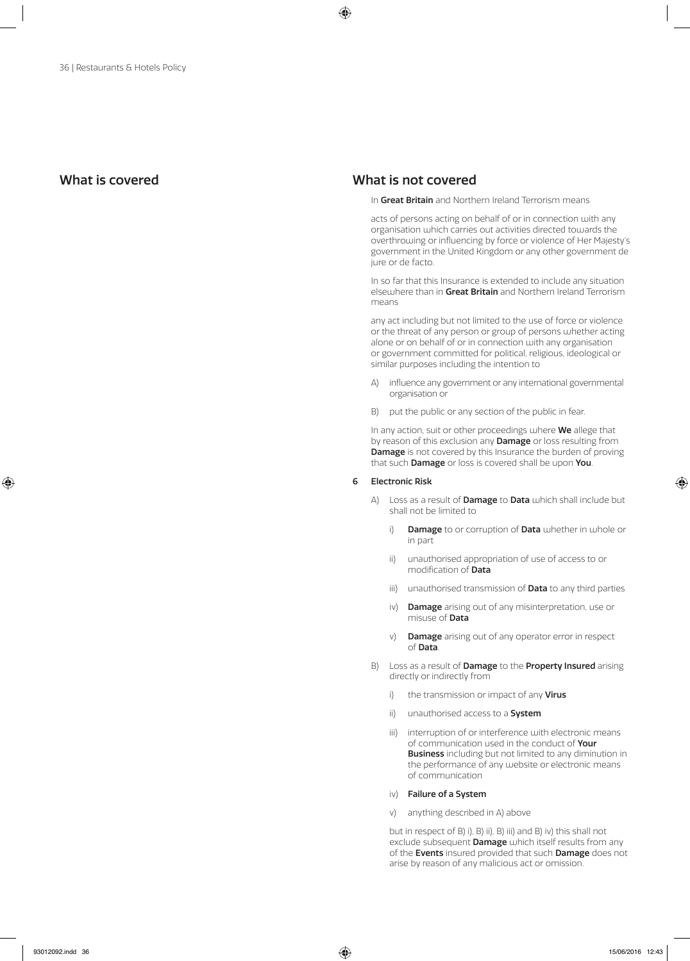In Great Britain and Northern Ireland Terrorism means

acts of persons acting on behalf of or in connection with any organisation which carries out activities directed towards the overthrowing or influencing by force or violence of Her Majesty's government in the United Kingdom or any other government de jure or de facto.

In so far that this Insurance is extended to include any situation elsewhere than in Great Britain and Northern Ireland Terrorism means

any act including but not limited to the use of force or violence or the threat of any person or group of persons whether acting alone or on behalf of or in connection with any organisation or government committed for political, religious, ideological or similar purposes including the intention to

- A) influence any government or any international governmental organisation or
- B) put the public or any section of the public in fear.

In any action, suit or other proceedings where We allege that by reason of this exclusion any **Damage** or loss resulting from **Damage** is not covered by this Insurance the burden of proving that such Damage or loss is covered shall be upon You.

#### 6 Electronic Risk

- A) Loss as a result of **Damage** to **Data** which shall include but shall not be limited to
	- i) **Damage** to or corruption of **Data** whether in whole or in part
	- ii) unauthorised appropriation of use of access to or modification of Data
	- iii) unauthorised transmission of **Data** to any third parties
	- iv) **Damage** arising out of any misinterpretation, use or misuse of Data
	- v) Damage arising out of any operator error in respect of Data.
- B) Loss as a result of **Damage** to the **Property Insured** arising directly or indirectly from
	- i) the transmission or impact of any Virus
	- ii) unauthorised access to a **System**
	- iii) interruption of or interference with electronic means of communication used in the conduct of Your **Business** including but not limited to any diminution in the performance of any website or electronic means of communication
	- iv) Failure of a System
	- v) anything described in A) above

but in respect of B) i), B) ii), B) iii) and B) iv) this shall not exclude subsequent **Damage** which itself results from any of the Events insured provided that such Damage does not arise by reason of any malicious act or omission.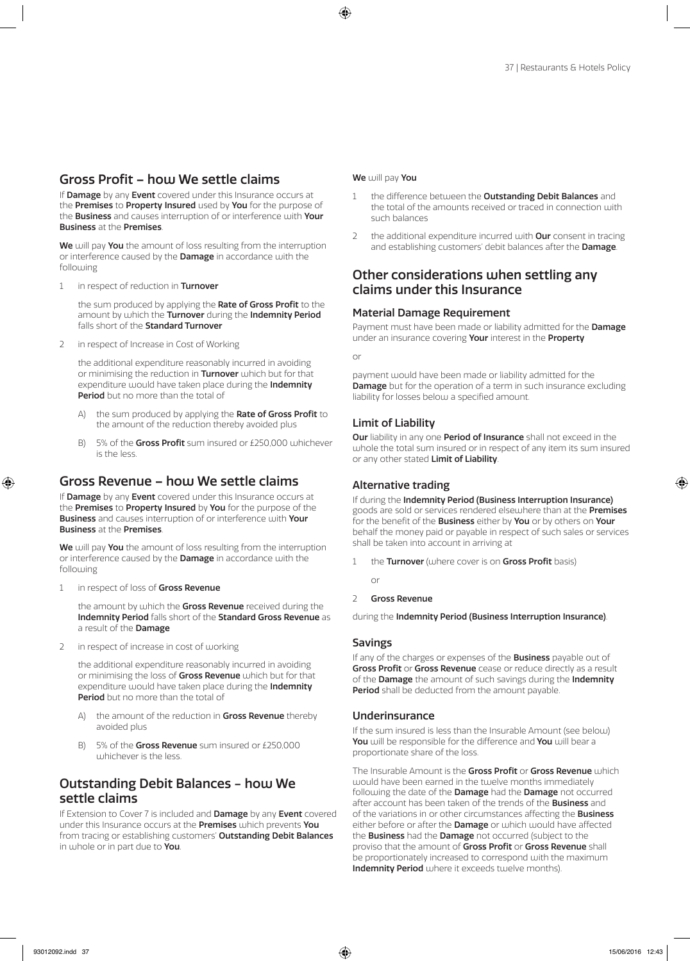# Gross Profit – how We settle claims

If Damage by any Event covered under this Insurance occurs at the **Premises** to **Property Insured** used by **You** for the purpose of the **Business** and causes interruption of or interference with Your Business at the Premises.

We will pay You the amount of loss resulting from the interruption or interference caused by the Damage in accordance with the following

1 in respect of reduction in **Turnover** 

the sum produced by applying the Rate of Gross Profit to the amount by which the Turnover during the Indemnity Period falls short of the **Standard Turnover** 

2 in respect of Increase in Cost of Working

the additional expenditure reasonably incurred in avoiding or minimising the reduction in Turnover which but for that expenditure would have taken place during the Indemnity Period but no more than the total of

- the sum produced by applying the Rate of Gross Profit to the amount of the reduction thereby avoided plus
- B) 5% of the Gross Profit sum insured or £250,000 whichever is the less.

# Gross Revenue – how We settle claims

If Damage by any Event covered under this Insurance occurs at the **Premises** to **Property Insured** by **You** for the purpose of the **Business** and causes interruption of or interference with Your Business at the Premises.

We will pay You the amount of loss resulting from the interruption or interference caused by the **Damage** in accordance with the following

1 in respect of loss of Gross Revenue

the amount by which the Gross Revenue received during the Indemnity Period falls short of the Standard Gross Revenue as a result of the **Damage** 

2 in respect of increase in cost of working

the additional expenditure reasonably incurred in avoiding or minimising the loss of Gross Revenue which but for that expenditure would have taken place during the Indemnity Period but no more than the total of

- A) the amount of the reduction in Gross Revenue thereby avoided plus
- B) 5% of the Gross Revenue sum insured or £250,000 whichever is the less.

# Outstanding Debit Balances - how We settle claims

If Extension to Cover 7 is included and Damage by any Event covered under this Insurance occurs at the **Premises** which prevents You from tracing or establishing customers' **Outstanding Debit Balances** in whole or in part due to You.

### We will pay You

- 1 the difference between the **Outstanding Debit Balances** and the total of the amounts received or traced in connection with such balances
- 2 the additional expenditure incurred with **Our** consent in tracing and establishing customers' debit balances after the Damage.

# Other considerations when settling any claims under this Insurance

### Material Damage Requirement

Payment must have been made or liability admitted for the **Damage** under an insurance covering Your interest in the Property

or

payment would have been made or liability admitted for the **Damage** but for the operation of a term in such insurance excluding liability for losses below a specified amount.

# Limit of Liability

Our liability in any one Period of Insurance shall not exceed in the whole the total sum insured or in respect of any item its sum insured or any other stated Limit of Liability.

### Alternative trading

If during the Indemnity Period (Business Interruption Insurance) goods are sold or services rendered elsewhere than at the Premises for the benefit of the Business either by You or by others on Your behalf the money paid or payable in respect of such sales or services shall be taken into account in arriving at

- 1 the Turnover (where cover is on Gross Profit basis)
	- or
- 2 Gross Revenue

during the Indemnity Period (Business Interruption Insurance).

### Savings

If any of the charges or expenses of the **Business** payable out of Gross Profit or Gross Revenue cease or reduce directly as a result of the **Damage** the amount of such savings during the **Indemnity** Period shall be deducted from the amount payable.

### Underinsurance

If the sum insured is less than the Insurable Amount (see below) You will be responsible for the difference and You will bear a proportionate share of the loss.

The Insurable Amount is the Gross Profit or Gross Revenue which would have been earned in the twelve months immediately following the date of the **Damage** had the **Damage** not occurred after account has been taken of the trends of the **Business** and of the variations in or other circumstances affecting the **Business** either before or after the **Damage** or which would have affected the **Business** had the **Damage** not occurred (subject to the proviso that the amount of Gross Profit or Gross Revenue shall be proportionately increased to correspond with the maximum Indemnity Period where it exceeds twelve months).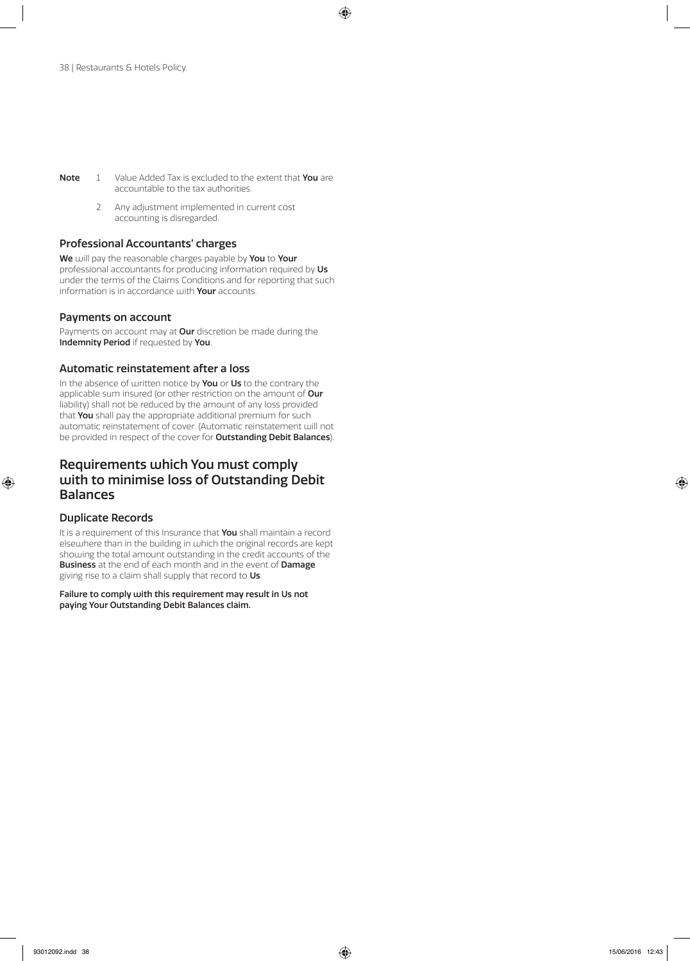- Note 1 Value Added Tax is excluded to the extent that You are accountable to the tax authorities.
	- 2 Any adjustment implemented in current cost accounting is disregarded.

### Professional Accountants' charges

We will pay the reasonable charges payable by You to Your professional accountants for producing information required by Us under the terms of the Claims Conditions and for reporting that such information is in accordance with Your accounts.

### Payments on account

Payments on account may at **Our** discretion be made during the Indemnity Period if requested by You.

### Automatic reinstatement after a loss

In the absence of written notice by **You** or **Us** to the contrary the applicable sum insured (or other restriction on the amount of Our liability) shall not be reduced by the amount of any loss provided that You shall pay the appropriate additional premium for such automatic reinstatement of cover. (Automatic reinstatement will not be provided in respect of the cover for **Outstanding Debit Balances**).

# Requirements which You must comply with to minimise loss of Outstanding Debit Balances

### Duplicate Records

It is a requirement of this Insurance that You shall maintain a record elsewhere than in the building in which the original records are kept showing the total amount outstanding in the credit accounts of the **Business** at the end of each month and in the event of **Damage** giving rise to a claim shall supply that record to Us.

Failure to comply with this requirement may result in Us not paying Your Outstanding Debit Balances claim.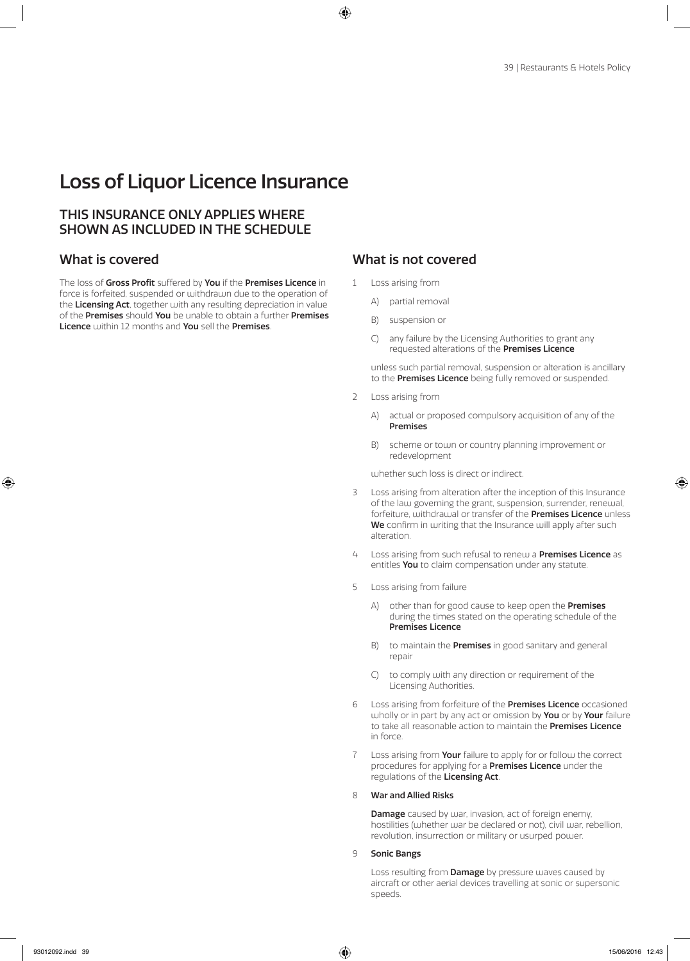# Loss of Liquor Licence Insurance

# THIS INSURANCE ONLY APPLIES WHERE SHOWN AS INCLUDED IN THE SCHEDULE

The loss of Gross Profit suffered by You if the Premises Licence in force is forfeited, suspended or withdrawn due to the operation of the Licensing Act, together with any resulting depreciation in value of the Premises should You be unable to obtain a further Premises Licence within 12 months and You sell the Premises.

# What is covered What is not covered

- 1 Loss arising from
	- A) partial removal
	- B) suspension or
	- C) any failure by the Licensing Authorities to grant any requested alterations of the Premises Licence

unless such partial removal, suspension or alteration is ancillary to the **Premises Licence** being fully removed or suspended.

- 2 Loss arising from
	- A) actual or proposed compulsory acquisition of any of the Premises
	- B) scheme or town or country planning improvement or redevelopment

whether such loss is direct or indirect.

- 3 Loss arising from alteration after the inception of this Insurance of the law governing the grant, suspension, surrender, renewal, forfeiture, withdrawal or transfer of the **Premises Licence** unless We confirm in writing that the Insurance will apply after such alteration.
- 4 Loss arising from such refusal to renew a **Premises Licence** as entitles You to claim compensation under any statute.
- 5 Loss arising from failure
	- A) other than for good cause to keep open the Premises during the times stated on the operating schedule of the Premises Licence
	- B) to maintain the **Premises** in good sanitary and general repair
	- C) to comply with any direction or requirement of the Licensing Authorities.
- 6 Loss arising from forfeiture of the Premises Licence occasioned wholly or in part by any act or omission by **You** or by **Your** failure to take all reasonable action to maintain the **Premises Licence** in force.
- 7 Loss arising from **Your** failure to apply for or follow the correct procedures for applying for a Premises Licence under the regulations of the Licensing Act.

### 8 War and Allied Risks

**Damage** caused by war, invasion, act of foreign enemy, hostilities (whether war be declared or not), civil war, rebellion, revolution, insurrection or military or usurped power.

### 9 Sonic Bangs

Loss resulting from **Damage** by pressure waves caused by aircraft or other aerial devices travelling at sonic or supersonic speeds.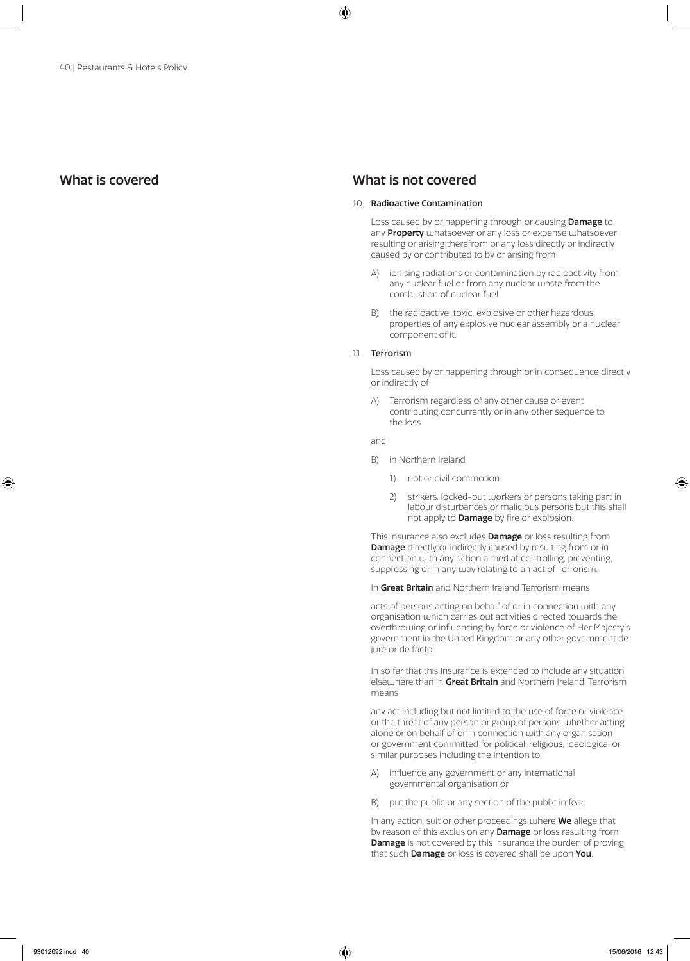## What is covered What is not covered

### 10 Radioactive Contamination

Loss caused by or happening through or causing **Damage** to any **Property** whatsoever or any loss or expense whatsoever resulting or arising therefrom or any loss directly or indirectly caused by or contributed to by or arising from

- A) ionising radiations or contamination by radioactivity from any nuclear fuel or from any nuclear waste from the combustion of nuclear fuel
- B) the radioactive, toxic, explosive or other hazardous properties of any explosive nuclear assembly or a nuclear component of it.

### 11 Terrorism

Loss caused by or happening through or in consequence directly or indirectly of

A) Terrorism regardless of any other cause or event contributing concurrently or in any other sequence to the loss

### and

- B) in Northern Ireland
	- 1) riot or civil commotion
	- 2) strikers, locked-out workers or persons taking part in labour disturbances or malicious persons but this shall not apply to **Damage** by fire or explosion.

This Insurance also excludes **Damage** or loss resulting from **Damage** directly or indirectly caused by resulting from or in connection with any action aimed at controlling, preventing, suppressing or in any way relating to an act of Terrorism.

### In Great Britain and Northern Ireland Terrorism means

acts of persons acting on behalf of or in connection with any organisation which carries out activities directed towards the overthrowing or influencing by force or violence of Her Majesty's government in the United Kingdom or any other government de jure or de facto.

In so far that this Insurance is extended to include any situation elsewhere than in Great Britain and Northern Ireland, Terrorism means

any act including but not limited to the use of force or violence or the threat of any person or group of persons whether acting alone or on behalf of or in connection with any organisation or government committed for political, religious, ideological or similar purposes including the intention to

- A) influence any government or any international governmental organisation or
- B) put the public or any section of the public in fear.

In any action, suit or other proceedings where **We** allege that by reason of this exclusion any **Damage** or loss resulting from Damage is not covered by this Insurance the burden of proving that such **Damage** or loss is covered shall be upon You.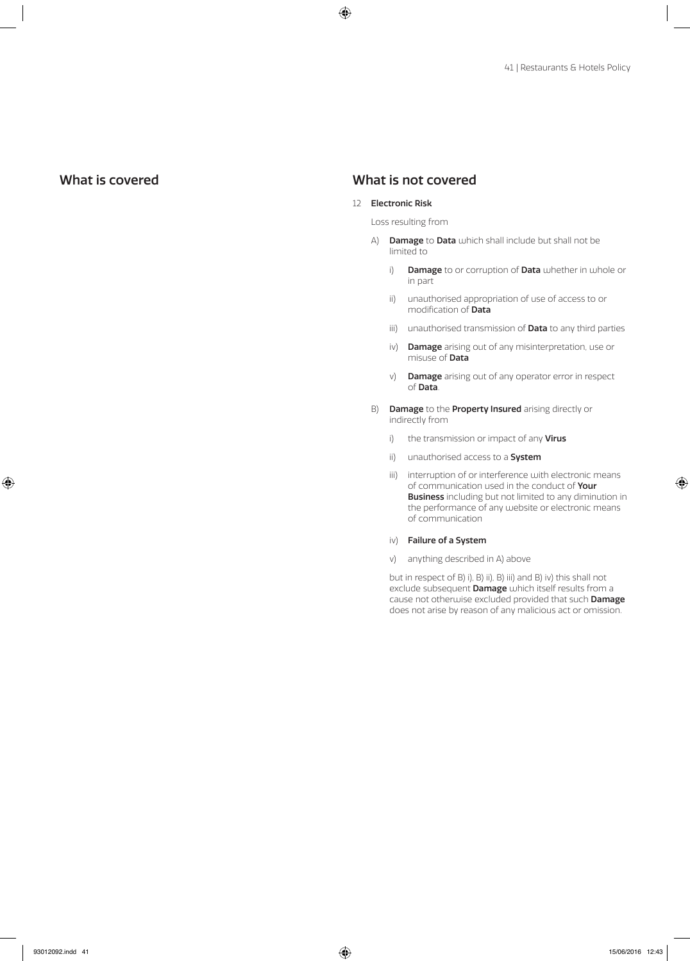# What is covered What is not covered

### 12 Electronic Risk

Loss resulting from

- A) Damage to Data which shall include but shall not be limited to
	- i) Damage to or corruption of Data whether in whole or in part
	- ii) unauthorised appropriation of use of access to or modification of Data
	- iii) unauthorised transmission of **Data** to any third parties
	- iv) Damage arising out of any misinterpretation, use or misuse of Data
	- v) **Damage** arising out of any operator error in respect of Data.
- B) **Damage** to the **Property Insured** arising directly or indirectly from
	- i) the transmission or impact of any Virus
	- ii) unauthorised access to a **System**
	- iii) interruption of or interference with electronic means of communication used in the conduct of Your **Business** including but not limited to any diminution in the performance of any website or electronic means of communication

### iv) Failure of a System

v) anything described in A) above

but in respect of B) i), B) ii), B) iii) and B) iv) this shall not exclude subsequent **Damage** which itself results from a cause not otherwise excluded provided that such Damage does not arise by reason of any malicious act or omission.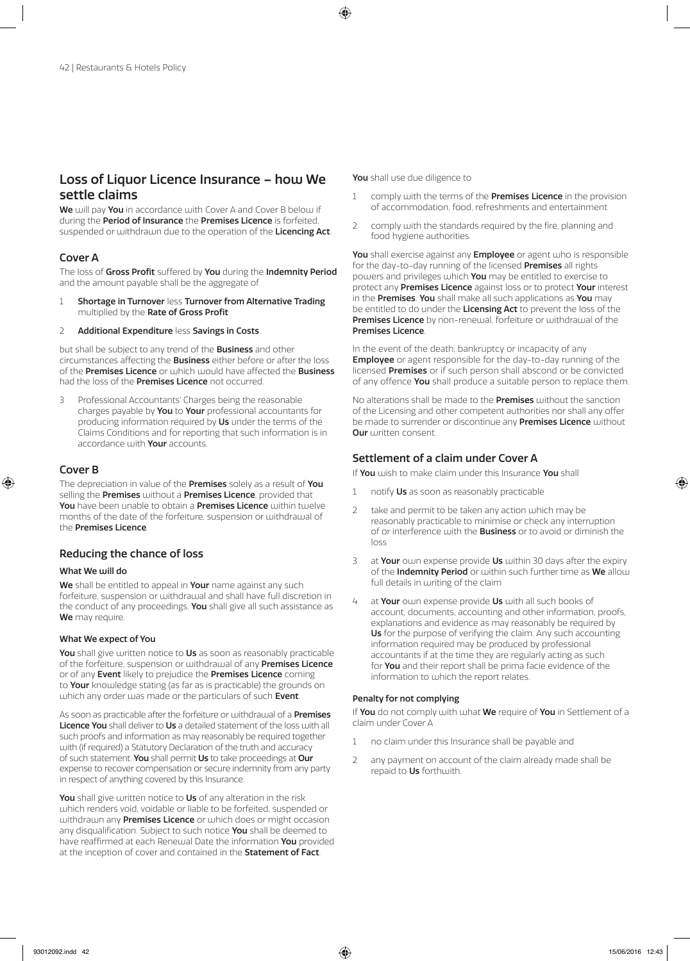# Loss of Liquor Licence Insurance – how We settle claims

We will pay You in accordance with Cover A and Cover B below if during the Period of Insurance the Premises Licence is forfeited, suspended or withdrawn due to the operation of the Licencing Act.

## Cover A

The loss of Gross Profit suffered by You during the Indemnity Period and the amount payable shall be the aggregate of

- 1 Shortage in Turnover less Turnover from Alternative Trading multiplied by the Rate of Gross Profit
- 2 Additional Expenditure less Savings in Costs

but shall be subject to any trend of the **Business** and other circumstances affecting the Business either before or after the loss of the **Premises Licence** or which would have affected the **Business** had the loss of the **Premises Licence** not occurred.

3 Professional Accountants' Charges being the reasonable charges payable by You to Your professional accountants for producing information required by Us under the terms of the Claims Conditions and for reporting that such information is in accordance with **Your** accounts.

## Cover B

The depreciation in value of the Premises solely as a result of You selling the Premises without a Premises Licence, provided that You have been unable to obtain a Premises Licence within twelve months of the date of the forfeiture, suspension or withdrawal of the Premises Licence.

## Reducing the chance of loss

### What We will do

We shall be entitled to appeal in Your name against any such forfeiture, suspension or withdrawal and shall have full discretion in the conduct of any proceedings. You shall give all such assistance as We may require.

### What We expect of You

You shall give written notice to Us as soon as reasonably practicable of the forfeiture, suspension or withdrawal of any **Premises Licence** or of any Event likely to prejudice the Premises Licence coming to Your knowledge stating (as far as is practicable) the grounds on which any order was made or the particulars of such Event.

As soon as practicable after the forfeiture or withdrawal of a **Premises** Licence You shall deliver to Us a detailed statement of the loss with all such proofs and information as may reasonably be required together with (if required) a Statutory Declaration of the truth and accuracy of such statement. You shall permit Us to take proceedings at Our expense to recover compensation or secure indemnity from any party in respect of anything covered by this Insurance.

You shall give written notice to Us of any alteration in the risk which renders void, voidable or liable to be forfeited, suspended or withdrawn any **Premises Licence** or which does or might occasion any disqualification. Subject to such notice You shall be deemed to have reaffirmed at each Renewal Date the information You provided at the inception of cover and contained in the Statement of Fact.

You shall use due diligence to

- 1 comply with the terms of the **Premises Licence** in the provision of accommodation, food, refreshments and entertainment
- 2 comply with the standards required by the fire, planning and food hygiene authorities.

You shall exercise against any Employee or agent who is responsible for the day-to-day running of the licensed Premises all rights powers and privileges which You may be entitled to exercise to protect any **Premises Licence** against loss or to protect Your interest in the Premises. You shall make all such applications as You may be entitled to do under the Licensing Act to prevent the loss of the **Premises Licence** by non-renewal, forfeiture or withdrawal of the Premises Licence.

In the event of the death, bankruptcy or incapacity of any **Employee** or agent responsible for the day-to-day running of the licensed Premises or if such person shall abscond or be convicted of any offence You shall produce a suitable person to replace them.

No alterations shall be made to the **Premises** without the sanction of the Licensing and other competent authorities nor shall any offer be made to surrender or discontinue any **Premises Licence** without **Our** written consent.

## Settlement of a claim under Cover A

If You wish to make claim under this Insurance You shall

- 1 notify Us as soon as reasonably practicable
- 2 take and permit to be taken any action which may be reasonably practicable to minimise or check any interruption of or interference with the Business or to avoid or diminish the loss
- 3 at Your own expense provide Us within 30 days after the expiry of the Indemnity Period or within such further time as We allow full details in writing of the claim
- 4 at Your own expense provide Us with all such books of account, documents, accounting and other information, proofs, explanations and evidence as may reasonably be required by Us for the purpose of verifying the claim. Any such accounting information required may be produced by professional accountants if at the time they are regularly acting as such for You and their report shall be prima facie evidence of the information to which the report relates.

### Penalty for not complying

If You do not comply with what We require of You in Settlement of a claim under Cover A

- 1 no claim under this Insurance shall be payable and
- 2 any payment on account of the claim already made shall be repaid to Us forthwith.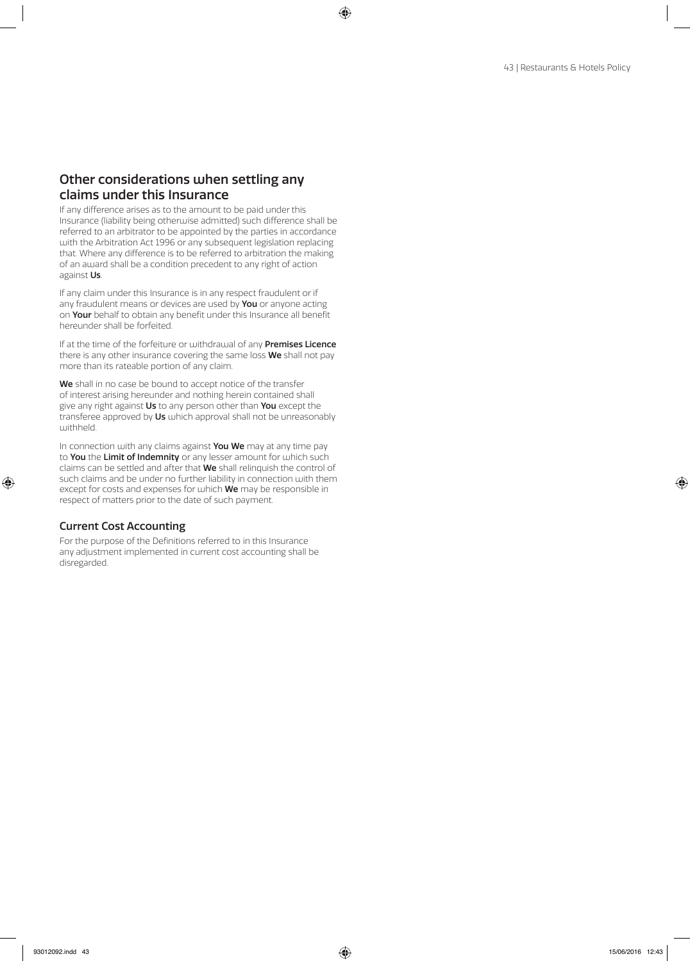# Other considerations when settling any claims under this Insurance

If any difference arises as to the amount to be paid under this Insurance (liability being otherwise admitted) such difference shall be referred to an arbitrator to be appointed by the parties in accordance with the Arbitration Act 1996 or any subsequent legislation replacing that. Where any difference is to be referred to arbitration the making of an award shall be a condition precedent to any right of action against Us.

If any claim under this Insurance is in any respect fraudulent or if any fraudulent means or devices are used by **You** or anyone acting on Your behalf to obtain any benefit under this Insurance all benefit hereunder shall be forfeited.

If at the time of the forfeiture or withdrawal of any **Premises Licence** there is any other insurance covering the same loss We shall not pay more than its rateable portion of any claim.

We shall in no case be bound to accept notice of the transfer of interest arising hereunder and nothing herein contained shall give any right against Us to any person other than You except the transferee approved by Us which approval shall not be unreasonably withheld.

In connection with any claims against You We may at any time pay to You the Limit of Indemnity or any lesser amount for which such claims can be settled and after that We shall relinquish the control of such claims and be under no further liability in connection with them except for costs and expenses for which We may be responsible in respect of matters prior to the date of such payment.

## Current Cost Accounting

For the purpose of the Definitions referred to in this Insurance any adjustment implemented in current cost accounting shall be disregarded.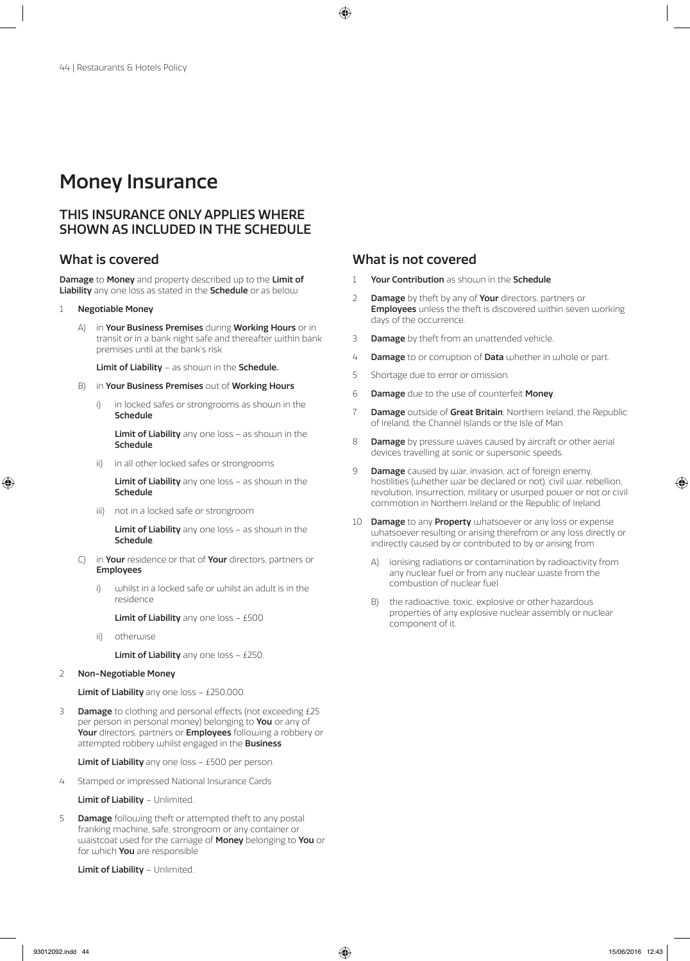# Money Insurance

# THIS INSURANCE ONLY APPLIES WHERE SHOWN AS INCLUDED IN THE SCHEDULE

Damage to Money and property described up to the Limit of Liability any one loss as stated in the Schedule or as below

### 1 Negotiable Money

A) in Your Business Premises during Working Hours or in transit or in a bank night safe and thereafter within bank premises until at the bank's risk

Limit of Liability – as shown in the Schedule.

- B) in Your Business Premises out of Working Hours
	- i) in locked safes or strongrooms as shown in the Schedule

Limit of Liability any one loss - as shown in the Schedule

ii) in all other locked safes or strongrooms

Limit of Liability any one loss - as shown in the Schedule

iii) not in a locked safe or strongroom

Limit of Liability any one loss - as shown in the Schedule.

- C) in Your residence or that of Your directors, partners or Employees
	- i) whilst in a locked safe or whilst an adult is in the residence

Limit of Liability any one loss - £500

ii) otherwise

Limit of Liability any one loss - £250.

### 2 Non-Negotiable Money

Limit of Liability any one loss - £250,000.

3 Damage to clothing and personal effects (not exceeding £25 per person in personal money) belonging to **You** or any of Your directors, partners or **Employees** following a robbery or attempted robbery whilst engaged in the **Business** 

Limit of Liability any one loss - £500 per person.

4 Stamped or impressed National Insurance Cards

Limit of Liability - Unlimited.

5 Damage following theft or attempted theft to any postal franking machine, safe, strongroom or any container or waistcoat used for the carriage of Money belonging to You or for which You are responsible

Limit of Liability - Unlimited.

# What is covered What is not covered

- Your Contribution as shown in the Schedule
- 2 Damage by theft by any of Your directors, partners or **Employees** unless the theft is discovered within seven working days of the occurrence.
- 3 Damage by theft from an unattended vehicle.
- 4 Damage to or corruption of Data whether in whole or part.
- 5 Shortage due to error or omission.
- 6 Damage due to the use of counterfeit Money.
- 7 **Damage** outside of **Great Britain**, Northern Ireland, the Republic of Ireland, the Channel Islands or the Isle of Man.
- 8 Damage by pressure waves caused by aircraft or other aerial devices travelling at sonic or supersonic speeds.
- 9 Damage caused by war, invasion, act of foreign enemy, hostilities (whether war be declared or not), civil war, rebellion, revolution, insurrection, military or usurped power or riot or civil commotion in Northern Ireland or the Republic of Ireland.
- 10 **Damage** to any **Property** whatsoever or any loss or expense whatsoever resulting or arising therefrom or any loss directly or indirectly caused by or contributed to by or arising from
	- A) ionising radiations or contamination by radioactivity from any nuclear fuel or from any nuclear waste from the combustion of nuclear fuel
	- B) the radioactive, toxic, explosive or other hazardous properties of any explosive nuclear assembly or nuclear component of it.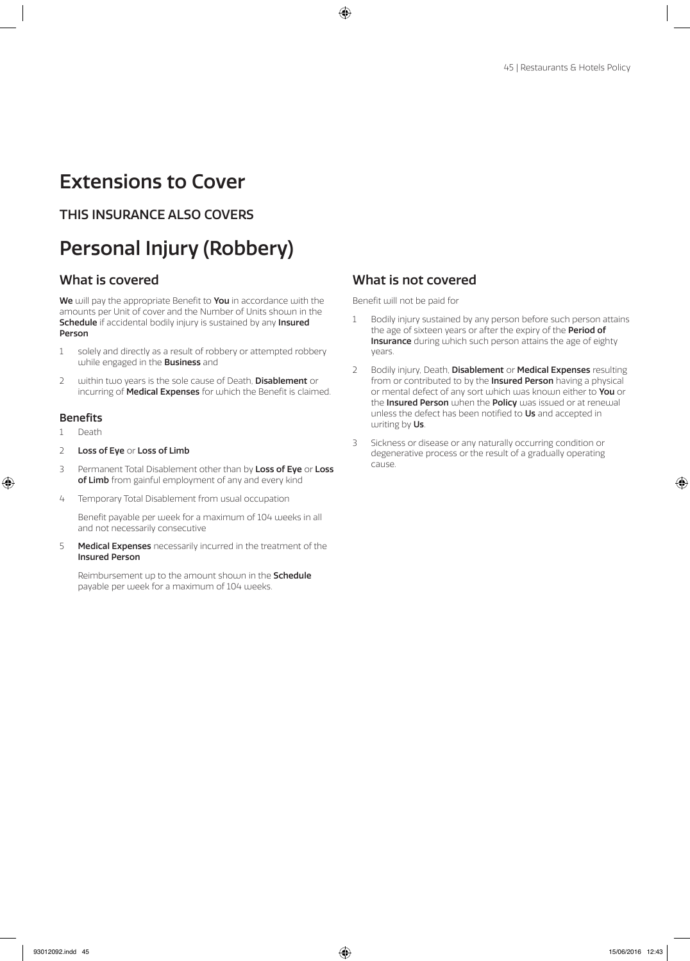# Extensions to Cover

# THIS INSURANCE ALSO COVERS

# Personal Injury (Robbery)

We will pay the appropriate Benefit to You in accordance with the amounts per Unit of cover and the Number of Units shown in the Schedule if accidental bodily injury is sustained by any Insured Person

- 1 solely and directly as a result of robbery or attempted robbery while engaged in the **Business** and
- 2 within two years is the sole cause of Death, **Disablement** or incurring of **Medical Expenses** for which the Benefit is claimed.

## Benefits

- **Death**
- 2 Loss of Eye or Loss of Limb
- 3 Permanent Total Disablement other than by Loss of Eye or Loss of Limb from gainful employment of any and every kind
- 4 Temporary Total Disablement from usual occupation

Benefit payable per week for a maximum of 104 weeks in all and not necessarily consecutive

5 Medical Expenses necessarily incurred in the treatment of the Insured Person

Reimbursement up to the amount shown in the **Schedule** payable per week for a maximum of 104 weeks.

# What is covered What is not covered

Benefit will not be paid for

- 1 Bodily injury sustained by any person before such person attains the age of sixteen years or after the expiry of the Period of Insurance during which such person attains the age of eighty years.
- 2 Bodily injury, Death, **Disablement** or **Medical Expenses** resulting from or contributed to by the **Insured Person** having a physical or mental defect of any sort which was known either to You or the **Insured Person** when the **Policy** was issued or at renewal unless the defect has been notified to Us and accepted in writing by Us.
- 3 Sickness or disease or any naturally occurring condition or degenerative process or the result of a gradually operating cause.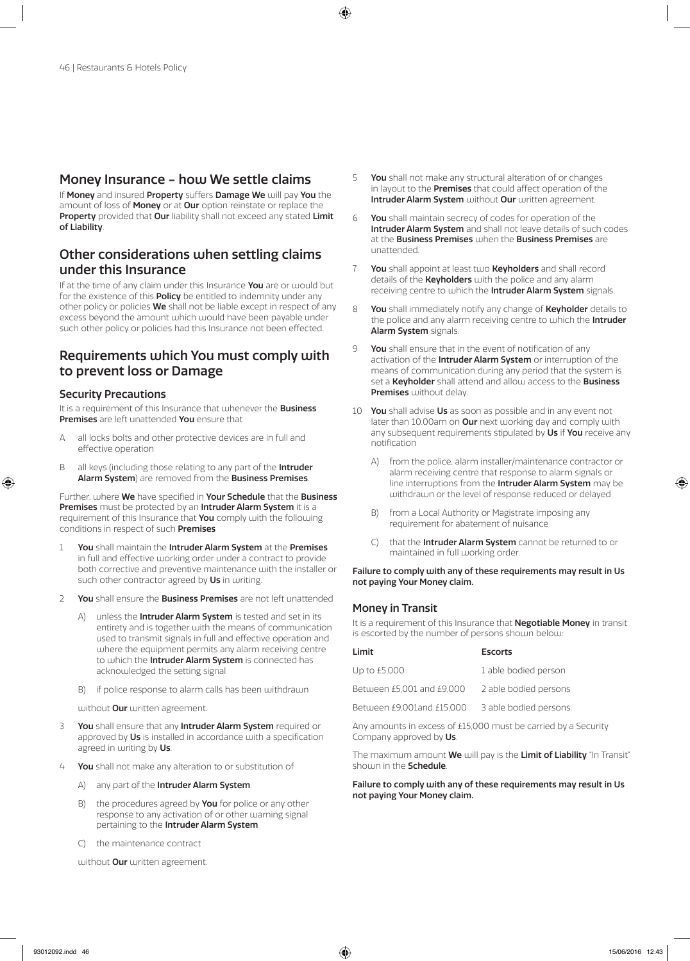# Money Insurance - how We settle claims

If Money and insured Property suffers Damage We will pay You the amount of loss of Money or at Our option reinstate or replace the Property provided that Our liability shall not exceed any stated Limit of Liability.

# Other considerations when settling claims under this Insurance

If at the time of any claim under this Insurance **You** are or would but for the existence of this **Policy** be entitled to indemnity under any other policy or policies We shall not be liable except in respect of any excess beyond the amount which would have been payable under such other policy or policies had this Insurance not been effected.

# Requirements which You must comply with to prevent loss or Damage

### Security Precautions

It is a requirement of this Insurance that whenever the **Business** Premises are left unattended You ensure that

- all locks bolts and other protective devices are in full and effective operation
- B all keys (including those relating to any part of the Intruder Alarm System) are removed from the Business Premises.

Further, where We have specified in Your Schedule that the Business Premises must be protected by an Intruder Alarm System it is a requirement of this Insurance that You comply with the following conditions in respect of such Premises

- 1 You shall maintain the Intruder Alarm System at the Premises in full and effective working order under a contract to provide both corrective and preventive maintenance with the installer or such other contractor agreed by Us in writing.
- 2 You shall ensure the Business Premises are not left unattended
	- A) unless the Intruder Alarm System is tested and set in its entirety and is together with the means of communication used to transmit signals in full and effective operation and where the equipment permits any alarm receiving centre to which the Intruder Alarm System is connected has acknowledged the setting signal
	- B) if police response to alarm calls has been withdrawn

without **Our** written agreement.

- 3 You shall ensure that any Intruder Alarm System required or approved by Us is installed in accordance with a specification agreed in writing by Us.
- You shall not make any alteration to or substitution of
	- A) any part of the **Intruder Alarm System**
	- B) the procedures agreed by You for police or any other response to any activation of or other warning signal pertaining to the Intruder Alarm System
	- C) the maintenance contract

without **Our** written agreement.

- 5 You shall not make any structural alteration of or changes in layout to the **Premises** that could affect operation of the Intruder Alarm System without Our written agreement.
- 6 You shall maintain secrecy of codes for operation of the Intruder Alarm System and shall not leave details of such codes at the **Business Premises** when the **Business Premises** are unattended.
- 7 You shall appoint at least two Keyholders and shall record details of the **Keyholders** with the police and any alarm receiving centre to which the Intruder Alarm System signals.
- 8 You shall immediately notify any change of **Keyholder** details to the police and any alarm receiving centre to which the Intruder Alarm System signals.
- 9 You shall ensure that in the event of notification of any activation of the **Intruder Alarm System** or interruption of the means of communication during any period that the system is set a **Keyholder** shall attend and allow access to the **Business** Premises without delay.
- 10 You shall advise Us as soon as possible and in any event not later than 10.00am on **Our** next working day and comply with any subsequent requirements stipulated by Us if You receive any notification
	- A) from the police, alarm installer/maintenance contractor or alarm receiving centre that response to alarm signals or line interruptions from the **Intruder Alarm System** may be withdrawn or the level of response reduced or delayed
	- B) from a Local Authority or Magistrate imposing any requirement for abatement of nuisance
	- C) that the **Intruder Alarm System** cannot be returned to or maintained in full working order.

### Failure to comply with any of these requirements may result in Us not paying Your Money claim.

### Money in Transit

It is a requirement of this Insurance that **Negotiable Money** in transit is escorted by the number of persons shown below:

| Limit                     | <b>Escorts</b>         |
|---------------------------|------------------------|
| Up to £5,000              | 1 able bodied person   |
| Between £5.001 and £9.000 | 2 able bodied persons  |
| Between £9.001and £15.000 | 3 able bodied persons. |
|                           |                        |

Any amounts in excess of £15,000 must be carried by a Security Company approved by Us.

The maximum amount **We** will pay is the **Limit of Liability** "In Transit" shown in the Schedule.

### Failure to comply with any of these requirements may result in Us not paying Your Money claim.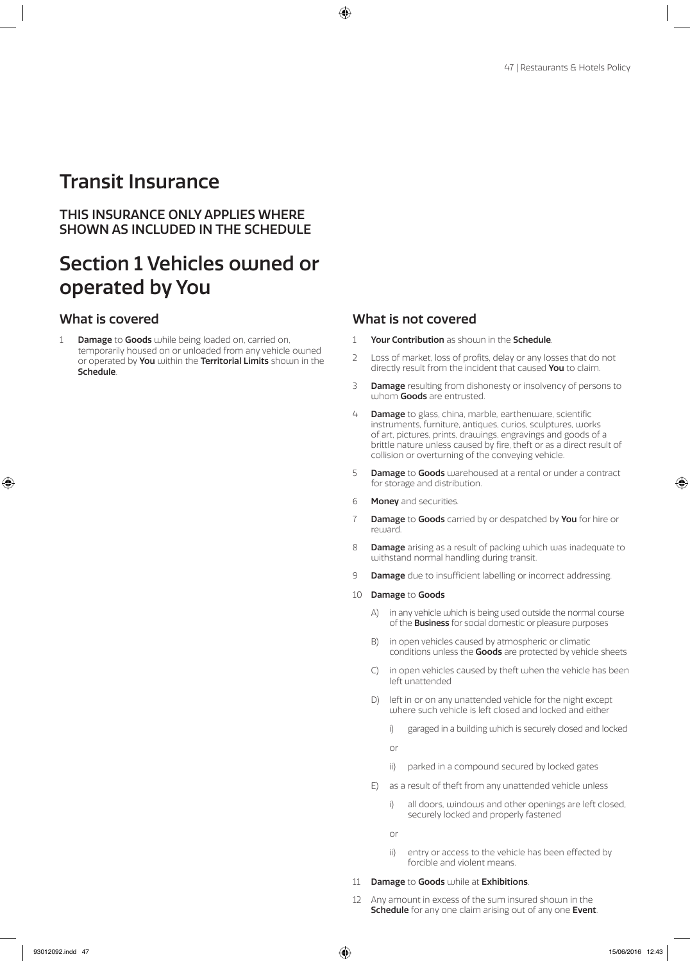# Transit Insurance

# THIS INSURANCE ONLY APPLIES WHERE SHOWN AS INCLUDED IN THE SCHEDULE

# Section 1 Vehicles owned or operated by You

Damage to Goods while being loaded on, carried on, temporarily housed on or unloaded from any vehicle owned or operated by You within the Territorial Limits shown in the Schedule.

# What is covered What is not covered

- Your Contribution as shouln in the Schedule
- 2 Loss of market, loss of profits, delay or any losses that do not directly result from the incident that caused You to claim.
- 3 Damage resulting from dishonesty or insolvency of persons to whom **Goods** are entrusted.
- 4 Damage to glass, china, marble, earthenware, scientific instruments, furniture, antiques, curios, sculptures, works of art, pictures, prints, drawings, engravings and goods of a brittle nature unless caused by fire, theft or as a direct result of collision or overturning of the conveying vehicle.
- 5 Damage to Goods warehoused at a rental or under a contract for storage and distribution.
- 6 Money and securities.
- 7 Damage to Goods carried by or despatched by You for hire or reward.
- 8 **Damage** arising as a result of packing which was inadequate to withstand normal handling during transit.
- 9 Damage due to insufficient labelling or incorrect addressing.
- 10 Damage to Goods
	- A) in any vehicle which is being used outside the normal course of the **Business** for social domestic or pleasure purposes
	- B) in open vehicles caused by atmospheric or climatic conditions unless the Goods are protected by vehicle sheets
	- C) in open vehicles caused by theft when the vehicle has been left unattended
	- D) left in or on any unattended vehicle for the night except where such vehicle is left closed and locked and either
		- i) garaged in a building which is securely closed and locked

or

- ii) parked in a compound secured by locked gates
- E) as a result of theft from any unattended vehicle unless
	- i) all doors, windows and other openings are left closed, securely locked and properly fastened

or

ii) entry or access to the vehicle has been effected by forcible and violent means.

### 11 Damage to Goods while at Exhibitions.

12 Any amount in excess of the sum insured shown in the Schedule for any one claim arising out of any one Event.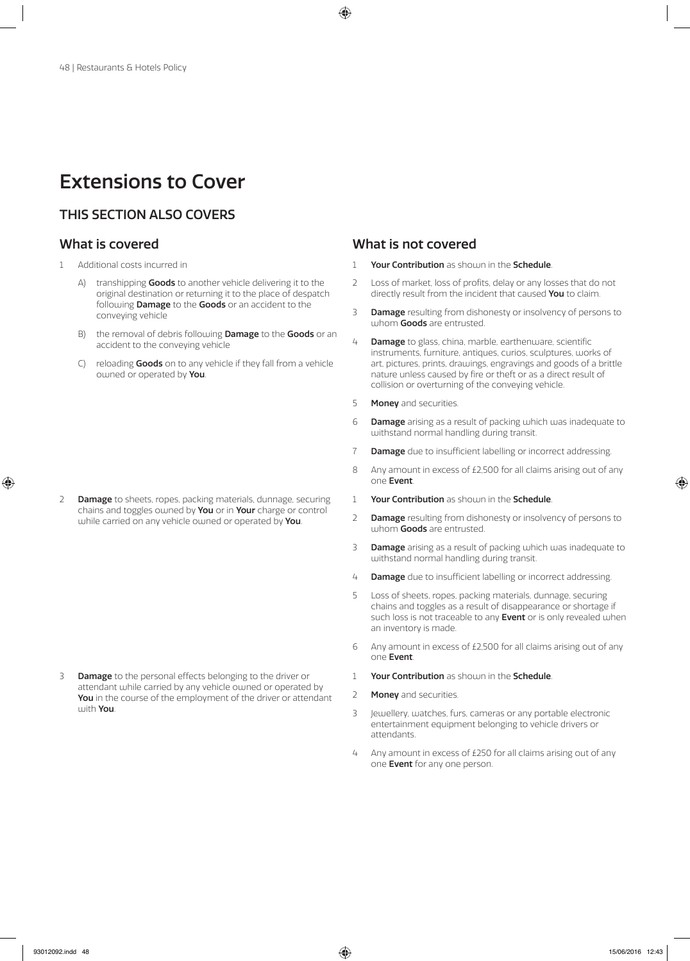# Extensions to Cover

# THIS SECTION ALSO COVERS

- Additional costs incurred in
	- A) transhipping Goods to another vehicle delivering it to the original destination or returning it to the place of despatch following Damage to the Goods or an accident to the conveying vehicle
	- B) the removal of debris following **Damage** to the **Goods** or an accident to the conveying vehicle
	- C) reloading **Goods** on to any vehicle if they fall from a vehicle owned or operated by You.

2 Damage to sheets, ropes, packing materials, dunnage, securing chains and toggles owned by You or in Your charge or control while carried on any vehicle owned or operated by You.

3 Damage to the personal effects belonging to the driver or attendant while carried by any vehicle owned or operated by You in the course of the employment of the driver or attendant with You.

# What is covered What is not covered

- Your Contribution as shown in the Schedule.
- 2 Loss of market, loss of profits, delay or any losses that do not directly result from the incident that caused You to claim.
- 3 Damage resulting from dishonesty or insolvency of persons to whom **Goods** are entrusted.
- 4 Damage to glass, china, marble, earthenware, scientific instruments, furniture, antiques, curios, sculptures, works of art, pictures, prints, drawings, engravings and goods of a brittle nature unless caused by fire or theft or as a direct result of collision or overturning of the conveying vehicle.
- 5 **Money** and securities.
- 6 Damage arising as a result of packing which was inadequate to withstand normal handling during transit.
- 7 Damage due to insufficient labelling or incorrect addressing.
- 8 Any amount in excess of £2,500 for all claims arising out of any one Event.
- 1 Your Contribution as shown in the Schedule.
- 2 Damage resulting from dishonesty or insolvency of persons to whom **Goods** are entrusted.
- 3 **Damage** arising as a result of packing which was inadequate to withstand normal handling during transit.
- 4 Damage due to insufficient labelling or incorrect addressing.
- 5 Loss of sheets, ropes, packing materials, dunnage, securing chains and toggles as a result of disappearance or shortage if such loss is not traceable to any **Event** or is only revealed when an inventory is made.
- 6 Any amount in excess of £2,500 for all claims arising out of any one Event.
- 1 Your Contribution as shown in the Schedule.
- 2 **Money** and securities.
- 3 Jewellery, watches, furs, cameras or any portable electronic entertainment equipment belonging to vehicle drivers or attendants.
- 4 Any amount in excess of £250 for all claims arising out of any one Event for any one person.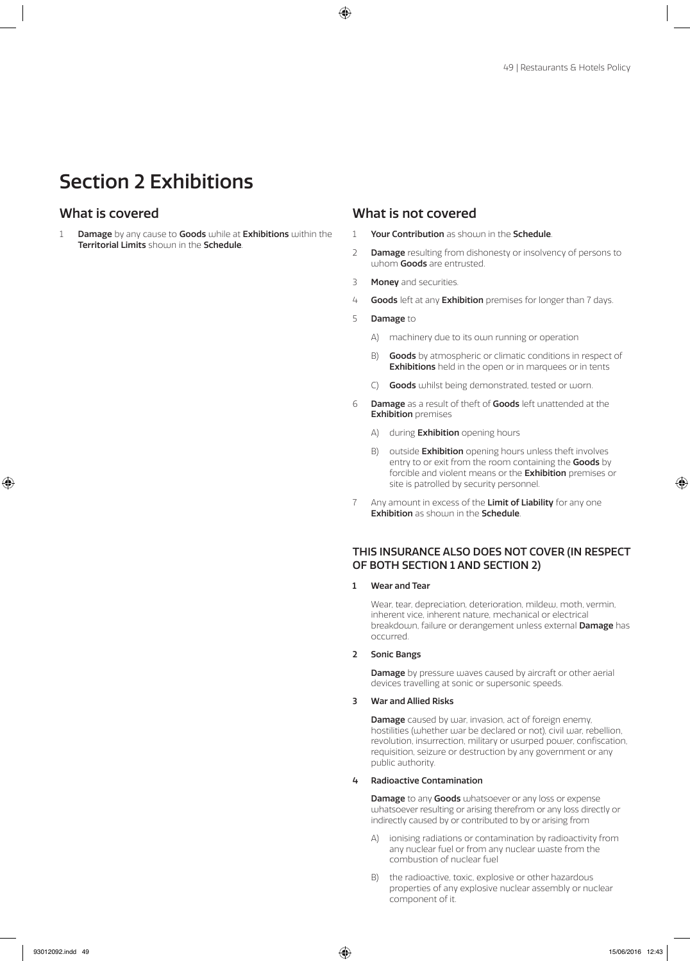# Section 2 Exhibitions

**Damage** by any cause to **Goods** while at **Exhibitions** within the Territorial Limits shown in the Schedule.

## What is covered What is not covered

- Your Contribution as shown in the Schedule
- 2 **Damage** resulting from dishonesty or insolvency of persons to whom **Goods** are entrusted.
- 3 Money and securities.
- 4 **Goods** left at any **Exhibition** premises for longer than 7 days.
- 5 Damage to
	- A) machinery due to its own running or operation
	- B) Goods by atmospheric or climatic conditions in respect of **Exhibitions** held in the open or in marquees or in tents
	- C) Goods whilst being demonstrated, tested or worn.
- 6 Damage as a result of theft of Goods left unattended at the **Exhibition** premises
	- A) during **Exhibition** opening hours
	- B) outside **Exhibition** opening hours unless theft involves entry to or exit from the room containing the Goods by forcible and violent means or the Exhibition premises or site is patrolled by security personnel.
- 7 Any amount in excess of the Limit of Liability for any one Exhibition as shown in the Schedule.

### THIS INSURANCE ALSO DOES NOT COVER (IN RESPECT OF BOTH SECTION 1 AND SECTION 2)

### 1 Wear and Tear

Wear, tear, depreciation, deterioration, mildew, moth, vermin, inherent vice, inherent nature, mechanical or electrical breakdown, failure or derangement unless external Damage has occurred.

2 Sonic Bangs

Damage by pressure waves caused by aircraft or other aerial devices travelling at sonic or supersonic speeds.

### 3 War and Allied Risks

**Damage** caused by war, invasion, act of foreign enemy, hostilities (whether war be declared or not), civil war, rebellion, revolution, insurrection, military or usurped power, confiscation, requisition, seizure or destruction by any government or any public authority.

### 4 Radioactive Contamination

**Damage** to any **Goods** whatsoever or any loss or expense whatsoever resulting or arising therefrom or any loss directly or indirectly caused by or contributed to by or arising from

- A) ionising radiations or contamination by radioactivity from any nuclear fuel or from any nuclear waste from the combustion of nuclear fuel
- B) the radioactive, toxic, explosive or other hazardous properties of any explosive nuclear assembly or nuclear component of it.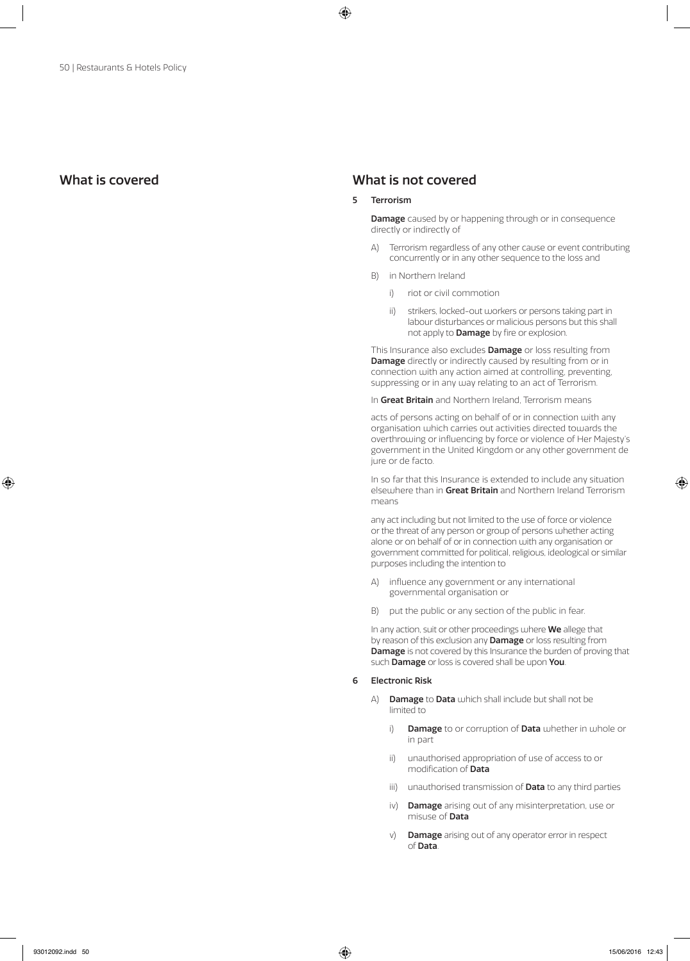# What is covered What is not covered

### 5 Terrorism

**Damage** caused by or happening through or in consequence directly or indirectly of

- A) Terrorism regardless of any other cause or event contributing concurrently or in any other sequence to the loss and
- B) in Northern Ireland
	- i) riot or civil commotion
	- ii) strikers, locked-out workers or persons taking part in labour disturbances or malicious persons but this shall not apply to **Damage** by fire or explosion.

This Insurance also excludes **Damage** or loss resulting from **Damage** directly or indirectly caused by resulting from or in connection with any action aimed at controlling, preventing, suppressing or in any way relating to an act of Terrorism.

In Great Britain and Northern Ireland, Terrorism means

acts of persons acting on behalf of or in connection with any organisation which carries out activities directed towards the overthrowing or influencing by force or violence of Her Majesty's government in the United Kingdom or any other government de jure or de facto.

In so far that this Insurance is extended to include any situation elsewhere than in Great Britain and Northern Ireland Terrorism means

any act including but not limited to the use of force or violence or the threat of any person or group of persons whether acting alone or on behalf of or in connection with any organisation or government committed for political, religious, ideological or similar purposes including the intention to

- A) influence any government or any international governmental organisation or
- B) put the public or any section of the public in fear.

In any action, suit or other proceedings where We allege that by reason of this exclusion any **Damage** or loss resulting from **Damage** is not covered by this Insurance the burden of proving that such **Damage** or loss is covered shall be upon **You**.

### 6 Electronic Risk

- A) **Damage** to **Data** which shall include but shall not be limited to
	- i) Damage to or corruption of Data whether in whole or in part
	- ii) unauthorised appropriation of use of access to or modification of Data
	- iii) unauthorised transmission of **Data** to any third parties
	- iv) Damage arising out of any misinterpretation, use or misuse of Data
	- v) Damage arising out of any operator error in respect of Data.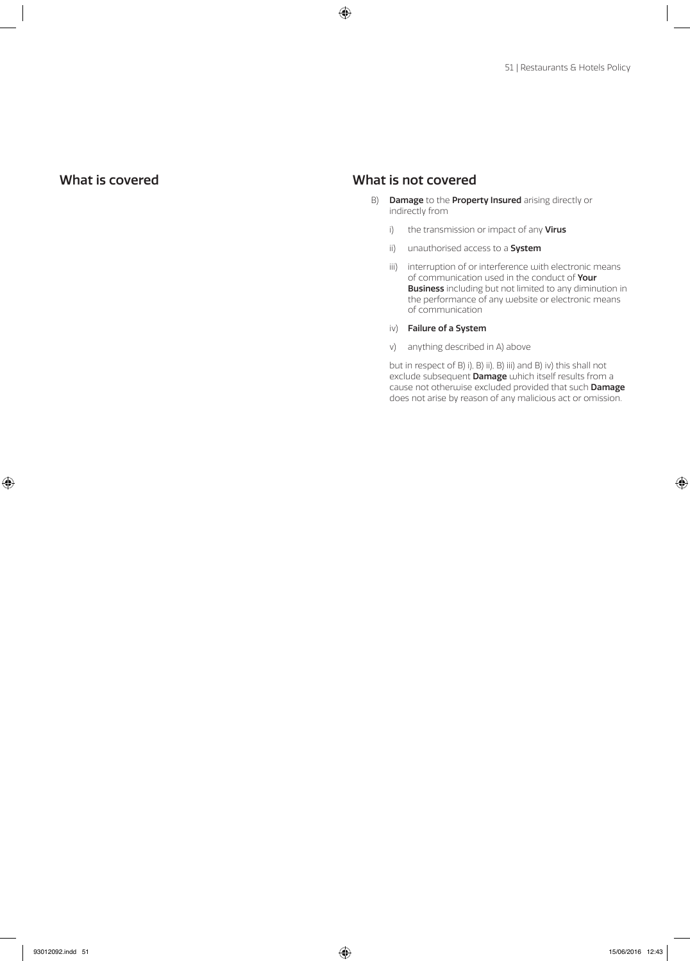# What is covered What is not covered

- B) Damage to the Property Insured arising directly or indirectly from
	- i) the transmission or impact of any **Virus**
	- ii) unauthorised access to a **System**
	- iii) interruption of or interference with electronic means of communication used in the conduct of Your **Business** including but not limited to any diminution in the performance of any website or electronic means of communication

### iv) Failure of a System

v) anything described in A) above

but in respect of B) i), B) ii), B) iii) and B) iv) this shall not exclude subsequent **Damage** which itself results from a cause not otherwise excluded provided that such **Damage** does not arise by reason of any malicious act or omission.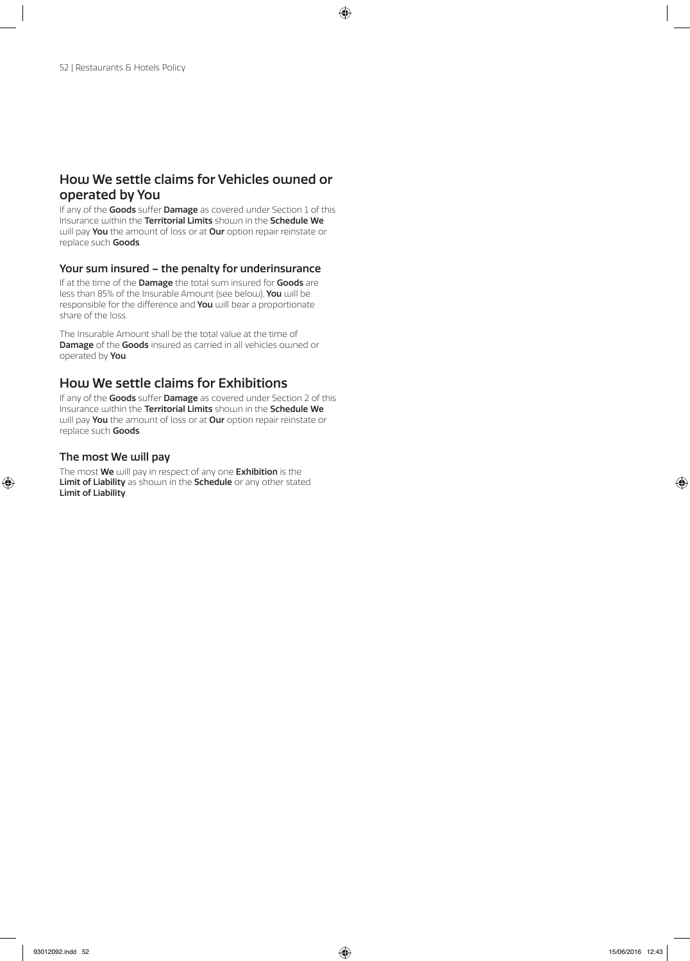# How We settle claims for Vehicles owned or operated by You

If any of the Goods suffer Damage as covered under Section 1 of this Insurance within the Territorial Limits shown in the Schedule We will pay You the amount of loss or at Our option repair reinstate or replace such Goods.

### Your sum insured – the penalty for underinsurance

If at the time of the **Damage** the total sum insured for **Goods** are less than 85% of the Insurable Amount (see below), You will be responsible for the difference and **You** will bear a proportionate share of the loss.

The Insurable Amount shall be the total value at the time of Damage of the Goods insured as carried in all vehicles owned or operated by You.

# How We settle claims for Exhibitions

If any of the Goods suffer Damage as covered under Section 2 of this Insurance within the Territorial Limits shown in the Schedule We will pay You the amount of loss or at Our option repair reinstate or replace such Goods.

## The most We will pay

The most **We** will pay in respect of any one **Exhibition** is the Limit of Liability as shown in the Schedule or any other stated Limit of Liability.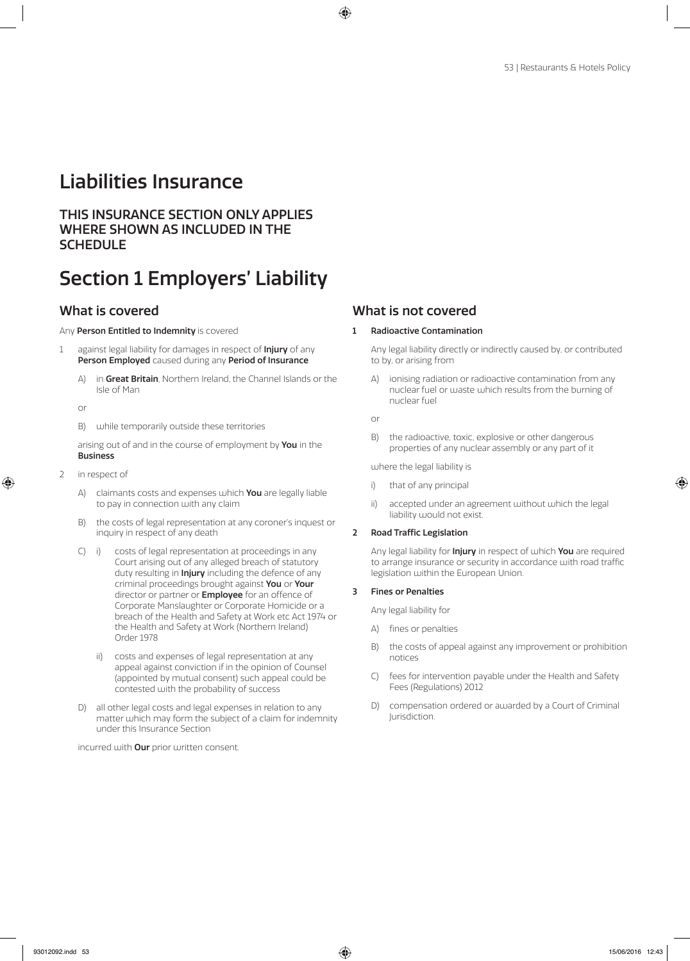# Liabilities Insurance

THIS INSURANCE SECTION ONLY APPLIES WHERE SHOWN AS INCLUDED IN THE **SCHEDULE** 

# Section 1 Employers' Liability

Any Person Entitled to Indemnity is covered

- 1 against legal liability for damages in respect of **Injury** of any Person Employed caused during any Period of Insurance
	- A) in Great Britain, Northern Ireland, the Channel Islands or the Isle of Man

or

B) while temporarily outside these territories

arising out of and in the course of employment by You in the Business

- in respect of
	- A) claimants costs and expenses which **You** are legally liable to pay in connection with any claim
	- B) the costs of legal representation at any coroner's inquest or inquiry in respect of any death
	- C) i) costs of legal representation at proceedings in any Court arising out of any alleged breach of statutory duty resulting in **Injury** including the defence of any criminal proceedings brought against You or Your director or partner or **Employee** for an offence of Corporate Manslaughter or Corporate Homicide or a breach of the Health and Safety at Work etc Act 1974 or the Health and Safety at Work (Northern Ireland) Order 1978
		- ii) costs and expenses of legal representation at any appeal against conviction if in the opinion of Counsel (appointed by mutual consent) such appeal could be contested with the probability of success
	- D) all other legal costs and legal expenses in relation to any matter which may form the subject of a claim for indemnity under this Insurance Section

incurred with **Our** prior written consent.

# What is covered What is not covered

### 1 Radioactive Contamination

Any legal liability directly or indirectly caused by, or contributed to by, or arising from

A) ionising radiation or radioactive contamination from any nuclear fuel or waste which results from the burning of nuclear fuel

or

B) the radioactive, toxic, explosive or other dangerous properties of any nuclear assembly or any part of it

where the legal liability is

- i) that of any principal
- ii) accepted under an agreement without which the legal liability would not exist.

### 2 Road Traffic Legislation

Any legal liability for Injury in respect of which You are required to arrange insurance or security in accordance with road traffic legislation within the European Union.

### 3 Fines or Penalties

Any legal liability for

- A) fines or penalties
- B) the costs of appeal against any improvement or prohibition notices
- C) fees for intervention payable under the Health and Safety Fees (Regulations) 2012
- D) compensation ordered or awarded by a Court of Criminal Jurisdiction.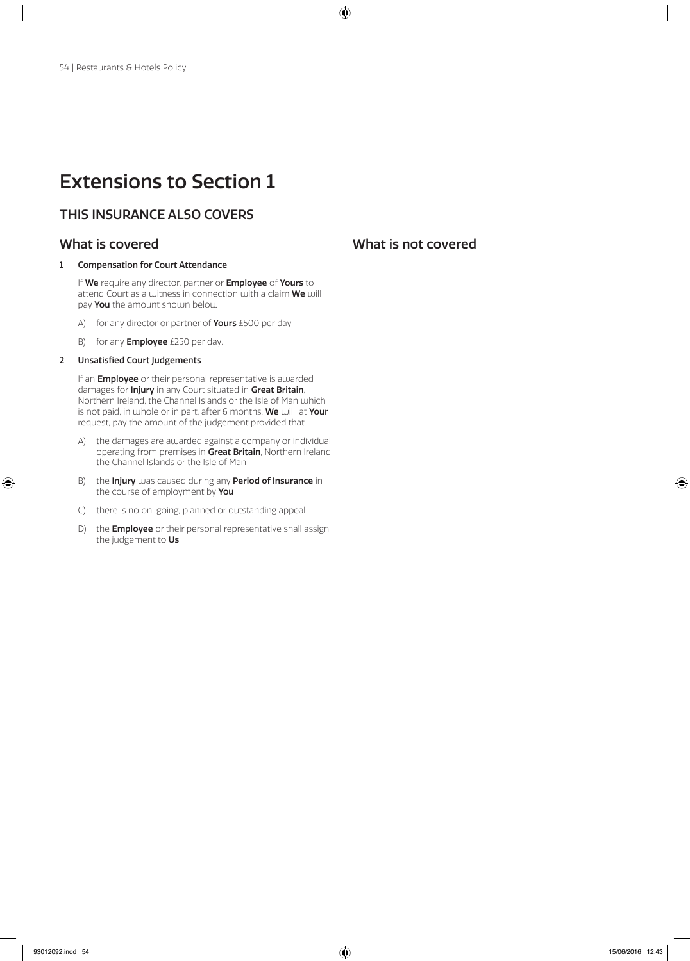# Extensions to Section 1

# THIS INSURANCE ALSO COVERS

1 Compensation for Court Attendance

If We require any director, partner or Employee of Yours to attend Court as a witness in connection with a claim We will pay You the amount shown below

- A) for any director or partner of **Yours** £500 per day
- B) for any **Employee**  $£250$  per day.

### 2 Unsatisfied Court Judgements

If an **Employee** or their personal representative is awarded damages for *Injury* in any Court situated in Great Britain, Northern Ireland, the Channel Islands or the Isle of Man which is not paid, in whole or in part, after 6 months. We will, at Your request, pay the amount of the judgement provided that

- A) the damages are awarded against a company or individual operating from premises in Great Britain, Northern Ireland, the Channel Islands or the Isle of Man
- B) the **Injury** was caused during any **Period of Insurance** in the course of employment by You
- C) there is no on-going, planned or outstanding appeal
- D) the **Employee** or their personal representative shall assign the judgement to Us.

# What is covered What is not covered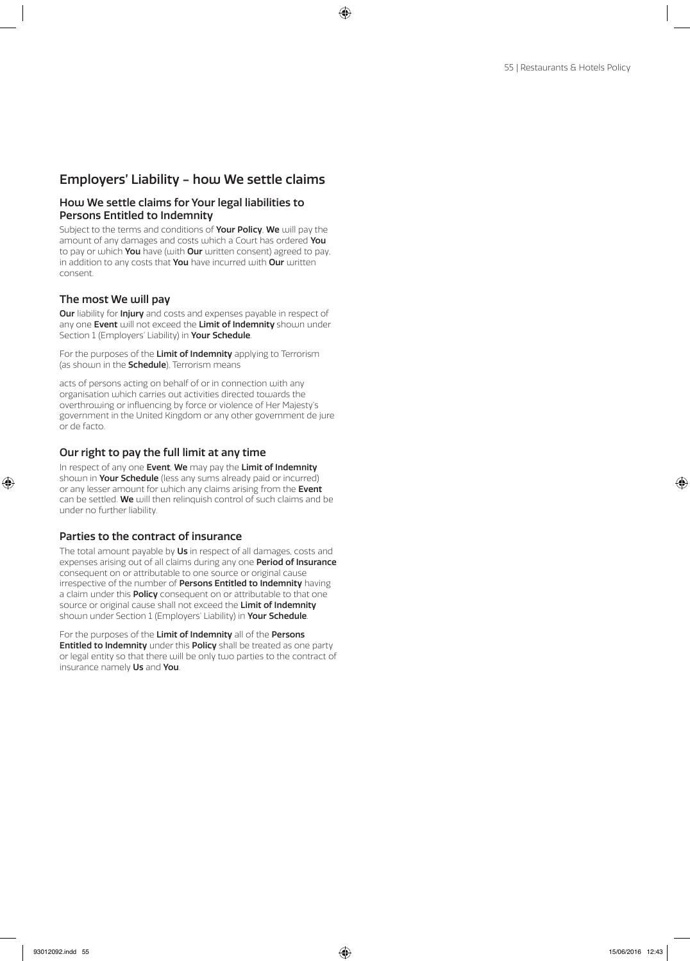# Employers' Liability - how We settle claims

## How We settle claims for Your legal liabilities to Persons Entitled to Indemnity

Subject to the terms and conditions of Your Policy, We will pay the amount of any damages and costs which a Court has ordered You to pay or which You have (with Our written consent) agreed to pay, in addition to any costs that You have incurred with Our written consent.

### The most We will pay

Our liability for Injury and costs and expenses payable in respect of any one Event will not exceed the Limit of Indemnity shown under Section 1 (Employers' Liability) in Your Schedule.

For the purposes of the Limit of Indemnity applying to Terrorism (as shown in the **Schedule**), Terrorism means

acts of persons acting on behalf of or in connection with any organisation which carries out activities directed towards the overthrowing or influencing by force or violence of Her Majesty's government in the United Kingdom or any other government de jure or de facto.

### Our right to pay the full limit at any time

In respect of any one Event, We may pay the Limit of Indemnity shown in Your Schedule (less any sums already paid or incurred) or any lesser amount for which any claims arising from the Event can be settled. We will then relinquish control of such claims and be under no further liability.

### Parties to the contract of insurance

The total amount payable by Us in respect of all damages, costs and expenses arising out of all claims during any one Period of Insurance consequent on or attributable to one source or original cause irrespective of the number of Persons Entitled to Indemnity having a claim under this **Policy** consequent on or attributable to that one source or original cause shall not exceed the Limit of Indemnity shown under Section 1 (Employers' Liability) in Your Schedule.

For the purposes of the Limit of Indemnity all of the Persons Entitled to Indemnity under this Policy shall be treated as one party or legal entity so that there will be only two parties to the contract of insurance namely Us and You.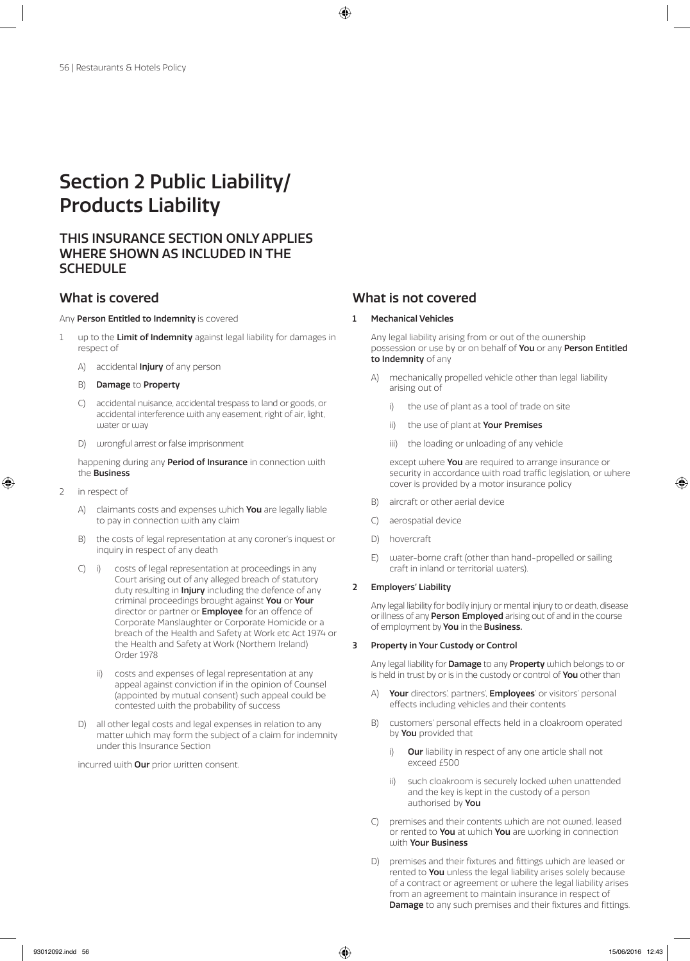# Section 2 Public Liability/ Products Liability

# THIS INSURANCE SECTION ONLY APPLIES WHERE SHOWN AS INCLUDED IN THE **SCHEDULE**

Any Person Entitled to Indemnity is covered

- 1 up to the Limit of Indemnity against legal liability for damages in respect of
	- A) accidental **Injury** of any person
	- B) Damage to Property
	- C) accidental nuisance, accidental trespass to land or goods, or accidental interference with any easement, right of air, light, water or way
	- D) wrongful arrest or false imprisonment

happening during any **Period of Insurance** in connection with the Business

- 2 in respect of
	- A) claimants costs and expenses which You are legally liable to pay in connection with any claim
	- B) the costs of legal representation at any coroner's inquest or inquiry in respect of any death
	- C) i) costs of legal representation at proceedings in any Court arising out of any alleged breach of statutory duty resulting in **Injury** including the defence of any criminal proceedings brought against You or Your director or partner or **Employee** for an offence of Corporate Manslaughter or Corporate Homicide or a breach of the Health and Safety at Work etc Act 1974 or the Health and Safety at Work (Northern Ireland) Order 1978
		- ii) costs and expenses of legal representation at any appeal against conviction if in the opinion of Counsel (appointed by mutual consent) such appeal could be contested with the probability of success
	- D) all other legal costs and legal expenses in relation to any matter which may form the subject of a claim for indemnity under this Insurance Section

incurred with **Our** prior written consent.

## What is covered What is not covered

### 1 Mechanical Vehicles

Any legal liability arising from or out of the ownership possession or use by or on behalf of You or any Person Entitled to Indemnity of any

- A) mechanically propelled vehicle other than legal liability arising out of
	- i) the use of plant as a tool of trade on site
	- ii) the use of plant at Your Premises
	- iii) the loading or unloading of any vehicle

except where You are required to arrange insurance or security in accordance with road traffic legislation, or where cover is provided by a motor insurance policy

- B) aircraft or other aerial device
- C) aerospatial device
- D) hovercraft
- E) water-borne craft (other than hand-propelled or sailing craft in inland or territorial waters).

### 2 Employers' Liability

Any legal liability for bodily injury or mental injury to or death, disease or illness of any **Person Employed** arising out of and in the course of employment by You in the Business.

### 3 Property in Your Custody or Control

Any legal liability for **Damage** to any **Property** which belongs to or is held in trust by or is in the custody or control of You other than

- A) Your directors', partners', Employees' or visitors' personal effects including vehicles and their contents
- B) customers' personal effects held in a cloakroom operated by **You** provided that
	- i) Our liability in respect of any one article shall not exceed £500
	- such cloakroom is securely locked when unattended and the key is kept in the custody of a person authorised by You
- C) premises and their contents which are not owned, leased or rented to You at which You are working in connection with Your Business
- D) premises and their fixtures and fittings which are leased or rented to You unless the legal liability arises solely because of a contract or agreement or where the legal liability arises from an agreement to maintain insurance in respect of **Damage** to any such premises and their fixtures and fittings.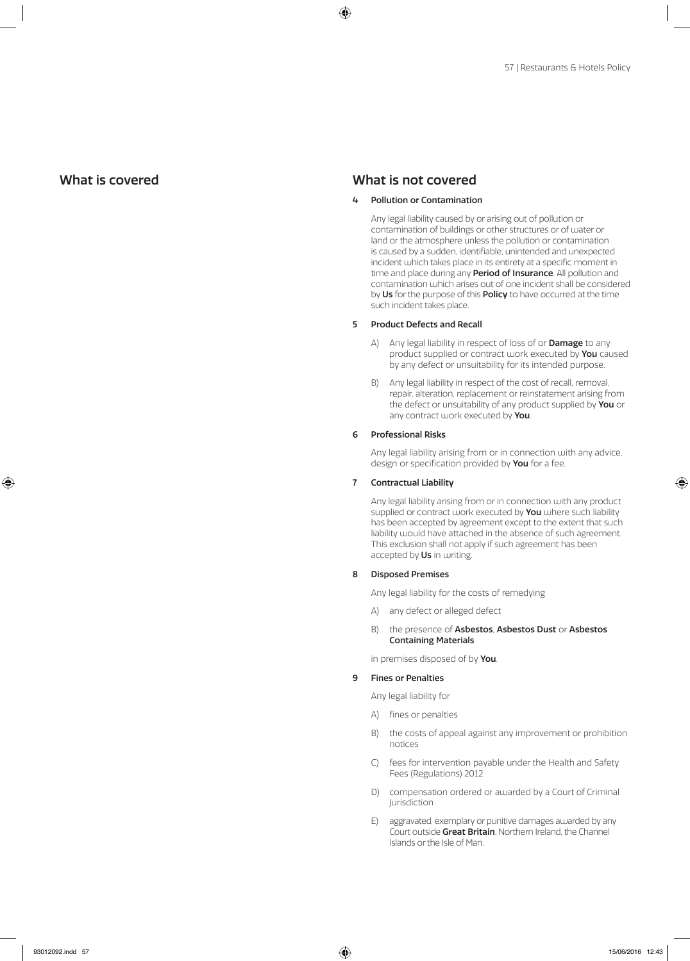## What is covered What is not covered

### 4 Pollution or Contamination

Any legal liability caused by or arising out of pollution or contamination of buildings or other structures or of water or land or the atmosphere unless the pollution or contamination is caused by a sudden, identifiable, unintended and unexpected incident which takes place in its entirety at a specific moment in time and place during any **Period of Insurance**. All pollution and contamination which arises out of one incident shall be considered by Us for the purpose of this Policy to have occurred at the time such incident takes place.

### 5 Product Defects and Recall

- A) Any legal liability in respect of loss of or **Damage** to any product supplied or contract work executed by You caused by any defect or unsuitability for its intended purpose.
- B) Any legal liability in respect of the cost of recall, removal, repair, alteration, replacement or reinstatement arising from the defect or unsuitability of any product supplied by You or any contract work executed by You.

### 6 Professional Risks

Any legal liability arising from or in connection with any advice, design or specification provided by You for a fee.

### 7 Contractual Liability

Any legal liability arising from or in connection with any product supplied or contract work executed by **You** where such liability has been accepted by agreement except to the extent that such liability would have attached in the absence of such agreement. This exclusion shall not apply if such agreement has been accepted by Us in writing.

### 8 Disposed Premises

Any legal liability for the costs of remedying

- A) any defect or alleged defect
- B) the presence of Asbestos, Asbestos Dust or Asbestos Containing Materials

in premises disposed of by You.

### 9 Fines or Penalties

Any legal liability for

- A) fines or penalties
- B) the costs of appeal against any improvement or prohibition notices
- C) fees for intervention payable under the Health and Safety Fees (Regulations) 2012
- D) compensation ordered or awarded by a Court of Criminal Jurisdiction
- E) aggravated, exemplary or punitive damages awarded by any Court outside Great Britain, Northern Ireland, the Channel Islands or the Isle of Man.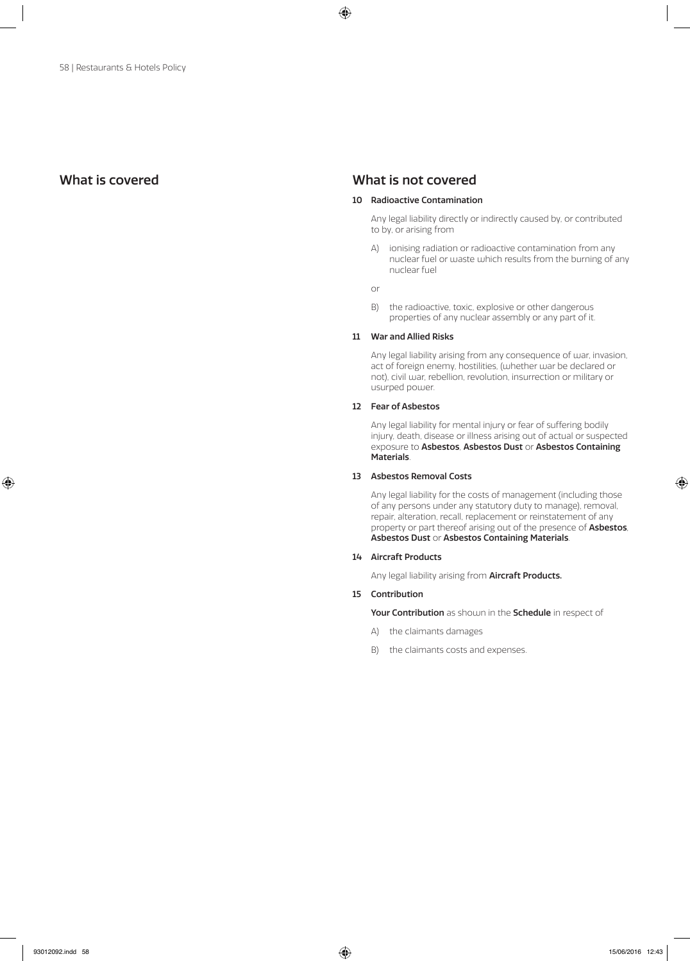# What is covered **What is not covered**

### 10 Radioactive Contamination

Any legal liability directly or indirectly caused by, or contributed to by, or arising from

A) ionising radiation or radioactive contamination from any nuclear fuel or waste which results from the burning of any nuclear fuel

or

B) the radioactive, toxic, explosive or other dangerous properties of any nuclear assembly or any part of it.

### 11 War and Allied Risks

Any legal liability arising from any consequence of war, invasion, act of foreign enemy, hostilities, (whether war be declared or not), civil war, rebellion, revolution, insurrection or military or usurped power.

### 12 Fear of Asbestos

Any legal liability for mental injury or fear of suffering bodily injury, death, disease or illness arising out of actual or suspected exposure to Asbestos, Asbestos Dust or Asbestos Containing Materials.

### 13 Asbestos Removal Costs

Any legal liability for the costs of management (including those of any persons under any statutory duty to manage), removal, repair, alteration, recall, replacement or reinstatement of any property or part thereof arising out of the presence of **Asbestos**, Asbestos Dust or Asbestos Containing Materials.

### 14 Aircraft Products

Any legal liability arising from **Aircraft Products.** 

### 15 Contribution

Your Contribution as shown in the Schedule in respect of

- A) the claimants damages
- B) the claimants costs and expenses.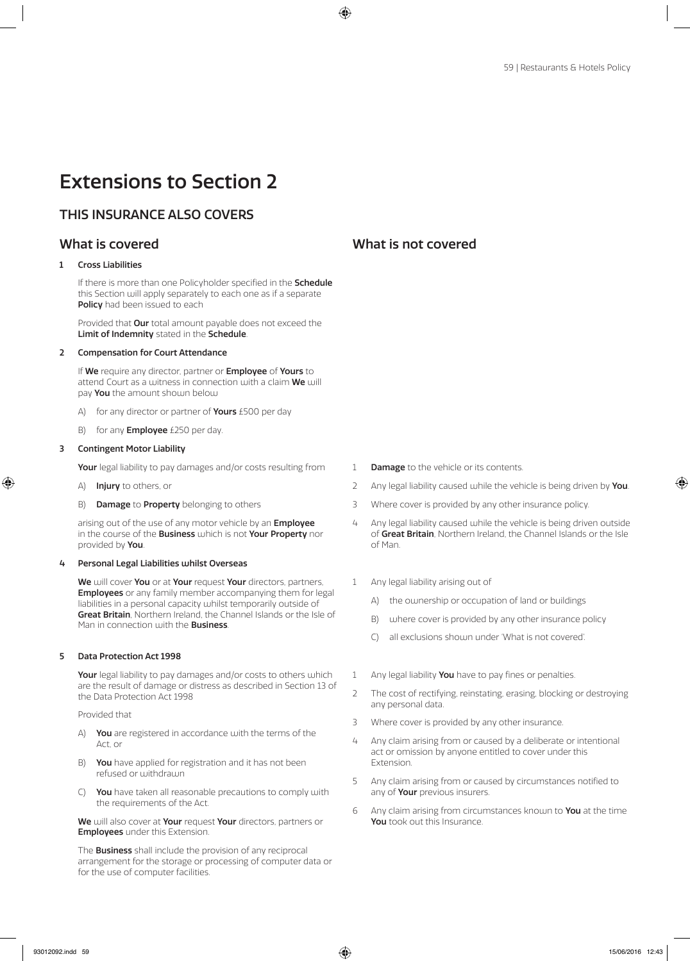# Extensions to Section 2

# THIS INSURANCE ALSO COVERS

### 1 Cross Liabilities

If there is more than one Policyholder specified in the **Schedule** this Section will apply separately to each one as if a separate Policy had been issued to each

Provided that Our total amount payable does not exceed the Limit of Indemnity stated in the Schedule.

### 2 Compensation for Court Attendance

If We require any director, partner or Employee of Yours to attend Court as a witness in connection with a claim We will pay You the amount shown below

- A) for any director or partner of **Yours** £500 per day
- B) for any **Employee** £250 per day.

### 3 Contingent Motor Liability

Your legal liability to pay damages and/or costs resulting from

- A) Injury to others, or
- B) Damage to Property belonging to others

arising out of the use of any motor vehicle by an **Employee** in the course of the Business which is not Your Property nor provided by You.

### 4 Personal Legal Liabilities whilst Overseas

We will cover You or at Your request Your directors, partners, **Employees** or any family member accompanying them for legal liabilities in a personal capacity whilst temporarily outside of Great Britain, Northern Ireland, the Channel Islands or the Isle of Man in connection with the **Business**.

### 5 Data Protection Act 1998

Your legal liability to pay damages and/or costs to others which are the result of damage or distress as described in Section 13 of the Data Protection Act 1998

### Provided that

- A) You are registered in accordance with the terms of the Act, or
- B) You have applied for registration and it has not been refused or withdrawn
- C) You have taken all reasonable precautions to comply with the requirements of the Act.

We will also cover at Your request Your directors, partners or **Employees** under this Extension.

The **Business** shall include the provision of any reciprocal arrangement for the storage or processing of computer data or for the use of computer facilities.

# What is covered What is not covered

- 1 Damage to the vehicle or its contents.
- 2 Any legal liability caused while the vehicle is being driven by You.
- 3 Where cover is provided by any other insurance policy.
- 4 Any legal liability caused while the vehicle is being driven outside of Great Britain, Northern Ireland, the Channel Islands or the Isle of Man.
- 1 Any legal liability arising out of
	- A) the ownership or occupation of land or buildings
	- B) where cover is provided by any other insurance policy
	- C) all exclusions shown under 'What is not covered'.
- 1 Any legal liability You have to pay fines or penalties.
- 2 The cost of rectifying, reinstating, erasing, blocking or destroying any personal data.
- 3 Where cover is provided by any other insurance.
- 4 Any claim arising from or caused by a deliberate or intentional act or omission by anyone entitled to cover under this Extension.
- 5 Any claim arising from or caused by circumstances notified to any of Your previous insurers.
- 6 Any claim arising from circumstances known to You at the time You took out this Insurance.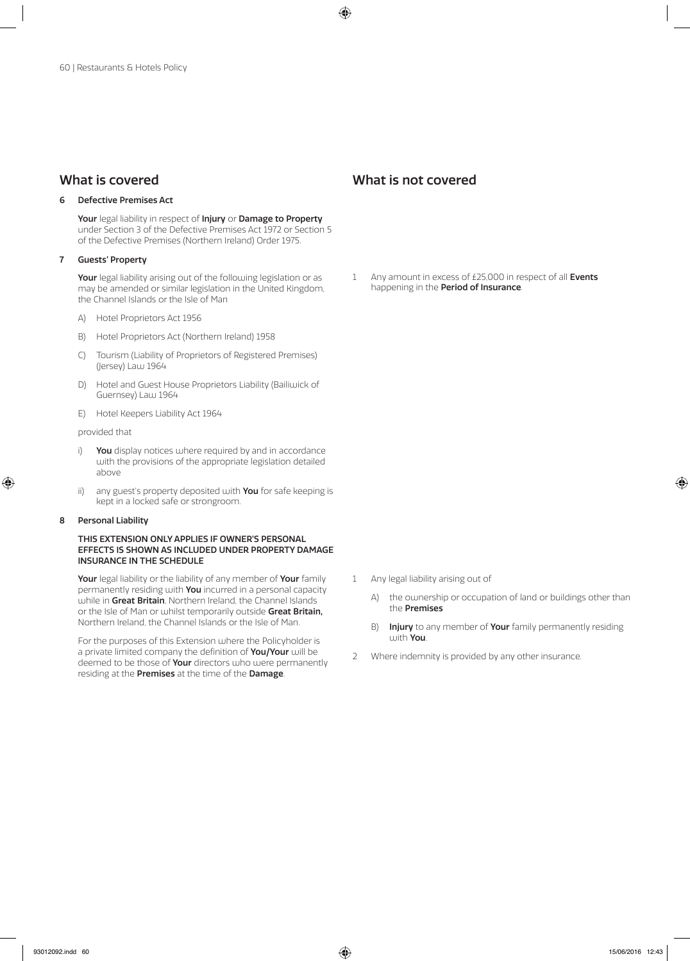### 6 Defective Premises Act

Your legal liability in respect of Injury or Damage to Property under Section 3 of the Defective Premises Act 1972 or Section 5 of the Defective Premises (Northern Ireland) Order 1975.

### 7 Guests' Property

Your legal liability arising out of the following legislation or as may be amended or similar legislation in the United Kingdom, the Channel Islands or the Isle of Man

- A) Hotel Proprietors Act 1956
- B) Hotel Proprietors Act (Northern Ireland) 1958
- C) Tourism (Liability of Proprietors of Registered Premises) (Jersey) Law 1964
- D) Hotel and Guest House Proprietors Liability (Bailiwick of Guernsey) Law 1964
- E) Hotel Keepers Liability Act 1964

### provided that

- i) You display notices where required by and in accordance with the provisions of the appropriate legislation detailed above
- ii) any guest's property deposited with You for safe keeping is kept in a locked safe or strongroom.

### 8 Personal Liability

### THIS EXTENSION ONLY APPLIES IF OWNER'S PERSONAL EFFECTS IS SHOWN AS INCLUDED UNDER PROPERTY DAMAGE INSURANCE IN THE SCHEDULE

Your legal liability or the liability of any member of Your family permanently residing with You incurred in a personal capacity while in Great Britain, Northern Ireland, the Channel Islands or the Isle of Man or whilst temporarily outside Great Britain, Northern Ireland, the Channel Islands or the Isle of Man.

For the purposes of this Extension where the Policyholder is a private limited company the definition of You/Your will be deemed to be those of Your directors who were permanently residing at the **Premises** at the time of the **Damage**.

# What is covered What is not covered

1 Any amount in excess of £25,000 in respect of all Events happening in the Period of Insurance.

- 1 Any legal liability arising out of
	- A) the ownership or occupation of land or buildings other than the Premises
	- B) Injury to any member of Your family permanently residing with You.
- 2 Where indemnity is provided by any other insurance.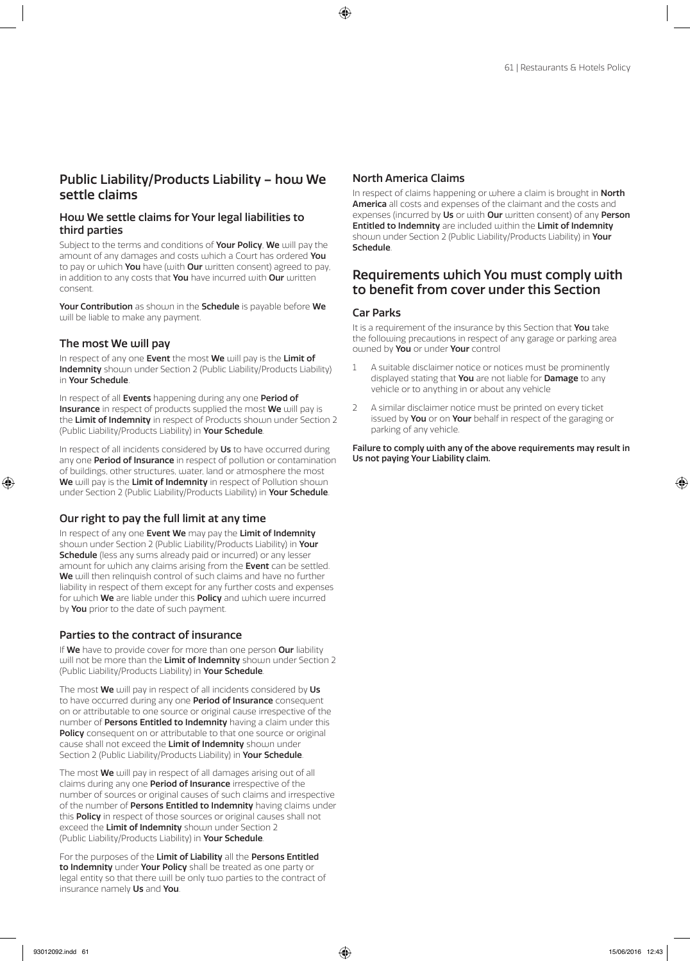# Public Liability/Products Liability – how We settle claims

## How We settle claims for Your legal liabilities to third parties

Subject to the terms and conditions of Your Policy, We will pay the amount of any damages and costs which a Court has ordered You to pay or which **You** have (with **Our** written consent) agreed to pay, in addition to any costs that You have incurred with Our written consent.

Your Contribution as shoum in the Schedule is payable before We will be liable to make any payment.

## The most We will pay

In respect of any one Event the most We will pay is the Limit of Indemnity shown under Section 2 (Public Liability/Products Liability) in Your Schedule.

In respect of all Events happening during any one Period of Insurance in respect of products supplied the most We will pay is the Limit of Indemnity in respect of Products shown under Section 2 (Public Liability/Products Liability) in Your Schedule.

In respect of all incidents considered by Us to have occurred during any one **Period of Insurance** in respect of pollution or contamination of buildings, other structures, water, land or atmosphere the most We will pay is the Limit of Indemnity in respect of Pollution shown under Section 2 (Public Liability/Products Liability) in Your Schedule.

## Our right to pay the full limit at any time

In respect of any one Event We may pay the Limit of Indemnity shown under Section 2 (Public Liability/Products Liability) in Your Schedule (less any sums already paid or incurred) or any lesser amount for which any claims arising from the Event can be settled. We will then relinquish control of such claims and have no further liability in respect of them except for any further costs and expenses for which We are liable under this Policy and which were incurred by You prior to the date of such payment.

### Parties to the contract of insurance

If We have to provide cover for more than one person Our liability will not be more than the Limit of Indemnity shown under Section 2 (Public Liability/Products Liability) in Your Schedule.

The most **We** will pay in respect of all incidents considered by Us to have occurred during any one **Period of Insurance** consequent on or attributable to one source or original cause irrespective of the number of Persons Entitled to Indemnity having a claim under this Policy consequent on or attributable to that one source or original cause shall not exceed the Limit of Indemnity shown under Section 2 (Public Liability/Products Liability) in Your Schedule.

The most **We** will pay in respect of all damages arising out of all claims during any one **Period of Insurance** irrespective of the number of sources or original causes of such claims and irrespective of the number of **Persons Entitled to Indemnity** having claims under this **Policy** in respect of those sources or original causes shall not exceed the **Limit of Indemnity** shown under Section 2 (Public Liability/Products Liability) in Your Schedule.

For the purposes of the Limit of Liability all the Persons Entitled to Indemnity under Your Policy shall be treated as one party or legal entity so that there will be only two parties to the contract of insurance namely Us and You.

## North America Claims

In respect of claims happening or where a claim is brought in North **America** all costs and expenses of the claimant and the costs and expenses (incurred by Us or with Our written consent) of any Person Entitled to Indemnity are included within the Limit of Indemnity shown under Section 2 (Public Liability/Products Liability) in Your Schedule.

# Requirements which You must comply with to benefit from cover under this Section

### Car Parks

It is a requirement of the insurance by this Section that You take the following precautions in respect of any garage or parking area owned by **You** or under **Your** control

- 1 A suitable disclaimer notice or notices must be prominently displayed stating that **You** are not liable for **Damage** to any vehicle or to anything in or about any vehicle
- 2 A similar disclaimer notice must be printed on every ticket issued by You or on Your behalf in respect of the garaging or parking of any vehicle.

Failure to comply with any of the above requirements may result in Us not paying Your Liability claim.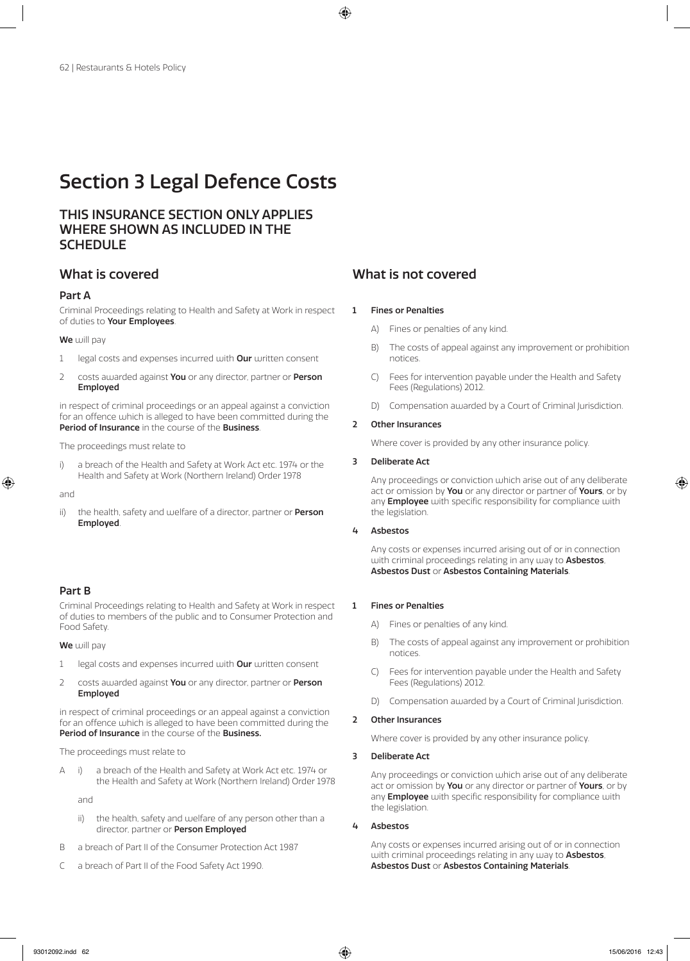# Section 3 Legal Defence Costs

# THIS INSURANCE SECTION ONLY APPLIES WHERE SHOWN AS INCLUDED IN THE **SCHEDULE**

### Part A

Criminal Proceedings relating to Health and Safety at Work in respect of duties to Your Employees.

### We will pay

- 1 legal costs and expenses incurred with **Our** written consent
- 2 costs awarded against You or any director, partner or Person Employed

in respect of criminal proceedings or an appeal against a conviction for an offence which is alleged to have been committed during the Period of Insurance in the course of the Business.

The proceedings must relate to

i) a breach of the Health and Safety at Work Act etc. 1974 or the Health and Safety at Work (Northern Ireland) Order 1978

and

ii) the health, safety and welfare of a director, partner or Person Employed.

### Part B

Criminal Proceedings relating to Health and Safety at Work in respect of duties to members of the public and to Consumer Protection and Food Safety.

### We will pay

- 1 legal costs and expenses incurred with **Our** written consent
- 2 costs awarded against You or any director, partner or Person Employed

in respect of criminal proceedings or an appeal against a conviction for an offence which is alleged to have been committed during the **Period of Insurance** in the course of the **Business.** 

The proceedings must relate to

A i) a breach of the Health and Safety at Work Act etc. 1974 or the Health and Safety at Work (Northern Ireland) Order 1978

and

- ii) the health, safety and welfare of any person other than a director, partner or **Person Employed**
- B a breach of Part II of the Consumer Protection Act 1987
- C a breach of Part II of the Food Safety Act 1990.

# What is covered What is not covered

### 1 Fines or Penalties

- A) Fines or penalties of any kind.
- B) The costs of appeal against any improvement or prohibition notices.
- C) Fees for intervention payable under the Health and Safety Fees (Regulations) 2012.
- D) Compensation awarded by a Court of Criminal Jurisdiction.

### 2 Other Insurances

Where cover is provided by any other insurance policy.

### 3 Deliberate Act

Any proceedings or conviction which arise out of any deliberate act or omission by You or any director or partner of Yours, or by any **Employee** with specific responsibility for compliance with the legislation.

### 4 Asbestos

Any costs or expenses incurred arising out of or in connection with criminal proceedings relating in any way to **Asbestos**, Asbestos Dust or Asbestos Containing Materials.

### 1 Fines or Penalties

- A) Fines or penalties of any kind.
- B) The costs of appeal against any improvement or prohibition notices.
- C) Fees for intervention payable under the Health and Safety Fees (Regulations) 2012.
- D) Compensation awarded by a Court of Criminal Jurisdiction.

### 2 Other Insurances

Where cover is provided by any other insurance policy.

### 3 Deliberate Act

Any proceedings or conviction which arise out of any deliberate act or omission by You or any director or partner of Yours, or by any **Employee** with specific responsibility for compliance with the legislation.

### 4 Asbestos

Any costs or expenses incurred arising out of or in connection with criminal proceedings relating in any way to **Asbestos**, Asbestos Dust or Asbestos Containing Materials.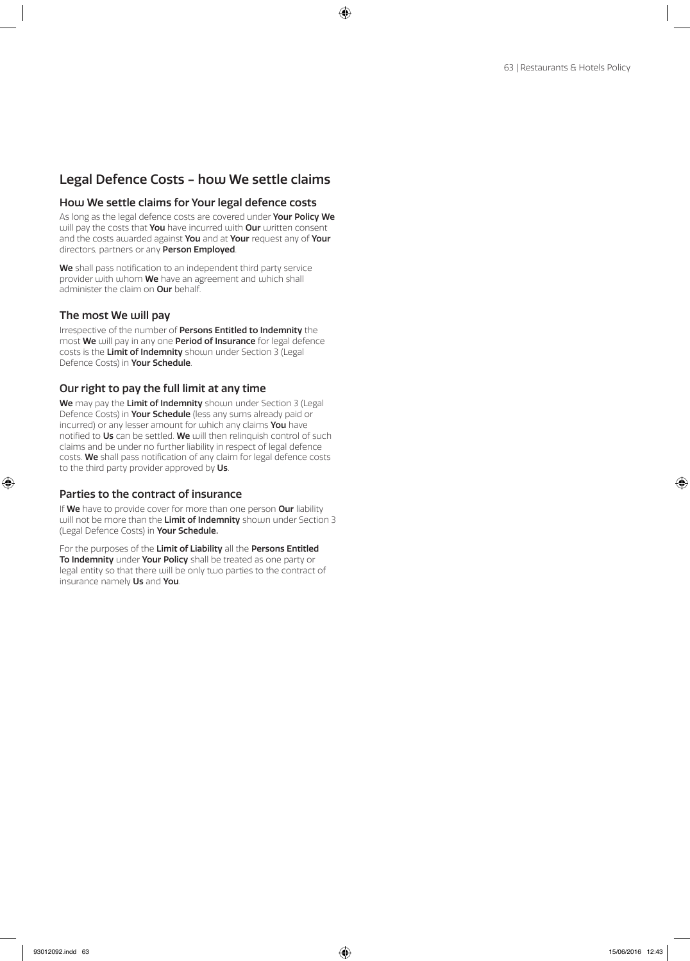# Legal Defence Costs - how We settle claims

## How We settle claims for Your legal defence costs

As long as the legal defence costs are covered under Your Policy We will pay the costs that **You** have incurred with **Our** written consent and the costs awarded against You and at Your request any of Your directors, partners or any **Person Employed**.

We shall pass notification to an independent third party service provider with whom We have an agreement and which shall administer the claim on **Our** behalf.

# The most We will pay

Irrespective of the number of Persons Entitled to Indemnity the most We will pay in any one Period of Insurance for legal defence costs is the Limit of Indemnity shown under Section 3 (Legal Defence Costs) in Your Schedule.

### Our right to pay the full limit at any time

We may pay the Limit of Indemnity shown under Section 3 (Legal Defence Costs) in Your Schedule (less any sums already paid or incurred) or any lesser amount for which any claims You have notified to Us can be settled. We will then relinquish control of such claims and be under no further liability in respect of legal defence costs. We shall pass notification of any claim for legal defence costs to the third party provider approved by Us.

## Parties to the contract of insurance

If We have to provide cover for more than one person Our liability will not be more than the Limit of Indemnity shown under Section 3 (Legal Defence Costs) in Your Schedule.

For the purposes of the Limit of Liability all the Persons Entitled To Indemnity under Your Policy shall be treated as one party or legal entity so that there will be only two parties to the contract of insurance namely Us and You.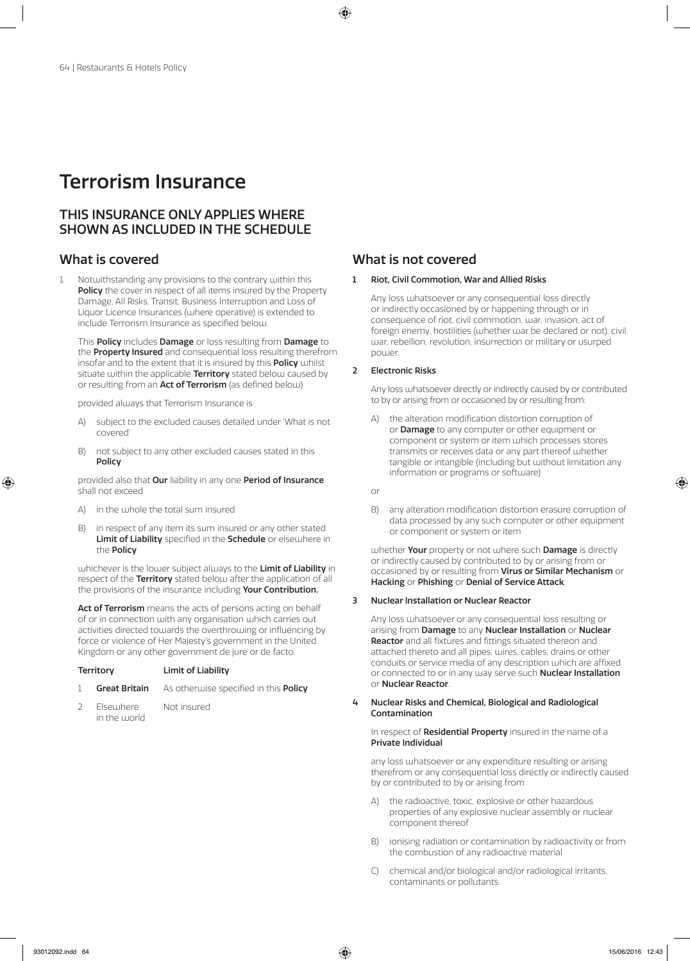# Terrorism Insurance

# THIS INSURANCE ONLY APPLIES WHERE SHOWN AS INCLUDED IN THE SCHEDULE

Notwithstanding any provisions to the contrary within this Policy the cover in respect of all items insured by the Property Damage, All Risks, Transit, Business Interruption and Loss of Liquor Licence Insurances (where operative) is extended to include Terrorism Insurance as specified below.

This Policy includes Damage or loss resulting from Damage to the **Property Insured** and consequential loss resulting therefrom insofar and to the extent that it is insured by this **Policy** whilst situate within the applicable Territory stated below caused by or resulting from an Act of Terrorism (as defined below)

provided always that Terrorism Insurance is

- A) subject to the excluded causes detailed under 'What is not covered'
- B) not subject to any other excluded causes stated in this Policy

provided also that Our liability in any one Period of Insurance shall not exceed

- A) in the whole the total sum insured
- B) in respect of any item its sum insured or any other stated Limit of Liability specified in the Schedule or elsewhere in the Policy

whichever is the lower subject always to the Limit of Liability in respect of the Territory stated below after the application of all the provisions of the insurance including Your Contribution.

Act of Terrorism means the acts of persons acting on behalf of or in connection with any organisation which carries out activities directed towards the overthrowing or influencing by force or violence of Her Majesty's government in the United Kingdom or any other government de jure or de facto.

### Territory Limit of Liability

- 1 Great Britain As otherwise specified in this Policy
- 2 Elsewhere Not insured in the world

# What is covered What is not covered

### 1 Riot, Civil Commotion, War and Allied Risks

Any loss whatsoever or any consequential loss directly or indirectly occasioned by or happening through or in consequence of riot, civil commotion, war, invasion, act of foreign enemy, hostilities (whether war be declared or not), civil war, rebellion, revolution, insurrection or military or usurped power

### 2 Electronic Risks

 Any loss whatsoever directly or indirectly caused by or contributed to by or arising from or occasioned by or resulting from:

A) the alteration modification distortion corruption of or **Damage** to any computer or other equipment or component or system or item which processes stores transmits or receives data or any part thereof whether tangible or intangible (including but without limitation any information or programs or software)

or

B) any alteration modification distortion erasure corruption of data processed by any such computer or other equipment or component or system or item

whether **Your** property or not where such **Damage** is directly or indirectly caused by contributed to by or arising from or occasioned by or resulting from Virus or Similar Mechanism or Hacking or Phishing or Denial of Service Attack.

### 3 Nuclear Installation or Nuclear Reactor

Any loss whatsoever or any consequential loss resulting or arising from Damage to any Nuclear Installation or Nuclear **Reactor** and all fixtures and fittings situated thereon and attached thereto and all pipes, wires, cables, drains or other conduits or service media of any description which are affixed or connected to or in any way serve such **Nuclear Installation** or Nuclear Reactor.

### 4 Nuclear Risks and Chemical, Biological and Radiological Contamination

In respect of Residential Property insured in the name of a Private Individual

any loss whatsoever or any expenditure resulting or arising therefrom or any consequential loss directly or indirectly caused by or contributed to by or arising from

- A) the radioactive, toxic, explosive or other hazardous properties of any explosive nuclear assembly or nuclear component thereof
- B) ionising radiation or contamination by radioactivity or from the combustion of any radioactive material
- C) chemical and/or biological and/or radiological irritants, contaminants or pollutants.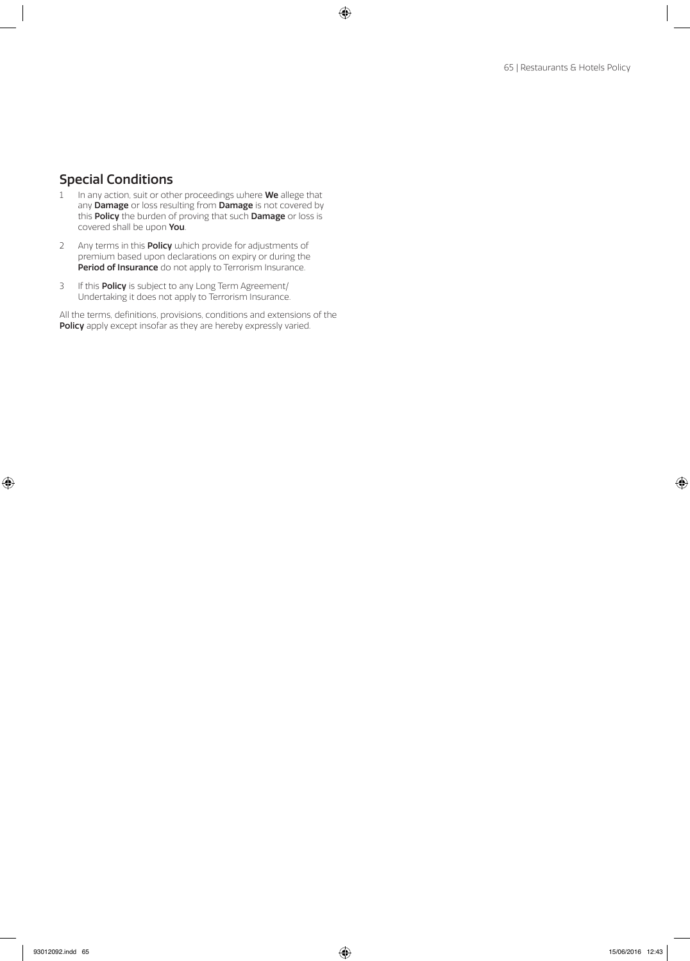# Special Conditions

- 1 In any action, suit or other proceedings where We allege that any **Damage** or loss resulting from **Damage** is not covered by this **Policy** the burden of proving that such **Damage** or loss is covered shall be upon You.
- 2 Any terms in this **Policy** which provide for adjustments of premium based upon declarations on expiry or during the Period of Insurance do not apply to Terrorism Insurance.
- 3 If this **Policy** is subject to any Long Term Agreement/ Undertaking it does not apply to Terrorism Insurance.

All the terms, definitions, provisions, conditions and extensions of the Policy apply except insofar as they are hereby expressly varied.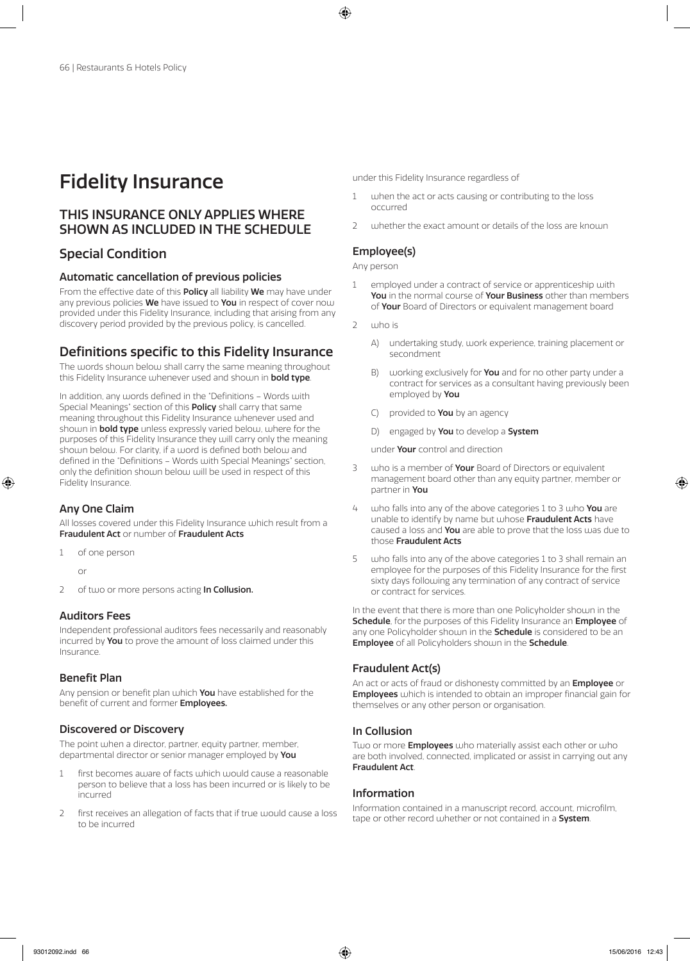# Fidelity Insurance

# THIS INSURANCE ONLY APPLIES WHERE SHOWN AS INCLUDED IN THE SCHEDULE

# Special Condition

# Automatic cancellation of previous policies

From the effective date of this Policy all liability We may have under any previous policies We have issued to You in respect of cover now provided under this Fidelity Insurance, including that arising from any discovery period provided by the previous policy, is cancelled.

# Definitions specific to this Fidelity Insurance

The words shown below shall carry the same meaning throughout this Fidelity Insurance whenever used and shown in **bold type**.

In addition, any words defined in the "Definitions – Words with Special Meanings" section of this **Policy** shall carry that same meaning throughout this Fidelity Insurance whenever used and shown in **bold type** unless expressly varied below, where for the purposes of this Fidelity Insurance they will carry only the meaning shown below. For clarity, if a word is defined both below and defined in the "Definitions – Words with Special Meanings" section, only the definition shown below will be used in respect of this Fidelity Insurance.

## Any One Claim

All losses covered under this Fidelity Insurance which result from a Fraudulent Act or number of Fraudulent Acts

- 1 of one person
	- or
- 2 of two or more persons acting In Collusion.

### Auditors Fees

Independent professional auditors fees necessarily and reasonably incurred by You to prove the amount of loss claimed under this Insurance.

### Benefit Plan

Any pension or benefit plan which You have established for the benefit of current and former Employees.

## Discovered or Discovery

The point when a director, partner, equity partner, member, departmental director or senior manager employed by You

- 1 first becomes aware of facts which would cause a reasonable person to believe that a loss has been incurred or is likely to be incurred
- 2 first receives an allegation of facts that if true would cause a loss to be incurred

under this Fidelity Insurance regardless of

- when the act or acts causing or contributing to the loss occurred
- 2 unhether the exact amount or details of the loss are known

## Employee(s)

Any person

- 1 employed under a contract of service or apprenticeship with You in the normal course of Your Business other than members of Your Board of Directors or equivalent management board
- $2$  who is
	- A) undertaking study, work experience, training placement or secondment
	- B) working exclusively for **You** and for no other party under a contract for services as a consultant having previously been employed by You
	- C) provided to **You** by an agency
	- D) engaged by **You** to develop a **System**

under Your control and direction

- 3 who is a member of **Your** Board of Directors or equivalent management board other than any equity partner, member or partner in You
- 4 who falls into any of the above categories 1 to 3 who You are unable to identify by name but whose Fraudulent Acts have caused a loss and You are able to prove that the loss was due to those Fraudulent Acts
- 5 who falls into any of the above categories 1 to 3 shall remain an employee for the purposes of this Fidelity Insurance for the first sixty days following any termination of any contract of service or contract for services.

In the event that there is more than one Policyholder shown in the Schedule, for the purposes of this Fidelity Insurance an Employee of any one Policyholder shown in the **Schedule** is considered to be an Employee of all Policyholders shown in the Schedule.

## Fraudulent Act(s)

An act or acts of fraud or dishonesty committed by an Employee or **Employees** which is intended to obtain an improper financial gain for themselves or any other person or organisation.

### In Collusion

Two or more **Employees** who materially assist each other or who are both involved, connected, implicated or assist in carrying out any Fraudulent Act.

### Information

Information contained in a manuscript record, account, microfilm, tape or other record whether or not contained in a System.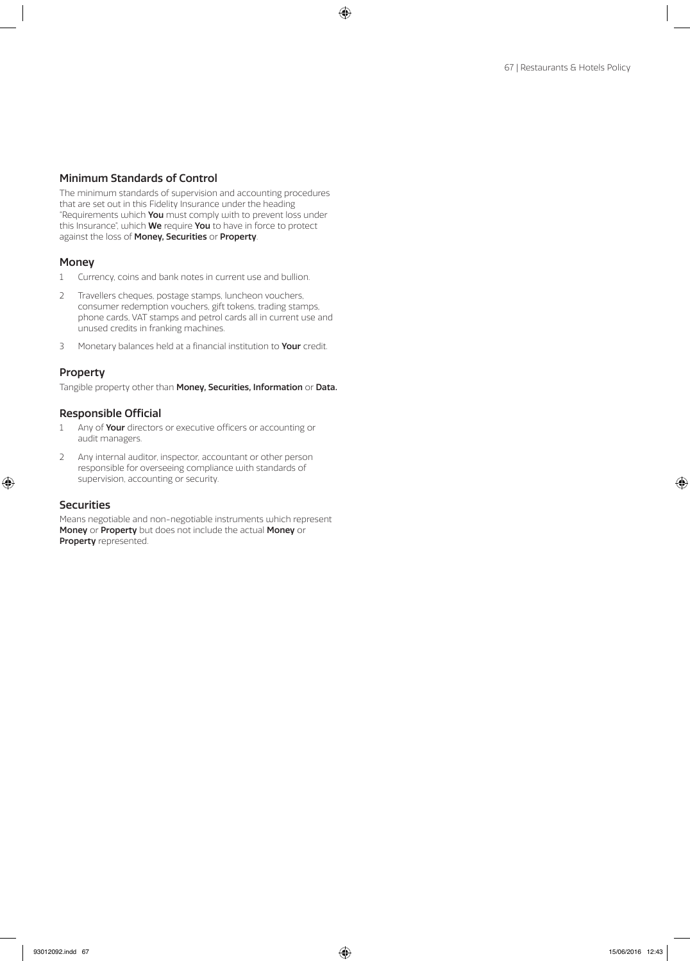### Minimum Standards of Control

The minimum standards of supervision and accounting procedures that are set out in this Fidelity Insurance under the heading "Requirements which You must comply with to prevent loss under this Insurance", which We require You to have in force to protect against the loss of Money, Securities or Property.

### Money

- 1 Currency, coins and bank notes in current use and bullion.
- 2 Travellers cheques, postage stamps, luncheon vouchers, consumer redemption vouchers, gift tokens, trading stamps, phone cards, VAT stamps and petrol cards all in current use and unused credits in franking machines.
- 3 Monetary balances held at a financial institution to **Your** credit.

### Property

Tangible property other than Money, Securities, Information or Data.

## Responsible Official

- 1 Any of Your directors or executive officers or accounting or audit managers.
- 2 Any internal auditor, inspector, accountant or other person responsible for overseeing compliance with standards of supervision, accounting or security.

### **Securities**

Means negotiable and non-negotiable instruments which represent Money or Property but does not include the actual Money or Property represented.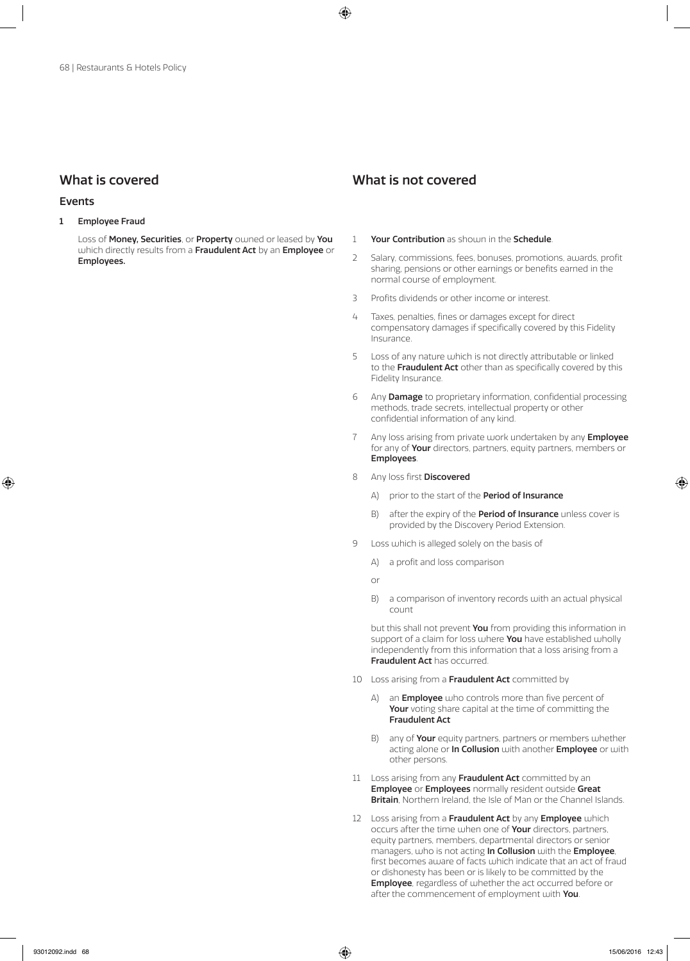### Events

### 1 Employee Fraud

Loss of Money, Securities, or Property owned or leased by You which directly results from a Fraudulent Act by an Employee or Employees.

## What is covered What is not covered

### 1 Your Contribution as shown in the Schedule.

- 2 Salary, commissions, fees, bonuses, promotions, awards, profit sharing, pensions or other earnings or benefits earned in the normal course of employment.
- 3 Profits dividends or other income or interest.
- 4 Taxes, penalties, fines or damages except for direct compensatory damages if specifically covered by this Fidelity Insurance.
- 5 Loss of any nature which is not directly attributable or linked to the Fraudulent Act other than as specifically covered by this Fidelity Insurance.
- 6 Any Damage to proprietary information, confidential processing methods, trade secrets, intellectual property or other confidential information of any kind.
- 7 Any loss arising from private work undertaken by any **Employee** for any of Your directors, partners, equity partners, members or Employees.
- 8 Any loss first **Discovered** 
	- A) prior to the start of the **Period of Insurance**
	- B) after the expiry of the **Period of Insurance** unless cover is provided by the Discovery Period Extension.
- 9 Loss which is alleged solely on the basis of
	- A) a profit and loss comparison
	- or
	- B) a comparison of inventory records with an actual physical count

but this shall not prevent You from providing this information in support of a claim for loss where You have established wholly independently from this information that a loss arising from a Fraudulent Act has occurred.

- 10 Loss arising from a Fraudulent Act committed by
	- A) an **Employee** who controls more than five percent of Your voting share capital at the time of committing the Fraudulent Act
	- B) any of **Your** equity partners, partners or members whether acting alone or In Collusion with another Employee or with other persons.
- 11 Loss arising from any Fraudulent Act committed by an Employee or Employees normally resident outside Great Britain, Northern Ireland, the Isle of Man or the Channel Islands.
- 12 Loss arising from a Fraudulent Act by any Employee which occurs after the time when one of Your directors, partners, equity partners, members, departmental directors or senior managers, who is not acting In Collusion with the Employee, first becomes aware of facts which indicate that an act of fraud or dishonesty has been or is likely to be committed by the **Employee**, regardless of whether the act occurred before or after the commencement of employment with You.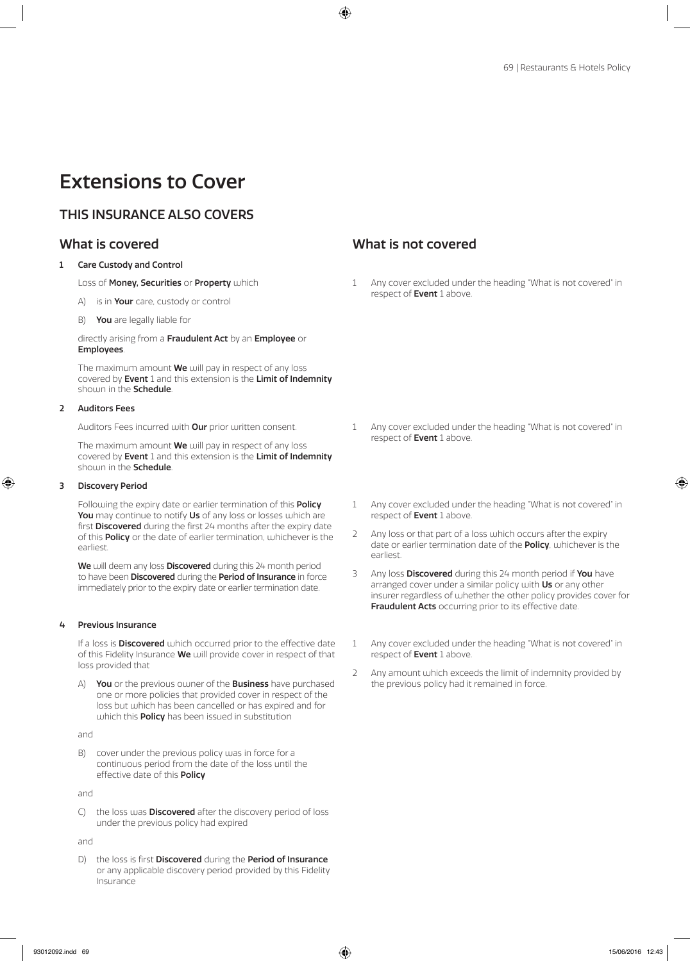# Extensions to Cover

# THIS INSURANCE ALSO COVERS

### 1 Care Custody and Control

Loss of Money, Securities or Property which

- A) is in **Your** care, custody or control
- B) You are legally liable for

directly arising from a Fraudulent Act by an Employee or Employees.

The maximum amount **We** will pay in respect of any loss covered by Event 1 and this extension is the Limit of Indemnity should in the Schedule.

### **Auditors Fees**

Auditors Fees incurred with **Our** prior written consent.

The maximum amount **We** will pay in respect of any loss covered by Event 1 and this extension is the Limit of Indemnity shouln in the **Schedule**.

### 3 Discovery Period

Following the expiry date or earlier termination of this **Policy** You may continue to notify Us of any loss or losses which are first Discovered during the first 24 months after the expiry date of this Policy or the date of earlier termination, whichever is the earliest.

We will deem any loss Discovered during this 24 month period to have been **Discovered** during the **Period of Insurance** in force immediately prior to the expiry date or earlier termination date.

### 4 Previous Insurance

If a loss is **Discovered** which occurred prior to the effective date of this Fidelity Insurance We will provide cover in respect of that loss provided that

A) You or the previous owner of the Business have purchased one or more policies that provided cover in respect of the loss but which has been cancelled or has expired and for which this **Policy** has been issued in substitution

and

B) cover under the previous policy was in force for a continuous period from the date of the loss until the effective date of this Policy

and

C) the loss was **Discovered** after the discovery period of loss under the previous policy had expired

and

D) the loss is first Discovered during the Period of Insurance or any applicable discovery period provided by this Fidelity Insurance

# What is covered What is not covered

1 Any cover excluded under the heading "What is not covered" in respect of **Event** 1 above.

- 1 Any cover excluded under the heading "What is not covered" in respect of **Event** 1 above.
- 1 Any cover excluded under the heading "What is not covered" in respect of **Event** 1 above.
- 2 Any loss or that part of a loss which occurs after the expiry date or earlier termination date of the Policy, whichever is the earliest.
- 3 Any loss **Discovered** during this 24 month period if **You** have arranged cover under a similar policy with Us or any other insurer regardless of whether the other policy provides cover for Fraudulent Acts occurring prior to its effective date.
- 1 Any cover excluded under the heading "What is not covered" in respect of Event 1 above.
- 2 Any amount which exceeds the limit of indemnity provided by the previous policy had it remained in force.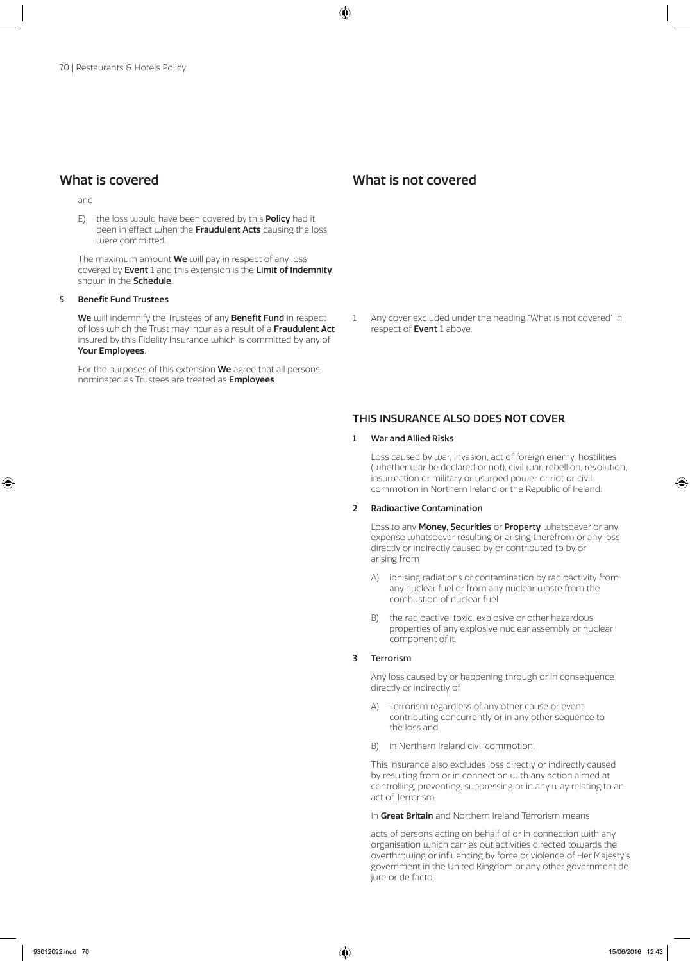and

E) the loss would have been covered by this **Policy** had it been in effect when the Fraudulent Acts causing the loss were committed.

The maximum amount **We** will pay in respect of any loss covered by Event 1 and this extension is the Limit of Indemnity shown in the Schedule.

### 5 Benefit Fund Trustees

We will indemnify the Trustees of any Benefit Fund in respect of loss which the Trust may incur as a result of a Fraudulent Act insured by this Fidelity Insurance which is committed by any of Your Employees.

For the purposes of this extension We agree that all persons nominated as Trustees are treated as Employees.

# What is covered What is not covered

1 Any cover excluded under the heading "What is not covered" in respect of Event 1 above.

### THIS INSURANCE ALSO DOES NOT COVER

### 1 War and Allied Risks

 Loss caused by war, invasion, act of foreign enemy, hostilities (whether war be declared or not), civil war, rebellion, revolution, insurrection or military or usurped power or riot or civil commotion in Northern Ireland or the Republic of Ireland.

### 2 Radioactive Contamination

Loss to any **Money, Securities** or **Property** whatsoever or any expense whatsoever resulting or arising therefrom or any loss directly or indirectly caused by or contributed to by or arising from

- A) ionising radiations or contamination by radioactivity from any nuclear fuel or from any nuclear waste from the combustion of nuclear fuel
- B) the radioactive, toxic, explosive or other hazardous properties of any explosive nuclear assembly or nuclear component of it.

### 3 Terrorism

 Any loss caused by or happening through or in consequence directly or indirectly of

- A) Terrorism regardless of any other cause or event contributing concurrently or in any other sequence to the loss and
- B) in Northern Ireland civil commotion.

 This Insurance also excludes loss directly or indirectly caused by resulting from or in connection with any action aimed at controlling, preventing, suppressing or in any way relating to an act of Terrorism.

In Great Britain and Northern Ireland Terrorism means

 acts of persons acting on behalf of or in connection with any organisation which carries out activities directed towards the overthrowing or influencing by force or violence of Her Majesty's government in the United Kingdom or any other government de jure or de facto.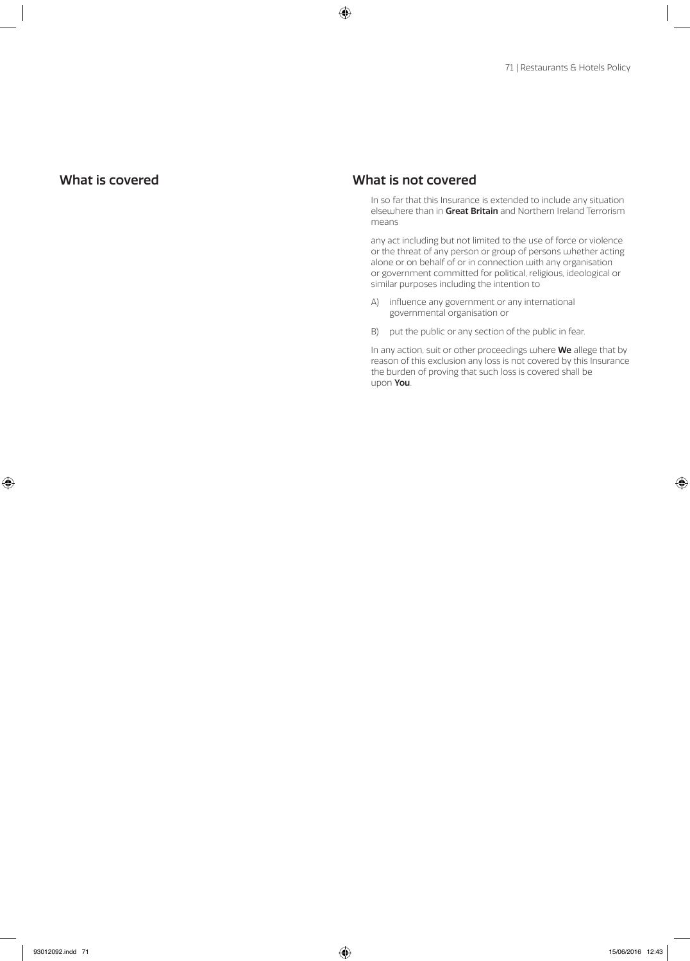# What is covered What is not covered

 In so far that this Insurance is extended to include any situation elsewhere than in Great Britain and Northern Ireland Terrorism means

 any act including but not limited to the use of force or violence or the threat of any person or group of persons whether acting alone or on behalf of or in connection with any organisation or government committed for political, religious, ideological or similar purposes including the intention to

- A) influence any government or any international governmental organisation or
- B) put the public or any section of the public in fear.

In any action, suit or other proceedings where We allege that by reason of this exclusion any loss is not covered by this Insurance the burden of proving that such loss is covered shall be upon You.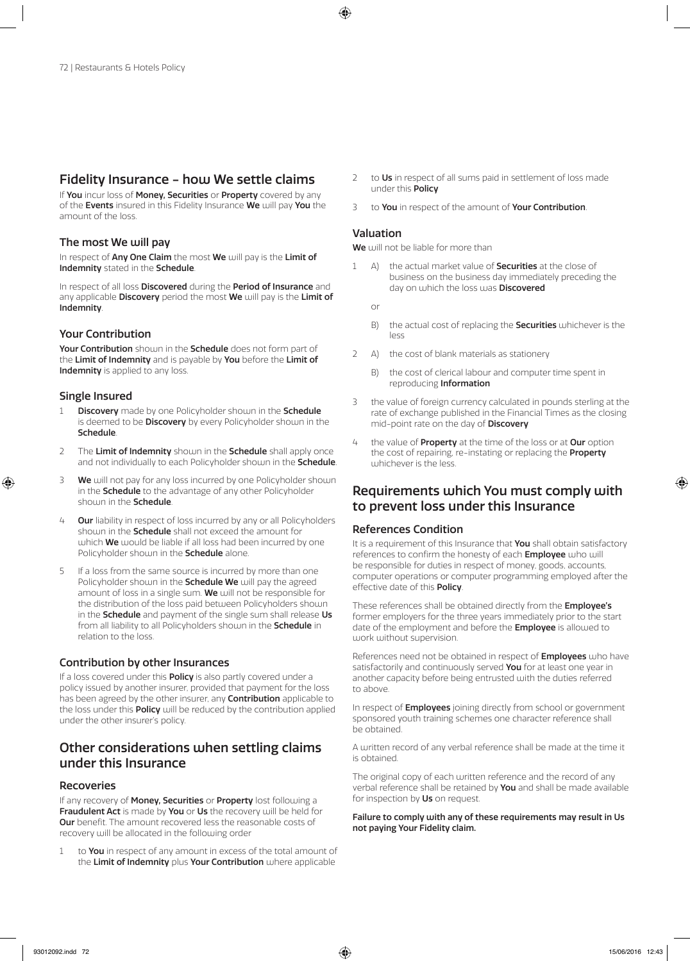# Fidelity Insurance - how We settle claims

If You incur loss of Money, Securities or Property covered by any of the Events insured in this Fidelity Insurance We will pay You the amount of the loss.

### The most We will pay

In respect of Any One Claim the most We will pay is the Limit of Indemnity stated in the Schedule.

In respect of all loss Discovered during the Period of Insurance and any applicable **Discovery** period the most **We** will pay is the **Limit of** Indemnity.

## Your Contribution

Your Contribution shoum in the Schedule does not form part of the Limit of Indemnity and is payable by You before the Limit of Indemnity is applied to any loss.

## Single Insured

- Discovery made by one Policyholder shown in the Schedule is deemed to be **Discovery** by every Policyholder shown in the Schedule.
- 2 The Limit of Indemnity shown in the Schedule shall apply once and not individually to each Policyholder shown in the Schedule.
- 3 We will not pay for any loss incurred by one Policyholder shown in the **Schedule** to the advantage of any other Policyholder shown in the **Schedule**.
- 4 Our liability in respect of loss incurred by any or all Policyholders shown in the **Schedule** shall not exceed the amount for which **We** would be liable if all loss had been incurred by one Policyholder shown in the **Schedule** alone.
- 5 If a loss from the same source is incurred by more than one Policyholder shown in the **Schedule We** will pay the agreed amount of loss in a single sum. We will not be responsible for the distribution of the loss paid between Policyholders shown in the **Schedule** and payment of the single sum shall release Us from all liability to all Policyholders shown in the **Schedule** in relation to the loss.

### Contribution by other Insurances

If a loss covered under this **Policy** is also partly covered under a policy issued by another insurer, provided that payment for the loss has been agreed by the other insurer, any **Contribution** applicable to the loss under this **Policy** will be reduced by the contribution applied under the other insurer's policy.

# Other considerations when settling claims under this Insurance

### Recoveries

If any recovery of Money, Securities or Property lost following a Fraudulent Act is made by You or Us the recovery will be held for **Our** benefit. The amount recovered less the reasonable costs of recovery will be allocated in the following order

1 to You in respect of any amount in excess of the total amount of the Limit of Indemnity plus Your Contribution where applicable

- 2 to Us in respect of all sums paid in settlement of loss made under this **Policy**
- to You in respect of the amount of Your Contribution.

## Valuation

We will not be liable for more than

1 A) the actual market value of **Securities** at the close of business on the business day immediately preceding the day on which the loss was **Discovered** 

or

- B) the actual cost of replacing the **Securities** whichever is the less
- 2 A) the cost of blank materials as stationery
	- B) the cost of clerical labour and computer time spent in reproducing Information
- 3 the value of foreign currency calculated in pounds sterling at the rate of exchange published in the Financial Times as the closing mid-point rate on the day of **Discovery**
- 4 the value of **Property** at the time of the loss or at **Our** option the cost of repairing, re-instating or replacing the Property whichever is the less.

# Requirements which You must comply with to prevent loss under this Insurance

### References Condition

It is a requirement of this Insurance that **You** shall obtain satisfactory references to confirm the honesty of each **Employee** who will be responsible for duties in respect of money, goods, accounts, computer operations or computer programming employed after the effective date of this Policy.

These references shall be obtained directly from the **Employee's** former employers for the three years immediately prior to the start date of the employment and before the **Employee** is allowed to work without supervision.

References need not be obtained in respect of **Employees** who have satisfactorily and continuously served You for at least one year in another capacity before being entrusted with the duties referred to above.

In respect of **Employees** joining directly from school or government sponsored youth training schemes one character reference shall be obtained.

A written record of any verbal reference shall be made at the time it is obtained.

The original copy of each written reference and the record of any verbal reference shall be retained by You and shall be made available for inspection by Us on request.

Failure to comply with any of these requirements may result in Us not paying Your Fidelity claim.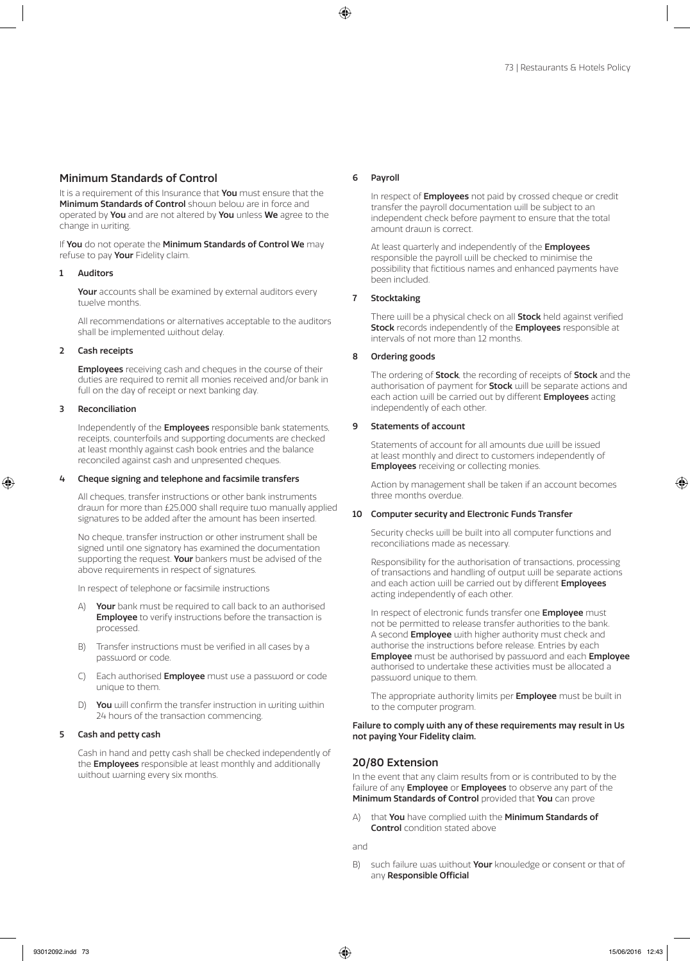#### Minimum Standards of Control

It is a requirement of this Insurance that You must ensure that the Minimum Standards of Control shown below are in force and operated by You and are not altered by You unless We agree to the change in writing.

If You do not operate the Minimum Standards of Control We may refuse to pay **Your** Fidelity claim.

#### 1 Auditors

Your accounts shall be examined by external auditors every twelve months.

 All recommendations or alternatives acceptable to the auditors shall be implemented without delay.

#### 2 Cash receipts

**Employees** receiving cash and cheques in the course of their duties are required to remit all monies received and/or bank in full on the day of receipt or next banking day.

#### 3 Reconciliation

 Independently of the Employees responsible bank statements, receipts, counterfoils and supporting documents are checked at least monthly against cash book entries and the balance reconciled against cash and unpresented cheques.

#### 4 Cheque signing and telephone and facsimile transfers

 All cheques, transfer instructions or other bank instruments drawn for more than £25,000 shall require two manually applied signatures to be added after the amount has been inserted.

 No cheque, transfer instruction or other instrument shall be signed until one signatory has examined the documentation supporting the request. Your bankers must be advised of the above requirements in respect of signatures.

In respect of telephone or facsimile instructions

- A) Your bank must be required to call back to an authorised **Employee** to verify instructions before the transaction is processed.
- B) Transfer instructions must be verified in all cases by a password or code.
- C) Each authorised **Employee** must use a password or code unique to them.
- D) You will confirm the transfer instruction in writing within 24 hours of the transaction commencing.

#### 5 Cash and petty cash

 Cash in hand and petty cash shall be checked independently of the **Employees** responsible at least monthly and additionally without warning every six months.

#### 6 Payroll

In respect of **Employees** not paid by crossed cheque or credit transfer the payroll documentation will be subject to an independent check before payment to ensure that the total amount drawn is correct.

At least quarterly and independently of the Employees responsible the payroll will be checked to minimise the possibility that fictitious names and enhanced payments have been included.

#### 7 Stocktaking

There will be a physical check on all **Stock** held against verified Stock records independently of the Employees responsible at intervals of not more than 12 months.

#### 8 Ordering goods

The ordering of **Stock**, the recording of receipts of **Stock** and the authorisation of payment for **Stock** will be separate actions and each action will be carried out by different **Employees** acting independently of each other.

#### Statements of account

 Statements of account for all amounts due will be issued at least monthly and direct to customers independently of **Employees** receiving or collecting monies.

 Action by management shall be taken if an account becomes three months overdue.

#### 10 Computer security and Electronic Funds Transfer

 Security checks will be built into all computer functions and reconciliations made as necessary.

 Responsibility for the authorisation of transactions, processing of transactions and handling of output will be separate actions and each action will be carried out by different Employees acting independently of each other.

In respect of electronic funds transfer one **Employee** must not be permitted to release transfer authorities to the bank. A second **Employee** with higher authority must check and authorise the instructions before release. Entries by each Employee must be authorised by password and each Employee authorised to undertake these activities must be allocated a password unique to them.

The appropriate authority limits per **Employee** must be built in to the computer program.

#### Failure to comply with any of these requirements may result in Us not paying Your Fidelity claim.

#### 20/80 Extension

In the event that any claim results from or is contributed to by the failure of any **Employee** or **Employees** to observe any part of the Minimum Standards of Control provided that You can prove

A) that You have complied with the Minimum Standards of Control condition stated above

and

B) such failure was without Your knowledge or consent or that of any Responsible Official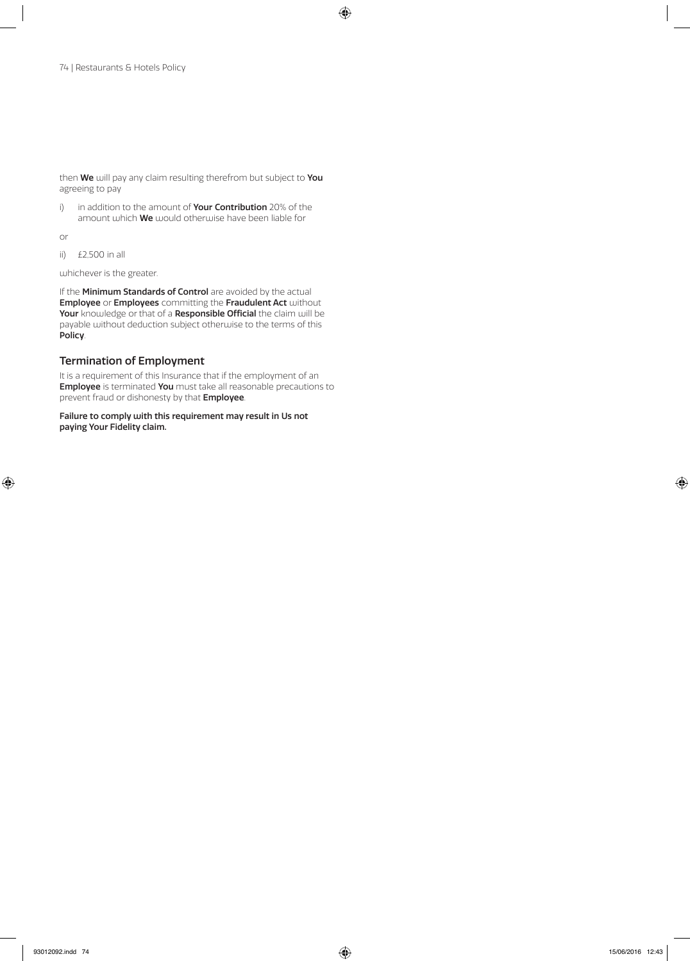then We will pay any claim resulting therefrom but subject to You agreeing to pay

- i) in addition to the amount of **Your Contribution** 20% of the amount which **We** would otherwise have been liable for
- or
- ii) £2,500 in all

whichever is the greater.

If the Minimum Standards of Control are avoided by the actual Employee or Employees committing the Fraudulent Act without Your knowledge or that of a Responsible Official the claim will be payable without deduction subject otherwise to the terms of this Policy.

#### Termination of Employment

It is a requirement of this Insurance that if the employment of an Employee is terminated You must take all reasonable precautions to prevent fraud or dishonesty by that **Employee**.

Failure to comply with this requirement may result in Us not paying Your Fidelity claim.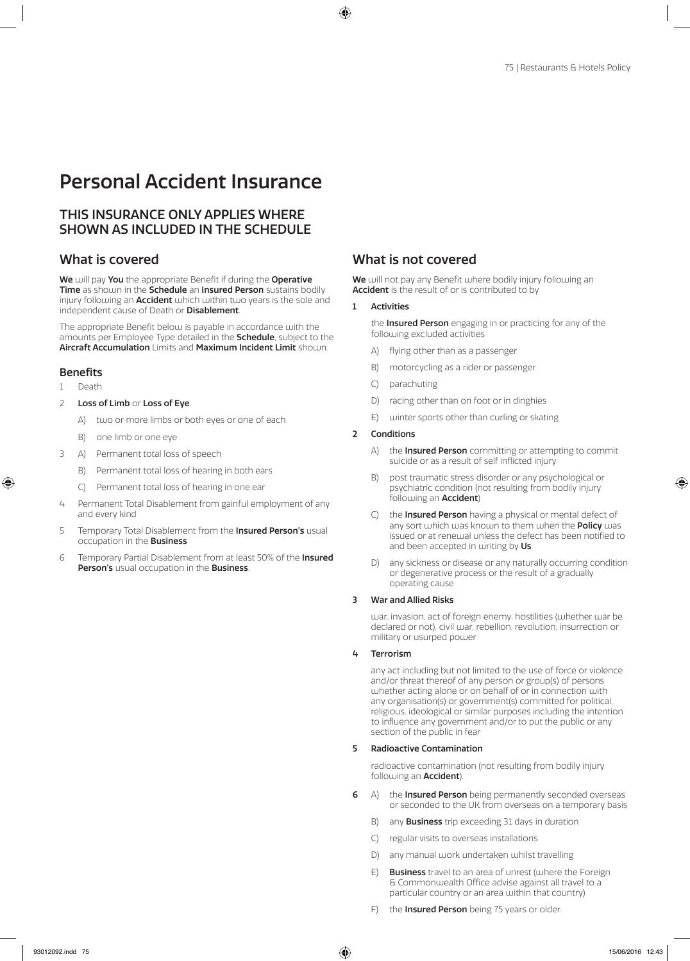# Personal Accident Insurance

# THIS INSURANCE ONLY APPLIES WHERE SHOWN AS INCLUDED IN THE SCHEDULE

We will pay You the appropriate Benefit if during the Operative Time as shown in the Schedule an Insured Person sustains bodily injury following an **Accident** which within two years is the sole and independent cause of Death or **Disablement**.

The appropriate Benefit below is payable in accordance with the amounts per Employee Type detailed in the Schedule, subject to the Aircraft Accumulation Limits and Maximum Incident Limit shoum.

#### Benefits

- 1 Death
- 2 Loss of Limb or Loss of Eye
	- A) two or more limbs or both eyes or one of each
	- B) one limb or one eye
- 3 A) Permanent total loss of speech
	- B) Permanent total loss of hearing in both ears
	- C) Permanent total loss of hearing in one ear
- 4 Permanent Total Disablement from gainful employment of any and every kind
- 5 Temporary Total Disablement from the Insured Person's usual occupation in the Business
- 6 Temporary Partial Disablement from at least 50% of the Insured Person's usual occupation in the Business.

### What is covered What is not covered

We will not pay any Benefit where bodily injury following an Accident is the result of or is contributed to by

#### **Activities**

the Insured Person engaging in or practicing for any of the following excluded activities

- A) flying other than as a passenger
- B) motorcycling as a rider or passenger
- C) parachuting
- D) racing other than on foot or in dinghies
- E) winter sports other than curling or skating

#### 2 Conditions

- A) the **Insured Person** committing or attempting to commit suicide or as a result of self inflicted injury
- B) post traumatic stress disorder or any psychological or psychiatric condition (not resulting from bodily injury following an Accident)
- C) the **Insured Person** having a physical or mental defect of any sort which was known to them when the **Policy** was issued or at renewal unless the defect has been notified to and been accepted in writing by Us
- D) any sickness or disease or any naturally occurring condition or degenerative process or the result of a gradually operating cause

#### 3 War and Allied Risks

war, invasion, act of foreign enemy, hostilities (whether war be declared or not), civil war, rebellion, revolution, insurrection or military or usurped power

#### 4 Terrorism

any act including but not limited to the use of force or violence and/or threat thereof of any person or group(s) of persons whether acting alone or on behalf of or in connection with any organisation(s) or government(s) committed for political, religious, ideological or similar purposes including the intention to influence any government and/or to put the public or any section of the public in fear

#### 5 Radioactive Contamination

radioactive contamination (not resulting from bodily injury following an **Accident**).

- 6 A) the Insured Person being permanently seconded overseas or seconded to the UK from overseas on a temporary basis
	- B) any **Business** trip exceeding 31 days in duration
	- C) regular visits to overseas installations
	- D) any manual work undertaken whilst travelling
	- E) Business travel to an area of unrest (where the Foreign & Commonwealth Office advise against all travel to a particular country or an area within that country)
	- F) the **Insured Person** being 75 years or older.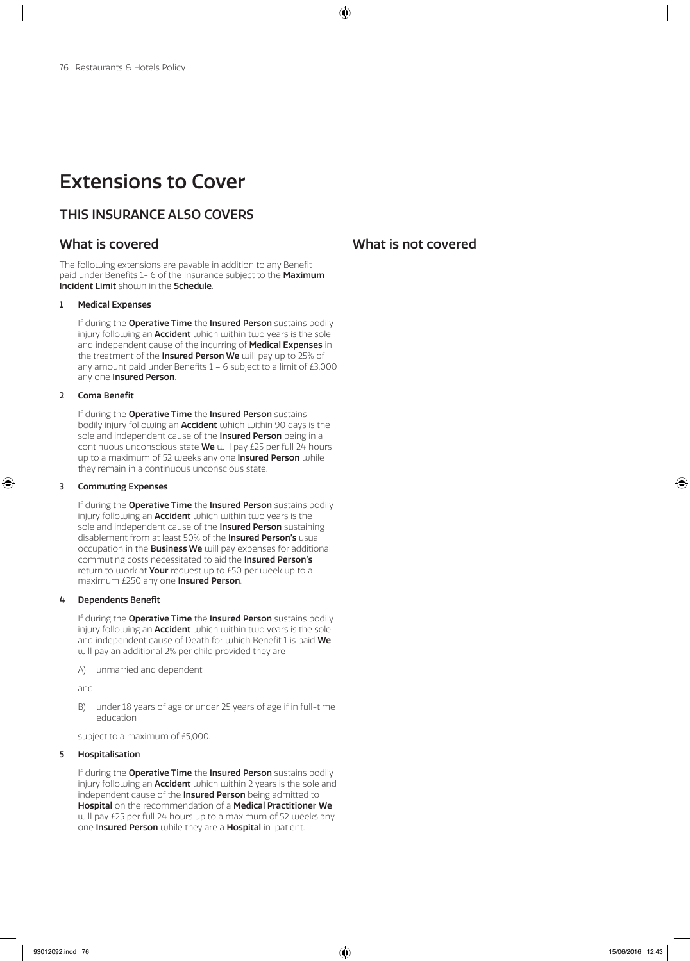# Extensions to Cover

# THIS INSURANCE ALSO COVERS

The following extensions are payable in addition to any Benefit paid under Benefits 1- 6 of the Insurance subject to the Maximum Incident Limit shown in the Schedule.

#### 1 Medical Expenses

If during the Operative Time the Insured Person sustains bodily injury following an **Accident** which within two years is the sole and independent cause of the incurring of **Medical Expenses** in the treatment of the Insured Person We will pay up to 25% of any amount paid under Benefits 1 – 6 subject to a limit of £3,000 any one Insured Person.

#### 2 Coma Benefit

If during the Operative Time the Insured Person sustains bodily injury following an **Accident** which within 90 days is the sole and independent cause of the **Insured Person** being in a continuous unconscious state We will pay £25 per full 24 hours up to a maximum of 52 weeks any one **Insured Person** while they remain in a continuous unconscious state.

#### 3 Commuting Expenses

If during the Operative Time the Insured Person sustains bodily injury following an **Accident** which within two years is the sole and independent cause of the **Insured Person** sustaining disablement from at least 50% of the **Insured Person's** usual occupation in the **Business We** will pay expenses for additional commuting costs necessitated to aid the **Insured Person's** return to work at Your request up to £50 per week up to a maximum £250 any one **Insured Person**.

#### 4 Dependents Benefit

If during the Operative Time the Insured Person sustains bodily injury following an **Accident** which within two years is the sole and independent cause of Death for which Benefit 1 is paid We will pay an additional 2% per child provided they are

A) unmarried and dependent

and

B) under 18 years of age or under 25 years of age if in full-time education

subject to a maximum of £5,000.

#### 5 Hospitalisation

If during the **Operative Time** the **Insured Person** sustains bodily injury following an **Accident** which within 2 years is the sole and independent cause of the **Insured Person** being admitted to Hospital on the recommendation of a Medical Practitioner We will pay £25 per full 24 hours up to a maximum of 52 weeks any one Insured Person while they are a Hospital in-patient.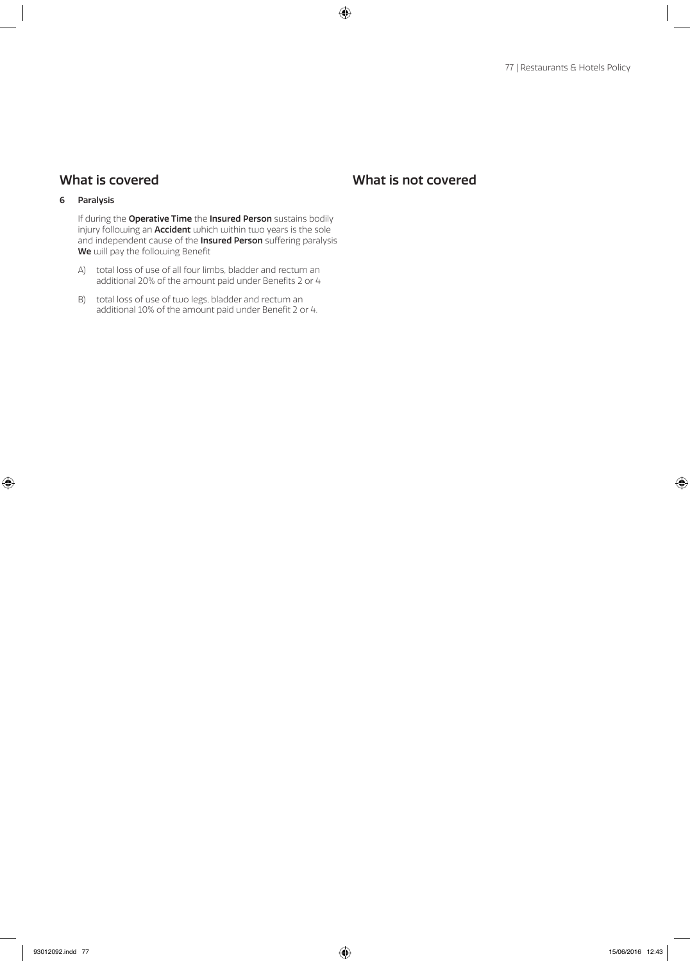# What is covered What is not covered

#### 6 Paralysis

If during the Operative Time the Insured Person sustains bodily injury following an **Accident** which within two years is the sole and independent cause of the Insured Person suffering paralysis We will pay the following Benefit

- A) total loss of use of all four limbs, bladder and rectum an additional 20% of the amount paid under Benefits 2 or 4
- B) total loss of use of two legs, bladder and rectum an additional 10% of the amount paid under Benefit 2 or 4.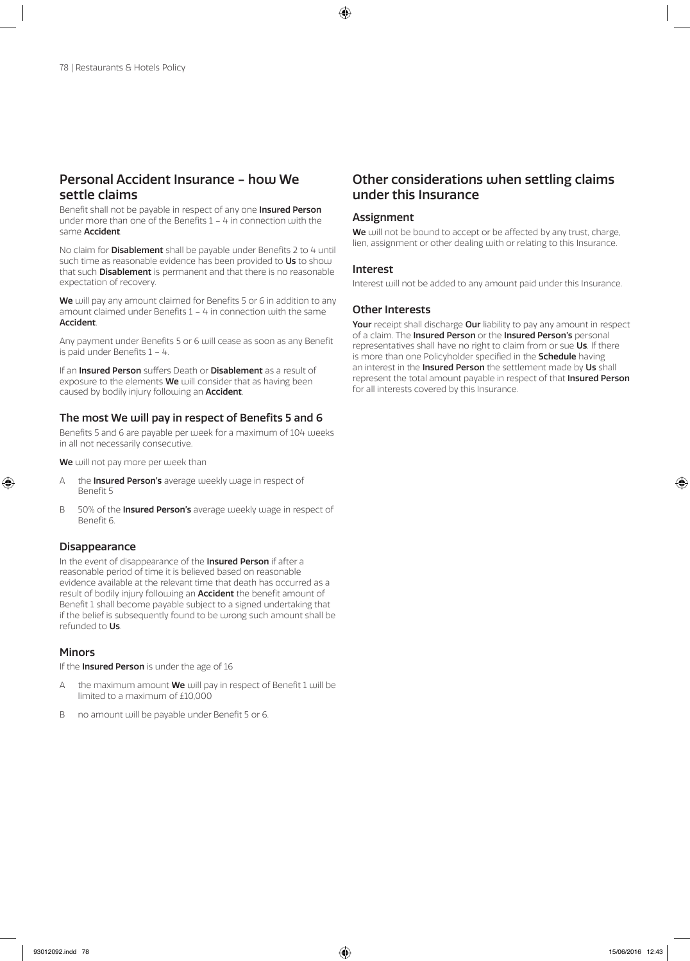### Personal Accident Insurance - how We settle claims

Benefit shall not be payable in respect of any one Insured Person under more than one of the Benefits 1 – 4 in connection with the same Accident.

No claim for **Disablement** shall be payable under Benefits 2 to 4 until such time as reasonable evidence has been provided to Us to show that such Disablement is permanent and that there is no reasonable expectation of recovery.

We will pay any amount claimed for Benefits 5 or 6 in addition to any amount claimed under Benefits 1 – 4 in connection with the same **Accident** 

Any payment under Benefits 5 or 6 will cease as soon as any Benefit is paid under Benefits 1 – 4.

If an **Insured Person** suffers Death or **Disablement** as a result of exposure to the elements **We** will consider that as having been caused by bodily injury following an Accident.

#### The most We will pay in respect of Benefits 5 and 6

Benefits 5 and 6 are payable per week for a maximum of 104 weeks in all not necessarily consecutive.

We will not pay more per week than

- the Insured Person's average weekly wage in respect of Benefit 5
- B 50% of the Insured Person's average weekly wage in respect of Benefit 6.

#### **Disappearance**

In the event of disappearance of the Insured Person if after a reasonable period of time it is believed based on reasonable evidence available at the relevant time that death has occurred as a result of bodily injury following an **Accident** the benefit amount of Benefit 1 shall become payable subject to a signed undertaking that if the belief is subsequently found to be wrong such amount shall be refunded to Us.

#### **Minors**

If the Insured Person is under the age of 16

- A the maximum amount **We** will pay in respect of Benefit 1 will be limited to a maximum of £10,000
- B no amount will be payable under Benefit 5 or 6.

## Other considerations when settling claims under this Insurance

#### Assignment

We will not be bound to accept or be affected by any trust, charge, lien, assignment or other dealing with or relating to this Insurance.

#### Interest

Interest will not be added to any amount paid under this Insurance.

#### Other Interests

Your receipt shall discharge Our liability to pay any amount in respect of a claim. The Insured Person or the Insured Person's personal representatives shall have no right to claim from or sue Us. If there is more than one Policyholder specified in the **Schedule** having an interest in the **Insured Person** the settlement made by Us shall represent the total amount payable in respect of that **Insured Person** for all interests covered by this Insurance.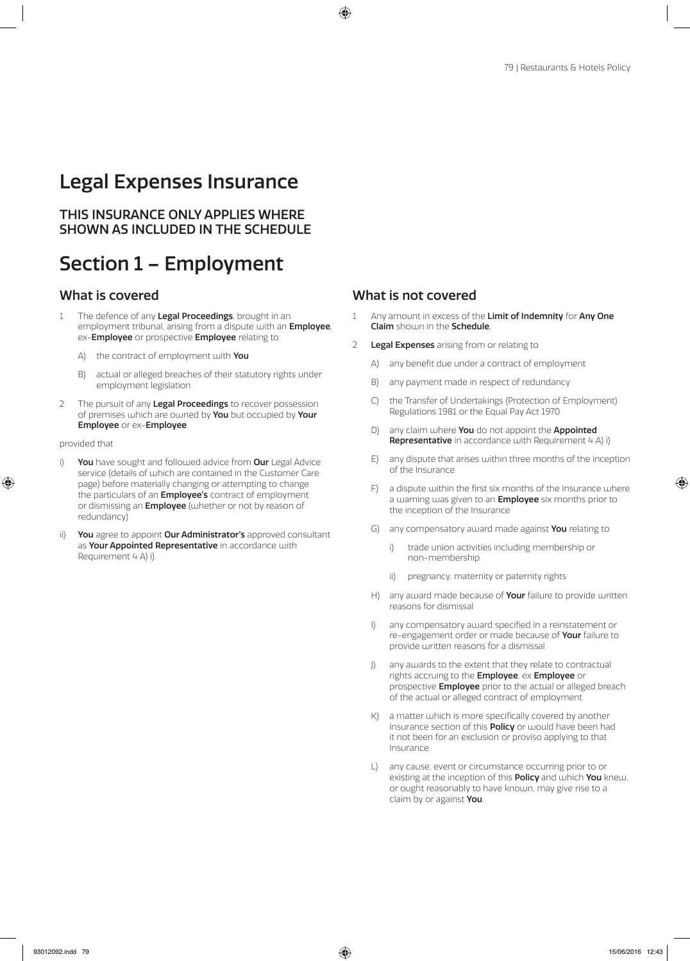# Legal Expenses Insurance

THIS INSURANCE ONLY APPLIES WHERE SHOWN AS INCLUDED IN THE SCHEDULE

# Section 1 – Employment

- The defence of any Legal Proceedings, brought in an employment tribunal, arising from a dispute with an **Employee**, ex-Employee or prospective Employee relating to
	- A) the contract of employment with You
	- B) actual or alleged breaches of their statutory rights under employment legislation
- 2 The pursuit of any Legal Proceedings to recover possession of premises which are owned by You but occupied by Your Employee or ex-Employee

#### provided that

- i) You have sought and followed advice from Our Legal Advice service (details of which are contained in the Customer Care page) before materially changing or attempting to change the particulars of an **Employee's** contract of employment or dismissing an **Employee** (whether or not by reason of redundancy)
- ii) You agree to appoint Our Administrator's approved consultant as Your Appointed Representative in accordance with Requirement 4 A) i).

- 1 Any amount in excess of the Limit of Indemnity for Any One Claim shown in the Schedule.
- 2 Legal Expenses arising from or relating to
	- A) any benefit due under a contract of employment
	- B) any payment made in respect of redundancy
	- C) the Transfer of Undertakings (Protection of Employment) Regulations 1981 or the Equal Pay Act 1970
	- D) any claim where **You** do not appoint the **Appointed Representative** in accordance with Requirement 4 A) i)
	- E) any dispute that arises within three months of the inception of the Insurance
	- F) a dispute within the first six months of the Insurance where a warning was given to an **Employee** six months prior to the inception of the Insurance
	- G) any compensatory award made against You relating to
		- i) trade union activities including membership or non-membership
		- pregnancy, maternity or paternity rights
	- H) any award made because of **Your** failure to provide written reasons for dismissal
	- I) any compensatory award specified in a reinstatement or re-engagement order or made because of Your failure to provide written reasons for a dismissal
	- J) any awards to the extent that they relate to contractual rights accruing to the **Employee**, ex **Employee** or prospective **Employee** prior to the actual or alleged breach of the actual or alleged contract of employment
	- K) a matter which is more specifically covered by another Insurance section of this **Policy** or would have been had it not been for an exclusion or proviso applying to that Insurance
	- L) any cause, event or circumstance occurring prior to or existing at the inception of this Policy and which You knew, or ought reasonably to have known, may give rise to a claim by or against You.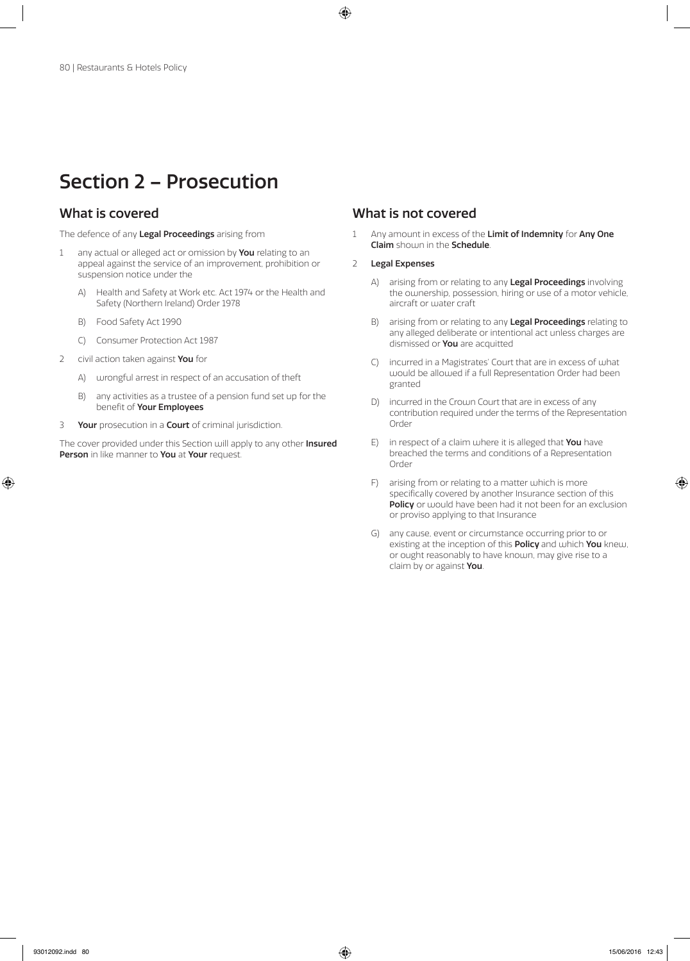# Section 2 – Prosecution

The defence of any Legal Proceedings arising from

- 1 any actual or alleged act or omission by You relating to an appeal against the service of an improvement, prohibition or suspension notice under the
	- A) Health and Safety at Work etc. Act 1974 or the Health and Safety (Northern Ireland) Order 1978
	- B) Food Safety Act 1990
	- C) Consumer Protection Act 1987
- 2 civil action taken against You for
	- A) wrongful arrest in respect of an accusation of theft
	- B) any activities as a trustee of a pension fund set up for the benefit of Your Employees
- 3 Your prosecution in a Court of criminal jurisdiction.

The cover provided under this Section will apply to any other Insured Person in like manner to You at Your request.

#### What is covered What is not covered

1 Any amount in excess of the Limit of Indemnity for Any One Claim shown in the Schedule.

#### 2 Legal Expenses

- A) arising from or relating to any Legal Proceedings involving the ownership, possession, hiring or use of a motor vehicle, aircraft or water craft
- B) arising from or relating to any Legal Proceedings relating to any alleged deliberate or intentional act unless charges are dismissed or You are acquitted
- C) incurred in a Magistrates' Court that are in excess of what would be allowed if a full Representation Order had been granted
- D) incurred in the Crown Court that are in excess of any contribution required under the terms of the Representation Order
- E) in respect of a claim where it is alleged that You have breached the terms and conditions of a Representation Order
- F) arising from or relating to a matter which is more specifically covered by another Insurance section of this Policy or would have been had it not been for an exclusion or proviso applying to that Insurance
- G) any cause, event or circumstance occurring prior to or existing at the inception of this **Policy** and which **You** knew, or ought reasonably to have known, may give rise to a claim by or against You.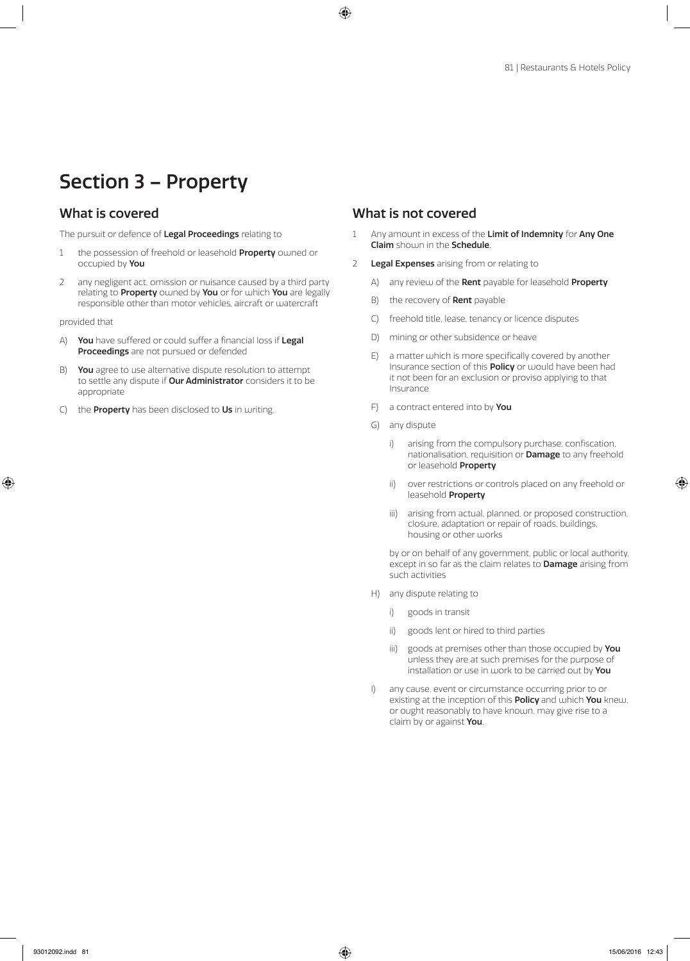# Section 3 – Property

The pursuit or defence of Legal Proceedings relating to

- 1 the possession of freehold or leasehold **Property** owned or occupied by You
- 2 any negligent act, omission or nuisance caused by a third party relating to **Property** owned by **You** or for which You are legally responsible other than motor vehicles, aircraft or watercraft

provided that

- A) You have suffered or could suffer a financial loss if Legal Proceedings are not pursued or defended
- B) You agree to use alternative dispute resolution to attempt to settle any dispute if **Our Administrator** considers it to be appropriate
- C) the Property has been disclosed to Us in writing.

#### What is covered What is not covered

- 1 Any amount in excess of the Limit of Indemnity for Any One Claim shown in the Schedule.
- 2 Legal Expenses arising from or relating to
	- A) any review of the Rent payable for leasehold Property
	- B) the recovery of **Rent** payable
	- C) freehold title, lease, tenancy or licence disputes
	- D) mining or other subsidence or heave
	- E) a matter which is more specifically covered by another Insurance section of this Policy or would have been had it not been for an exclusion or proviso applying to that Insurance
	- F) a contract entered into by You
	- G) any dispute
		- i) arising from the compulsory purchase, confiscation, nationalisation, requisition or **Damage** to any freehold or leasehold Property
		- ii) over restrictions or controls placed on any freehold or leasehold Property
		- iii) arising from actual, planned, or proposed construction, closure, adaptation or repair of roads, buildings, housing or other works

by or on behalf of any government, public or local authority, except in so far as the claim relates to **Damage** arising from such activities

- H) any dispute relating to
	- i) goods in transit
	- ii) goods lent or hired to third parties
	- iii) goods at premises other than those occupied by You unless they are at such premises for the purpose of installation or use in work to be carried out by You
- I) any cause, event or circumstance occurring prior to or existing at the inception of this **Policy** and which **You** knew, or ought reasonably to have known, may give rise to a claim by or against You.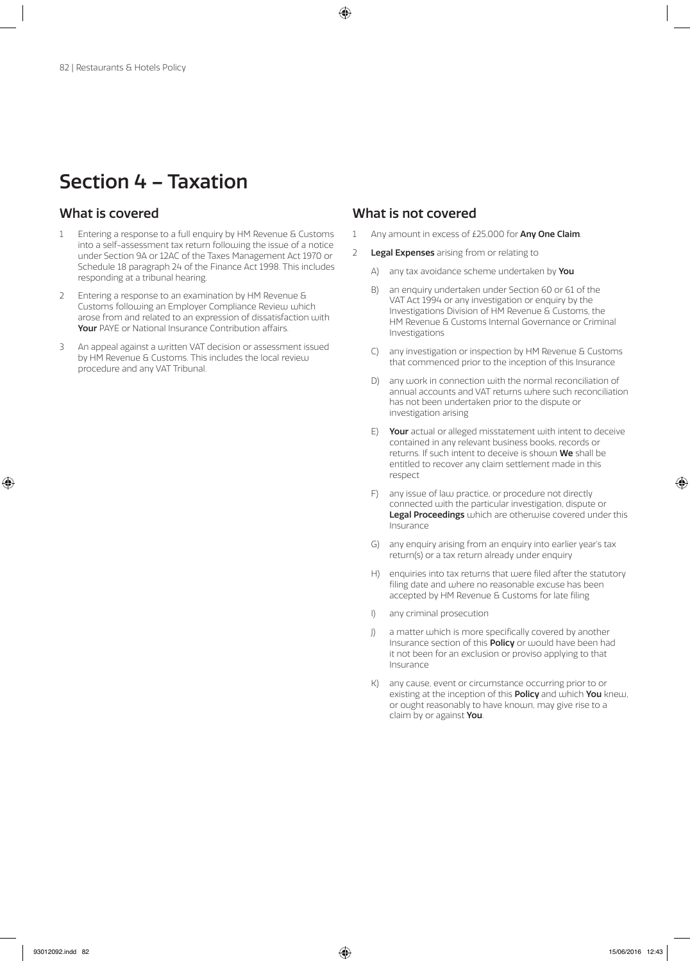# Section 4 – Taxation

- 1 Entering a response to a full enquiry by HM Revenue & Customs into a self-assessment tax return following the issue of a notice under Section 9A or 12AC of the Taxes Management Act 1970 or Schedule 18 paragraph 24 of the Finance Act 1998. This includes responding at a tribunal hearing.
- 2 Entering a response to an examination by HM Revenue & Customs following an Employer Compliance Review which arose from and related to an expression of dissatisfaction with Your PAYE or National Insurance Contribution affairs.
- 3 An appeal against a written VAT decision or assessment issued by HM Revenue & Customs. This includes the local review procedure and any VAT Tribunal.

- 1 Any amount in excess of £25,000 for **Any One Claim**.
- 2 Legal Expenses arising from or relating to
	- A) any tax avoidance scheme undertaken by You
	- B) an enquiry undertaken under Section 60 or 61 of the VAT Act 1994 or any investigation or enquiry by the Investigations Division of HM Revenue & Customs, the HM Revenue & Customs Internal Governance or Criminal Investigations
	- C) any investigation or inspection by HM Revenue & Customs that commenced prior to the inception of this Insurance
	- D) any work in connection with the normal reconciliation of annual accounts and VAT returns where such reconciliation has not been undertaken prior to the dispute or investigation arising
	- E) Your actual or alleged misstatement with intent to deceive contained in any relevant business books, records or returns. If such intent to deceive is shown We shall be entitled to recover any claim settlement made in this respect
	- F) any issue of law practice, or procedure not directly connected with the particular investigation, dispute or Legal Proceedings which are otherwise covered under this Insurance
	- G) any enquiry arising from an enquiry into earlier year's tax return(s) or a tax return already under enquiry
	- H) enquiries into tax returns that were filed after the statutory filing date and where no reasonable excuse has been accepted by HM Revenue & Customs for late filing
	- I) any criminal prosecution
	- J) a matter which is more specifically covered by another Insurance section of this Policy or would have been had it not been for an exclusion or proviso applying to that Insurance
	- K) any cause, event or circumstance occurring prior to or existing at the inception of this **Policy** and which **You** knew, or ought reasonably to have known, may give rise to a claim by or against You.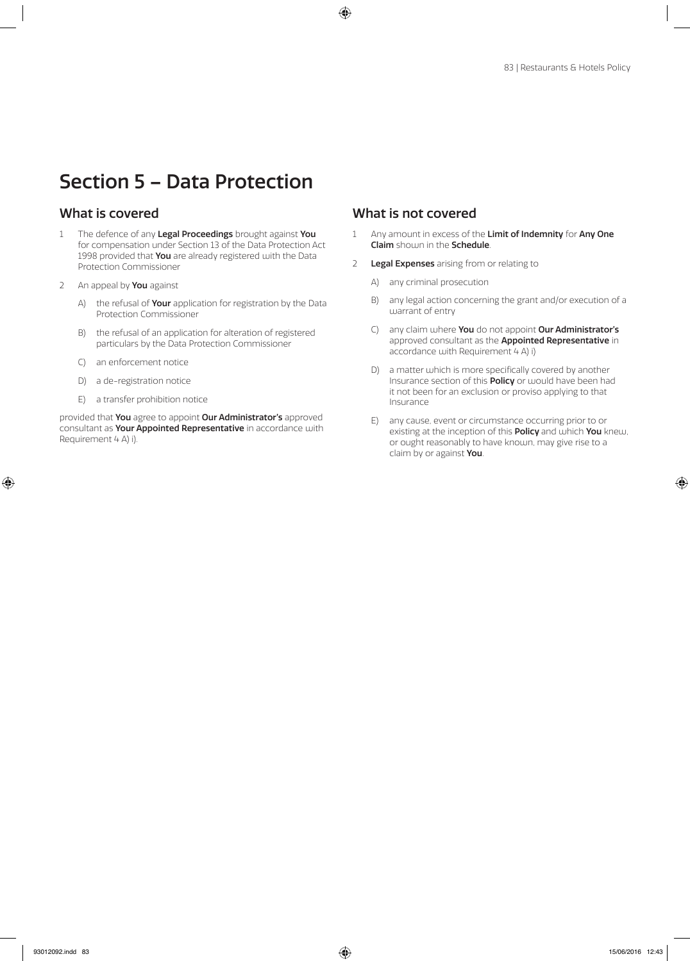# Section 5 – Data Protection

- 1 The defence of any Legal Proceedings brought against You for compensation under Section 13 of the Data Protection Act 1998 provided that You are already registered with the Data Protection Commissioner
- 2 An appeal by **You** against
	- A) the refusal of **Your** application for registration by the Data Protection Commissioner
	- B) the refusal of an application for alteration of registered particulars by the Data Protection Commissioner
	- C) an enforcement notice
	- D) a de-registration notice
	- E) a transfer prohibition notice

provided that You agree to appoint Our Administrator's approved consultant as Your Appointed Representative in accordance with Requirement 4 A) i).

- 1 Any amount in excess of the Limit of Indemnity for Any One Claim shown in the Schedule.
- 2 Legal Expenses arising from or relating to
	- A) any criminal prosecution
	- B) any legal action concerning the grant and/or execution of a warrant of entry
	- C) any claim where You do not appoint Our Administrator's approved consultant as the Appointed Representative in accordance with Requirement 4 A) i)
	- D) a matter which is more specifically covered by another Insurance section of this **Policy** or would have been had it not been for an exclusion or proviso applying to that Insurance
	- E) any cause, event or circumstance occurring prior to or existing at the inception of this Policy and which You knew, or ought reasonably to have known, may give rise to a claim by or against You.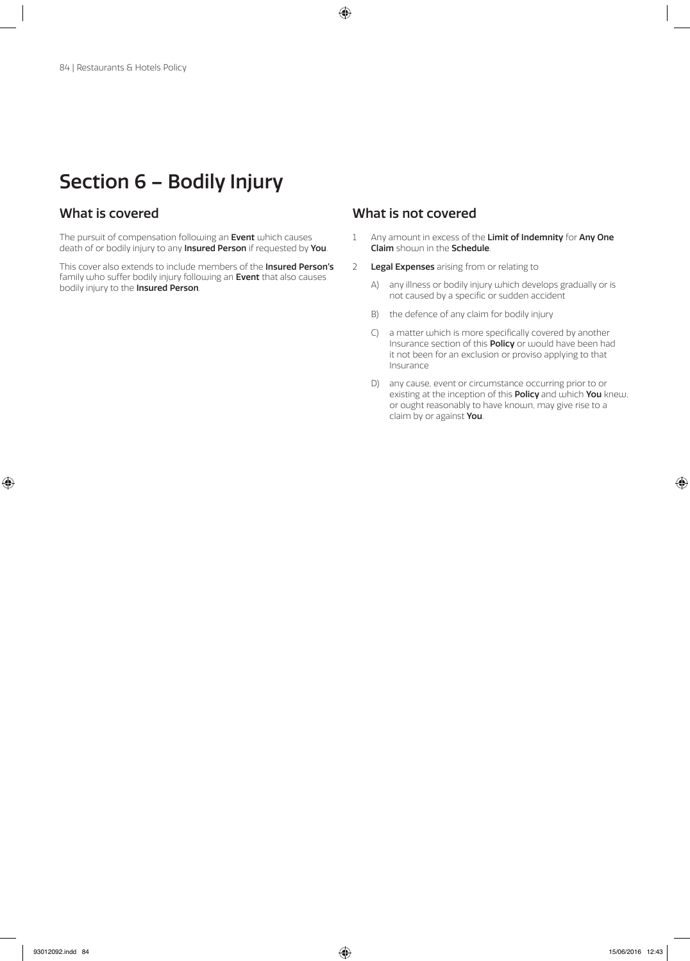# Section 6 – Bodily Injury

The pursuit of compensation following an **Event** which causes death of or bodily injury to any Insured Person if requested by You.

This cover also extends to include members of the Insured Person's family who suffer bodily injury following an Event that also causes bodily injury to the Insured Person.

- 1 Any amount in excess of the Limit of Indemnity for Any One Claim shown in the Schedule.
- 2 Legal Expenses arising from or relating to
	- A) any illness or bodily injury which develops gradually or is not caused by a specific or sudden accident
	- B) the defence of any claim for bodily injury
	- C) a matter which is more specifically covered by another Insurance section of this **Policy** or would have been had it not been for an exclusion or proviso applying to that Insurance
	- D) any cause, event or circumstance occurring prior to or existing at the inception of this **Policy** and which You knew, or ought reasonably to have known, may give rise to a claim by or against You.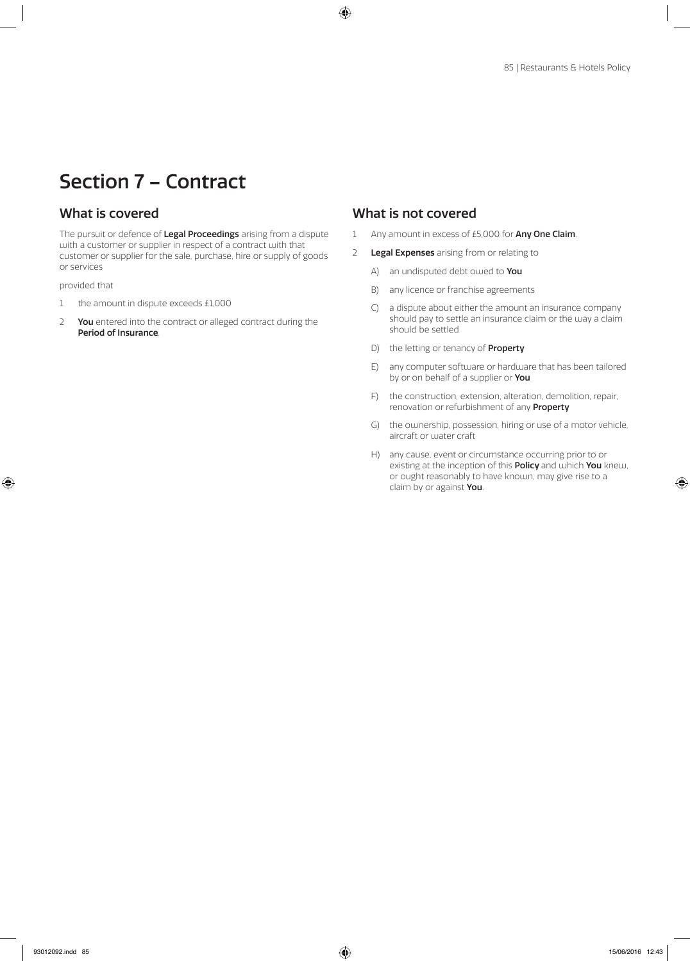# Section 7 – Contract

The pursuit or defence of Legal Proceedings arising from a dispute with a customer or supplier in respect of a contract with that customer or supplier for the sale, purchase, hire or supply of goods or services

#### provided that

- 1 the amount in dispute exceeds £1,000
- 2 You entered into the contract or alleged contract during the Period of Insurance.

- 1 Any amount in excess of £5,000 for **Any One Claim**.
- 2 Legal Expenses arising from or relating to
	- A) an undisputed debt owed to You
	- B) any licence or franchise agreements
	- C) a dispute about either the amount an insurance company should pay to settle an insurance claim or the way a claim should be settled
	- D) the letting or tenancy of **Property**
	- E) any computer software or hardware that has been tailored by or on behalf of a supplier or You
	- F) the construction, extension, alteration, demolition, repair, renovation or refurbishment of any **Property**
	- G) the ownership, possession, hiring or use of a motor vehicle, aircraft or water craft
	- H) any cause, event or circumstance occurring prior to or existing at the inception of this **Policy** and which **You** knew, or ought reasonably to have known, may give rise to a claim by or against You.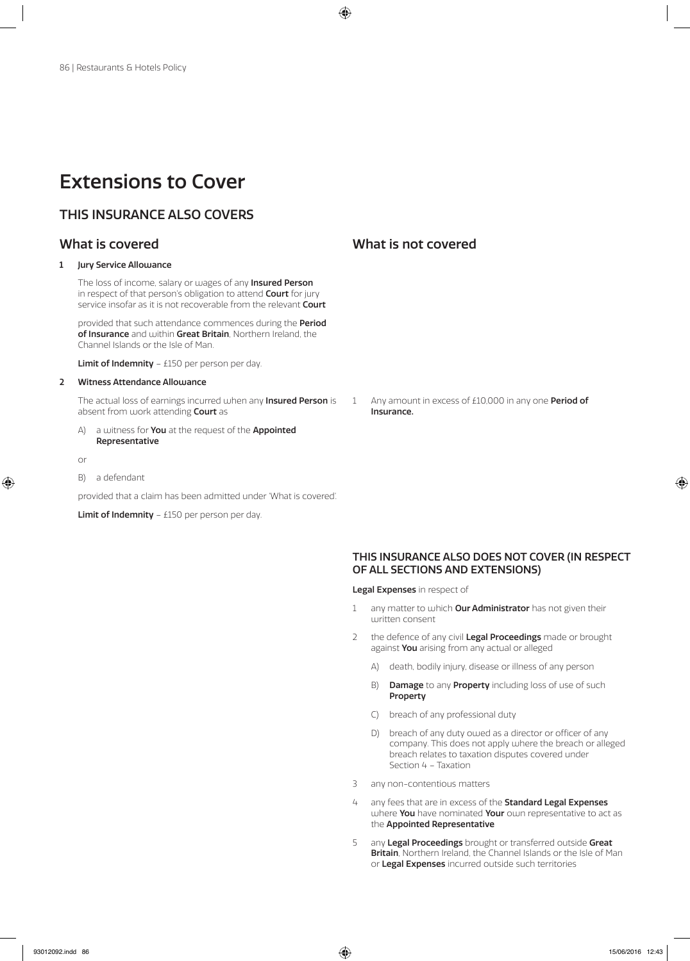# Extensions to Cover

# THIS INSURANCE ALSO COVERS

#### 1 **Jury Service Allowance**

The loss of income, salary or wages of any **Insured Person** in respect of that person's obligation to attend **Court** for jury service insofar as it is not recoverable from the relevant **Court** 

provided that such attendance commences during the Period of Insurance and within Great Britain, Northern Ireland, the Channel Islands or the Isle of Man.

Limit of Indemnity - £150 per person per day.

#### 2 Witness Attendance Allowance

The actual loss of earnings incurred when any Insured Person is absent from work attending **Court** as

- A) a witness for **You** at the request of the **Appointed** Representative
- or
- B) a defendant

provided that a claim has been admitted under 'What is covered'.

Limit of Indemnity - £150 per person per day.

### What is covered What is not covered

1 Any amount in excess of £10,000 in any one Period of Insurance.

#### THIS INSURANCE ALSO DOES NOT COVER (IN RESPECT OF ALL SECTIONS AND EXTENSIONS)

Legal Expenses in respect of

- 1 any matter to which **Our Administrator** has not given their written consent
- 2 the defence of any civil Legal Proceedings made or brought against You arising from any actual or alleged
	- A) death, bodily injury, disease or illness of any person
	- B) Damage to any Property including loss of use of such Property
	- C) breach of any professional duty
	- D) breach of any duty owed as a director or officer of any company. This does not apply where the breach or alleged breach relates to taxation disputes covered under Section 4 – Taxation
- 3 any non-contentious matters
- 4 any fees that are in excess of the **Standard Legal Expenses** where You have nominated Your own representative to act as the Appointed Representative
- 5 any Legal Proceedings brought or transferred outside Great Britain, Northern Ireland, the Channel Islands or the Isle of Man or Legal Expenses incurred outside such territories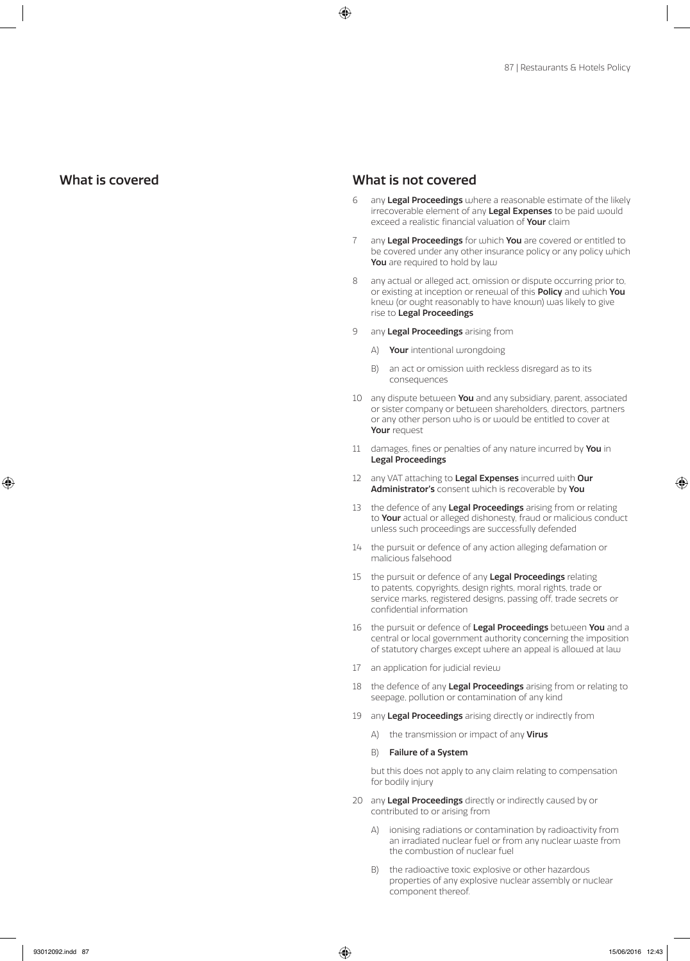#### What is covered What is not covered

- 6 any Legal Proceedings where a reasonable estimate of the likely irrecoverable element of any Legal Expenses to be paid would exceed a realistic financial valuation of **Your** claim
- 7 any Legal Proceedings for which You are covered or entitled to be covered under any other insurance policy or any policy which You are required to hold by law
- 8 any actual or alleged act, omission or dispute occurring prior to, or existing at inception or renewal of this Policy and which You knew (or ought reasonably to have known) was likely to give rise to Legal Proceedings
- 9 any Legal Proceedings arising from
	- A) Your intentional wrongdoing
	- B) an act or omission with reckless disregard as to its consequences
- 10 any dispute between You and any subsidiary, parent, associated or sister company or between shareholders, directors, partners or any other person who is or would be entitled to cover at Your request
- 11 damages, fines or penalties of any nature incurred by You in Legal Proceedings
- 12 any VAT attaching to Legal Expenses incurred with Our Administrator's consent which is recoverable by You
- 13 the defence of any Legal Proceedings arising from or relating to Your actual or alleged dishonesty, fraud or malicious conduct unless such proceedings are successfully defended
- 14 the pursuit or defence of any action alleging defamation or malicious falsehood
- 15 the pursuit or defence of any Legal Proceedings relating to patents, copyrights, design rights, moral rights, trade or service marks, registered designs, passing off, trade secrets or confidential information
- 16 the pursuit or defence of Legal Proceedings between You and a central or local government authority concerning the imposition of statutory charges except where an appeal is allowed at law
- 17 an application for judicial review
- 18 the defence of any Legal Proceedings arising from or relating to seepage, pollution or contamination of any kind
- 19 any Legal Proceedings arising directly or indirectly from
	- A) the transmission or impact of any **Virus**

#### B) Failure of a System

but this does not apply to any claim relating to compensation for bodily injury

- 20 any Legal Proceedings directly or indirectly caused by or contributed to or arising from
	- A) ionising radiations or contamination by radioactivity from an irradiated nuclear fuel or from any nuclear waste from the combustion of nuclear fuel
	- B) the radioactive toxic explosive or other hazardous properties of any explosive nuclear assembly or nuclear component thereof.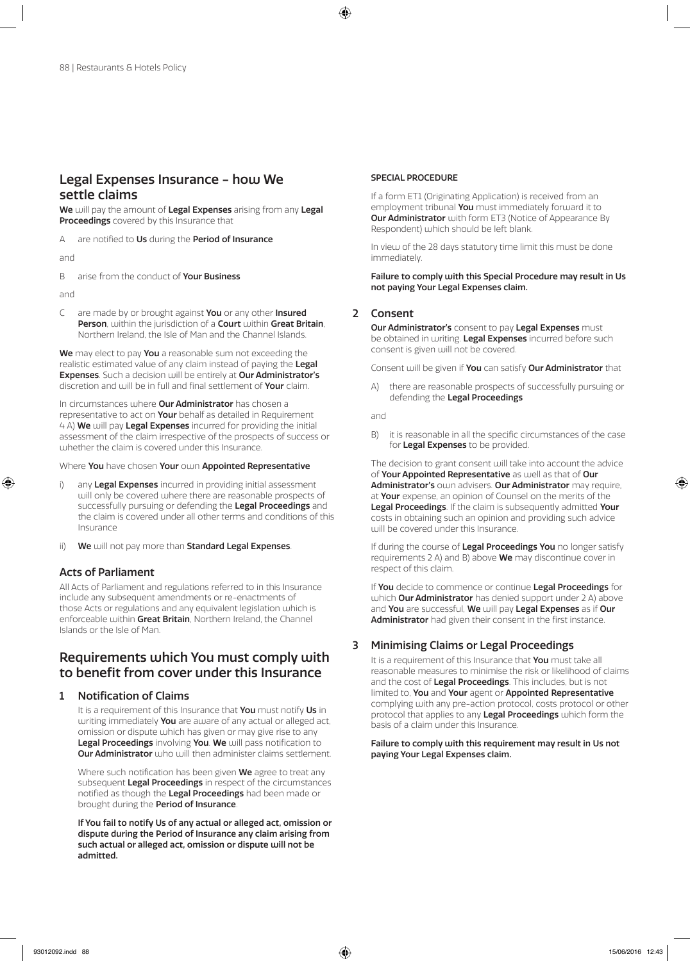### Legal Expenses Insurance - how We settle claims

We will pay the amount of Legal Expenses arising from any Legal Proceedings covered by this Insurance that

A are notified to Us during the Period of Insurance

and

B arise from the conduct of **Your Business** 

and

C are made by or brought against You or any other Insured Person, within the jurisdiction of a Court within Great Britain, Northern Ireland, the Isle of Man and the Channel Islands.

We may elect to pay You a reasonable sum not exceeding the realistic estimated value of any claim instead of paying the Legal Expenses. Such a decision will be entirely at Our Administrator's discretion and will be in full and final settlement of Your claim.

In circumstances where **Our Administrator** has chosen a representative to act on Your behalf as detailed in Requirement 4 A) We will pay Legal Expenses incurred for providing the initial assessment of the claim irrespective of the prospects of success or whether the claim is covered under this Insurance.

Where You have chosen Your own Appointed Representative

- i) any Legal Expenses incurred in providing initial assessment will only be covered where there are reasonable prospects of successfully pursuing or defending the Legal Proceedings and the claim is covered under all other terms and conditions of this Insurance
- We will not pay more than Standard Legal Expenses.

#### Acts of Parliament

All Acts of Parliament and regulations referred to in this Insurance include any subsequent amendments or re-enactments of those Acts or regulations and any equivalent legislation which is enforceable within Great Britain, Northern Ireland, the Channel Islands or the Isle of Man.

### Requirements which You must comply with to benefit from cover under this Insurance

#### 1 Notification of Claims

It is a requirement of this Insurance that You must notify Us in writing immediately **You** are aware of any actual or alleged act, omission or dispute which has given or may give rise to any Legal Proceedings involving You. We will pass notification to **Our Administrator** who will then administer claims settlement.

Where such notification has been given We agree to treat any subsequent Legal Proceedings in respect of the circumstances notified as though the Legal Proceedings had been made or brought during the Period of Insurance.

If You fail to notify Us of any actual or alleged act, omission or dispute during the Period of Insurance any claim arising from such actual or alleged act, omission or dispute will not be admitted.

#### SPECIAL PROCEDURE

If a form ET1 (Originating Application) is received from an employment tribunal You must immediately forward it to **Our Administrator** with form ET3 (Notice of Appearance By Respondent) which should be left blank.

In view of the 28 days statutory time limit this must be done immediately.

Failure to comply with this Special Procedure may result in Us not paying Your Legal Expenses claim.

#### 2 Consent

**Our Administrator's consent to pay Legal Expenses must** be obtained in writing. Legal Expenses incurred before such consent is given will not be covered.

Consent will be given if You can satisfy Our Administrator that

there are reasonable prospects of successfully pursuing or defending the Legal Proceedings

and

B) it is reasonable in all the specific circumstances of the case for Legal Expenses to be provided.

The decision to grant consent will take into account the advice of Your Appointed Representative as well as that of Our Administrator's own advisers. Our Administrator may require, at Your expense, an opinion of Counsel on the merits of the Legal Proceedings. If the claim is subsequently admitted Your costs in obtaining such an opinion and providing such advice will be covered under this Insurance.

If during the course of Legal Proceedings You no longer satisfy requirements 2 A) and B) above **We** may discontinue cover in respect of this claim.

If You decide to commence or continue Legal Proceedings for which **Our Administrator** has denied support under 2 A) above and You are successful, We will pay Legal Expenses as if Our Administrator had given their consent in the first instance.

#### 3 Minimising Claims or Legal Proceedings

It is a requirement of this Insurance that You must take all reasonable measures to minimise the risk or likelihood of claims and the cost of Legal Proceedings. This includes, but is not limited to, You and Your agent or Appointed Representative complying with any pre-action protocol, costs protocol or other protocol that applies to any Legal Proceedings which form the basis of a claim under this Insurance.

#### Failure to comply with this requirement may result in Us not paying Your Legal Expenses claim.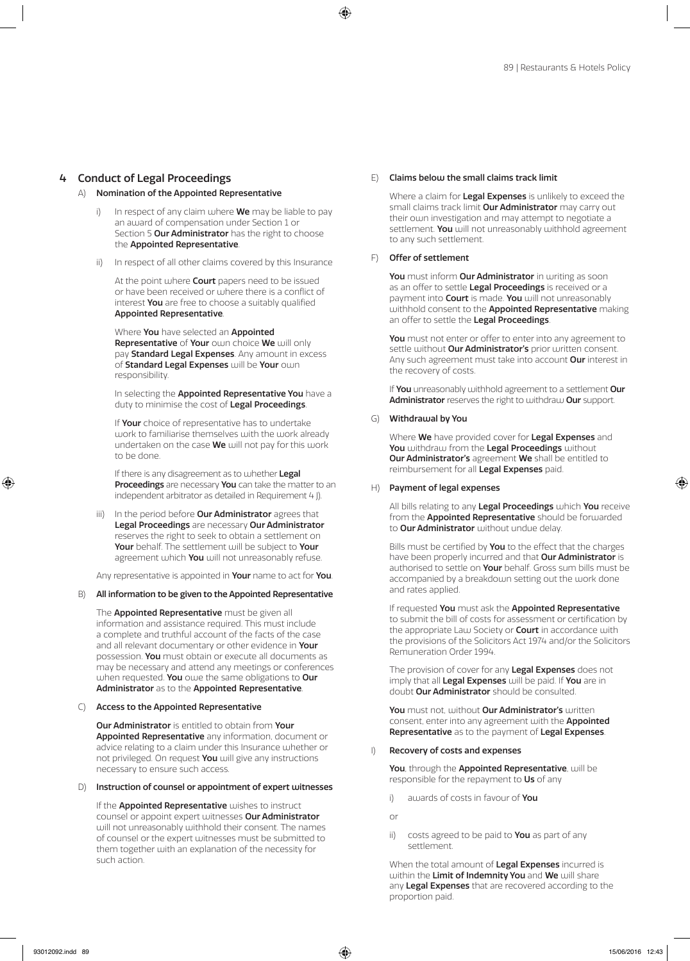#### 4 Conduct of Legal Proceedings

#### A) Nomination of the Appointed Representative

- In respect of any claim where  $We$  may be liable to pay an award of compensation under Section 1 or Section 5 Our Administrator has the right to choose the Appointed Representative.
- ii) In respect of all other claims covered by this Insurance

At the point where **Court** papers need to be issued or have been received or where there is a conflict of interest You are free to choose a suitably qualified Appointed Representative.

Where You have selected an Appointed Representative of Your own choice We will only pay Standard Legal Expenses. Any amount in excess of Standard Legal Expenses will be Your own responsibility.

In selecting the **Appointed Representative You** have a duty to minimise the cost of Legal Proceedings.

If Your choice of representative has to undertake work to familiarise themselves with the work already undertaken on the case We will not pay for this work to be done.

If there is any disagreement as to whether Legal Proceedings are necessary You can take the matter to an independent arbitrator as detailed in Requirement 4 J).

iii) In the period before **Our Administrator** agrees that Legal Proceedings are necessary Our Administrator reserves the right to seek to obtain a settlement on Your behalf. The settlement will be subject to Your agreement which You will not unreasonably refuse.

Any representative is appointed in **Your** name to act for **You**.

#### B) All information to be given to the Appointed Representative

The **Appointed Representative** must be given all information and assistance required. This must include a complete and truthful account of the facts of the case and all relevant documentary or other evidence in Your possession. You must obtain or execute all documents as may be necessary and attend any meetings or conferences when requested. You owe the same obligations to Our Administrator as to the Appointed Representative.

#### C) Access to the Appointed Representative

Our Administrator is entitled to obtain from Your Appointed Representative any information, document or advice relating to a claim under this Insurance whether or not privileged. On request You will give any instructions necessary to ensure such access.

#### D) Instruction of counsel or appointment of expert witnesses

If the **Appointed Representative** wishes to instruct counsel or appoint expert witnesses Our Administrator will not unreasonably withhold their consent. The names of counsel or the expert witnesses must be submitted to them together with an explanation of the necessity for such action.

#### E) Claims below the small claims track limit

Where a claim for Legal Expenses is unlikely to exceed the small claims track limit **Our Administrator** may carry out their own investigation and may attempt to negotiate a settlement. You will not unreasonably withhold agreement to any such settlement.

#### F) Offer of settlement

You must inform Our Administrator in writing as soon as an offer to settle Legal Proceedings is received or a payment into Court is made. You will not unreasonably withhold consent to the **Appointed Representative** making an offer to settle the Legal Proceedings.

You must not enter or offer to enter into any agreement to settle without **Our Administrator's** prior written consent. Any such agreement must take into account **Our** interest in the recovery of costs.

If You unreasonably withhold agreement to a settlement Our Administrator reserves the right to withdraw Our support.

#### G) Withdrawal by You

Where We have provided cover for Legal Expenses and You withdraw from the Legal Proceedings without Our Administrator's agreement We shall be entitled to reimbursement for all Legal Expenses paid.

#### H) Payment of legal expenses

All bills relating to any Legal Proceedings which You receive from the **Appointed Representative** should be forwarded to Our Administrator without undue delay.

Bills must be certified by You to the effect that the charges have been properly incurred and that **Our Administrator** is authorised to settle on Your behalf. Gross sum bills must be accompanied by a breakdown setting out the work done and rates applied.

If requested You must ask the Appointed Representative to submit the bill of costs for assessment or certification by the appropriate Law Society or **Court** in accordance with the provisions of the Solicitors Act 1974 and/or the Solicitors Remuneration Order 1994.

The provision of cover for any Legal Expenses does not imply that all Legal Expenses will be paid. If You are in doubt Our Administrator should be consulted.

You must not, without Our Administrator's written consent, enter into any agreement with the **Appointed** Representative as to the payment of Legal Expenses.

#### I) Recovery of costs and expenses

You, through the Appointed Representative, will be responsible for the repayment to Us of any

i) awards of costs in favour of  $You$ 

or

ii) costs agreed to be paid to **You** as part of any settlement.

When the total amount of Legal Expenses incurred is within the Limit of Indemnity You and We will share any Legal Expenses that are recovered according to the proportion paid.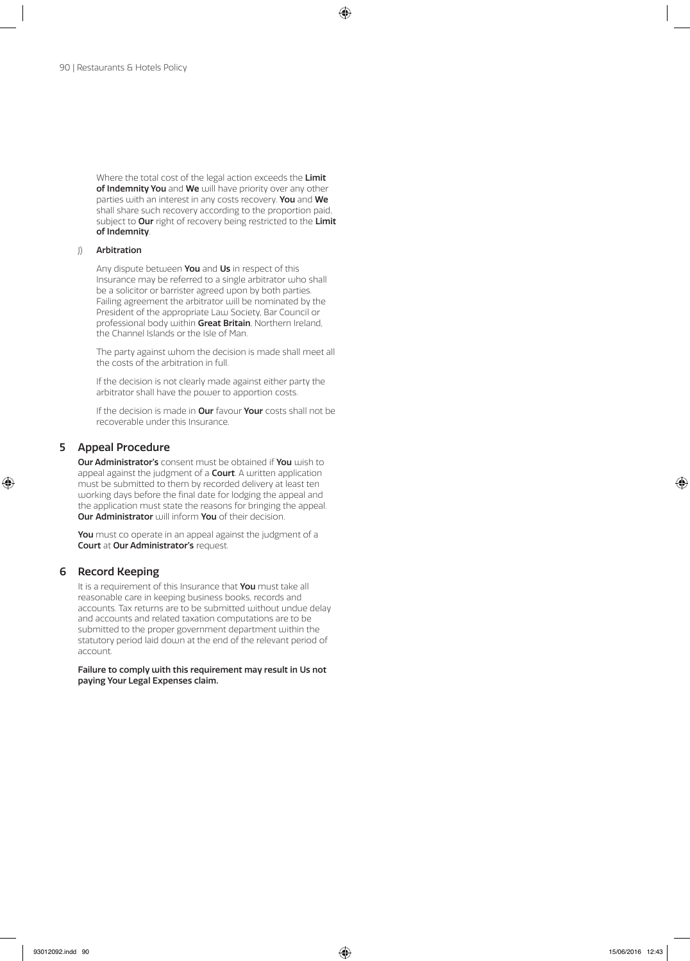Where the total cost of the legal action exceeds the Limit of Indemnity You and We will have priority over any other parties with an interest in any costs recovery. You and We shall share such recovery according to the proportion paid, subject to Our right of recovery being restricted to the Limit of Indemnity.

#### J) Arbitration

Any dispute between You and Us in respect of this Insurance may be referred to a single arbitrator who shall be a solicitor or barrister agreed upon by both parties. Failing agreement the arbitrator will be nominated by the President of the appropriate Law Society, Bar Council or professional body within Great Britain, Northern Ireland, the Channel Islands or the Isle of Man.

The party against whom the decision is made shall meet all the costs of the arbitration in full.

If the decision is not clearly made against either party the arbitrator shall have the power to apportion costs.

If the decision is made in **Our** favour **Your** costs shall not be recoverable under this Insurance.

#### 5 Appeal Procedure

Our Administrator's consent must be obtained if You wish to appeal against the judgment of a **Court**. A written application must be submitted to them by recorded delivery at least ten working days before the final date for lodging the appeal and the application must state the reasons for bringing the appeal. Our Administrator will inform You of their decision.

You must co operate in an appeal against the judgment of a Court at Our Administrator's request.

#### 6 Record Keeping

It is a requirement of this Insurance that **You** must take all reasonable care in keeping business books, records and accounts. Tax returns are to be submitted without undue delay and accounts and related taxation computations are to be submitted to the proper government department within the statutory period laid down at the end of the relevant period of account.

#### Failure to comply with this requirement may result in Us not paying Your Legal Expenses claim.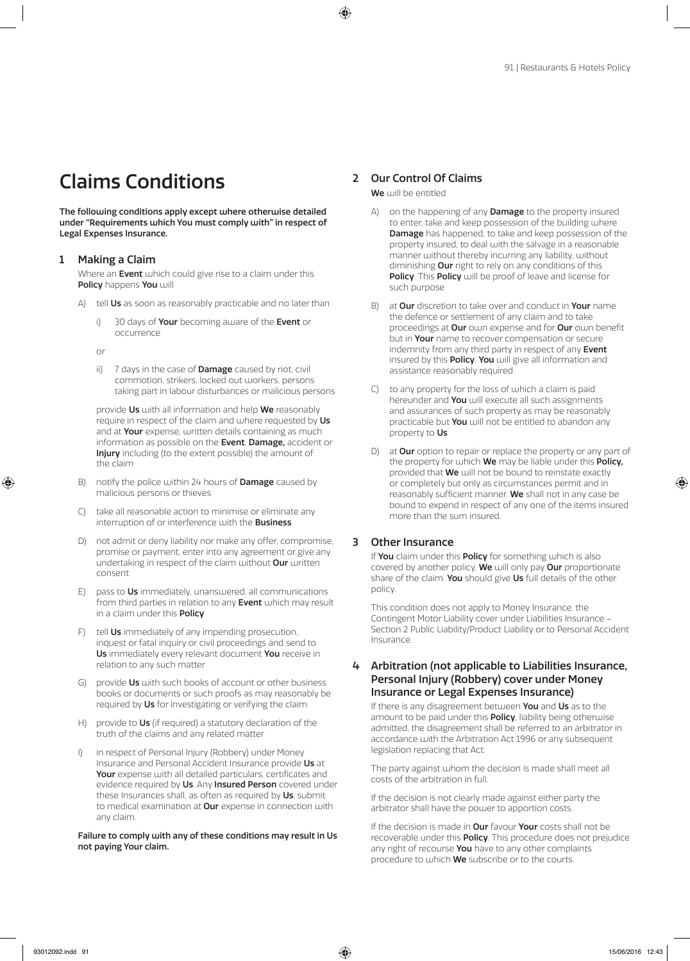# Claims Conditions

The following conditions apply except where otherwise detailed under "Requirements which You must comply with" in respect of Legal Expenses Insurance.

#### 1 Making a Claim

Where an Event which could give rise to a claim under this Policy happens You will

- A) tell Us as soon as reasonably practicable and no later than
	- i) 30 days of **Your** becoming aware of the **Event** or occurrence
	- or
	- ii) 7 days in the case of **Damage** caused by riot, civil commotion, strikers, locked out workers, persons taking part in labour disturbances or malicious persons

provide Us with all information and help We reasonably require in respect of the claim and where requested by Us and at Your expense, written details containing as much information as possible on the Event, Damage, accident or Injury including (to the extent possible) the amount of the claim

- B) notify the police within  $24$  hours of **Damage** caused by malicious persons or thieves
- C) take all reasonable action to minimise or eliminate any interruption of or interference with the **Business**
- D) not admit or deny liability nor make any offer, compromise, promise or payment, enter into any agreement or give any undertaking in respect of the claim without **Our** written consent
- E) pass to Us immediately, unanswered, all communications from third parties in relation to any Event which may result in a claim under this **Policy**
- F) tell Us immediately of any impending prosecution, inquest or fatal inquiry or civil proceedings and send to Us immediately every relevant document You receive in relation to any such matter
- G) provide Us with such books of account or other business books or documents or such proofs as may reasonably be required by Us for investigating or verifying the claim
- H) provide to  $Us$  (if required) a statutory declaration of the truth of the claims and any related matter
- I) in respect of Personal Injury (Robbery) under Money Insurance and Personal Accident Insurance provide Us at Your expense with all detailed particulars, certificates and evidence required by Us. Any Insured Person covered under these Insurances shall, as often as required by Us, submit to medical examination at **Our** expense in connection with any claim.

#### Failure to comply with any of these conditions may result in Us not paying Your claim.

#### 2 Our Control Of Claims

We will be entitled

- A) on the happening of any **Damage** to the property insured to enter, take and keep possession of the building where **Damage** has happened, to take and keep possession of the property insured, to deal with the salvage in a reasonable manner without thereby incurring any liability, without diminishing **Our** right to rely on any conditions of this Policy. This Policy will be proof of leave and license for such purpose
- B) at Our discretion to take over and conduct in Your name the defence or settlement of any claim and to take proceedings at **Our** own expense and for **Our** own benefit but in Your name to recover compensation or secure indemnity from any third party in respect of any Event insured by this **Policy. You** will give all information and assistance reasonably required
- C) to any property for the loss of which a claim is paid hereunder and You will execute all such assignments and assurances of such property as may be reasonably practicable but **You** will not be entitled to abandon any property to Us
- $D)$  at **Our** option to repair or replace the property or any part of the property for which We may be liable under this Policy, provided that **We** will not be bound to reinstate exactly or completely but only as circumstances permit and in reasonably sufficient manner. We shall not in any case be bound to expend in respect of any one of the items insured more than the sum insured.

#### 3 Other Insurance

If You claim under this Policy for something which is also covered by another policy, We will only pay Our proportionate share of the claim. You should give Us full details of the other policy.

This condition does not apply to Money Insurance, the Contingent Motor Liability cover under Liabilities Insurance – Section 2 Public Liability/Product Liability or to Personal Accident Insurance.

#### 4 Arbitration (not applicable to Liabilities Insurance, Personal Injury (Robbery) cover under Money Insurance or Legal Expenses Insurance)

If there is any disagreement between **You** and **Us** as to the amount to be paid under this Policy, liability being otherwise admitted, the disagreement shall be referred to an arbitrator in accordance with the Arbitration Act 1996 or any subsequent legislation replacing that Act.

The party against whom the decision is made shall meet all costs of the arbitration in full.

If the decision is not clearly made against either party the arbitrator shall have the power to apportion costs.

If the decision is made in **Our** favour **Your** costs shall not be recoverable under this Policy. This procedure does not prejudice any right of recourse **You** have to any other complaints procedure to which **We** subscribe or to the courts.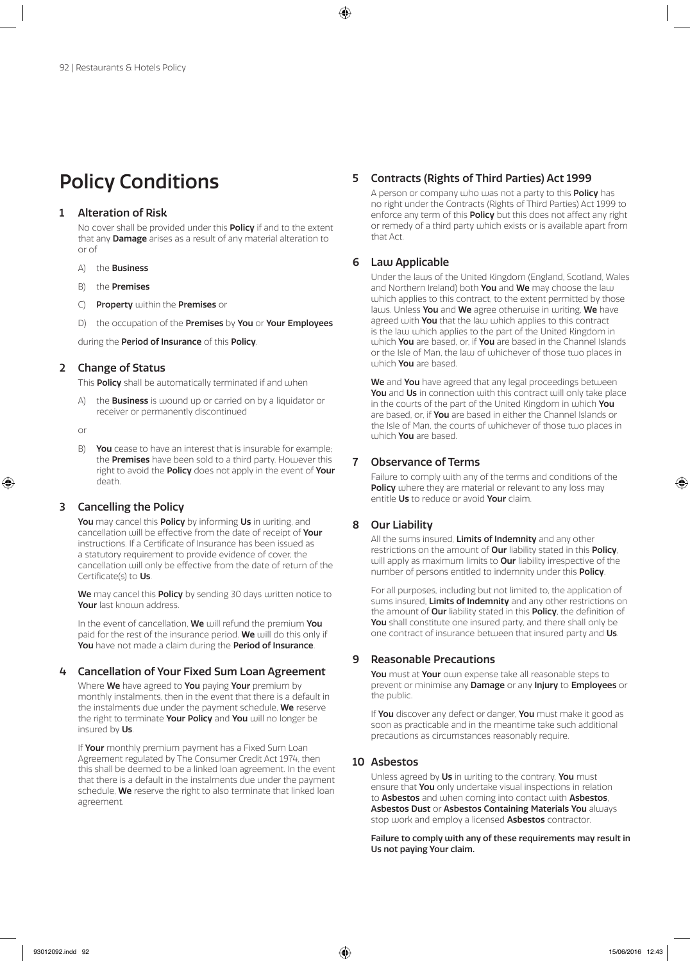# Policy Conditions

#### 1 Alteration of Risk

No cover shall be provided under this **Policy** if and to the extent that any Damage arises as a result of any material alteration to or of

- A) the Business
- B) the Premises
- C) Property within the Premises or
- D) the occupation of the Premises by You or Your Employees

during the Period of Insurance of this Policy.

#### 2 Change of Status

This Policy shall be automatically terminated if and when

A) the **Business** is wound up or carried on by a liquidator or receiver or permanently discontinued

or

B) You cease to have an interest that is insurable for example: the Premises have been sold to a third party. However this right to avoid the Policy does not apply in the event of Your death.

#### 3 Cancelling the Policy

You may cancel this Policy by informing Us in writing, and cancellation will be effective from the date of receipt of Your instructions. If a Certificate of Insurance has been issued as a statutory requirement to provide evidence of cover, the cancellation will only be effective from the date of return of the Certificate(s) to Us.

We may cancel this Policy by sending 30 days written notice to Your last known address.

In the event of cancellation, We will refund the premium You paid for the rest of the insurance period. We will do this only if You have not made a claim during the Period of Insurance.

#### 4 Cancellation of Your Fixed Sum Loan Agreement

Where We have agreed to You paying Your premium by monthly instalments, then in the event that there is a default in the instalments due under the payment schedule, We reserve the right to terminate Your Policy and You will no longer be insured by Us.

If Your monthly premium payment has a Fixed Sum Loan Agreement regulated by The Consumer Credit Act 1974, then this shall be deemed to be a linked loan agreement. In the event that there is a default in the instalments due under the payment schedule, We reserve the right to also terminate that linked loan agreement.

#### 5 Contracts (Rights of Third Parties) Act 1999

A person or company who was not a party to this **Policy** has no right under the Contracts (Rights of Third Parties) Act 1999 to enforce any term of this **Policy** but this does not affect any right or remedy of a third party which exists or is available apart from that Act.

#### 6 Law Applicable

Under the laws of the United Kingdom (England, Scotland, Wales and Northern Ireland) both You and We may choose the law which applies to this contract, to the extent permitted by those laws. Unless You and We agree otherwise in writing, We have agreed with You that the law which applies to this contract is the law which applies to the part of the United Kingdom in which You are based, or, if You are based in the Channel Islands or the Isle of Man, the law of whichever of those two places in which **You** are based.

We and You have agreed that any legal proceedings between You and Us in connection with this contract will only take place in the courts of the part of the United Kingdom in which You are based, or, if **You** are based in either the Channel Islands or the Isle of Man, the courts of whichever of those two places in which You are based.

#### 7 Observance of Terms

Failure to comply with any of the terms and conditions of the Policy where they are material or relevant to any loss may entitle Us to reduce or avoid Your claim.

#### 8 Our Liability

All the sums insured, Limits of Indemnity and any other restrictions on the amount of **Our** liability stated in this **Policy**, will apply as maximum limits to **Our** liability irrespective of the number of persons entitled to indemnity under this Policy.

For all purposes, including but not limited to, the application of sums insured, Limits of Indemnity and any other restrictions on the amount of **Our** liability stated in this **Policy**, the definition of You shall constitute one insured party, and there shall only be one contract of insurance between that insured party and Us.

#### 9 Reasonable Precautions

You must at Your own expense take all reasonable steps to prevent or minimise any Damage or any Injury to Employees or the public.

If You discover any defect or danger, You must make it good as soon as practicable and in the meantime take such additional precautions as circumstances reasonably require.

#### 10 Asbestos

Unless agreed by Us in writing to the contrary, You must ensure that **You** only undertake visual inspections in relation to **Asbestos** and when coming into contact with **Asbestos**, Asbestos Dust or Asbestos Containing Materials You always stop work and employ a licensed **Asbestos** contractor.

Failure to comply with any of these requirements may result in Us not paying Your claim.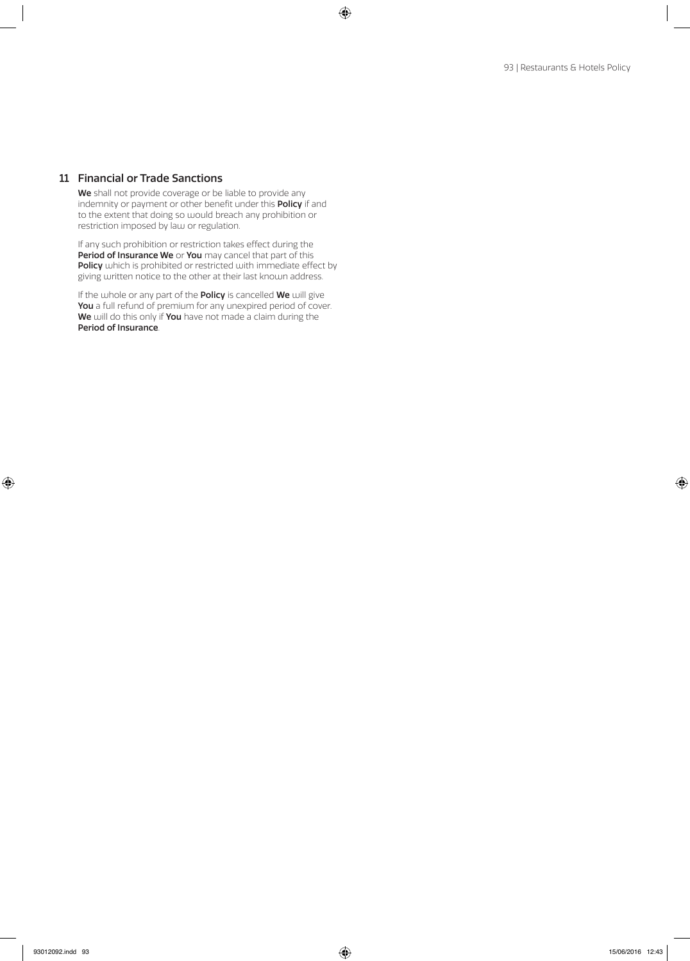#### 11 Financial or Trade Sanctions

We shall not provide coverage or be liable to provide any indemnity or payment or other benefit under this Policy if and to the extent that doing so would breach any prohibition or restriction imposed by law or regulation.

If any such prohibition or restriction takes effect during the Period of Insurance We or You may cancel that part of this Policy which is prohibited or restricted with immediate effect by giving written notice to the other at their last known address.

If the whole or any part of the **Policy** is cancelled **We** will give You a full refund of premium for any unexpired period of cover. We will do this only if You have not made a claim during the Period of Insurance.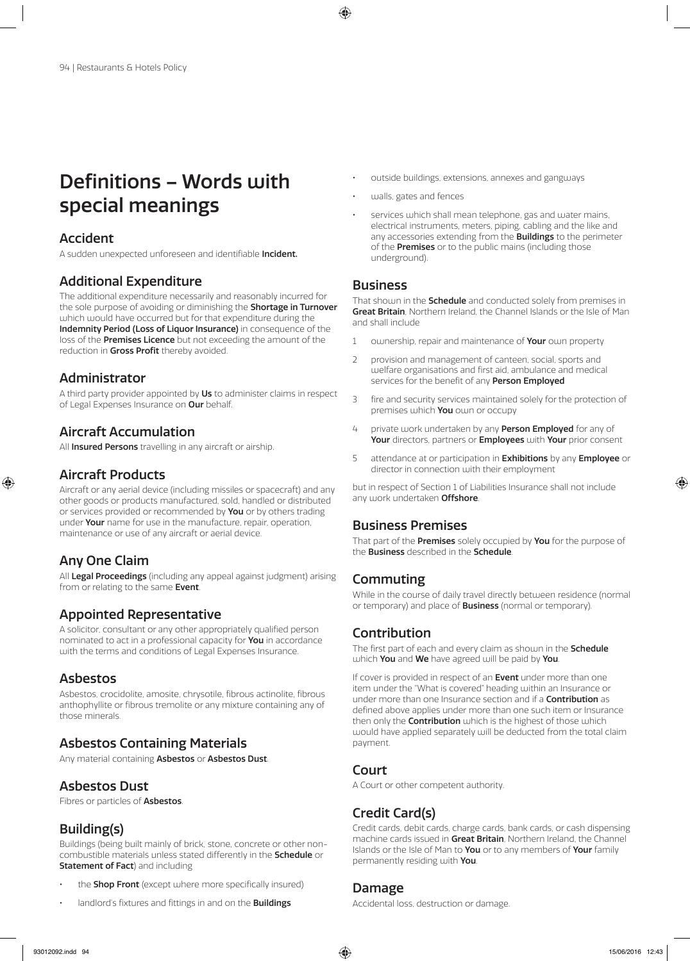# Definitions – Words with special meanings

## Accident

A sudden unexpected unforeseen and identifiable **Incident.** 

# Additional Expenditure

The additional expenditure necessarily and reasonably incurred for the sole purpose of avoiding or diminishing the Shortage in Turnover which would have occurred but for that expenditure during the Indemnity Period (Loss of Liquor Insurance) in consequence of the loss of the **Premises Licence** but not exceeding the amount of the reduction in Gross Profit thereby avoided.

# Administrator

A third party provider appointed by Us to administer claims in respect of Legal Expenses Insurance on Our behalf.

# Aircraft Accumulation

All **Insured Persons** travelling in any aircraft or airship.

# Aircraft Products

Aircraft or any aerial device (including missiles or spacecraft) and any other goods or products manufactured, sold, handled or distributed or services provided or recommended by You or by others trading under Your name for use in the manufacture, repair, operation, maintenance or use of any aircraft or aerial device.

# Any One Claim

All Legal Proceedings (including any appeal against judgment) arising from or relating to the same Event.

# Appointed Representative

A solicitor, consultant or any other appropriately qualified person nominated to act in a professional capacity for You in accordance with the terms and conditions of Legal Expenses Insurance.

# Asbestos

Asbestos, crocidolite, amosite, chrysotile, fibrous actinolite, fibrous anthophyllite or fibrous tremolite or any mixture containing any of those minerals.

# Asbestos Containing Materials

Any material containing **Asbestos** or **Asbestos Dust**.

# Asbestos Dust

Fibres or particles of **Asbestos**.

# Building(s)

Buildings (being built mainly of brick, stone, concrete or other noncombustible materials unless stated differently in the Schedule or **Statement of Fact**) and including

- the **Shop Front** (except where more specifically insured)
- landlord's fixtures and fittings in and on the **Buildings**
- outside buildings, extensions, annexes and gangways
- walls, gates and fences
- services which shall mean telephone, gas and water mains, electrical instruments, meters, piping, cabling and the like and any accessories extending from the **Buildings** to the perimeter of the Premises or to the public mains (including those underground).

# Business

That shown in the **Schedule** and conducted solely from premises in **Great Britain**, Northern Ireland, the Channel Islands or the Isle of Man and shall include

- 1 ownership, repair and maintenance of **Your** own property
- 2 provision and management of canteen, social, sports and welfare organisations and first aid, ambulance and medical services for the benefit of any **Person Employed**
- 3 fire and security services maintained solely for the protection of premises which You own or occupy
- 4 private work undertaken by any **Person Employed** for any of Your directors, partners or **Employees** with Your prior consent
- 5 attendance at or participation in Exhibitions by any Employee or director in connection with their employment

but in respect of Section 1 of Liabilities Insurance shall not include any work undertaken **Offshore**.

# Business Premises

That part of the **Premises** solely occupied by **You** for the purpose of the **Business** described in the **Schedule**.

# Commuting

While in the course of daily travel directly between residence (normal or temporary) and place of **Business** (normal or temporary).

# Contribution

The first part of each and every claim as shown in the **Schedule** which You and We have agreed will be paid by You.

If cover is provided in respect of an **Event** under more than one item under the "What is covered" heading within an Insurance or under more than one Insurance section and if a **Contribution** as defined above applies under more than one such item or Insurance then only the **Contribution** which is the highest of those which would have applied separately will be deducted from the total claim payment.

# Court

A Court or other competent authority.

# Credit Card(s)

Credit cards, debit cards, charge cards, bank cards, or cash dispensing machine cards issued in Great Britain, Northern Ireland, the Channel Islands or the Isle of Man to You or to any members of Your family permanently residing with You.

### Damage

Accidental loss, destruction or damage.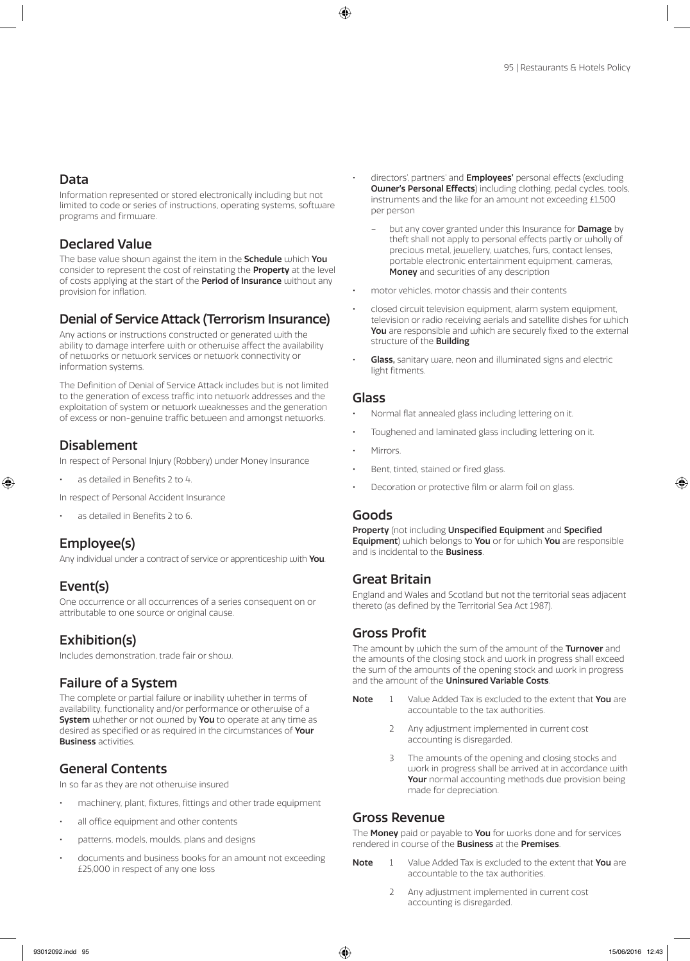### Data

Information represented or stored electronically including but not limited to code or series of instructions, operating systems, software programs and firmware.

# Declared Value

The base value shown against the item in the **Schedule** which You consider to represent the cost of reinstating the Property at the level of costs applying at the start of the **Period of Insurance** without any provision for inflation.

# Denial of Service Attack (Terrorism Insurance)

Any actions or instructions constructed or generated with the ability to damage interfere with or otherwise affect the availability of networks or network services or network connectivity or information systems.

The Definition of Denial of Service Attack includes but is not limited to the generation of excess traffic into network addresses and the exploitation of system or network weaknesses and the generation of excess or non-genuine traffic between and amongst networks.

# Disablement

In respect of Personal Injury (Robbery) under Money Insurance

• as detailed in Benefits 2 to 4.

In respect of Personal Accident Insurance

• as detailed in Benefits 2 to 6.

# Employee(s)

Any individual under a contract of service or apprenticeship with You.

# Event(s)

One occurrence or all occurrences of a series consequent on or attributable to one source or original cause.

# Exhibition(s)

Includes demonstration, trade fair or show.

# Failure of a System

The complete or partial failure or inability whether in terms of availability, functionality and/or performance or otherwise of a System whether or not owned by You to operate at any time as desired as specified or as required in the circumstances of Your Business activities.

# General Contents

In so far as they are not otherwise insured

- machinery, plant, fixtures, fittings and other trade equipment
- all office equipment and other contents
- patterns, models, moulds, plans and designs
- documents and business books for an amount not exceeding £25,000 in respect of any one loss
- directors', partners' and **Employees'** personal effects (excluding **Owner's Personal Effects**) including clothing, pedal cycles, tools, instruments and the like for an amount not exceeding £1,500 per person
- but any cover granted under this Insurance for **Damage** by theft shall not apply to personal effects partly or wholly of precious metal, jewellery, watches, furs, contact lenses, portable electronic entertainment equipment, cameras, Money and securities of any description
- motor vehicles, motor chassis and their contents
- closed circuit television equipment, alarm system equipment, television or radio receiving aerials and satellite dishes for which You are responsible and which are securely fixed to the external structure of the **Building**
- Glass, sanitary ware, neon and illuminated signs and electric light fitments.

### Glass

- Normal flat annealed glass including lettering on it.
- Toughened and laminated glass including lettering on it.
- Mirrors.
- Bent, tinted, stained or fired glass.
- Decoration or protective film or alarm foil on glass.

### Goods

Property (not including Unspecified Equipment and Specified Equipment) which belongs to You or for which You are responsible and is incidental to the **Business**.

### Great Britain

England and Wales and Scotland but not the territorial seas adjacent thereto (as defined by the Territorial Sea Act 1987).

# Gross Profit

The amount by which the sum of the amount of the Turnover and the amounts of the closing stock and work in progress shall exceed the sum of the amounts of the opening stock and work in progress and the amount of the Uninsured Variable Costs.

- Note 1 Value Added Tax is excluded to the extent that You are accountable to the tax authorities.
	- 2 Any adjustment implemented in current cost accounting is disregarded.
	- 3 The amounts of the opening and closing stocks and work in progress shall be arrived at in accordance with Your normal accounting methods due provision being made for depreciation.

### Gross Revenue

The **Money** paid or payable to **You** for works done and for services rendered in course of the Business at the Premises.

- Note 1 Value Added Tax is excluded to the extent that You are accountable to the tax authorities.
	- 2 Any adjustment implemented in current cost accounting is disregarded.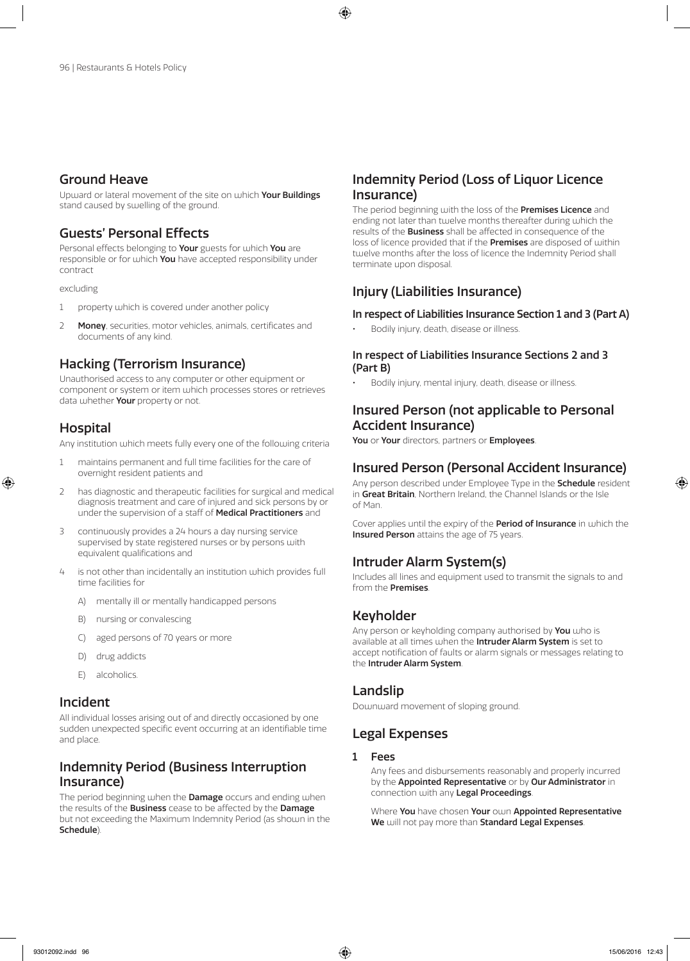### Ground Heave

Upward or lateral movement of the site on which Your Buildings stand caused by swelling of the ground.

# Guests' Personal Effects

Personal effects belonging to **Your** guests for which You are responsible or for which You have accepted responsibility under contract

excluding

- 1 property which is covered under another policy
- 2 **Money**, securities, motor vehicles, animals, certificates and documents of any kind.

# Hacking (Terrorism Insurance)

Unauthorised access to any computer or other equipment or component or system or item which processes stores or retrieves data whether Your property or not.

# **Hospital**

Any institution which meets fully every one of the following criteria

- 1 maintains permanent and full time facilities for the care of overnight resident patients and
- 2 has diagnostic and therapeutic facilities for surgical and medical diagnosis treatment and care of injured and sick persons by or under the supervision of a staff of Medical Practitioners and
- 3 continuously provides a 24 hours a day nursing service supervised by state registered nurses or by persons with equivalent qualifications and
- 4 is not other than incidentally an institution which provides full time facilities for
	- A) mentally ill or mentally handicapped persons
	- B) nursing or convalescing
	- C) aged persons of 70 years or more
	- D) drug addicts
	- E) alcoholics.

#### Incident

All individual losses arising out of and directly occasioned by one sudden unexpected specific event occurring at an identifiable time and place.

# Indemnity Period (Business Interruption Insurance)

The period beginning when the **Damage** occurs and ending when the results of the **Business** cease to be affected by the **Damage** but not exceeding the Maximum Indemnity Period (as shown in the Schedule).

# Indemnity Period (Loss of Liquor Licence Insurance)

The period beginning with the loss of the **Premises Licence** and ending not later than twelve months thereafter during which the results of the **Business** shall be affected in consequence of the loss of licence provided that if the **Premises** are disposed of within twelve months after the loss of licence the Indemnity Period shall terminate upon disposal.

# Injury (Liabilities Insurance)

#### In respect of Liabilities Insurance Section 1 and 3 (Part A)

• Bodily injury, death, disease or illness.

#### In respect of Liabilities Insurance Sections 2 and 3 (Part B)

• Bodily injury, mental injury, death, disease or illness.

# Insured Person (not applicable to Personal Accident Insurance)

You or Your directors, partners or **Employees**.

# Insured Person (Personal Accident Insurance)

Any person described under Employee Type in the **Schedule** resident in Great Britain, Northern Ireland, the Channel Islands or the Isle of Man.

Cover applies until the expiry of the **Period of Insurance** in which the Insured Person attains the age of 75 years.

# Intruder Alarm System(s)

Includes all lines and equipment used to transmit the signals to and from the Premises.

# Keyholder

Any person or keyholding company authorised by You who is available at all times when the Intruder Alarm System is set to accept notification of faults or alarm signals or messages relating to the Intruder Alarm System.

### Landslip

Downward movement of sloping ground.

# Legal Expenses

1 Fees

Any fees and disbursements reasonably and properly incurred by the **Appointed Representative** or by **Our Administrator** in connection with any Legal Proceedings.

Where You have chosen Your own Appointed Representative We will not pay more than Standard Legal Expenses.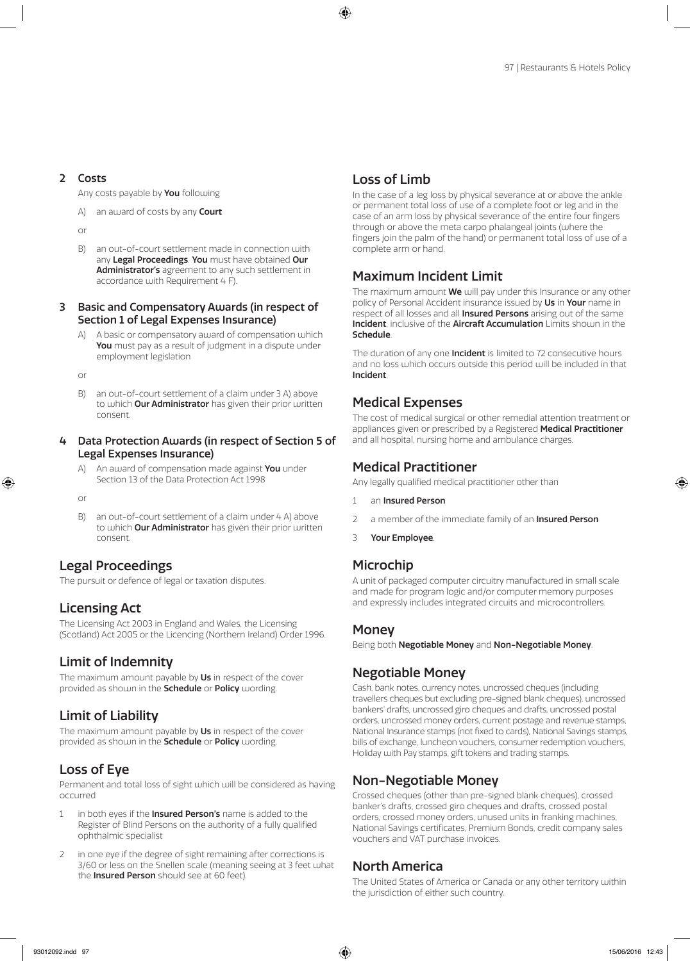#### 2 Costs

Any costs payable by **You** following

A) an award of costs by any **Court** 

or

B) an out-of-court settlement made in connection with any Legal Proceedings. You must have obtained Our Administrator's agreement to any such settlement in accordance with Requirement 4 F).

#### 3 Basic and Compensatory Awards (in respect of Section 1 of Legal Expenses Insurance)

A basic or compensatory award of compensation which You must pay as a result of judgment in a dispute under employment legislation

or

B) an out-of-court settlement of a claim under 3 A) above to which Our Administrator has given their prior written consent.

#### 4 Data Protection Awards (in respect of Section 5 of Legal Expenses Insurance)

An award of compensation made against You under Section 13 of the Data Protection Act 1998

or

B) an out-of-court settlement of a claim under 4 A) above to which Our Administrator has given their prior written consent.

# Legal Proceedings

The pursuit or defence of legal or taxation disputes.

# Licensing Act

The Licensing Act 2003 in England and Wales, the Licensing (Scotland) Act 2005 or the Licencing (Northern Ireland) Order 1996.

# Limit of Indemnity

The maximum amount payable by Us in respect of the cover provided as shown in the **Schedule** or **Policy** wording.

# Limit of Liability

The maximum amount payable by **Us** in respect of the cover provided as shown in the **Schedule** or **Policy** wording.

# Loss of Eye

Permanent and total loss of sight which will be considered as having occurred

- in both eyes if the Insured Person's name is added to the Register of Blind Persons on the authority of a fully qualified ophthalmic specialist
- in one eye if the degree of sight remaining after corrections is 3/60 or less on the Snellen scale (meaning seeing at 3 feet what the **Insured Person** should see at 60 feet).

# Loss of Limb

In the case of a leg loss by physical severance at or above the ankle or permanent total loss of use of a complete foot or leg and in the case of an arm loss by physical severance of the entire four fingers through or above the meta carpo phalangeal joints (where the fingers join the palm of the hand) or permanent total loss of use of a complete arm or hand.

# Maximum Incident Limit

The maximum amount **We** will pay under this Insurance or any other policy of Personal Accident insurance issued by Us in Your name in respect of all losses and all **Insured Persons** arising out of the same Incident, inclusive of the Aircraft Accumulation Limits shown in the **Schedule** 

The duration of any one **Incident** is limited to 72 consecutive hours and no loss which occurs outside this period will be included in that Incident.

# Medical Expenses

The cost of medical surgical or other remedial attention treatment or appliances given or prescribed by a Registered Medical Practitioner and all hospital, nursing home and ambulance charges.

# Medical Practitioner

Any legally qualified medical practitioner other than

- 1 an Insured Person
- 2 a member of the immediate family of an Insured Person
- 3 Your Employee.

# Microchip

A unit of packaged computer circuitry manufactured in small scale and made for program logic and/or computer memory purposes and expressly includes integrated circuits and microcontrollers.

#### Money

Being both Negotiable Money and Non-Negotiable Money.

# Negotiable Money

Cash, bank notes, currency notes, uncrossed cheques (including travellers cheques but excluding pre-signed blank cheques), uncrossed bankers' drafts, uncrossed giro cheques and drafts, uncrossed postal orders, uncrossed money orders, current postage and revenue stamps, National Insurance stamps (not fixed to cards), National Savings stamps, bills of exchange, luncheon vouchers, consumer redemption vouchers, Holiday with Pay stamps, gift tokens and trading stamps.

# Non-Negotiable Money

Crossed cheques (other than pre-signed blank cheques), crossed banker's drafts, crossed giro cheques and drafts, crossed postal orders, crossed money orders, unused units in franking machines, National Savings certificates, Premium Bonds, credit company sales vouchers and VAT purchase invoices.

# North America

The United States of America or Canada or any other territory within the jurisdiction of either such country.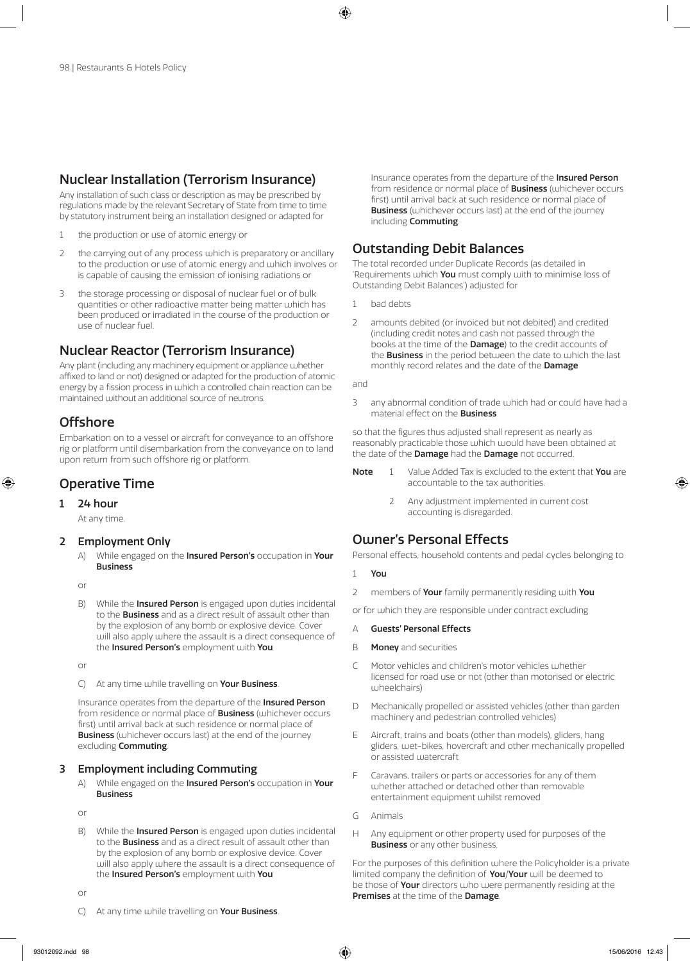## Nuclear Installation (Terrorism Insurance)

Any installation of such class or description as may be prescribed by regulations made by the relevant Secretary of State from time to time by statutory instrument being an installation designed or adapted for

- 1 the production or use of atomic energy or
- 2 the carrying out of any process which is preparatory or ancillary to the production or use of atomic energy and which involves or is capable of causing the emission of ionising radiations or
- 3 the storage processing or disposal of nuclear fuel or of bulk quantities or other radioactive matter being matter which has been produced or irradiated in the course of the production or use of nuclear fuel.

## Nuclear Reactor (Terrorism Insurance)

Any plant (including any machinery equipment or appliance whether affixed to land or not) designed or adapted for the production of atomic energy by a fission process in which a controlled chain reaction can be maintained without an additional source of neutrons.

## **Offshore**

Embarkation on to a vessel or aircraft for conveyance to an offshore rig or platform until disembarkation from the conveyance on to land upon return from such offshore rig or platform.

### Operative Time

#### 1 24 hour

At any time.

#### 2 Employment Only

A) While engaged on the Insured Person's occupation in Your **Business** 

or

B) While the Insured Person is engaged upon duties incidental to the **Business** and as a direct result of assault other than by the explosion of any bomb or explosive device. Cover will also apply where the assault is a direct consequence of the **Insured Person's** employment with You

or

C) At any time while travelling on **Your Business**.

Insurance operates from the departure of the **Insured Person** from residence or normal place of **Business** (whichever occurs first) until arrival back at such residence or normal place of **Business** (whichever occurs last) at the end of the journey excluding Commuting.

#### 3 Employment including Commuting

A) While engaged on the **Insured Person's** occupation in **Your** Business

or

B) While the Insured Person is engaged upon duties incidental to the **Business** and as a direct result of assault other than by the explosion of any bomb or explosive device. Cover will also apply where the assault is a direct consequence of the **Insured Person's** employment with You

or

C) At any time while travelling on **Your Business**.

Insurance operates from the departure of the Insured Person from residence or normal place of **Business** (whichever occurs first) until arrival back at such residence or normal place of **Business** (whichever occurs last) at the end of the journey including Commuting.

### Outstanding Debit Balances

The total recorded under Duplicate Records (as detailed in 'Requirements which You must comply with to minimise loss of Outstanding Debit Balances') adjusted for

- 1 bad debts
- 2 amounts debited (or invoiced but not debited) and credited (including credit notes and cash not passed through the books at the time of the **Damage**) to the credit accounts of the **Business** in the period between the date to which the last monthly record relates and the date of the Damage

and

3 any abnormal condition of trade which had or could have had a material effect on the **Business** 

so that the figures thus adjusted shall represent as nearly as reasonably practicable those which would have been obtained at the date of the **Damage** had the **Damage** not occurred.

- Note 1 Value Added Tax is excluded to the extent that You are accountable to the tax authorities.
	- 2 Any adjustment implemented in current cost accounting is disregarded.

### Owner's Personal Effects

Personal effects, household contents and pedal cycles belonging to

- 1 You
- 2 members of **Your** family permanently residing with **You**

or for which they are responsible under contract excluding

#### A Guests' Personal Effects

- B **Money** and securities
- C Motor vehicles and children's motor vehicles whether licensed for road use or not (other than motorised or electric wheelchairs)
- D Mechanically propelled or assisted vehicles (other than garden machinery and pedestrian controlled vehicles)
- E Aircraft, trains and boats (other than models), gliders, hang gliders, wet-bikes, hovercraft and other mechanically propelled or assisted watercraft
- F Caravans, trailers or parts or accessories for any of them whether attached or detached other than removable entertainment equipment whilst removed
- G Animals
- H Any equipment or other property used for purposes of the **Business** or any other business.

For the purposes of this definition where the Policyholder is a private limited company the definition of You/Your will be deemed to be those of **Your** directors who were permanently residing at the Premises at the time of the Damage.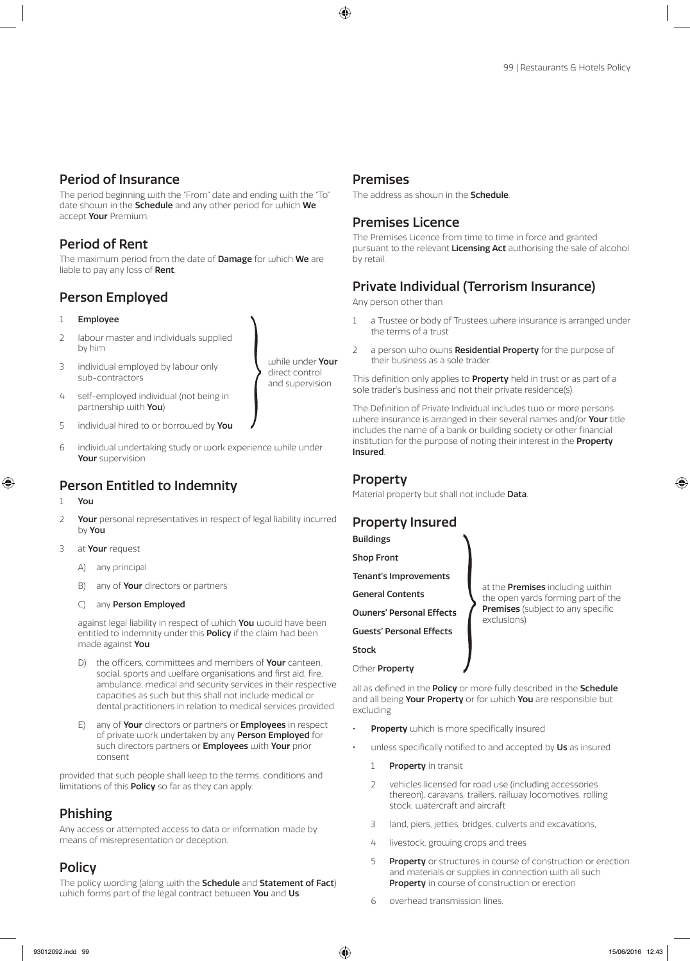# Period of Insurance

The period beginning with the "From" date and ending with the "To" date shown in the **Schedule** and any other period for which We accept Your Premium.

# Period of Rent

The maximum period from the date of Damage for which We are liable to pay any loss of Rent.

# Person Employed

#### 1 Employee

- 2 labour master and individuals supplied by him
- 3 individual employed by labour only sub-contractors
- 4 self-employed individual (not being in partnership with You)
- 5 individual hired to or borrowed by You
- 6 individual undertaking study or work experience while under Your supervision

# Person Entitled to Indemnity

#### 1 You

- Your personal representatives in respect of legal liability incurred by You
- 3 at Your request
	- A) any principal
	- B) any of **Your** directors or partners

#### C) any Person Employed

against legal liability in respect of which You would have been entitled to indemnity under this **Policy** if the claim had been made against You

- D) the officers, committees and members of Your canteen, social, sports and welfare organisations and first aid, fire, ambulance, medical and security services in their respective capacities as such but this shall not include medical or dental practitioners in relation to medical services provided
- E) any of Your directors or partners or **Employees** in respect of private work undertaken by any Person Employed for such directors partners or **Employees** with **Your** prior consent

provided that such people shall keep to the terms, conditions and limitations of this **Policy** so far as they can apply.

# Phishing

Any access or attempted access to data or information made by means of misrepresentation or deception.

# **Policy**

The policy wording (along with the Schedule and Statement of Fact) which forms part of the legal contract between You and Us.

#### Premises

The address as shown in the **Schedule**.

## Premises Licence

The Premises Licence from time to time in force and granted pursuant to the relevant Licensing Act authorising the sale of alcohol by retail.

# Private Individual (Terrorism Insurance)

Any person other than

- 1 a Trustee or body of Trustees where insurance is arranged under the terms of a trust
- 2 a person who owns **Residential Property** for the purpose of their business as a sole trader.

This definition only applies to **Property** held in trust or as part of a sole trader's business and not their private residence(s).

The Definition of Private Individual includes two or more persons where insurance is arranged in their several names and/or **Your** title includes the name of a bank or building society or other financial institution for the purpose of noting their interest in the Property Insured.

#### Property

while under Your direct control and supervision

Material property but shall not include Data.

### Property Insured

Buildings

Shop Front

Tenant's Improvements

General Contents

Owners' Personal Effects

Guests' Personal Effects

Stock

Other Property

all as defined in the **Policy** or more fully described in the **Schedule** and all being **Your Property** or for which **You** are responsible but excluding

exclusions)

at the **Premises** including within the open yards forming part of the Premises (subject to any specific

- Property which is more specifically insured
- unless specifically notified to and accepted by Us as insured
	- 1 **Property** in transit
	- 2 vehicles licensed for road use (including accessories thereon), caravans, trailers, railway locomotives, rolling stock, watercraft and aircraft
	- 3 land, piers, jetties, bridges, culverts and excavations,
	- 4 livestock, growing crops and trees
	- 5 Property or structures in course of construction or erection and materials or supplies in connection with all such Property in course of construction or erection

6 overhead transmission lines.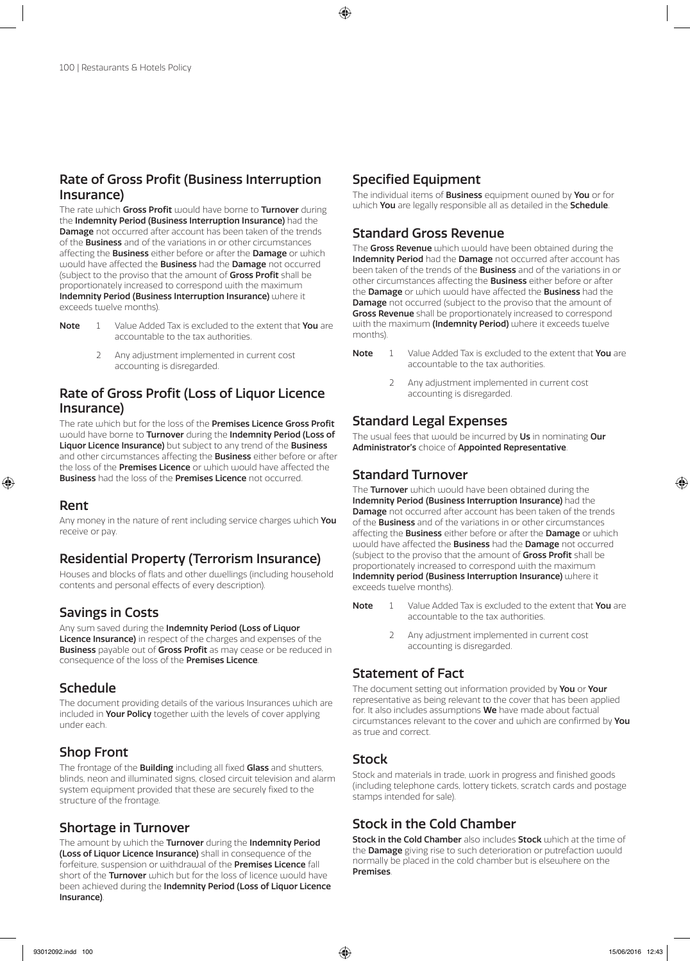# Rate of Gross Profit (Business Interruption Insurance)

The rate which Gross Profit would have borne to Turnover during the Indemnity Period (Business Interruption Insurance) had the Damage not occurred after account has been taken of the trends of the **Business** and of the variations in or other circumstances affecting the **Business** either before or after the **Damage** or which would have affected the **Business** had the **Damage** not occurred (subject to the proviso that the amount of Gross Profit shall be proportionately increased to correspond with the maximum Indemnity Period (Business Interruption Insurance) where it exceeds twelve months).

- Note 1 Value Added Tax is excluded to the extent that You are accountable to the tax authorities.
	- 2 Any adjustment implemented in current cost accounting is disregarded.

# Rate of Gross Profit (Loss of Liquor Licence Insurance)

The rate which but for the loss of the Premises Licence Gross Profit would have borne to Turnover during the Indemnity Period (Loss of Liquor Licence Insurance) but subject to any trend of the Business and other circumstances affecting the **Business** either before or after the loss of the **Premises Licence** or which would have affected the **Business** had the loss of the **Premises Licence** not occurred.

### Rent

Any money in the nature of rent including service charges which You receive or pay.

# Residential Property (Terrorism Insurance)

Houses and blocks of flats and other dwellings (including household contents and personal effects of every description).

# Savings in Costs

Any sum saved during the Indemnity Period (Loss of Liquor Licence Insurance) in respect of the charges and expenses of the **Business** payable out of **Gross Profit** as may cease or be reduced in consequence of the loss of the Premises Licence.

# Schedule

The document providing details of the various Insurances which are included in Your Policy together with the levels of cover applying under each.

# Shop Front

The frontage of the **Building** including all fixed Glass and shutters, blinds, neon and illuminated signs, closed circuit television and alarm system equipment provided that these are securely fixed to the structure of the frontage.

# Shortage in Turnover

The amount by which the Turnover during the Indemnity Period (Loss of Liquor Licence Insurance) shall in consequence of the forfeiture, suspension or withdrawal of the Premises Licence fall short of the Turnover which but for the loss of licence would have been achieved during the Indemnity Period (Loss of Liquor Licence Insurance).

# Specified Equipment

The individual items of **Business** equipment owned by You or for which You are legally responsible all as detailed in the Schedule.

# Standard Gross Revenue

The Gross Revenue which would have been obtained during the Indemnity Period had the Damage not occurred after account has been taken of the trends of the **Business** and of the variations in or other circumstances affecting the **Business** either before or after the Damage or which would have affected the Business had the Damage not occurred (subject to the proviso that the amount of **Gross Revenue** shall be proportionately increased to correspond with the maximum (Indemnity Period) where it exceeds twelve months).

- Note 1 Value Added Tax is excluded to the extent that You are accountable to the tax authorities.
	- 2 Any adjustment implemented in current cost accounting is disregarded.

# Standard Legal Expenses

The usual fees that would be incurred by Us in nominating Our Administrator's choice of Appointed Representative.

# Standard Turnover

The Turnover which would have been obtained during the Indemnity Period (Business Interruption Insurance) had the Damage not occurred after account has been taken of the trends of the **Business** and of the variations in or other circumstances affecting the **Business** either before or after the **Damage** or which would have affected the **Business** had the **Damage** not occurred (subject to the proviso that the amount of Gross Profit shall be proportionately increased to correspond with the maximum Indemnity period (Business Interruption Insurance) where it exceeds twelve months).

- Note 1 Value Added Tax is excluded to the extent that You are accountable to the tax authorities.
	- 2 Any adjustment implemented in current cost accounting is disregarded.

# Statement of Fact

The document setting out information provided by You or Your representative as being relevant to the cover that has been applied for. It also includes assumptions We have made about factual circumstances relevant to the cover and which are confirmed by You as true and correct.

# **Stock**

Stock and materials in trade, work in progress and finished goods (including telephone cards, lottery tickets, scratch cards and postage stamps intended for sale).

# Stock in the Cold Chamber

**Stock in the Cold Chamber** also includes **Stock** which at the time of the **Damage** giving rise to such deterioration or putrefaction would normally be placed in the cold chamber but is elsewhere on the Premises.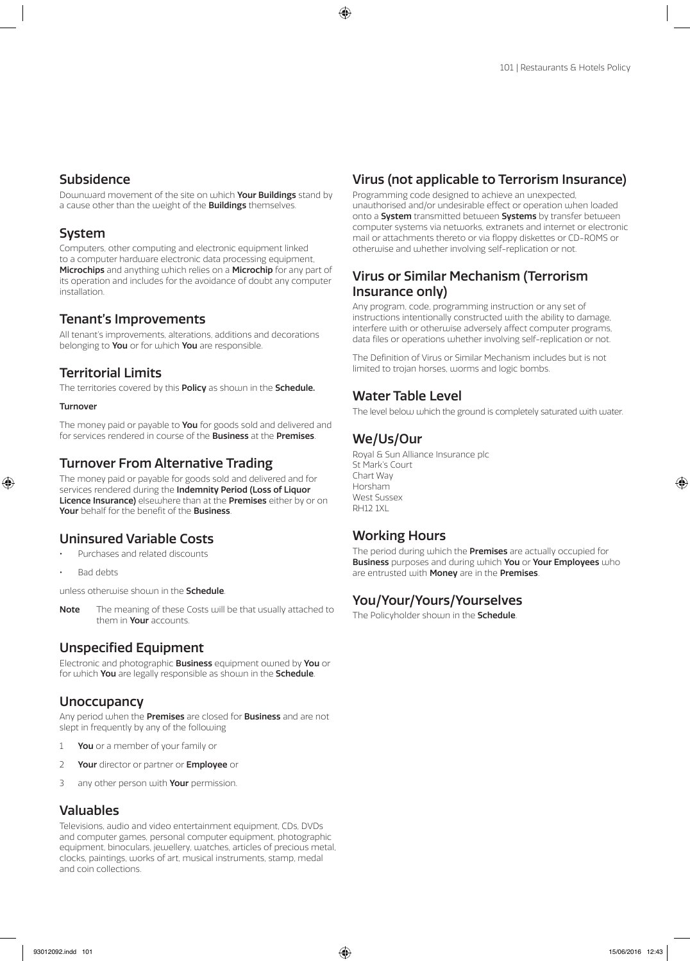### Subsidence

Downward movement of the site on which Your Buildings stand by a cause other than the weight of the **Buildings** themselves.

## System

Computers, other computing and electronic equipment linked to a computer hardware electronic data processing equipment, Microchips and anything which relies on a Microchip for any part of its operation and includes for the avoidance of doubt any computer installation.

# Tenant's Improvements

All tenant's improvements, alterations, additions and decorations belonging to **You** or for which **You** are responsible.

## Territorial Limits

The territories covered by this **Policy** as shown in the **Schedule.** 

#### Turnover

The money paid or payable to You for goods sold and delivered and for services rendered in course of the **Business** at the **Premises**.

# Turnover From Alternative Trading

The money paid or payable for goods sold and delivered and for services rendered during the Indemnity Period (Loss of Liquor Licence Insurance) elsewhere than at the Premises either by or on Your behalf for the benefit of the **Business** 

### Uninsured Variable Costs

- Purchases and related discounts
- Bad debts

unless otherwise shown in the Schedule.

Note The meaning of these Costs will be that usually attached to them in **Your** accounts.

# Unspecified Equipment

Electronic and photographic **Business** equipment owned by You or for which You are legally responsible as shown in the Schedule.

### **Unoccupancy**

Any period when the Premises are closed for Business and are not slept in frequently by any of the following

- 1 You or a member of your family or
- 2 Your director or partner or **Employee** or
- 3 any other person with **Your** permission.

# Valuables

Televisions, audio and video entertainment equipment, CDs, DVDs and computer games, personal computer equipment, photographic equipment, binoculars, jewellery, watches, articles of precious metal, clocks, paintings, works of art, musical instruments, stamp, medal and coin collections.

# Virus (not applicable to Terrorism Insurance)

Programming code designed to achieve an unexpected, unauthorised and/or undesirable effect or operation when loaded onto a **System** transmitted between **Systems** by transfer between computer systems via networks, extranets and internet or electronic mail or attachments thereto or via floppy diskettes or CD-ROMS or otherwise and whether involving self-replication or not.

# Virus or Similar Mechanism (Terrorism Insurance only)

Any program, code, programming instruction or any set of instructions intentionally constructed with the ability to damage, interfere with or otherwise adversely affect computer programs, data files or operations whether involving self-replication or not.

The Definition of Virus or Similar Mechanism includes but is not limited to trojan horses, worms and logic bombs.

# Water Table Level

The level below which the ground is completely saturated with water.

# We/Us/Our

Royal & Sun Alliance Insurance plc St Mark's Court Chart Way Horsham West Sussex RH12 1XL

# Working Hours

The period during which the **Premises** are actually occupied for Business purposes and during which You or Your Employees who are entrusted with Money are in the Premises.

# You/Your/Yours/Yourselves

The Policyholder shown in the **Schedule**.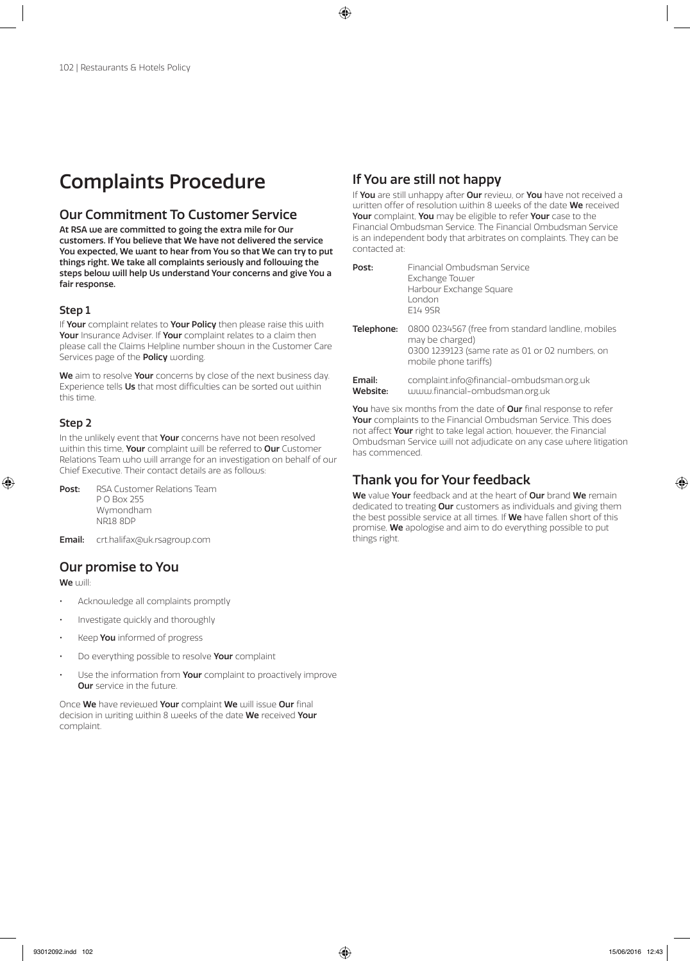# Complaints Procedure

## Our Commitment To Customer Service

At RSA we are committed to going the extra mile for Our customers. If You believe that We have not delivered the service You expected, We want to hear from You so that We can try to put things right. We take all complaints seriously and following the steps below will help Us understand Your concerns and give You a fair response.

#### Step 1

If Your complaint relates to Your Policy then please raise this with Your Insurance Adviser. If Your complaint relates to a claim then please call the Claims Helpline number shown in the Customer Care Services page of the **Policy** wording.

We aim to resolve Your concerns by close of the next business day. Experience tells Us that most difficulties can be sorted out within this time.

#### Step 2

In the unlikely event that Your concerns have not been resolved within this time, Your complaint will be referred to Our Customer Relations Team who will arrange for an investigation on behalf of our Chief Executive. Their contact details are as follows:

Post: RSA Customer Relations Team P O Box 255 Wymondham NR18 8DP

Email: crt.halifax@uk.rsagroup.com

# Our promise to You

We will:

- Acknowledge all complaints promptly
- Investigate quickly and thoroughly
- Keep You informed of progress
- Do everything possible to resolve Your complaint
- Use the information from Your complaint to proactively improve **Our** service in the future.

Once We have reviewed Your complaint We will issue Our final decision in writing within 8 weeks of the date We received Your complaint.

# If You are still not happy

If You are still unhappy after Our review, or You have not received a written offer of resolution within 8 weeks of the date We received Your complaint, You may be eligible to refer Your case to the Financial Ombudsman Service. The Financial Ombudsman Service is an independent body that arbitrates on complaints. They can be contacted at:

| Post: | Financial Ombudsman Service<br>Exchange Tower<br>Harbour Exchange Square<br>London<br><b>E14 9SR</b> |
|-------|------------------------------------------------------------------------------------------------------|
|       | <b>Telephone:</b> 0800 0234567 (free from standard landline, mobiles<br>الممحبيم وامتموا يتممو       |

|          | may be charged)<br>0300 1239123 (same rate as 01 or 02 numbers, on<br>mobile phone tariffs) |
|----------|---------------------------------------------------------------------------------------------|
| Email:   | complaint.info@financial-ombudsman.org.uk                                                   |
| Website: | www.financial-ombudsman.org.uk                                                              |

You have six months from the date of Our final response to refer Your complaints to the Financial Ombudsman Service. This does not affect Your right to take legal action, however, the Financial Ombudsman Service will not adjudicate on any case where litigation has commenced.

# Thank you for Your feedback

We value Your feedback and at the heart of Our brand We remain dedicated to treating **Our** customers as individuals and giving them the best possible service at all times. If We have fallen short of this promise, We apologise and aim to do everything possible to put things right.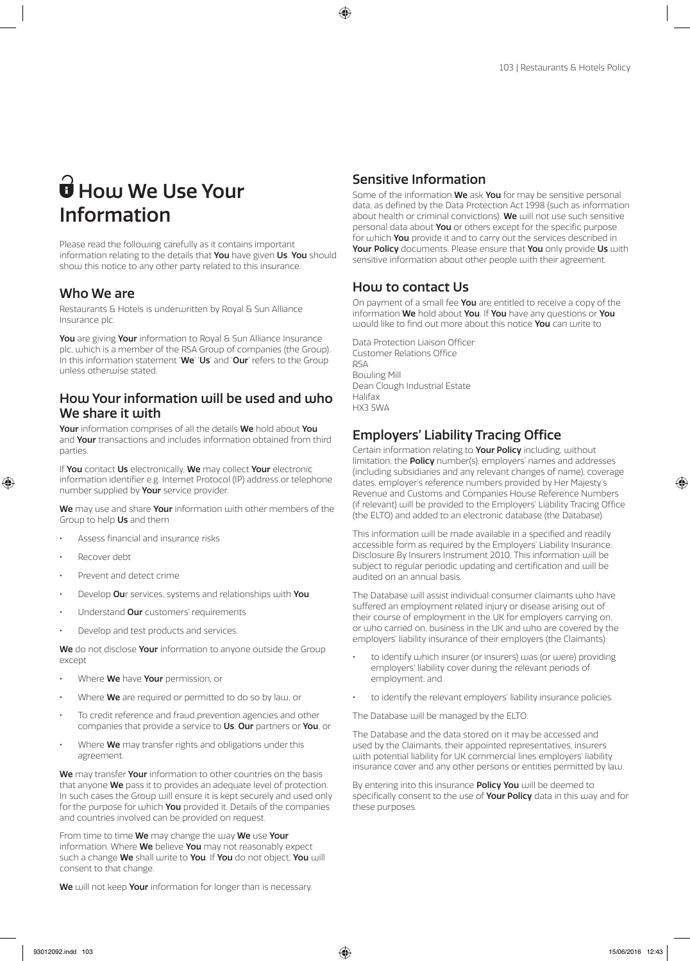# **B** How We Use Your Information

Please read the following carefully as it contains important information relating to the details that You have given Us. You should show this notice to any other party related to this insurance.

### Who We are

Restaurants & Hotels is underwritten by Royal & Sun Alliance Insurance plc.

You are giving Your information to Royal & Sun Alliance Insurance plc, which is a member of the RSA Group of companies (the Group). In this information statement 'We' 'Us' and 'Our' refers to the Group unless otherwise stated.

# How Your information will be used and who We share it with

Your information comprises of all the details We hold about You and **Your** transactions and includes information obtained from third parties.

If You contact Us electronically, We may collect Your electronic information identifier e.g. Internet Protocol (IP) address or telephone number supplied by **Your** service provider.

We may use and share Your information with other members of the Group to help Us and them

- Assess financial and insurance risks
- Recover debt
- Prevent and detect crime
- Develop Our services, systems and relationships with You
- Understand Our customers' requirements
- Develop and test products and services.

We do not disclose Your information to anyone outside the Group except

- Where We have Your permission, or
- Where We are required or permitted to do so by law, or
- To credit reference and fraud prevention agencies and other companies that provide a service to Us, Our partners or You, or
- Where **We** may transfer rights and obligations under this agreement.

We may transfer Your information to other countries on the basis that anyone **We** pass it to provides an adequate level of protection. In such cases the Group will ensure it is kept securely and used only for the purpose for which You provided it. Details of the companies and countries involved can be provided on request.

From time to time We may change the way We use Your information. Where **We** believe **You** may not reasonably expect such a change We shall write to You. If You do not object, You will consent to that change.

We will not keep Your information for longer than is necessary.

# Sensitive Information

Some of the information We ask You for may be sensitive personal data, as defined by the Data Protection Act 1998 (such as information about health or criminal convictions). We will not use such sensitive personal data about You or others except for the specific purpose for which You provide it and to carry out the services described in Your Policy documents. Please ensure that You only provide Us with sensitive information about other people with their agreement.

### How to contact Us

On payment of a small fee You are entitled to receive a copy of the information We hold about You. If You have any questions or You would like to find out more about this notice You can write to

Data Protection Liaison Officer Customer Relations Office RSA Bowling Mill Dean Clough Industrial Estate Halifax HX3 5WA

## Employers' Liability Tracing Office

Certain information relating to **Your Policy** including, without limitation, the **Policy** number(s), employers' names and addresses (including subsidiaries and any relevant changes of name), coverage dates, employer's reference numbers provided by Her Majesty's Revenue and Customs and Companies House Reference Numbers (if relevant) will be provided to the Employers' Liability Tracing Office (the ELTO) and added to an electronic database (the Database).

This information will be made available in a specified and readily accessible form as required by the Employers' Liability Insurance: Disclosure By Insurers Instrument 2010. This information will be subject to regular periodic updating and certification and will be audited on an annual basis.

The Database will assist individual consumer claimants who have suffered an employment related injury or disease arising out of their course of employment in the UK for employers carrying on, or who carried on, business in the UK and who are covered by the employers' liability insurance of their employers (the Claimants):

- to identify which insurer (or insurers) was (or were) providing employers' liability cover during the relevant periods of employment; and
- to identify the relevant employers' liability insurance policies.

The Database will be managed by the ELTO.

The Database and the data stored on it may be accessed and used by the Claimants, their appointed representatives, insurers with potential liability for UK commercial lines employers' liability insurance cover and any other persons or entities permitted by law.

By entering into this insurance **Policy You** will be deemed to specifically consent to the use of Your Policy data in this way and for these purposes.